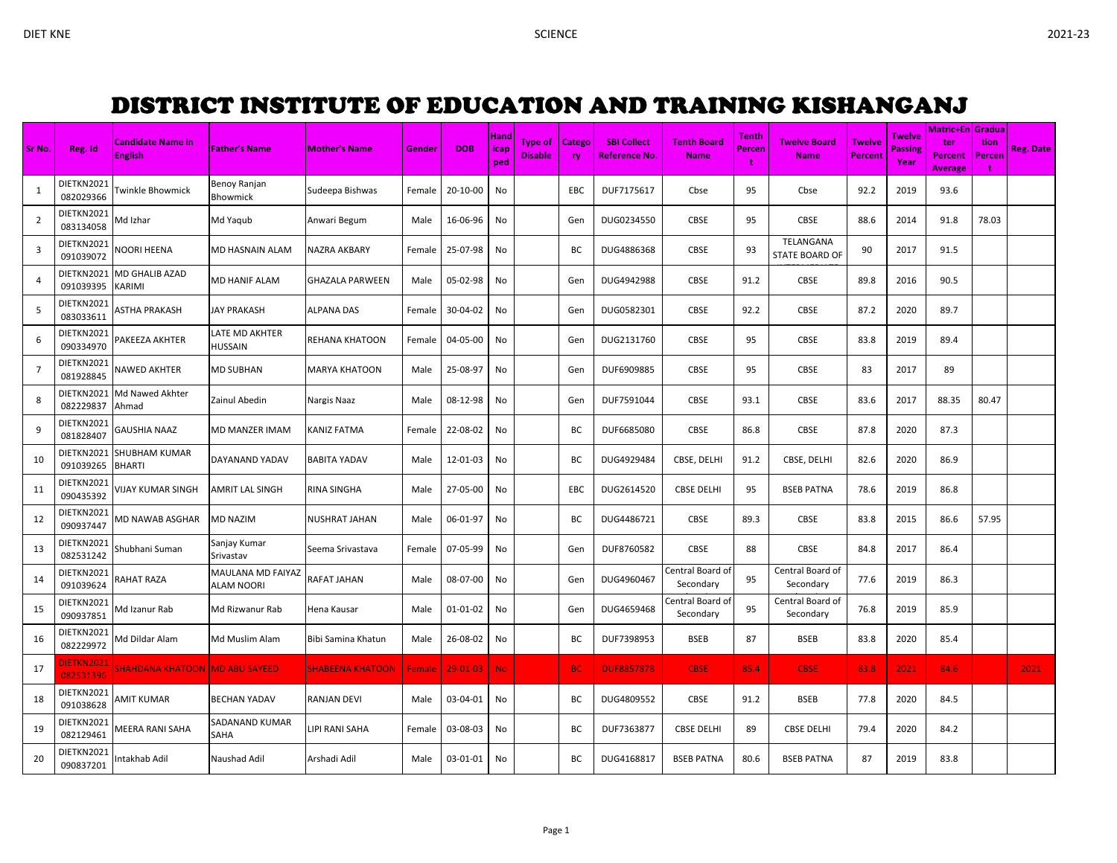## DISTRICT INSTITUTE OF EDUCATION AND TRAINING KISHANGANJ

| Sr No.         | Reg. Id                 | <b>Candidate Name in</b><br><b>English</b> | <b>Father's Name</b>                   | <b>Mother's Name</b>    | Gender | <b>DOB</b> | Hand<br>icap<br>ped | Type of<br><b>Disable</b> | <b>Catego</b><br>ry | <b>SBI Collect</b><br><b>Reference No.</b> | <b>Tenth Board</b><br><b>Name</b> | Tenth<br>Percen<br>t | <b>Twelve Board</b><br><b>Name</b> | <b>Twelve</b><br>Percent | <b>Twelve</b><br><b>Passing</b><br>Year | <b>Matric+En Gradua</b><br>ter<br><b>Percent</b><br><b>Average</b> | tion<br>Percen<br>t | Reg. Date |
|----------------|-------------------------|--------------------------------------------|----------------------------------------|-------------------------|--------|------------|---------------------|---------------------------|---------------------|--------------------------------------------|-----------------------------------|----------------------|------------------------------------|--------------------------|-----------------------------------------|--------------------------------------------------------------------|---------------------|-----------|
| 1              | DIETKN2021<br>082029366 | <b>Twinkle Bhowmick</b>                    | Benoy Ranjan<br>Bhowmick               | Sudeepa Bishwas         | Female | 20-10-00   | No                  |                           | EBC.                | DUF7175617                                 | Cbse                              | 95                   | Cbse                               | 92.2                     | 2019                                    | 93.6                                                               |                     |           |
| $\overline{2}$ | DIETKN2021<br>083134058 | Md Izhar                                   | Md Yaqub                               | Anwari Begum            | Male   | 16-06-96   | No                  |                           | Gen                 | DUG0234550                                 | CBSE                              | 95                   | CBSE                               | 88.6                     | 2014                                    | 91.8                                                               | 78.03               |           |
| 3              | DIETKN2021<br>091039072 | <b>VOORI HEENA</b>                         | MD HASNAIN ALAM                        | NAZRA AKBARY            | Female | 25-07-98   | No                  |                           | ВC                  | DUG4886368                                 | CBSE                              | 93                   | TELANGANA<br><b>STATE BOARD OF</b> | 90                       | 2017                                    | 91.5                                                               |                     |           |
| 4              | DIETKN2021<br>091039395 | MD GHALIB AZAD<br>KARIMI                   | MD HANIF ALAM                          | GHAZALA PARWEEN         | Male   | 05-02-98   | No                  |                           | Gen                 | DUG4942988                                 | CBSE                              | 91.2                 | CBSE                               | 89.8                     | 2016                                    | 90.5                                                               |                     |           |
| 5              | DIETKN2021<br>083033611 | <b>ASTHA PRAKASH</b>                       | <b>JAY PRAKASH</b>                     | <b>ALPANA DAS</b>       | Female | 30-04-02   | No                  |                           | Gen                 | DUG0582301                                 | <b>CBSE</b>                       | 92.2                 | <b>CBSE</b>                        | 87.2                     | 2020                                    | 89.7                                                               |                     |           |
| 6              | DIETKN2021<br>090334970 | PAKEEZA AKHTER                             | LATE MD AKHTER<br><b>HUSSAIN</b>       | REHANA KHATOON          | Female | 04-05-00   | No                  |                           | Gen                 | DUG2131760                                 | CBSE                              | 95                   | CBSE                               | 83.8                     | 2019                                    | 89.4                                                               |                     |           |
| 7              | DIETKN2021<br>081928845 | <b>NAWED AKHTER</b>                        | <b>MD SUBHAN</b>                       | MARYA KHATOON           | Male   | 25-08-97   | No                  |                           | Gen                 | DUF6909885                                 | <b>CBSE</b>                       | 95                   | <b>CBSE</b>                        | 83                       | 2017                                    | 89                                                                 |                     |           |
| 8              | DIETKN2021<br>082229837 | Md Nawed Akhter<br>Ahmad                   | Zainul Abedin                          | Nargis Naaz             | Male   | 08-12-98   | No                  |                           | Gen                 | DUF7591044                                 | CBSE                              | 93.1                 | CBSE                               | 83.6                     | 2017                                    | 88.35                                                              | 80.47               |           |
| 9              | DIETKN2021<br>081828407 | GAUSHIA NAAZ                               | MD MANZER IMAM                         | KANIZ FATMA             | Female | 22-08-02   | No                  |                           | BC                  | DUF6685080                                 | CBSE                              | 86.8                 | CBSE                               | 87.8                     | 2020                                    | 87.3                                                               |                     |           |
| 10             | DIETKN2021<br>091039265 | <b>SHUBHAM KUMAR</b><br><b>BHARTI</b>      | DAYANAND YADAV                         | <b>BABITA YADAV</b>     | Male   | 12-01-03   | No                  |                           | ВC                  | DUG4929484                                 | CBSE, DELHI                       | 91.2                 | CBSE, DELHI                        | 82.6                     | 2020                                    | 86.9                                                               |                     |           |
| 11             | DIETKN2021<br>090435392 | VIJAY KUMAR SINGH                          | AMRIT LAL SINGH                        | RINA SINGHA             | Male   | 27-05-00   | No                  |                           | EBC                 | DUG2614520                                 | <b>CBSE DELHI</b>                 | 95                   | <b>BSEB PATNA</b>                  | 78.6                     | 2019                                    | 86.8                                                               |                     |           |
| 12             | DIETKN2021<br>090937447 | MD NAWAB ASGHAR                            | <b>MD NAZIM</b>                        | <b>NUSHRAT JAHAN</b>    | Male   | 06-01-97   | No                  |                           | BC                  | DUG4486721                                 | <b>CBSE</b>                       | 89.3                 | <b>CBSE</b>                        | 83.8                     | 2015                                    | 86.6                                                               | 57.95               |           |
| 13             | DIETKN2021<br>082531242 | Shubhani Suman                             | Sanjay Kumar<br>Srivastav              | Seema Srivastava        | Female | 07-05-99   | No                  |                           | Gen                 | DUF8760582                                 | CBSE                              | 88                   | CBSE                               | 84.8                     | 2017                                    | 86.4                                                               |                     |           |
| 14             | DIETKN2021<br>091039624 | <b>AHAT RAZA</b>                           | MAULANA MD FAIYAZ<br><b>ALAM NOORI</b> | RAFAT JAHAN             | Male   | 08-07-00   | No                  |                           | Gen                 | DUG4960467                                 | Central Board of<br>Secondary     | 95                   | Central Board of<br>Secondary      | 77.6                     | 2019                                    | 86.3                                                               |                     |           |
| 15             | DIETKN2021<br>090937851 | Vid Izanur Rab                             | Md Rizwanur Rab                        | Hena Kausar             | Male   | 01-01-02   | No                  |                           | Gen                 | DUG4659468                                 | Central Board of<br>Secondary     | 95                   | Central Board of<br>Secondary      | 76.8                     | 2019                                    | 85.9                                                               |                     |           |
| 16             | DIETKN2021<br>082229972 | Md Dildar Alam                             | Md Muslim Alam                         | Bibi Samina Khatun      | Male   | 26-08-02   | No                  |                           | BC                  | DUF7398953                                 | <b>BSEB</b>                       | 87                   | <b>BSEB</b>                        | 83.8                     | 2020                                    | 85.4                                                               |                     |           |
| 17             | DIETKN2021<br>082531396 | SHAHDANA KHATOON  MD ABU SAYEED            |                                        | <b>SHABEENA KHATOON</b> | Female | 29-01-03   | <b>No</b>           |                           | BC.                 | <b>DUF8857878</b>                          | <b>CBSE</b>                       | 85.4                 | <b>CBSE</b>                        | 83.8                     | 2021                                    | 84.6                                                               |                     | 2021      |
| 18             | DIETKN2021<br>091038628 | AMIT KUMAR                                 | <b>BECHAN YADAV</b>                    | RANJAN DEVI             | Male   | 03-04-01   | No                  |                           | BC                  | DUG4809552                                 | <b>CBSE</b>                       | 91.2                 | <b>BSEB</b>                        | 77.8                     | 2020                                    | 84.5                                                               |                     |           |
| 19             | DIETKN2021<br>082129461 | <b>MEERA RANI SAHA</b>                     | SADANAND KUMAR<br>SAHA                 | LIPI RANI SAHA          | Female | 03-08-03   | No                  |                           | ВC                  | DUF7363877                                 | <b>CBSE DELHI</b>                 | 89                   | <b>CBSE DELHI</b>                  | 79.4                     | 2020                                    | 84.2                                                               |                     |           |
| 20             | DIETKN2021<br>090837201 | ntakhab Adil                               | Naushad Adil                           | Arshadi Adil            | Male   | 03-01-01   | No                  |                           | ВC                  | DUG4168817                                 | <b>BSEB PATNA</b>                 | 80.6                 | <b>BSEB PATNA</b>                  | 87                       | 2019                                    | 83.8                                                               |                     |           |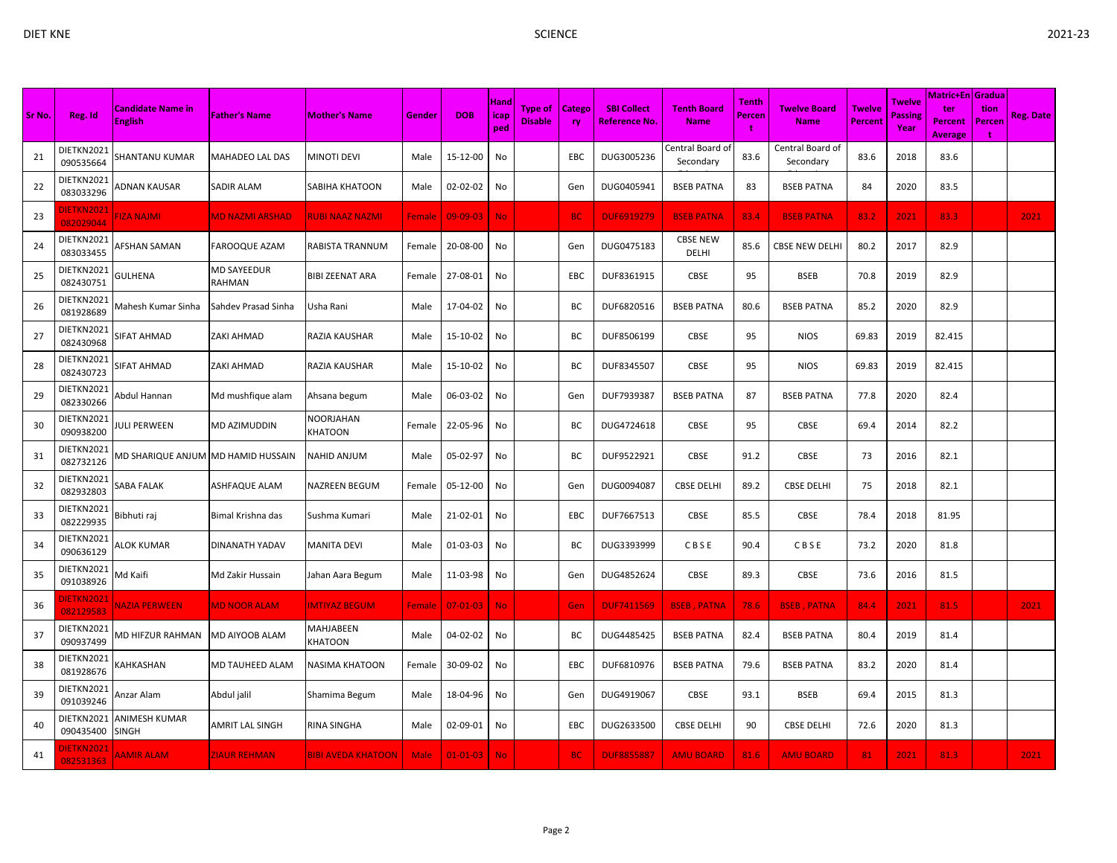| Sr No. | Reg. Id                        | <b>Candidate Name in</b><br><b>English</b> | <b>Father's Name</b>         | <b>Mother's Name</b>        | Gender        | <b>DOB</b>     | Hand<br><b>icap</b><br>ped | Type of<br><b>Disable</b> | <b>Catego</b><br><b>ry</b> | <b>SBI Collect</b><br>Reference No. | <b>Tenth Board</b><br><b>Name</b> | Tenth<br>Percen | <b>Twelve Board</b><br><b>Name</b> | <b>Twelve</b><br><b>Percent</b> | Twelve<br><b>Passing</b><br>Year | Matric+En   Gradua  <br>ter<br>Percent<br><b>Average</b> | tion<br>Percen<br>÷ | <b>Reg. Date</b> |
|--------|--------------------------------|--------------------------------------------|------------------------------|-----------------------------|---------------|----------------|----------------------------|---------------------------|----------------------------|-------------------------------------|-----------------------------------|-----------------|------------------------------------|---------------------------------|----------------------------------|----------------------------------------------------------|---------------------|------------------|
| 21     | DIETKN2021<br>090535664        | SHANTANU KUMAR                             | <b>MAHADEO LAL DAS</b>       | <b>MINOTI DEVI</b>          | Male          | 15-12-00       | No                         |                           | EBC                        | DUG3005236                          | Central Board of<br>Secondary     | 83.6            | Central Board of<br>Secondary      | 83.6                            | 2018                             | 83.6                                                     |                     |                  |
| 22     | DIETKN2021<br>083033296        | ADNAN KAUSAR                               | SADIR ALAM                   | SABIHA KHATOON              | Male          | 02-02-02       | No                         |                           | Gen                        | DUG0405941                          | <b>BSEB PATNA</b>                 | 83              | <b>BSEB PATNA</b>                  | 84                              | 2020                             | 83.5                                                     |                     |                  |
| 23     | <b>DIETKN2021</b><br>082029044 | <b>IMLAN ASI-</b>                          | <b>MD NAZMI ARSHAD</b>       | <b>RUBI NAAZ NAZMI</b>      | Female        | $09 - 09 - 03$ | No.                        |                           | <b>BC</b>                  | <b>DUF6919279</b>                   | <b>BSEB PATNA</b>                 | 83.4            | <b>BSEB PATNA</b>                  | 83.2                            | 2021                             | 83.3                                                     |                     | 2021             |
| 24     | DIETKN2021<br>083033455        | AFSHAN SAMAN                               | <b>FAROOQUE AZAM</b>         | RABISTA TRANNUM             | Female        | 20-08-00       | No                         |                           | Gen                        | DUG0475183                          | <b>CBSE NEW</b><br>DELHI          | 85.6            | <b>CBSE NEW DELHI</b>              | 80.2                            | 2017                             | 82.9                                                     |                     |                  |
| 25     | DIETKN2021<br>082430751        | GULHENA                                    | <b>MD SAYEEDUR</b><br>RAHMAN | <b>BIBI ZEENAT ARA</b>      | Female        | 27-08-01       | No                         |                           | EBC                        | DUF8361915                          | CBSE                              | 95              | <b>BSEB</b>                        | 70.8                            | 2019                             | 82.9                                                     |                     |                  |
| 26     | DIETKN2021<br>081928689        | Vlahesh Kumar Sinha                        | Sahdev Prasad Sinha          | Usha Rani                   | Male          | 17-04-02       | No                         |                           | BC                         | DUF6820516                          | <b>BSEB PATNA</b>                 | 80.6            | <b>BSEB PATNA</b>                  | 85.2                            | 2020                             | 82.9                                                     |                     |                  |
| 27     | DIETKN2021<br>082430968        | SIFAT AHMAD                                | <b>ZAKI AHMAD</b>            | RAZIA KAUSHAR               | Male          | 15-10-02       | No                         |                           | BC                         | DUF8506199                          | CBSE                              | 95              | <b>NIOS</b>                        | 69.83                           | 2019                             | 82.415                                                   |                     |                  |
| 28     | DIETKN2021<br>082430723        | SIFAT AHMAD                                | <b>ZAKI AHMAD</b>            | RAZIA KAUSHAR               | Male          | 15-10-02       | No                         |                           | ВC                         | DUF8345507                          | CBSE                              | 95              | <b>NIOS</b>                        | 69.83                           | 2019                             | 82.415                                                   |                     |                  |
| 29     | DIETKN2021<br>082330266        | Abdul Hannan                               | Md mushfique alam            | Ahsana begum                | Male          | 06-03-02       | No                         |                           | Gen                        | DUF7939387                          | <b>BSEB PATNA</b>                 | 87              | <b>BSEB PATNA</b>                  | 77.8                            | 2020                             | 82.4                                                     |                     |                  |
| 30     | DIETKN2021<br>090938200        | JULI PERWEEN                               | MD AZIMUDDIN                 | NOORJAHAN<br>KHATOON        | Female        | 22-05-96       | No                         |                           | BC                         | DUG4724618                          | <b>CBSE</b>                       | 95              | CBSE                               | 69.4                            | 2014                             | 82.2                                                     |                     |                  |
| 31     | DIETKN2021<br>082732126        | <b>MD SHARIQUE ANJUM MD HAMID HUSSAIN</b>  |                              | NAHID ANJUM                 | Male          | 05-02-97       | No                         |                           | ВC                         | DUF9522921                          | CBSE                              | 91.2            | CBSE                               | 73                              | 2016                             | 82.1                                                     |                     |                  |
| 32     | DIETKN2021<br>082932803        | SABA FALAK                                 | ASHFAQUE ALAM                | NAZREEN BEGUM               | Female        | 05-12-00       | No                         |                           | Gen                        | DUG0094087                          | <b>CBSE DELHI</b>                 | 89.2            | <b>CBSE DELHI</b>                  | 75                              | 2018                             | 82.1                                                     |                     |                  |
| 33     | DIETKN2021<br>082229935        | 3ibhuti raj                                | Bimal Krishna das            | Sushma Kumari               | Male          | 21-02-01       | No                         |                           | EBC                        | DUF7667513                          | CBSE                              | 85.5            | CBSE                               | 78.4                            | 2018                             | 81.95                                                    |                     |                  |
| 34     | DIETKN2021<br>090636129        | <b>ALOK KUMAR</b>                          | DINANATH YADAV               | <b>MANITA DEVI</b>          | Male          | 01-03-03       | No                         |                           | BC                         | DUG3393999                          | CBSE                              | 90.4            | CBSE                               | 73.2                            | 2020                             | 81.8                                                     |                     |                  |
| 35     | DIETKN2021<br>091038926        | Vld Kaifi                                  | Md Zakir Hussain             | Jahan Aara Begum            | Male          | 11-03-98       | No                         |                           | Gen                        | DUG4852624                          | CBSE                              | 89.3            | <b>CBSE</b>                        | 73.6                            | 2016                             | 81.5                                                     |                     |                  |
| 36     | DIETKN2021<br>082129583        | <b>VAZIA PERWEEN</b>                       | <b>MD NOOR ALAM</b>          | <b>IMTIYAZ BEGUM</b>        | <b>Female</b> | 07-01-03       | <b>No</b>                  |                           | Gen                        | <b>DUF7411569</b>                   | <b>BSEB, PATNA</b>                | 78.6            | <b>BSEB, PATNA</b>                 | 84.4                            | 2021                             | 81.5                                                     |                     | 2021             |
| 37     | DIETKN2021<br>090937499        | VID HIFZUR RAHMAN                          | <b>MD AIYOOB ALAM</b>        | MAHJABEEN<br><b>KHATOON</b> | Male          | 04-02-02       | No                         |                           | BC                         | DUG4485425                          | <b>BSEB PATNA</b>                 | 82.4            | <b>BSEB PATNA</b>                  | 80.4                            | 2019                             | 81.4                                                     |                     |                  |
| 38     | DIETKN2021<br>081928676        | <b>(AHKASHAN</b>                           | MD TAUHEED ALAM              | NASIMA KHATOON              | Female        | 30-09-02       | No                         |                           | EBC                        | DUF6810976                          | <b>BSEB PATNA</b>                 | 79.6            | <b>BSEB PATNA</b>                  | 83.2                            | 2020                             | 81.4                                                     |                     |                  |
| 39     | DIETKN2021<br>091039246        | Anzar Alam                                 | Abdul jalil                  | Shamima Begum               | Male          | 18-04-96       | No                         |                           | Gen                        | DUG4919067                          | CBSE                              | 93.1            | <b>BSEB</b>                        | 69.4                            | 2015                             | 81.3                                                     |                     |                  |
| 40     | DIETKN2021<br>090435400        | <b>ANIMESH KUMAR</b><br><b>SINGH</b>       | AMRIT LAL SINGH              | RINA SINGHA                 | Male          | 02-09-01       | No                         |                           | EBC                        | DUG2633500                          | <b>CBSE DELHI</b>                 | 90              | <b>CBSE DELHI</b>                  | 72.6                            | 2020                             | 81.3                                                     |                     |                  |
| 41     | DIETKN2021<br>082531363        | <b>AAMIR ALAM</b>                          | <b>ZIAUR REHMAN</b>          | <b>BIBI AVEDA KHATOON</b>   | <b>Male</b>   | $01 - 01 - 03$ | <b>No</b>                  |                           | <b>BC</b>                  | <b>DUF8855887</b>                   | <b>AMU BOARD</b>                  | 81.6            | <b>AMU BOARD</b>                   | 81                              | 2021                             | 81.3                                                     |                     | 2021             |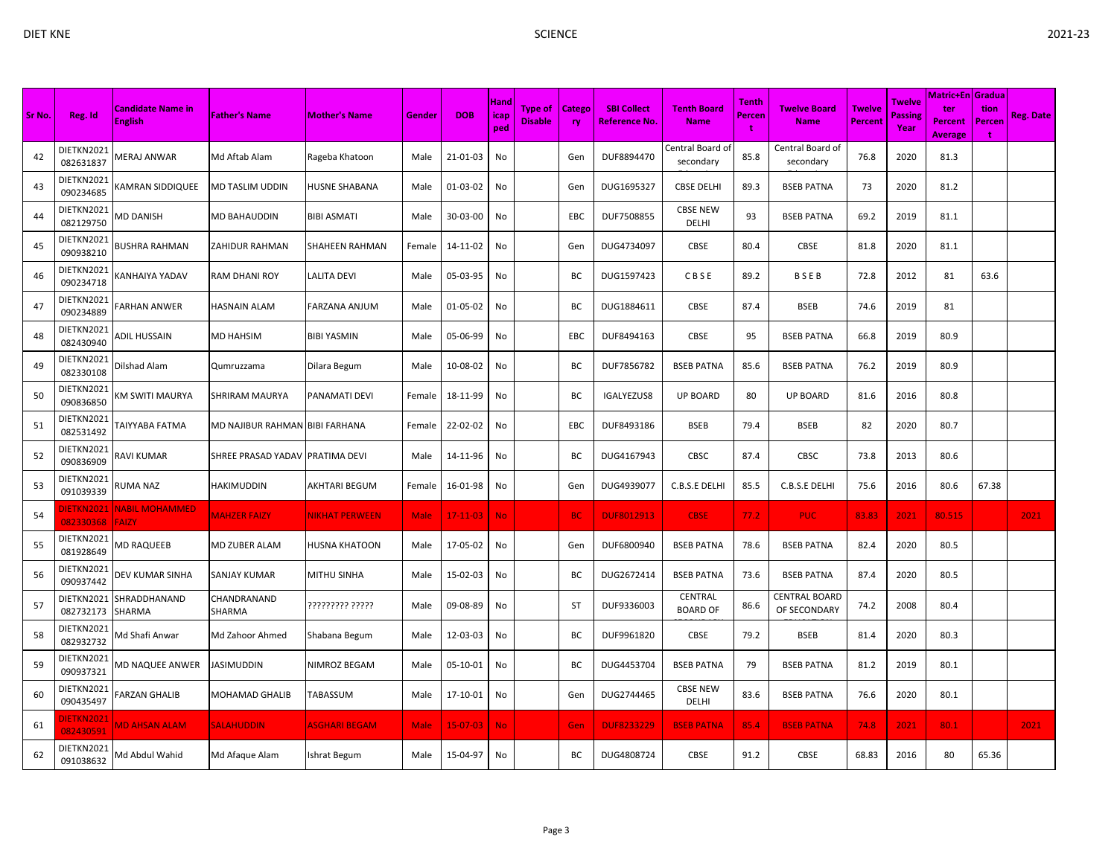| DIET KNE |         |                                     |                      |               |        |            |              | <b>SCIENCE</b>                         |           |                                     |                                   |                   |                                    |                                      |                |                                                   |                    |           | 2021-23 |
|----------|---------|-------------------------------------|----------------------|---------------|--------|------------|--------------|----------------------------------------|-----------|-------------------------------------|-----------------------------------|-------------------|------------------------------------|--------------------------------------|----------------|---------------------------------------------------|--------------------|-----------|---------|
|          |         |                                     |                      |               |        |            |              |                                        |           |                                     |                                   |                   |                                    |                                      |                |                                                   |                    |           |         |
| Sr No.   | Reg. Id | <b>Candidate Name in</b><br>English | <b>Father's Name</b> | Mother's Name | Gender | <b>DOB</b> | Hand<br>nod. | Type of   Catego  <br><b>Disable 1</b> | <b>TV</b> | <b>SBI Collect</b><br>Reference No. | <b>Tenth Board</b><br><b>Name</b> | Tenth  <br>Percen | <b>Twelve Board</b><br><b>Name</b> | <b>The Twelve</b> Passing<br>Percent | Twelve<br>Voor | Matric+En Gradual<br>ter<br><b>Percent Percen</b> | \tion <sup>\</sup> | Reg. Date |         |

| Sr No. | Reg. Id                 | <b>Candidate Name in</b><br><b>English</b> | <b>Father's Name</b>           | <b>Mother's Name</b> | Gender      | <b>DOB</b>     | <b>Hand</b><br>icap<br>ped | Type of<br><b>Disable</b> | <b>Catego</b><br>ry | <b>SBI Collect</b><br><b>Reference No.</b> | <b>Tenth Board</b><br><b>Name</b> | Tenth<br>Percen<br>$\mathbf{t}$ | <b>Twelve Board</b><br><b>Name</b>   | Twelve<br><b>Percent</b> | Twelve<br>Passing<br>Year | <b>Matric+En Gradua</b><br>ter<br>Percent<br>Average | tion<br>Percen | <b>Reg. Date</b> |
|--------|-------------------------|--------------------------------------------|--------------------------------|----------------------|-------------|----------------|----------------------------|---------------------------|---------------------|--------------------------------------------|-----------------------------------|---------------------------------|--------------------------------------|--------------------------|---------------------------|------------------------------------------------------|----------------|------------------|
| 42     | DIETKN2021<br>082631837 | VERAJ ANWAR                                | Md Aftab Alam                  | Rageba Khatoon       | Male        | 21-01-03       | No                         |                           | Gen                 | DUF8894470                                 | Central Board of<br>secondary     | 85.8                            | Central Board of<br>secondary        | 76.8                     | 2020                      | 81.3                                                 |                |                  |
| 43     | DIETKN2021<br>090234685 | <b>KAMRAN SIDDIQUEE</b>                    | MD TASLIM UDDIN                | HUSNE SHABANA        | Male        | 01-03-02       | No                         |                           | Gen                 | DUG1695327                                 | <b>CBSE DELHI</b>                 | 89.3                            | <b>BSEB PATNA</b>                    | 73                       | 2020                      | 81.2                                                 |                |                  |
| 44     | DIETKN2021<br>082129750 | MD DANISH                                  | <b>MD BAHAUDDIN</b>            | BIBI ASMATI          | Male        | 30-03-00       | No                         |                           | EBC                 | DUF7508855                                 | <b>CBSE NEW</b><br><b>DELHI</b>   | 93                              | <b>BSEB PATNA</b>                    | 69.2                     | 2019                      | 81.1                                                 |                |                  |
| 45     | DIETKN2021<br>090938210 | BUSHRA RAHMAN                              | <b>ZAHIDUR RAHMAN</b>          | SHAHEEN RAHMAN       | Female      | 14-11-02       | No                         |                           | Gen                 | DUG4734097                                 | CBSE                              | 80.4                            | CBSE                                 | 81.8                     | 2020                      | 81.1                                                 |                |                  |
| 46     | DIETKN2021<br>090234718 | <b>ANHAIYA YADAV</b>                       | RAM DHANI ROY                  | LALITA DEVI          | Male        | 05-03-95       | No                         |                           | ВC                  | DUG1597423                                 | CBSE                              | 89.2                            | BSEB                                 | 72.8                     | 2012                      | 81                                                   | 63.6           |                  |
| 47     | DIETKN2021<br>090234889 | ARHAN ANWER                                | HASNAIN ALAM                   | FARZANA ANJUM        | Male        | 01-05-02       | No                         |                           | ВC                  | DUG1884611                                 | <b>CBSE</b>                       | 87.4                            | <b>BSEB</b>                          | 74.6                     | 2019                      | 81                                                   |                |                  |
| 48     | DIETKN2021<br>082430940 | ADIL HUSSAIN                               | MD HAHSIM                      | <b>BIBI YASMIN</b>   | Male        | 05-06-99       | No                         |                           | EBC                 | DUF8494163                                 | CBSE                              | 95                              | <b>BSEB PATNA</b>                    | 66.8                     | 2019                      | 80.9                                                 |                |                  |
| 49     | DIETKN2021<br>082330108 | Dilshad Alam                               | Qumruzzama                     | Dilara Begum         | Male        | 10-08-02       | No                         |                           | ВC                  | DUF7856782                                 | <b>BSEB PATNA</b>                 | 85.6                            | <b>BSEB PATNA</b>                    | 76.2                     | 2019                      | 80.9                                                 |                |                  |
| 50     | DIETKN2021<br>090836850 | KM SWITI MAURYA                            | <b>SHRIRAM MAURYA</b>          | PANAMATI DEVI        | Female      | 18-11-99       | No                         |                           | ВC                  | IGALYEZUS8                                 | <b>UP BOARD</b>                   | 80                              | <b>UP BOARD</b>                      | 81.6                     | 2016                      | 80.8                                                 |                |                  |
| 51     | DIETKN2021<br>082531492 | TAIYYABA FATMA                             | MD NAJIBUR RAHMAN BIBI FARHANA |                      | Female      | 22-02-02       | No                         |                           | EBC                 | DUF8493186                                 | <b>BSEB</b>                       | 79.4                            | <b>BSEB</b>                          | 82                       | 2020                      | 80.7                                                 |                |                  |
| 52     | DIETKN2021<br>090836909 | RAVI KUMAR                                 | SHREE PRASAD YADAV             | PRATIMA DEVI         | Male        | 14-11-96       | No                         |                           | BC                  | DUG4167943                                 | CBSC                              | 87.4                            | CBSC                                 | 73.8                     | 2013                      | 80.6                                                 |                |                  |
| 53     | DIETKN2021<br>091039339 | RUMA NAZ                                   | HAKIMUDDIN                     | AKHTARI BEGUM        | Female      | 16-01-98       | No                         |                           | Gen                 | DUG4939077                                 | C.B.S.E DELHI                     | 85.5                            | C.B.S.E DELHI                        | 75.6                     | 2016                      | 80.6                                                 | 67.38          |                  |
| -54    | DIETKN2021<br>082330368 | <b>NABIL MOHAMMED</b><br><b>FAIZY</b>      | <b>MAHZER FAIZY</b>            | NIKHAT PERWEEN       | <b>Male</b> | $17 - 11 - 03$ | <b>No</b>                  |                           | BC                  | <b>DUF8012913</b>                          | <b>CBSE</b>                       | 77.2                            | <b>PUC</b>                           | 83.83                    | 2021                      | 80.515                                               |                | 2021             |
| 55     | DIETKN2021<br>081928649 | MD RAQUEEB                                 | MD ZUBER ALAM                  | HUSNA KHATOON        | Male        | 17-05-02       | No                         |                           | Gen                 | DUF6800940                                 | <b>BSEB PATNA</b>                 | 78.6                            | <b>BSEB PATNA</b>                    | 82.4                     | 2020                      | 80.5                                                 |                |                  |
| 56     | DIETKN2021<br>090937442 | DEV KUMAR SINHA                            | SANJAY KUMAR                   | MITHU SINHA          | Male        | 15-02-03       | No                         |                           | BC                  | DUG2672414                                 | <b>BSEB PATNA</b>                 | 73.6                            | <b>BSEB PATNA</b>                    | 87.4                     | 2020                      | 80.5                                                 |                |                  |
| 57     | DIETKN2021<br>082732173 | SHRADDHANAND<br>SHARMA                     | CHANDRANAND<br>SHARMA          | ????????? ?????      | Male        | 09-08-89       | No                         |                           | ST                  | DUF9336003                                 | CENTRAL<br><b>BOARD OF</b>        | 86.6                            | <b>CENTRAL BOARD</b><br>OF SECONDARY | 74.2                     | 2008                      | 80.4                                                 |                |                  |
| 58     | DIETKN2021<br>082932732 | Md Shafi Anwar                             | Md Zahoor Ahmed                | Shabana Begum        | Male        | 12-03-03       | No                         |                           | ВC                  | DUF9961820                                 | <b>CBSE</b>                       | 79.2                            | BSEB                                 | 81.4                     | 2020                      | 80.3                                                 |                |                  |
| 59     | DIETKN2021<br>090937321 | MD NAQUEE ANWER                            | IASIMUDDIN                     | <b>NIMROZ BEGAM</b>  | Male        | 05-10-01       | No                         |                           | BC                  | DUG4453704                                 | <b>BSEB PATNA</b>                 | 79                              | <b>BSEB PATNA</b>                    | 81.2                     | 2019                      | 80.1                                                 |                |                  |
| 60     | DIETKN2021<br>090435497 | <b>ARZAN GHALIB</b>                        | <b>MOHAMAD GHALIB</b>          | TABASSUM             | Male        | 17-10-01       | No                         |                           | Gen                 | DUG2744465                                 | <b>CBSE NEW</b><br>DELHI          | 83.6                            | <b>BSEB PATNA</b>                    | 76.6                     | 2020                      | 80.1                                                 |                |                  |
| 61     | DIETKN2021<br>082430591 | <b>MD AHSAN ALAM</b>                       | <b>SALAHUDDIN</b>              | <b>ASGHARI BEGAM</b> | <b>Male</b> | $15 - 07 - 03$ | <b>No</b>                  |                           | Gen                 | <b>DUF8233229</b>                          | <b>BSEB PATNA</b>                 | 85.4                            | <b>BSEB PATNA</b>                    | 74.8                     | 2021                      | 80.1                                                 |                | 2021             |
| 62     | DIETKN2021<br>091038632 | Md Abdul Wahid                             | Md Afaque Alam                 | Ishrat Begum         | Male        | 15-04-97       | No                         |                           | ВC                  | DUG4808724                                 | <b>CBSE</b>                       | 91.2                            | <b>CBSE</b>                          | 68.83                    | 2016                      | 80                                                   | 65.36          |                  |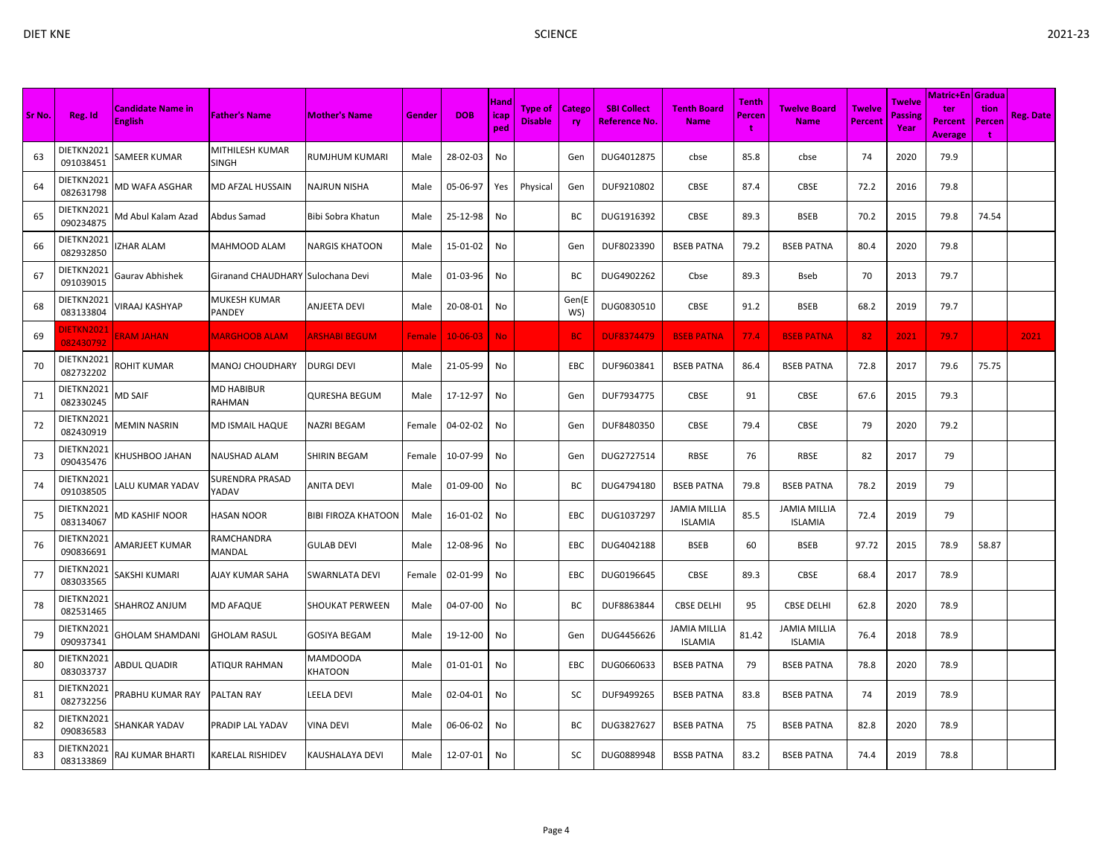| I |  |
|---|--|

|        |                         |                                            |                                   |                            |        |                | Hand        |                                  |                     |                                           |                                       | <b>Tenth</b> |                                    |                                 | Twelve                 | Matric+En   Gradua               |                     |                  |
|--------|-------------------------|--------------------------------------------|-----------------------------------|----------------------------|--------|----------------|-------------|----------------------------------|---------------------|-------------------------------------------|---------------------------------------|--------------|------------------------------------|---------------------------------|------------------------|----------------------------------|---------------------|------------------|
| Sr No. | Reg. Id                 | <b>Candidate Name in</b><br><b>English</b> | <b>Father's Name</b>              | <b>Mother's Name</b>       | Gender | <b>DOB</b>     | icap<br>ped | <b>Type of</b><br><b>Disable</b> | <b>Catego</b><br>ry | <b>SBI Collect</b><br><b>Reference No</b> | <b>Tenth Board</b><br><b>Name</b>     | Percen<br>t  | <b>Twelve Board</b><br><b>Name</b> | <b>Twelve</b><br><b>Percent</b> | <b>Passing</b><br>Year | ter<br>Percent<br><b>Average</b> | tion<br>Percen<br>÷ | <b>Reg. Date</b> |
| 63     | DIETKN2021<br>091038451 | SAMEER KUMAR                               | MITHILESH KUMAR<br><b>SINGH</b>   | <b>RUMJHUM KUMARI</b>      | Male   | 28-02-03       | No          |                                  | Gen                 | DUG4012875                                | cbse                                  | 85.8         | cbse                               | 74                              | 2020                   | 79.9                             |                     |                  |
| 64     | DIETKN2021<br>082631798 | VID WAFA ASGHAR                            | MD AFZAL HUSSAIN                  | NAJRUN NISHA               | Male   | 05-06-97       | Yes         | Physical                         | Gen                 | DUF9210802                                | CBSE                                  | 87.4         | <b>CBSE</b>                        | 72.2                            | 2016                   | 79.8                             |                     |                  |
| 65     | DIETKN2021<br>090234875 | Vid Abul Kalam Azad                        | Abdus Samad                       | Bibi Sobra Khatun          | Male   | 25-12-98       | No          |                                  | ВC                  | DUG1916392                                | CBSE                                  | 89.3         | <b>BSEB</b>                        | 70.2                            | 2015                   | 79.8                             | 74.54               |                  |
| 66     | DIETKN2021<br>082932850 | ZHAR ALAM                                  | MAHMOOD ALAM                      | <b>NARGIS KHATOON</b>      | Male   | 15-01-02       | No          |                                  | Gen                 | DUF8023390                                | <b>BSEB PATNA</b>                     | 79.2         | <b>BSEB PATNA</b>                  | 80.4                            | 2020                   | 79.8                             |                     |                  |
| 67     | DIETKN2021<br>091039015 | Gaurav Abhishek                            | Giranand CHAUDHARY Sulochana Devi |                            | Male   | 01-03-96       | No          |                                  | ВC                  | DUG4902262                                | Cbse                                  | 89.3         | Bseb                               | 70                              | 2013                   | 79.7                             |                     |                  |
| 68     | DIETKN2021<br>083133804 | /IRAAJ KASHYAP                             | MUKESH KUMAR<br>PANDEY            | <b>ANJEETA DEVI</b>        | Male   | 20-08-01       | No          |                                  | Gen(E<br>WS)        | DUG0830510                                | CBSE                                  | 91.2         | <b>BSEB</b>                        | 68.2                            | 2019                   | 79.7                             |                     |                  |
| 69     | DIETKN2021<br>082430792 | <b>ERAM JAHAN</b>                          | <b>MARGHOOB ALAM</b>              | <b>ARSHABI BEGUM</b>       | Female | $10 - 06 - 03$ | No.         |                                  | <b>BC</b>           | <b>DUF8374479</b>                         | <b>BSEB PATNA</b>                     | 77.4         | <b>BSEB PATNA</b>                  | 82                              | 2021                   | 79.7                             |                     | 2021             |
| 70     | DIETKN2021<br>082732202 | ROHIT KUMAR                                | MANOJ CHOUDHARY                   | <b>DURGI DEVI</b>          | Male   | 21-05-99       | No          |                                  | EBC                 | DUF9603841                                | <b>BSEB PATNA</b>                     | 86.4         | <b>BSEB PATNA</b>                  | 72.8                            | 2017                   | 79.6                             | 75.75               |                  |
| 71     | DIETKN2021<br>082330245 | MD SAIF                                    | <b>MD HABIBUR</b><br>RAHMAN       | <b>QURESHA BEGUM</b>       | Male   | 17-12-97       | No          |                                  | Gen                 | DUF7934775                                | CBSE                                  | 91           | <b>CBSE</b>                        | 67.6                            | 2015                   | 79.3                             |                     |                  |
| 72     | DIETKN2021<br>082430919 | <b>MEMIN NASRIN</b>                        | MD ISMAIL HAQUE                   | NAZRI BEGAM                | Female | 04-02-02       | No          |                                  | Gen                 | DUF8480350                                | CBSE                                  | 79.4         | <b>CBSE</b>                        | 79                              | 2020                   | 79.2                             |                     |                  |
| 73     | DIETKN2021<br>090435476 | <b>CHUSHBOO JAHAN</b>                      | NAUSHAD ALAM                      | <b>SHIRIN BEGAM</b>        | Female | 10-07-99       | No          |                                  | Gen                 | DUG2727514                                | RBSE                                  | 76           | RBSE                               | 82                              | 2017                   | 79                               |                     |                  |
| 74     | DIETKN2021<br>091038505 | ALU KUMAR YADAV.                           | SURENDRA PRASAD<br>YADAV          | <b>ANITA DEVI</b>          | Male   | 01-09-00       | No          |                                  | ВC                  | DUG4794180                                | <b>BSEB PATNA</b>                     | 79.8         | <b>BSEB PATNA</b>                  | 78.2                            | 2019                   | 79                               |                     |                  |
| 75     | DIETKN2021<br>083134067 | MD KASHIF NOOR                             | <b>HASAN NOOR</b>                 | <b>BIBI FIROZA KHATOON</b> | Male   | 16-01-02       | No          |                                  | EBC                 | DUG1037297                                | <b>JAMIA MILLIA</b><br><b>ISLAMIA</b> | 85.5         | JAMIA MILLIA<br><b>ISLAMIA</b>     | 72.4                            | 2019                   | 79                               |                     |                  |
| 76     | DIETKN2021<br>090836691 | <b><i>NARJEET KUMAR</i></b>                | RAMCHANDRA<br>MANDAL              | <b>GULAB DEVI</b>          | Male   | 12-08-96       | No          |                                  | EBC                 | DUG4042188                                | <b>BSEB</b>                           | 60           | <b>BSEB</b>                        | 97.72                           | 2015                   | 78.9                             | 58.87               |                  |
| -77    | DIETKN2021<br>083033565 | SAKSHI KUMARI                              | AJAY KUMAR SAHA                   | <b>SWARNLATA DEVI</b>      | Female | 02-01-99       | No          |                                  | EBC                 | DUG0196645                                | CBSE                                  | 89.3         | <b>CBSE</b>                        | 68.4                            | 2017                   | 78.9                             |                     |                  |
| 78     | DIETKN2021<br>082531465 | HAHROZ ANJUM                               | <b>MD AFAQUE</b>                  | <b>SHOUKAT PERWEEN</b>     | Male   | 04-07-00       | No          |                                  | ВC                  | DUF8863844                                | <b>CBSE DELHI</b>                     | 95           | <b>CBSE DELHI</b>                  | 62.8                            | 2020                   | 78.9                             |                     |                  |
| 79     | DIETKN2021<br>090937341 | GHOLAM SHAMDANI                            | <b>GHOLAM RASUL</b>               | <b>GOSIYA BEGAM</b>        | Male   | 19-12-00       | No          |                                  | Gen                 | DUG4456626                                | <b>JAMIA MILLIA</b><br><b>ISLAMIA</b> | 81.42        | JAMIA MILLIA<br><b>ISLAMIA</b>     | 76.4                            | 2018                   | 78.9                             |                     |                  |
| 80     | DIETKN2021<br>083033737 | <b>ABDUL QUADIR</b>                        | ATIQUR RAHMAN                     | <b>MAMDOODA</b><br>KHATOON | Male   | 01-01-01       | No          |                                  | EBC                 | DUG0660633                                | <b>BSEB PATNA</b>                     | 79           | <b>BSEB PATNA</b>                  | 78.8                            | 2020                   | 78.9                             |                     |                  |
| 81     | DIETKN2021<br>082732256 | PRABHU KUMAR RAY                           | <b>PALTAN RAY</b>                 | LEELA DEVI                 | Male   | 02-04-01       | No          |                                  | SC                  | DUF9499265                                | <b>BSEB PATNA</b>                     | 83.8         | <b>BSEB PATNA</b>                  | 74                              | 2019                   | 78.9                             |                     |                  |
| 82     | DIETKN2021<br>090836583 | SHANKAR YADAV                              | PRADIP LAL YADAV                  | <b>VINA DEVI</b>           | Male   | 06-06-02       | No          |                                  | ВC                  | DUG3827627                                | <b>BSEB PATNA</b>                     | 75           | <b>BSEB PATNA</b>                  | 82.8                            | 2020                   | 78.9                             |                     |                  |
| 83     | DIETKN2021<br>083133869 | RAJ KUMAR BHARTI                           | KARELAL RISHIDEV                  | <b>KAUSHALAYA DEVI</b>     | Male   | 12-07-01       | No          |                                  | SC                  | DUG0889948                                | <b>BSSB PATNA</b>                     | 83.2         | <b>BSEB PATNA</b>                  | 74.4                            | 2019                   | 78.8                             |                     |                  |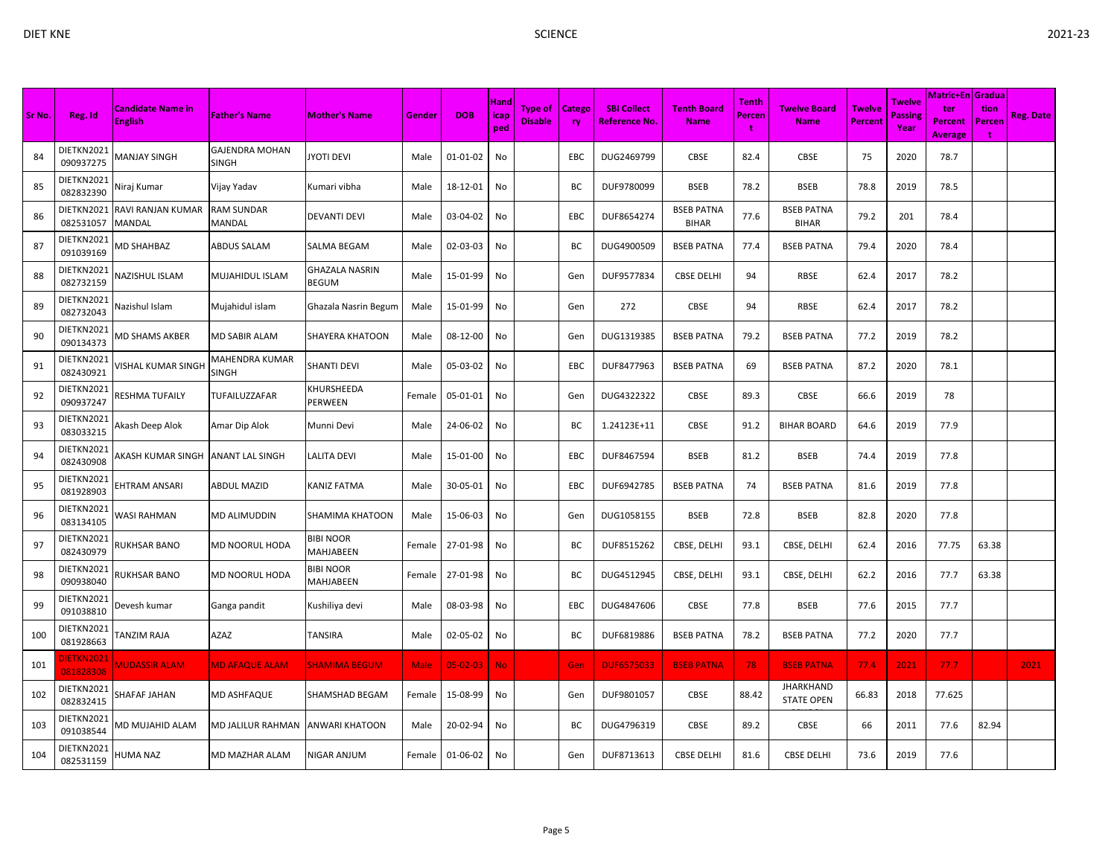|        |                         |                                            |                                       |                         |             |                | Hand               |                           |                            |                                            |                                   | <b>Tenth</b> |                                       |                                 | Twelve                 | Matric+En   Gradua                      |                     |                  |
|--------|-------------------------|--------------------------------------------|---------------------------------------|-------------------------|-------------|----------------|--------------------|---------------------------|----------------------------|--------------------------------------------|-----------------------------------|--------------|---------------------------------------|---------------------------------|------------------------|-----------------------------------------|---------------------|------------------|
| Sr No. | Reg. Id                 | <b>Candidate Name in</b><br><b>English</b> | <b>Father's Name</b>                  | <b>Mother's Name</b>    | Gender      | <b>DOB</b>     | <b>Icap</b><br>ped | Type of<br><b>Disable</b> | <b>Catego</b><br><b>ry</b> | <b>SBI Collect</b><br><b>Reference No.</b> | <b>Tenth Board</b><br><b>Name</b> | Percen<br>t  | <b>Twelve Board</b><br><b>Name</b>    | <b>Twelve</b><br><b>Percent</b> | <b>Passing</b><br>Year | ter<br><b>Percent</b><br><b>Average</b> | tion<br>Percen<br>÷ | <b>Reg. Date</b> |
| 84     | DIETKN2021<br>090937275 | MANJAY SINGH                               | <b>GAJENDRA MOHAN</b><br><b>SINGH</b> | YOTI DEVI               | Male        | 01-01-02       | No                 |                           | <b>EBC</b>                 | DUG2469799                                 | CBSE                              | 82.4         | <b>CBSE</b>                           | 75                              | 2020                   | 78.7                                    |                     |                  |
| 85     | DIETKN2021<br>082832390 | Niraj Kumar                                | Vijay Yadav                           | Kumari vibha            | Male        | 18-12-01       | No                 |                           | BC                         | DUF9780099                                 | <b>BSEB</b>                       | 78.2         | <b>BSEB</b>                           | 78.8                            | 2019                   | 78.5                                    |                     |                  |
| 86     | DIETKN2021<br>082531057 | RAVI RANJAN KUMAR<br>MANDAL                | <b>RAM SUNDAR</b><br>MANDAL           | DEVANTI DEVI            | Male        | 03-04-02       | No                 |                           | EBC                        | DUF8654274                                 | <b>BSEB PATNA</b><br><b>BIHAR</b> | 77.6         | <b>BSEB PATNA</b><br><b>BIHAR</b>     | 79.2                            | 201                    | 78.4                                    |                     |                  |
| 87     | DIETKN2021<br>091039169 | <b>MD SHAHBAZ</b>                          | ABDUS SALAM                           | SALMA BEGAM             | Male        | 02-03-03       | No                 |                           | BC                         | DUG4900509                                 | <b>BSEB PATNA</b>                 | 77.4         | <b>BSEB PATNA</b>                     | 79.4                            | 2020                   | 78.4                                    |                     |                  |
| 88     | DIETKN2021<br>082732159 | VAZISHUL ISLAM                             | MUJAHIDUL ISLAM                       | GHAZALA NASRIN<br>BEGUM | Male        | 15-01-99       | No                 |                           | Gen                        | DUF9577834                                 | <b>CBSE DELHI</b>                 | 94           | RBSE                                  | 62.4                            | 2017                   | 78.2                                    |                     |                  |
| 89     | DIETKN2021<br>082732043 | Nazishul Islam                             | Mujahidul islam                       | Ghazala Nasrin Begum    | Male        | 15-01-99       | No                 |                           | Gen                        | 272                                        | CBSE                              | 94           | RBSE                                  | 62.4                            | 2017                   | 78.2                                    |                     |                  |
| 90     | DIETKN2021<br>090134373 | MD SHAMS AKBER                             | <b>MD SABIR ALAM</b>                  | SHAYERA KHATOON         | Male        | 08-12-00       | No                 |                           | Gen                        | DUG1319385                                 | <b>BSEB PATNA</b>                 | 79.2         | <b>BSEB PATNA</b>                     | 77.2                            | 2019                   | 78.2                                    |                     |                  |
| 91     | DIETKN2021<br>082430921 | /ISHAL KUMAR SINGH                         | MAHENDRA KUMAR<br><b>SINGH</b>        | SHANTI DEVI             | Male        | 05-03-02       | No                 |                           | EBC                        | DUF8477963                                 | <b>BSEB PATNA</b>                 | 69           | <b>BSEB PATNA</b>                     | 87.2                            | 2020                   | 78.1                                    |                     |                  |
| 92     | DIETKN2021<br>090937247 | RESHMA TUFAILY                             | TUFAILUZZAFAR                         | KHURSHEEDA<br>PERWEEN   | Female      | 05-01-01       | No                 |                           | Gen                        | DUG4322322                                 | CBSE                              | 89.3         | <b>CBSE</b>                           | 66.6                            | 2019                   | 78                                      |                     |                  |
| 93     | DIETKN2021<br>083033215 | Akash Deep Alok                            | Amar Dip Alok                         | Munni Devi              | Male        | 24-06-02       | No                 |                           | BC                         | 1.24123E+11                                | CBSE                              | 91.2         | <b>BIHAR BOARD</b>                    | 64.6                            | 2019                   | 77.9                                    |                     |                  |
| 94     | DIETKN2021<br>082430908 | AKASH KUMAR SINGH                          | <b>ANANT LAL SINGH</b>                | LALITA DEVI             | Male        | 15-01-00       | No                 |                           | EBC                        | DUF8467594                                 | <b>BSEB</b>                       | 81.2         | <b>BSEB</b>                           | 74.4                            | 2019                   | 77.8                                    |                     |                  |
| 95     | DIETKN2021<br>081928903 | <b>HTRAM ANSARI</b>                        | <b>ABDUL MAZID</b>                    | KANIZ FATMA             | Male        | 30-05-01       | No                 |                           | EBC                        | DUF6942785                                 | <b>BSEB PATNA</b>                 | 74           | <b>BSEB PATNA</b>                     | 81.6                            | 2019                   | 77.8                                    |                     |                  |
| 96     | DIETKN2021<br>083134105 | WASI RAHMAN                                | MD ALIMUDDIN                          | SHAMIMA KHATOON         | Male        | 15-06-03       | No                 |                           | Gen                        | DUG1058155                                 | <b>BSEB</b>                       | 72.8         | <b>BSEB</b>                           | 82.8                            | 2020                   | 77.8                                    |                     |                  |
| 97     | DIETKN2021<br>082430979 | <b>RUKHSAR BANO</b>                        | MD NOORUL HODA                        | BIBI NOOR<br>MAHJABEEN  | Female      | 27-01-98       | No                 |                           | BC                         | DUF8515262                                 | CBSE, DELHI                       | 93.1         | CBSE, DELHI                           | 62.4                            | 2016                   | 77.75                                   | 63.38               |                  |
| 98     | DIETKN2021<br>090938040 | <b>RUKHSAR BANO</b>                        | MD NOORUL HODA                        | BIBI NOOR<br>MAHJABEEN  | Female      | 27-01-98       | No                 |                           | BC                         | DUG4512945                                 | CBSE, DELHI                       | 93.1         | CBSE, DELHI                           | 62.2                            | 2016                   | 77.7                                    | 63.38               |                  |
| 99     | DIETKN2021<br>091038810 | Devesh kumar                               | Ganga pandit                          | Kushiliya devi          | Male        | 08-03-98       | No                 |                           | EBC                        | DUG4847606                                 | CBSE                              | 77.8         | <b>BSEB</b>                           | 77.6                            | 2015                   | 77.7                                    |                     |                  |
| 100    | DIETKN2021<br>081928663 | TANZIM RAJA                                | AZAZ                                  | TANSIRA                 | Male        | 02-05-02       | No                 |                           | BC                         | DUF6819886                                 | <b>BSEB PATNA</b>                 | 78.2         | <b>BSEB PATNA</b>                     | 77.2                            | 2020                   | 77.7                                    |                     |                  |
| 101    | DIETKN202:<br>081828308 | <b>MUDASSIR ALAM</b>                       | <b>MD AFAQUE ALAM</b>                 | <b>SHAMIMA BEGUM</b>    | <b>Male</b> | $05 - 02 - 03$ | <b>No</b>          |                           | Gen                        | <b>DUF6575033</b>                          | <b>BSEB PATNA</b>                 | 78           | <b>BSEB PATNA</b>                     | 77.4                            | 2021                   | 77.7                                    |                     | 2021             |
| 102    | DIETKN2021<br>082832415 | SHAFAF JAHAN                               | MD ASHFAQUE                           | SHAMSHAD BEGAM          | Female      | 15-08-99       | No                 |                           | Gen                        | DUF9801057                                 | <b>CBSE</b>                       | 88.42        | <b>JHARKHAND</b><br><b>STATE OPEN</b> | 66.83                           | 2018                   | 77.625                                  |                     |                  |
| 103    | DIETKN2021<br>091038544 | MD MUJAHID ALAM                            | MD JALILUR RAHMAN                     | ANWARI KHATOON          | Male        | 20-02-94       | No                 |                           | ВC                         | DUG4796319                                 | <b>CBSE</b>                       | 89.2         | <b>CBSE</b>                           | 66                              | 2011                   | 77.6                                    | 82.94               |                  |
| 104    | DIETKN2021<br>082531159 | HUMA NAZ                                   | MD MAZHAR ALAM                        | NIGAR ANJUM             | Female      | 01-06-02       | No                 |                           | Gen                        | DUF8713613                                 | <b>CBSE DELHI</b>                 | 81.6         | <b>CBSE DELHI</b>                     | 73.6                            | 2019                   | 77.6                                    |                     |                  |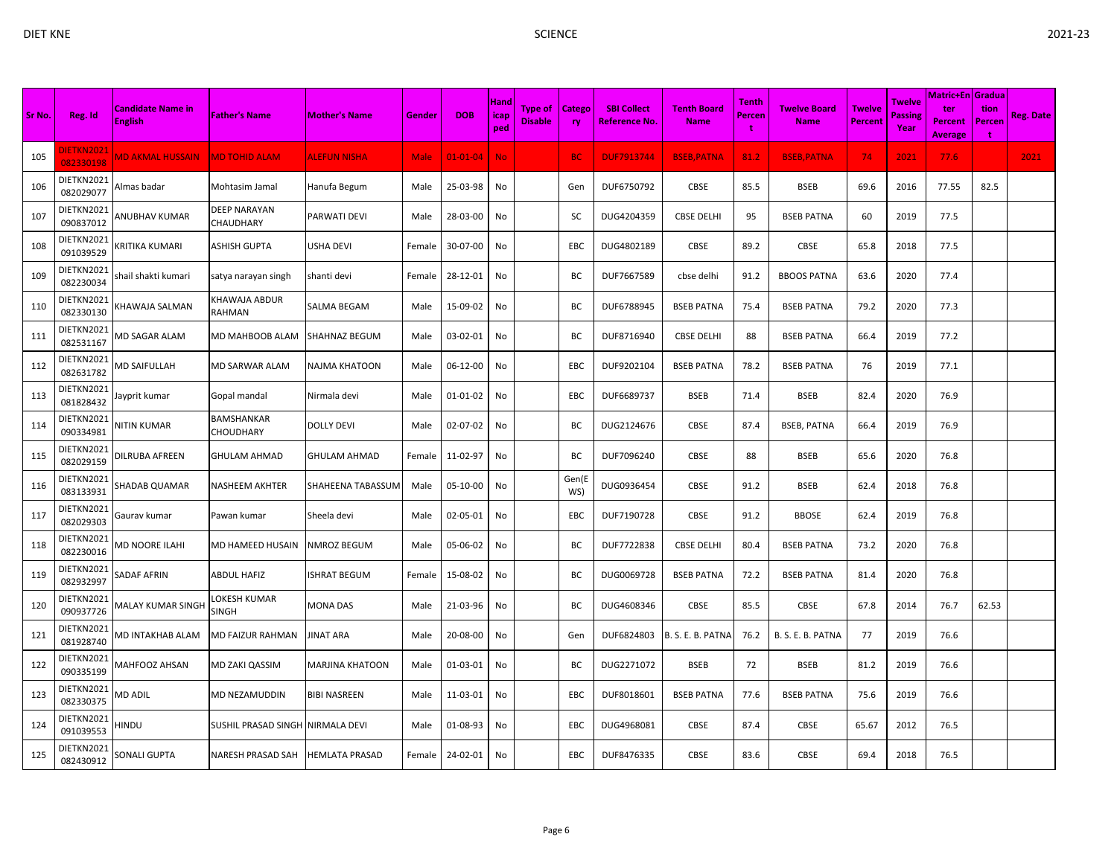| Sr No. | Reg. Id                       | <b>Candidate Name in</b><br><b>English</b> | <b>Father's Name</b>                    | <b>Mother's Name</b>  | Gender      | <b>DOB</b>     | Hand<br>icap<br>ped | Type of<br><b>Disable</b> | Catego<br><b>ry</b> | <b>SBI Collect</b><br><b>Reference No.</b> | <b>Tenth Board</b><br><b>Name</b> | <b>Tenth</b><br>Percen<br>t | <b>Twelve Board</b><br><b>Name</b> | <b>Twelve</b><br><b>Percent</b> | Twelve<br><b>Passing</b><br>Year | Matric+En <i>Gradua</i><br>ter<br><b>Percent</b><br><b>Average</b> | tion<br>Percen<br>$\ddot{\mathbf{r}}$ | <b>Reg. Date</b> |
|--------|-------------------------------|--------------------------------------------|-----------------------------------------|-----------------------|-------------|----------------|---------------------|---------------------------|---------------------|--------------------------------------------|-----------------------------------|-----------------------------|------------------------------------|---------------------------------|----------------------------------|--------------------------------------------------------------------|---------------------------------------|------------------|
| 105    | <b>IETKN2021</b><br>082330198 | <b>MD AKMAL HUSSAIN</b>                    | <b>MD TOHID ALAM</b>                    | <b>ALEFUN NISHA</b>   | <b>Male</b> | $01 - 01 - 04$ | <b>No</b>           |                           | <b>BC</b>           | <b>DUF7913744</b>                          | <b>BSEB, PATNA</b>                | 81.2                        | <b>BSEB, PATNA</b>                 | 74                              | 2021                             | 77.6                                                               |                                       | 2021             |
| 106    | DIETKN2021<br>082029077       | Almas badar                                | Mohtasim Jamal                          | Hanufa Begum          | Male        | 25-03-98       | No                  |                           | Gen                 | DUF6750792                                 | CBSE                              | 85.5                        | <b>BSEB</b>                        | 69.6                            | 2016                             | 77.55                                                              | 82.5                                  |                  |
| 107    | DIETKN2021<br>090837012       | ANUBHAV KUMAR                              | <b>DEEP NARAYAN</b><br><b>CHAUDHARY</b> | PARWATI DEVI          | Male        | 28-03-00       | No                  |                           | SC                  | DUG4204359                                 | <b>CBSE DELHI</b>                 | 95                          | <b>BSEB PATNA</b>                  | 60                              | 2019                             | 77.5                                                               |                                       |                  |
| 108    | DIETKN2021<br>091039529       | (RITIKA KUMARI                             | <b>ASHISH GUPTA</b>                     | USHA DEVI             | Female      | 30-07-00       | No                  |                           | <b>EBC</b>          | DUG4802189                                 | CBSE                              | 89.2                        | CBSE                               | 65.8                            | 2018                             | 77.5                                                               |                                       |                  |
| 109    | DIETKN2021<br>082230034       | shail shakti kumari                        | satya narayan singh                     | shanti devi           | Female      | 28-12-01       | No                  |                           | BC                  | DUF7667589                                 | cbse delhi                        | 91.2                        | <b>BBOOS PATNA</b>                 | 63.6                            | 2020                             | 77.4                                                               |                                       |                  |
| 110    | DIETKN2021<br>082330130       | (HAWAJA SALMAN                             | <b>KHAWAJA ABDUR</b><br>RAHMAN          | SALMA BEGAM           | Male        | 15-09-02       | No                  |                           | BC                  | DUF6788945                                 | <b>BSEB PATNA</b>                 | 75.4                        | <b>BSEB PATNA</b>                  | 79.2                            | 2020                             | 77.3                                                               |                                       |                  |
| 111    | DIETKN2021<br>082531167       | MD SAGAR ALAM                              | MD MAHBOOB ALAM                         | <b>SHAHNAZ BEGUM</b>  | Male        | 03-02-01       | No                  |                           | BC                  | DUF8716940                                 | <b>CBSE DELHI</b>                 | 88                          | <b>BSEB PATNA</b>                  | 66.4                            | 2019                             | 77.2                                                               |                                       |                  |
| 112    | DIETKN2021<br>082631782       | MD SAIFULLAH                               | MD SARWAR ALAM                          | NAJMA KHATOON         | Male        | 06-12-00       | No                  |                           | EBC                 | DUF9202104                                 | <b>BSEB PATNA</b>                 | 78.2                        | <b>BSEB PATNA</b>                  | 76                              | 2019                             | 77.1                                                               |                                       |                  |
| 113    | DIETKN2021<br>081828432       | Jayprit kumar                              | Gopal mandal                            | Nirmala devi          | Male        | $01 - 01 - 02$ | No                  |                           | EBC                 | DUF6689737                                 | <b>BSEB</b>                       | 71.4                        | <b>BSEB</b>                        | 82.4                            | 2020                             | 76.9                                                               |                                       |                  |
| 114    | DIETKN2021<br>090334981       | NITIN KUMAR                                | BAMSHANKAR<br><b>CHOUDHARY</b>          | DOLLY DEVI            | Male        | 02-07-02       | No                  |                           | BC                  | DUG2124676                                 | <b>CBSE</b>                       | 87.4                        | <b>BSEB, PATNA</b>                 | 66.4                            | 2019                             | 76.9                                                               |                                       |                  |
| 115    | DIETKN2021<br>082029159       | DILRUBA AFREEN                             | <b>GHULAM AHMAD</b>                     | <b>GHULAM AHMAD</b>   | Female      | 11-02-97       | No                  |                           | BC                  | DUF7096240                                 | CBSE                              | 88                          | <b>BSEB</b>                        | 65.6                            | 2020                             | 76.8                                                               |                                       |                  |
| 116    | DIETKN2021<br>083133931       | SHADAB QUAMAR                              | <b>NASHEEM AKHTER</b>                   | SHAHEENA TABASSUN     | Male        | 05-10-00       | No                  |                           | Gen(E<br>WS)        | DUG0936454                                 | CBSE                              | 91.2                        | <b>BSEB</b>                        | 62.4                            | 2018                             | 76.8                                                               |                                       |                  |
| 117    | DIETKN2021<br>082029303       | Gaurav kumar                               | Pawan kumar                             | Sheela devi           | Male        | 02-05-01       | No                  |                           | EBC                 | DUF7190728                                 | <b>CBSE</b>                       | 91.2                        | <b>BBOSE</b>                       | 62.4                            | 2019                             | 76.8                                                               |                                       |                  |
| 118    | DIETKN2021<br>082230016       | <b>MD NOORE ILAHI</b>                      | MD HAMEED HUSAIN                        | NMROZ BEGUM           | Male        | 05-06-02       | No                  |                           | BC                  | DUF7722838                                 | <b>CBSE DELHI</b>                 | 80.4                        | <b>BSEB PATNA</b>                  | 73.2                            | 2020                             | 76.8                                                               |                                       |                  |
| 119    | DIETKN2021<br>082932997       | SADAF AFRIN                                | <b>ABDUL HAFIZ</b>                      | <b>SHRAT BEGUM</b>    | Female      | 15-08-02       | No                  |                           | BC                  | DUG0069728                                 | <b>BSEB PATNA</b>                 | 72.2                        | <b>BSEB PATNA</b>                  | 81.4                            | 2020                             | 76.8                                                               |                                       |                  |
| 120    | DIETKN2021<br>090937726       | MALAY KUMAR SINGF                          | LOKESH KUMAR<br><b>SINGH</b>            | MONA DAS              | Male        | 21-03-96       | No                  |                           | BC                  | DUG4608346                                 | CBSE                              | 85.5                        | CBSE                               | 67.8                            | 2014                             | 76.7                                                               | 62.53                                 |                  |
| 121    | DIETKN2021<br>081928740       | MD INTAKHAB ALAM                           | <b>MD FAIZUR RAHMAN</b>                 | JINAT ARA             | Male        | 20-08-00       | No                  |                           | Gen                 | DUF6824803                                 | B. S. E. B. PATNA                 | 76.2                        | B. S. E. B. PATNA                  | 77                              | 2019                             | 76.6                                                               |                                       |                  |
| 122    | DIETKN2021<br>090335199       | MAHFOOZ AHSAN                              | MD ZAKI QASSIM                          | MARJINA KHATOON       | Male        | 01-03-01       | No                  |                           | BC                  | DUG2271072                                 | <b>BSEB</b>                       | 72                          | <b>BSEB</b>                        | 81.2                            | 2019                             | 76.6                                                               |                                       |                  |
| 123    | DIETKN2021<br>082330375       | <b>MD ADIL</b>                             | <b>MD NEZAMUDDIN</b>                    | <b>BIBI NASREEN</b>   | Male        | 11-03-01       | No                  |                           | EBC                 | DUF8018601                                 | <b>BSEB PATNA</b>                 | 77.6                        | <b>BSEB PATNA</b>                  | 75.6                            | 2019                             | 76.6                                                               |                                       |                  |
| 124    | DIETKN2021<br>091039553       | HINDU                                      | <b>SUSHIL PRASAD SINGH</b>              | NIRMALA DEVI          | Male        | 01-08-93       | No                  |                           | EBC                 | DUG4968081                                 | <b>CBSE</b>                       | 87.4                        | CBSE                               | 65.67                           | 2012                             | 76.5                                                               |                                       |                  |
| 125    | DIETKN2021<br>082430912       | SONALI GUPTA                               | NARESH PRASAD SAH                       | <b>HEMLATA PRASAD</b> | Female      | 24-02-01       | No                  |                           | EBC                 | DUF8476335                                 | CBSE                              | 83.6                        | <b>CBSE</b>                        | 69.4                            | 2018                             | 76.5                                                               |                                       |                  |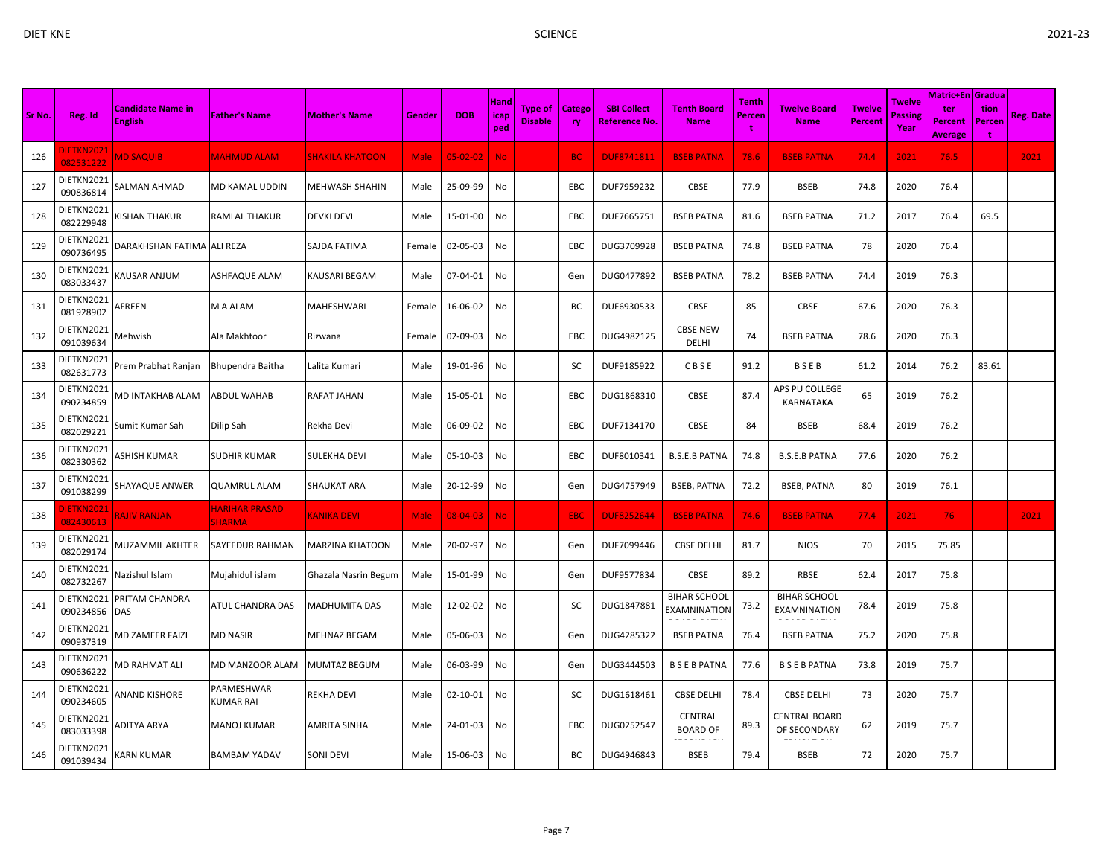| c. |  |
|----|--|
|    |  |

| Sr No. | Reg. Id                 | <b>Candidate Name in</b><br><b>English</b> | <b>Father's Name</b>                   | <b>Mother's Name</b>   | Gender      | <b>DOB</b>     | Hand<br>icap<br>ped | Type of<br><b>Disable</b> | <b>Catego</b><br><b>ry</b> | <b>SBI Collect</b><br>Reference No. | <b>Tenth Board</b><br><b>Name</b>   | Tenth<br>Percen | <b>Twelve Board</b><br><b>Name</b>         | <b>Twelve</b><br><b>Percent</b> | <b>Twelve</b><br>Passing<br>Year | <b>Matric+En Gradua</b><br>ter<br>Percent<br><b>Average</b> | tion<br>Percen<br>÷ | <b>Reg. Date</b> |
|--------|-------------------------|--------------------------------------------|----------------------------------------|------------------------|-------------|----------------|---------------------|---------------------------|----------------------------|-------------------------------------|-------------------------------------|-----------------|--------------------------------------------|---------------------------------|----------------------------------|-------------------------------------------------------------|---------------------|------------------|
| 126    | DIETKN2021<br>082531222 | <b>MD SAQUIB</b>                           | <b>MAHMUD ALAM</b>                     | <b>SHAKILA KHATOON</b> | <b>Male</b> | $05 - 02 - 02$ | <b>No</b>           |                           | <b>BC</b>                  | <b>DUF8741811</b>                   | <b>BSEB PATNA</b>                   | 78.6            | <b>BSEB PATNA</b>                          | 74.4                            | 2021                             | 76.5                                                        |                     | 2021             |
| 127    | DIETKN2021<br>090836814 | SALMAN AHMAD                               | MD KAMAL UDDIN                         | MEHWASH SHAHIN         | Male        | 25-09-99       | No                  |                           | EBC                        | DUF7959232                          | CBSE                                | 77.9            | <b>BSEB</b>                                | 74.8                            | 2020                             | 76.4                                                        |                     |                  |
| 128    | DIETKN2021<br>082229948 | KISHAN THAKUR                              | RAMLAL THAKUR                          | <b>DEVKI DEVI</b>      | Male        | 15-01-00       | No                  |                           | EBC                        | DUF7665751                          | <b>BSEB PATNA</b>                   | 81.6            | <b>BSEB PATNA</b>                          | 71.2                            | 2017                             | 76.4                                                        | 69.5                |                  |
| 129    | DIETKN2021<br>090736495 | DARAKHSHAN FATIMA ALI REZA                 |                                        | SAJDA FATIMA           | Female      | 02-05-03       | No                  |                           | EBC                        | DUG3709928                          | <b>BSEB PATNA</b>                   | 74.8            | <b>BSEB PATNA</b>                          | 78                              | 2020                             | 76.4                                                        |                     |                  |
| 130    | DIETKN2021<br>083033437 | KAUSAR ANJUM                               | ASHFAQUE ALAM                          | KAUSARI BEGAM          | Male        | 07-04-01       | No                  |                           | Gen                        | DUG0477892                          | <b>BSEB PATNA</b>                   | 78.2            | <b>BSEB PATNA</b>                          | 74.4                            | 2019                             | 76.3                                                        |                     |                  |
| 131    | DIETKN2021<br>081928902 | AFREEN                                     | M A ALAM                               | MAHESHWARI             | Female      | 16-06-02       | No                  |                           | ВC                         | DUF6930533                          | CBSE                                | 85              | CBSE                                       | 67.6                            | 2020                             | 76.3                                                        |                     |                  |
| 132    | DIETKN2021<br>091039634 | Mehwish                                    | Ala Makhtoor                           | Rizwana                | Female      | 02-09-03       | No                  |                           | EBC                        | DUG4982125                          | <b>CBSE NEW</b><br>DELHI            | 74              | <b>BSEB PATNA</b>                          | 78.6                            | 2020                             | 76.3                                                        |                     |                  |
| 133    | DIETKN2021<br>082631773 | Prem Prabhat Ranjan                        | Bhupendra Baitha                       | Lalita Kumari          | Male        | 19-01-96       | No                  |                           | SC                         | DUF9185922                          | CBSE                                | 91.2            | <b>BSEB</b>                                | 61.2                            | 2014                             | 76.2                                                        | 83.61               |                  |
| 134    | DIETKN2021<br>090234859 | MD INTAKHAB ALAM                           | <b>ABDUL WAHAB</b>                     | RAFAT JAHAN            | Male        | 15-05-01       | No                  |                           | EBC                        | DUG1868310                          | <b>CBSE</b>                         | 87.4            | APS PU COLLEGE<br><b>KARNATAKA</b>         | 65                              | 2019                             | 76.2                                                        |                     |                  |
| 135    | DIETKN2021<br>082029221 | Sumit Kumar Sah                            | Dilip Sah                              | Rekha Devi             | Male        | 06-09-02       | No                  |                           | EBC                        | DUF7134170                          | <b>CBSE</b>                         | 84              | <b>BSEB</b>                                | 68.4                            | 2019                             | 76.2                                                        |                     |                  |
| 136    | DIETKN2021<br>082330362 | <b>ASHISH KUMAR</b>                        | <b>SUDHIR KUMAR</b>                    | SULEKHA DEVI           | Male        | 05-10-03       | No                  |                           | EBC                        | DUF8010341                          | <b>B.S.E.B PATNA</b>                | 74.8            | <b>B.S.E.B PATNA</b>                       | 77.6                            | 2020                             | 76.2                                                        |                     |                  |
| 137    | DIETKN2021<br>091038299 | SHAYAQUE ANWER                             | <b>QUAMRUL ALAM</b>                    | <b>SHAUKAT ARA</b>     | Male        | 20-12-99       | No                  |                           | Gen                        | DUG4757949                          | <b>BSEB, PATNA</b>                  | 72.2            | <b>BSEB, PATNA</b>                         | 80                              | 2019                             | 76.1                                                        |                     |                  |
| 138    | DIETKN2021<br>082430613 | <b>RAJIV RANJAN</b>                        | <b>HARIHAR PRASAD</b><br><b>SHARMA</b> | <b>KANIKA DEVI</b>     | <b>Male</b> | $08 - 04 - 03$ | <b>No</b>           |                           | EBC.                       | <b>DUF8252644</b>                   | <b>BSEB PATNA</b>                   | 74.6            | <b>BSEB PATNA</b>                          | 77.4                            | 2021                             | 76                                                          |                     | 2021             |
| 139    | DIETKN2021<br>082029174 | MUZAMMIL AKHTER                            | SAYEEDUR RAHMAN                        | MARZINA KHATOON        | Male        | 20-02-97       | No                  |                           | Gen                        | DUF7099446                          | <b>CBSE DELHI</b>                   | 81.7            | <b>NIOS</b>                                | 70                              | 2015                             | 75.85                                                       |                     |                  |
| 140    | DIETKN2021<br>082732267 | Nazishul Islam                             | Mujahidul islam                        | Ghazala Nasrin Begum   | Male        | 15-01-99       | No                  |                           | Gen                        | DUF9577834                          | CBSE                                | 89.2            | RBSE                                       | 62.4                            | 2017                             | 75.8                                                        |                     |                  |
| 141    | DIETKN2021<br>090234856 | PRITAM CHANDRA<br><b>DAS</b>               | ATUL CHANDRA DAS                       | <b>MADHUMITA DAS</b>   | Male        | 12-02-02       | No                  |                           | SC                         | DUG1847881                          | <b>BIHAR SCHOOL</b><br>EXAMNINATION | 73.2            | <b>BIHAR SCHOOL</b><br><b>EXAMNINATION</b> | 78.4                            | 2019                             | 75.8                                                        |                     |                  |
| 142    | DIETKN2021<br>090937319 | MD ZAMEER FAIZI                            | <b>MD NASIR</b>                        | MEHNAZ BEGAM           | Male        | 05-06-03       | No                  |                           | Gen                        | DUG4285322                          | <b>BSEB PATNA</b>                   | 76.4            | <b>BSEB PATNA</b>                          | 75.2                            | 2020                             | 75.8                                                        |                     |                  |
| 143    | DIETKN2021<br>090636222 | MD RAHMAT ALI                              | <b>MD MANZOOR ALAM</b>                 | <b>MUMTAZ BEGUM</b>    | Male        | 06-03-99       | No                  |                           | Gen                        | DUG3444503                          | <b>BSEBPATNA</b>                    | 77.6            | <b>BSEBPATNA</b>                           | 73.8                            | 2019                             | 75.7                                                        |                     |                  |
| 144    | DIETKN2021<br>090234605 | ANAND KISHORE                              | PARMESHWAR<br><b>KUMAR RAI</b>         | <b>REKHA DEVI</b>      | Male        | 02-10-01       | No                  |                           | SC                         | DUG1618461                          | <b>CBSE DELHI</b>                   | 78.4            | <b>CBSE DELHI</b>                          | 73                              | 2020                             | 75.7                                                        |                     |                  |
| 145    | DIETKN2021<br>083033398 | ADITYA ARYA                                | <b>MANOJ KUMAR</b>                     | <b>AMRITA SINHA</b>    | Male        | 24-01-03       | No                  |                           | <b>EBC</b>                 | DUG0252547                          | CENTRAL<br><b>BOARD OF</b>          | 89.3            | CENTRAL BOARD<br>OF SECONDARY              | 62                              | 2019                             | 75.7                                                        |                     |                  |
| 146    | DIETKN2021<br>091039434 | KARN KUMAR                                 | <b>BAMBAM YADAV</b>                    | <b>SONI DEVI</b>       | Male        | 15-06-03       | No                  |                           | BC                         | DUG4946843                          | <b>BSEB</b>                         | 79.4            | <b>BSEB</b>                                | 72                              | 2020                             | 75.7                                                        |                     |                  |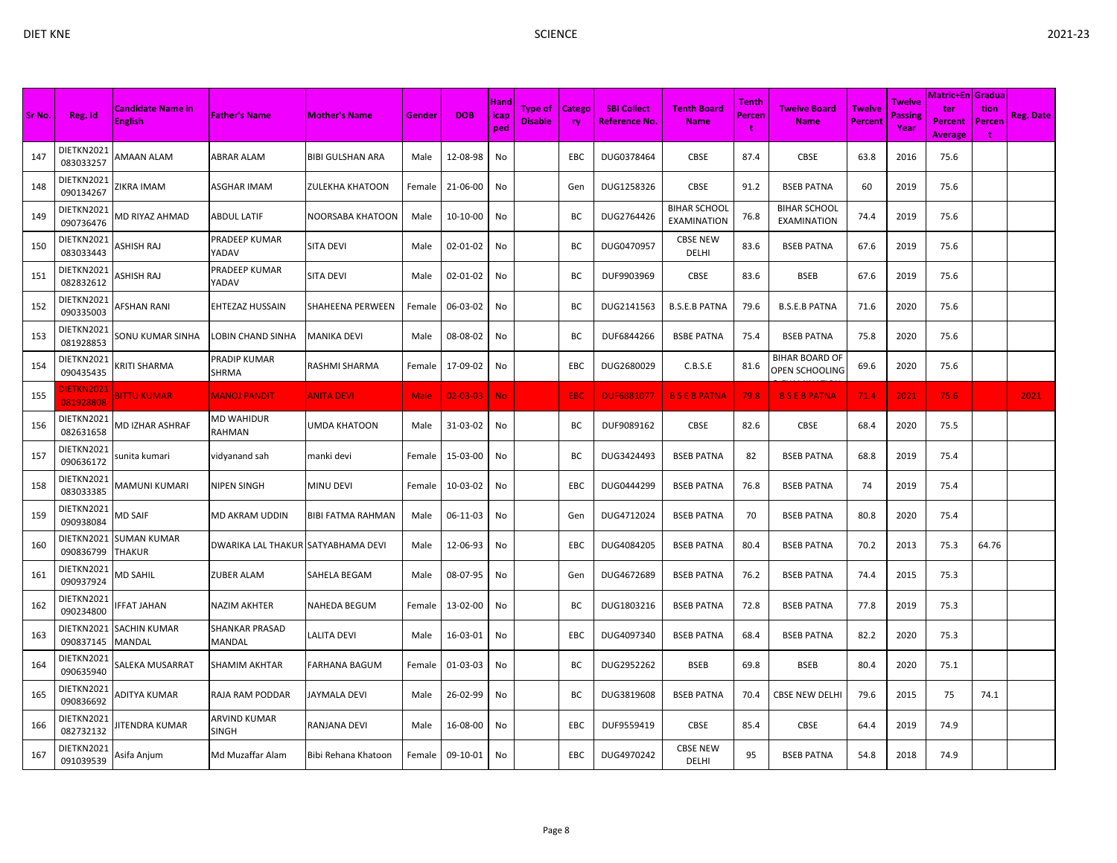|        |                                 |                                            |                                        |                      |             |                   |                     |                                  |                            |                                            |                                           |                        |                                           |                                 |                           | Matric+En Gradua                 |                     |                  |
|--------|---------------------------------|--------------------------------------------|----------------------------------------|----------------------|-------------|-------------------|---------------------|----------------------------------|----------------------------|--------------------------------------------|-------------------------------------------|------------------------|-------------------------------------------|---------------------------------|---------------------------|----------------------------------|---------------------|------------------|
| Sr No. | Reg. Id                         | <b>Candidate Name in</b><br><b>English</b> | <b>Father's Name</b>                   | <b>Mother's Name</b> | Gender      | <b>DOB</b>        | Hand<br>icap<br>ped | <b>Type of</b><br><b>Disable</b> | <b>Catego</b><br><b>ry</b> | <b>SBI Collect</b><br><b>Reference No.</b> | <b>Tenth Board</b><br><b>Name</b>         | <b>Tenth</b><br>Percen | <b>Twelve Board</b><br><b>Name</b>        | <b>Twelve</b><br><b>Percent</b> | Twelve<br>Passing<br>Year | ter<br>Percent<br><b>Average</b> | tion<br>Percen<br>t | <b>Reg. Date</b> |
| 147    | DIETKN2021<br>083033257         | AMAAN ALAM                                 | ABRAR ALAM                             | BIBI GULSHAN ARA     | Male        | 12-08-98          | No                  |                                  | <b>EBC</b>                 | DUG0378464                                 | <b>CBSE</b>                               | 87.4                   | <b>CBSE</b>                               | 63.8                            | 2016                      | 75.6                             |                     |                  |
| 148    | DIETKN2021<br>090134267         | ZIKRA IMAM                                 | ASGHAR IMAM                            | ZULEKHA KHATOON      | Female      | 21-06-00          | No                  |                                  | Gen                        | DUG1258326                                 | <b>CBSE</b>                               | 91.2                   | <b>BSEB PATNA</b>                         | 60                              | 2019                      | 75.6                             |                     |                  |
| 149    | DIETKN2021<br>090736476         | <b>MD RIYAZ AHMAD</b>                      | <b>ABDUL LATIF</b>                     | NOORSABA KHATOON     | Male        | 10-10-00          | No                  |                                  | BC                         | DUG2764426                                 | <b>BIHAR SCHOOL</b><br><b>EXAMINATION</b> | 76.8                   | <b>BIHAR SCHOOL</b><br><b>EXAMINATION</b> | 74.4                            | 2019                      | 75.6                             |                     |                  |
| 150    | DIETKN2021<br>083033443         | ASHISH RAJ                                 | PRADEEP KUMAR<br>YADAV                 | <b>SITA DEVI</b>     | Male        | 02-01-02          | No                  |                                  | BС                         | DUG0470957                                 | <b>CBSE NEW</b><br>DELHI                  | 83.6                   | <b>BSEB PATNA</b>                         | 67.6                            | 2019                      | 75.6                             |                     |                  |
| 151    | DIETKN2021<br>082832612         | ASHISH RAJ                                 | PRADEEP KUMAR<br>YADAV                 | <b>SITA DEVI</b>     | Male        | 02-01-02          | No                  |                                  | BC                         | DUF9903969                                 | <b>CBSE</b>                               | 83.6                   | <b>BSEB</b>                               | 67.6                            | 2019                      | 75.6                             |                     |                  |
| 152    | DIETKN2021<br>090335003         | AFSHAN RANI                                | EHTEZAZ HUSSAIN                        | SHAHEENA PERWEEN     | Female      | 06-03-02          | No                  |                                  | BC                         | DUG2141563                                 | <b>B.S.E.B PATNA</b>                      | 79.6                   | <b>B.S.E.B PATNA</b>                      | 71.6                            | 2020                      | 75.6                             |                     |                  |
| 153    | DIETKN2021<br>081928853         | SONU KUMAR SINHA                           | LOBIN CHAND SINHA                      | <b>MANIKA DEVI</b>   | Male        | 08-08-02          | No                  |                                  | BC                         | DUF6844266                                 | <b>BSBE PATNA</b>                         | 75.4                   | <b>BSEB PATNA</b>                         | 75.8                            | 2020                      | 75.6                             |                     |                  |
| 154    | DIETKN2021<br>090435435         | KRITI SHARMA                               | PRADIP KUMAR<br>SHRMA                  | RASHMI SHARMA        | Female      | 17-09-02          | No                  |                                  | EBC                        | DUG2680029                                 | C.B.S.E                                   | 81.6                   | <b>BIHAR BOARD OF</b><br>OPEN SCHOOLING   | 69.6                            | 2020                      | 75.6                             |                     |                  |
| 155    | <u> DIETKN2021</u><br>081928808 | <b>BITTU KUMAR</b>                         | <b>MANOJ PANDIT</b>                    | <b>ANITA DEVI</b>    | <b>Male</b> | $02 - 03 - 03$ No |                     |                                  | <b>EBC</b>                 | <b>DUF6881077</b>                          | <b>BSEBPATNA</b>                          | 79.8                   | <b>BSEBPATNA</b>                          | 71.4                            | 2021                      | 75.6                             |                     | 2021             |
| 156    | DIETKN2021<br>082631658         | VID IZHAR ASHRAF                           | MD WAHIDUR<br>RAHMAN                   | UMDA KHATOON         | Male        | 31-03-02          | No                  |                                  | BC                         | DUF9089162                                 | <b>CBSE</b>                               | 82.6                   | CBSE                                      | 68.4                            | 2020                      | 75.5                             |                     |                  |
| 157    | DIETKN2021<br>090636172         | sunita kumari                              | vidyanand sah                          | manki devi           | Female      | 15-03-00          | No                  |                                  | BC                         | DUG3424493                                 | <b>BSEB PATNA</b>                         | 82                     | <b>BSEB PATNA</b>                         | 68.8                            | 2019                      | 75.4                             |                     |                  |
| 158    | DIETKN2021<br>083033385         | MAMUNI KUMARI                              | <b>NIPEN SINGH</b>                     | MINU DEVI            | Female      | 10-03-02          | No                  |                                  | EBC                        | DUG0444299                                 | <b>BSEB PATNA</b>                         | 76.8                   | <b>BSEB PATNA</b>                         | 74                              | 2019                      | 75.4                             |                     |                  |
| 159    | DIETKN2021<br>090938084         | MD SAIF                                    | MD AKRAM UDDIN                         | BIBI FATMA RAHMAN    | Male        | 06-11-03          | No                  |                                  | Gen                        | DUG4712024                                 | <b>BSEB PATNA</b>                         | 70                     | <b>BSEB PATNA</b>                         | 80.8                            | 2020                      | 75.4                             |                     |                  |
| 160    | DIETKN2021<br>090836799         | <b>SUMAN KUMAR</b><br><b>THAKUR</b>        | DWARIKA LAL THAKUR SATYABHAMA DEVI     |                      | Male        | 12-06-93          | No                  |                                  | EBC                        | DUG4084205                                 | <b>BSEB PATNA</b>                         | 80.4                   | <b>BSEB PATNA</b>                         | 70.2                            | 2013                      | 75.3                             | 64.76               |                  |
| 161    | DIETKN2021<br>090937924         | <b>MD SAHIL</b>                            | <b>ZUBER ALAM</b>                      | SAHELA BEGAM         | Male        | 08-07-95          | No                  |                                  | Gen                        | DUG4672689                                 | <b>BSEB PATNA</b>                         | 76.2                   | <b>BSEB PATNA</b>                         | 74.4                            | 2015                      | 75.3                             |                     |                  |
| 162    | DIETKN2021<br>090234800         | <b>FFAT JAHAN</b>                          | <b>NAZIM AKHTER</b>                    | NAHEDA BEGUM         | Female      | 13-02-00          | No                  |                                  | BC                         | DUG1803216                                 | <b>BSEB PATNA</b>                         | 72.8                   | <b>BSEB PATNA</b>                         | 77.8                            | 2019                      | 75.3                             |                     |                  |
| 163    | DIETKN2021<br>090837145         | SACHIN KUMAR<br>MANDAL                     | <b>SHANKAR PRASAD</b><br><b>MANDAL</b> | LALITA DEVI          | Male        | 16-03-01          | No                  |                                  | <b>EBC</b>                 | DUG4097340                                 | <b>BSEB PATNA</b>                         | 68.4                   | <b>BSEB PATNA</b>                         | 82.2                            | 2020                      | 75.3                             |                     |                  |
| 164    | DIETKN2021<br>090635940         | SALEKA MUSARRAT                            | <b>SHAMIM AKHTAR</b>                   | FARHANA BAGUM        | Female      | 01-03-03          | No                  |                                  | BC                         | DUG2952262                                 | <b>BSEB</b>                               | 69.8                   | <b>BSEB</b>                               | 80.4                            | 2020                      | 75.1                             |                     |                  |
| 165    | DIETKN2021<br>090836692         | ADITYA KUMAR                               | RAJA RAM PODDAR                        | JAYMALA DEVI         | Male        | 26-02-99          | No                  |                                  | BC                         | DUG3819608                                 | <b>BSEB PATNA</b>                         | 70.4                   | <b>CBSE NEW DELHI</b>                     | 79.6                            | 2015                      | 75                               | 74.1                |                  |
| 166    | DIETKN2021<br>082732132         | <b>ITENDRA KUMAR</b>                       | ARVIND KUMAR<br><b>SINGH</b>           | RANJANA DEVI         | Male        | 16-08-00          | No                  |                                  | EBC                        | DUF9559419                                 | <b>CBSE</b>                               | 85.4                   | CBSE                                      | 64.4                            | 2019                      | 74.9                             |                     |                  |
| 167    | DIETKN2021<br>091039539         | Asifa Anjum                                | Md Muzaffar Alam                       | Bibi Rehana Khatoon  | Female      | 09-10-01          | No                  |                                  | EBC                        | DUG4970242                                 | <b>CBSE NEW</b><br>DELHI                  | 95                     | <b>BSEB PATNA</b>                         | 54.8                            | 2018                      | 74.9                             |                     |                  |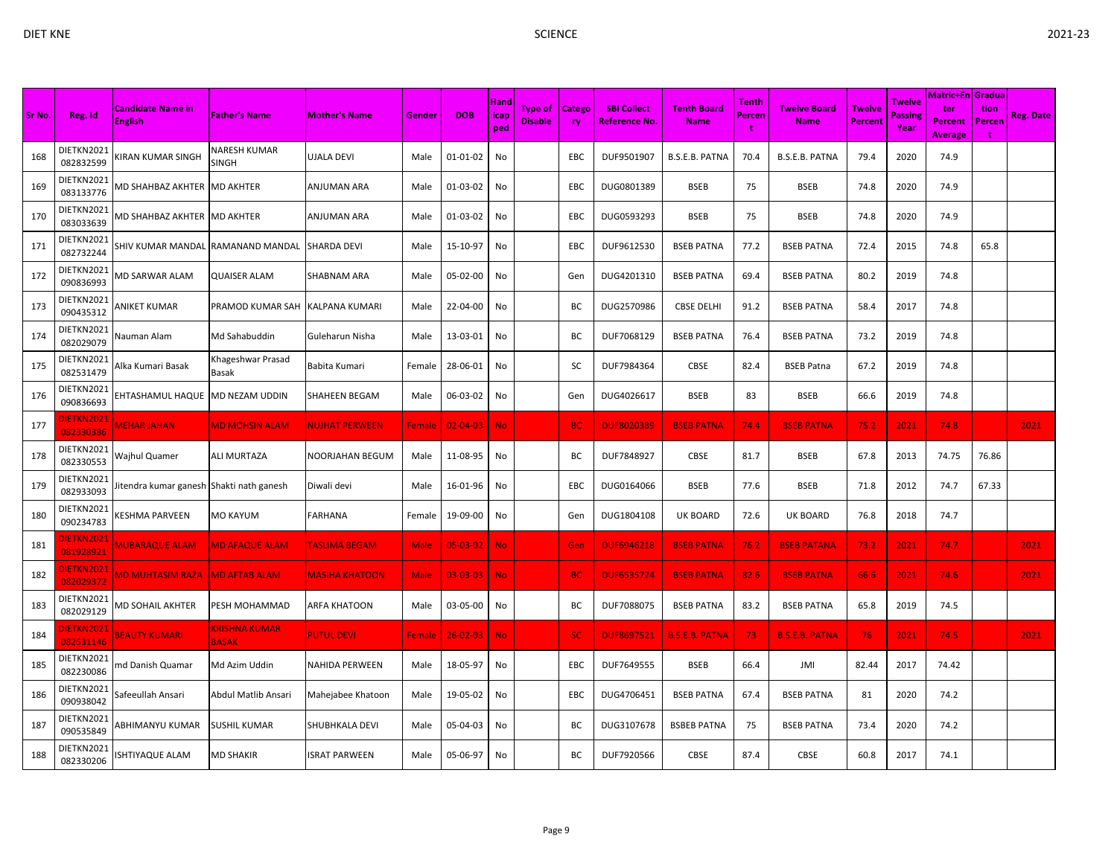|        |                                |                                         |                                     |                        |               |                |                            |                                  |                     |                                            |                                   |                             |                             |                          |                           | <b>Matric+En Gradua</b>          |                     |                  |
|--------|--------------------------------|-----------------------------------------|-------------------------------------|------------------------|---------------|----------------|----------------------------|----------------------------------|---------------------|--------------------------------------------|-----------------------------------|-----------------------------|-----------------------------|--------------------------|---------------------------|----------------------------------|---------------------|------------------|
| Sr No. | Reg. Id                        | Candidate Name in<br><b>English</b>     | <b>Father's Name</b>                | <b>Mother's Name</b>   | Gender        | <b>DOB</b>     | <b>Hand</b><br>icap<br>ped | <b>Type of</b><br><b>Disable</b> | Catego<br><b>ry</b> | <b>SBI Collect</b><br><b>Reference No.</b> | <b>Tenth Board</b><br><b>Name</b> | <b>Tenth</b><br>Percen<br>t | Twelve Board<br><b>Name</b> | <b>Twelve</b><br>Percent | Twelve<br>Passine<br>Year | ter<br>Percent<br><b>Average</b> | tion<br>Percen<br>t | <b>Reg. Date</b> |
| 168    | DIETKN2021<br>082832599        | (IRAN KUMAR SINGH                       | NARESH KUMAR<br>SINGH               | <b>UJALA DEVI</b>      | Male          | $01 - 01 - 02$ | No                         |                                  | EBC                 | DUF9501907                                 | <b>B.S.E.B. PATNA</b>             | 70.4                        | <b>B.S.E.B. PATNA</b>       | 79.4                     | 2020                      | 74.9                             |                     |                  |
| 169    | DIETKN2021<br>083133776        | MD SHAHBAZ AKHTER MD AKHTER             |                                     | <b>ANJUMAN ARA</b>     | Male          | 01-03-02       | No                         |                                  | EBC                 | DUG0801389                                 | <b>BSEB</b>                       | 75                          | <b>BSEB</b>                 | 74.8                     | 2020                      | 74.9                             |                     |                  |
| 170    | DIETKN2021<br>083033639        | <b>MD SHAHBAZ AKHTER</b>                | <b>MD AKHTER</b>                    | <b>ANJUMAN ARA</b>     | Male          | 01-03-02       | No                         |                                  | EBC                 | DUG0593293                                 | <b>BSEB</b>                       | 75                          | <b>BSEB</b>                 | 74.8                     | 2020                      | 74.9                             |                     |                  |
| 171    | DIETKN2021<br>082732244        | SHIV KUMAR MANDAL                       | RAMANAND MANDAL                     | <b>SHARDA DEVI</b>     | Male          | 15-10-97       | No                         |                                  | EBC                 | DUF9612530                                 | <b>BSEB PATNA</b>                 | 77.2                        | <b>BSEB PATNA</b>           | 72.4                     | 2015                      | 74.8                             | 65.8                |                  |
| 172    | DIETKN2021<br>090836993        | <b>MD SARWAR ALAM</b>                   | <b>QUAISER ALAM</b>                 | <b>SHABNAM ARA</b>     | Male          | 05-02-00       | No                         |                                  | Gen                 | DUG4201310                                 | <b>BSEB PATNA</b>                 | 69.4                        | <b>BSEB PATNA</b>           | 80.2                     | 2019                      | 74.8                             |                     |                  |
| 173    | DIETKN2021<br>090435312        | ANIKET KUMAR                            | PRAMOD KUMAR SAH                    | <b>KALPANA KUMARI</b>  | Male          | 22-04-00       | No                         |                                  | ВC                  | DUG2570986                                 | <b>CBSE DELHI</b>                 | 91.2                        | <b>BSEB PATNA</b>           | 58.4                     | 2017                      | 74.8                             |                     |                  |
| 174    | DIETKN2021<br>082029079        | Nauman Alam                             | Md Sahabuddin                       | Guleharun Nisha        | Male          | 13-03-01       | No                         |                                  | ВC                  | DUF7068129                                 | <b>BSEB PATNA</b>                 | 76.4                        | <b>BSEB PATNA</b>           | 73.2                     | 2019                      | 74.8                             |                     |                  |
| 175    | DIETKN2021<br>082531479        | Alka Kumari Basak                       | Khageshwar Prasad<br>Basak          | Babita Kumari          | Female        | 28-06-01       | No                         |                                  | SC                  | DUF7984364                                 | CBSE                              | 82.4                        | <b>BSEB Patna</b>           | 67.2                     | 2019                      | 74.8                             |                     |                  |
| 176    | DIETKN2021<br>090836693        | EHTASHAMUL HAQUE                        | MD NEZAM UDDIN                      | <b>SHAHEEN BEGAM</b>   | Male          | 06-03-02       | No                         |                                  | Gen                 | DUG4026617                                 | <b>BSEB</b>                       | 83                          | <b>BSEB</b>                 | 66.6                     | 2019                      | 74.8                             |                     |                  |
| 177    | DIETKN202:<br>082330386        | <b>MEHAR JAHAN</b>                      | <b>MD MOHSIN ALAM</b>               | <b>NUJHAT PERWEEN</b>  | <b>Female</b> | $02 - 04 - 03$ | <b>No</b>                  |                                  | <b>BC</b>           | <b>DUF8020389</b>                          | <b>BSEB PATNA</b>                 | 74.4                        | <b>BSEB PATNA</b>           | 75.2                     | 2021                      | 74.8                             |                     | 2021             |
| 178    | DIETKN2021<br>082330553        | Wajhul Quamer                           | ALI MURTAZA                         | <b>NOORJAHAN BEGUM</b> | Male          | 11-08-95       | No                         |                                  | ВC                  | DUF7848927                                 | CBSE                              | 81.7                        | <b>BSEB</b>                 | 67.8                     | 2013                      | 74.75                            | 76.86               |                  |
| 179    | DIETKN2021<br>082933093        | itendra kumar ganesh Shakti nath ganesh |                                     | Diwali devi            | Male          | 16-01-96       | No                         |                                  | EBC                 | DUG0164066                                 | <b>BSEB</b>                       | 77.6                        | <b>BSEB</b>                 | 71.8                     | 2012                      | 74.7                             | 67.33               |                  |
| 180    | DIETKN2021<br>090234783        | (ESHMA PARVEEN                          | MO KAYUM                            | <b>FARHANA</b>         | Female        | 19-09-00       | No                         |                                  | Gen                 | DUG1804108                                 | <b>UK BOARD</b>                   | 72.6                        | <b>UK BOARD</b>             | 76.8                     | 2018                      | 74.7                             |                     |                  |
| 181    | DIETKN202:<br>081928921        | <b><i>AUBARAQUE ALAM</i></b>            | <b>MD AFAQUE ALAM</b>               | TASLIMA BEGAM          | Male          | $05 - 03 - 02$ | <b>No</b>                  |                                  | Gen                 | <b>DUF6946218</b>                          | <b>BSEB PATNA</b>                 | 76.2                        | <b>BSEB PATANA</b>          | 73.2                     | 2021                      | 74.7                             |                     | 2021             |
| 182    | <b>DIETKN2021</b><br>082029372 | <b>MD MUHTASIM RAZA</b>                 | <b>MD AFTAB ALAM</b>                | <b>MASIHA KHATOON</b>  | <b>Male</b>   | $03 - 03 - 03$ | <b>No</b>                  |                                  | <b>BC</b>           | <b>DUF6535774</b>                          | <b>BSEB PATNA</b>                 | 82.6                        | <b>BSEB PATNA</b>           | 66.6                     | 2021                      | 74.6                             |                     | 2021             |
| 183    | DIETKN2021<br>082029129        | VID SOHAIL AKHTER                       | PESH MOHAMMAD                       | <b>ARFA KHATOON</b>    | Male          | 03-05-00       | No                         |                                  | ВC                  | DUF7088075                                 | <b>BSEB PATNA</b>                 | 83.2                        | <b>BSEB PATNA</b>           | 65.8                     | 2019                      | 74.5                             |                     |                  |
| 184    | <b>JIETKN2021</b><br>082531146 | <b>BEAUTY KUMARI</b>                    | <b>RISHNA KUMAR</b><br><b>BASAK</b> | <b>PUTUL DEVI</b>      | Female        | $26 - 02 - 03$ | <b>No</b>                  |                                  | SC.                 | <b>DUF8697521</b>                          | <b>B.S.E.B. PATNA</b>             | 73                          | <b>B.S.E.B. PATNA</b>       | 76                       | 2021                      | 74.5                             |                     | 2021             |
| 185    | DIETKN2021<br>082230086        | nd Danish Quamar                        | Md Azim Uddin                       | <b>NAHIDA PERWEEN</b>  | Male          | 18-05-97       | No                         |                                  | EBC                 | DUF7649555                                 | <b>BSEB</b>                       | 66.4                        | JMI                         | 82.44                    | 2017                      | 74.42                            |                     |                  |
| 186    | DIETKN2021<br>090938042        | Safeeullah Ansari                       | Abdul Matlib Ansari                 | Mahejabee Khatoon      | Male          | 19-05-02       | No                         |                                  | <b>EBC</b>          | DUG4706451                                 | <b>BSEB PATNA</b>                 | 67.4                        | <b>BSEB PATNA</b>           | 81                       | 2020                      | 74.2                             |                     |                  |
| 187    | DIETKN2021<br>090535849        | ABHIMANYU KUMAR                         | SUSHIL KUMAR                        | <b>SHUBHKALA DEVI</b>  | Male          | 05-04-03       | No                         |                                  | ВC                  | DUG3107678                                 | <b>BSBEB PATNA</b>                | 75                          | <b>BSEB PATNA</b>           | 73.4                     | 2020                      | 74.2                             |                     |                  |
| 188    | DIETKN2021<br>082330206        | SHTIYAQUE ALAM                          | MD SHAKIR                           | <b>ISRAT PARWEEN</b>   | Male          | 05-06-97       | No                         |                                  | BC                  | DUF7920566                                 | CBSE                              | 87.4                        | CBSE                        | 60.8                     | 2017                      | 74.1                             |                     |                  |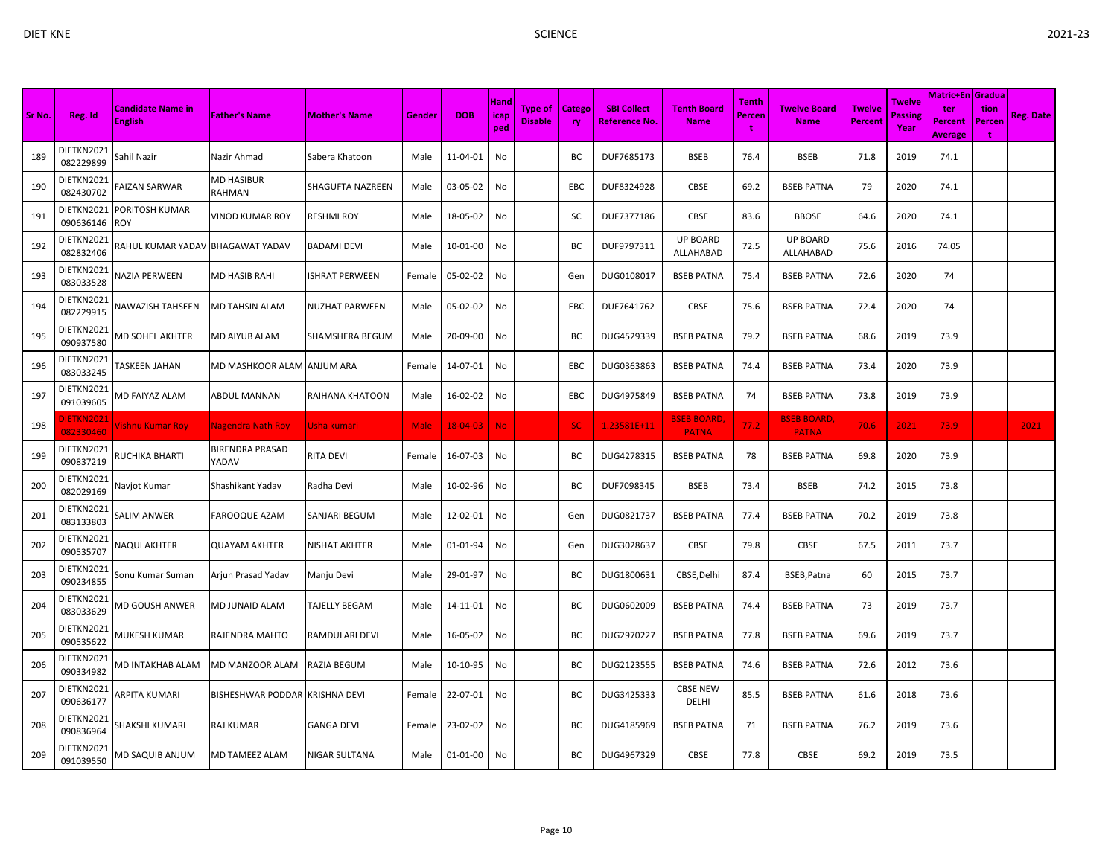|        |                         |                                            |                                 |                       |        |                |                            |                                  |                     |                                     |                                   |                                    |                                    |                          |                                  | <b>Matric+En Gradua</b>          |                     |                  |
|--------|-------------------------|--------------------------------------------|---------------------------------|-----------------------|--------|----------------|----------------------------|----------------------------------|---------------------|-------------------------------------|-----------------------------------|------------------------------------|------------------------------------|--------------------------|----------------------------------|----------------------------------|---------------------|------------------|
| Sr No. | Reg. Id                 | <b>Candidate Name in</b><br><b>English</b> | <b>Father's Name</b>            | <b>Mother's Name</b>  | Gender | <b>DOB</b>     | <b>Hand</b><br>icap<br>ped | <b>Type of</b><br><b>Disable</b> | Catego<br><b>ry</b> | <b>SBI Collect</b><br>Reference No. | <b>Tenth Board</b><br><b>Name</b> | <b>Tenth</b><br><b>Percen</b><br>t | <b>Twelve Board</b><br><b>Name</b> | Twelve<br><b>Percent</b> | Twelve<br><b>Passing</b><br>Year | ter<br>Percent<br><b>Average</b> | tion<br>Percen<br>t | <b>Reg. Date</b> |
| 189    | DIETKN2021<br>082229899 | Sahil Nazir                                | Nazir Ahmad                     | Sabera Khatoon        | Male   | 11-04-01       | No                         |                                  | BC                  | DUF7685173                          | <b>BSEB</b>                       | 76.4                               | <b>BSEB</b>                        | 71.8                     | 2019                             | 74.1                             |                     |                  |
| 190    | DIETKN2021<br>082430702 | FAIZAN SARWAR                              | <b>MD HASIBUR</b><br>RAHMAN     | SHAGUFTA NAZREEN      | Male   | 03-05-02       | No                         |                                  | EBC                 | DUF8324928                          | <b>CBSE</b>                       | 69.2                               | <b>BSEB PATNA</b>                  | 79                       | 2020                             | 74.1                             |                     |                  |
| 191    | DIETKN2021<br>090636146 | PORITOSH KUMAR<br><b>ROY</b>               | <b>VINOD KUMAR ROY</b>          | RESHMI ROY            | Male   | 18-05-02       | No                         |                                  | SC                  | DUF7377186                          | CBSE                              | 83.6                               | <b>BBOSE</b>                       | 64.6                     | 2020                             | 74.1                             |                     |                  |
| 192    | DIETKN2021<br>082832406 | RAHUL KUMAR YADAV BHAGAWAT YADAV           |                                 | <b>BADAMI DEVI</b>    | Male   | 10-01-00       | No                         |                                  | ВC                  | DUF9797311                          | <b>UP BOARD</b><br>ALLAHABAD      | 72.5                               | <b>UP BOARD</b><br>ALLAHABAD       | 75.6                     | 2016                             | 74.05                            |                     |                  |
| 193    | DIETKN2021<br>083033528 | NAZIA PERWEEN                              | <b>MD HASIB RAHI</b>            | <b>ISHRAT PERWEEN</b> | Female | 05-02-02       | No                         |                                  | Gen                 | DUG0108017                          | <b>BSEB PATNA</b>                 | 75.4                               | <b>BSEB PATNA</b>                  | 72.6                     | 2020                             | 74                               |                     |                  |
| 194    | DIETKN2021<br>082229915 | NAWAZISH TAHSEEN                           | MD TAHSIN ALAM                  | NUZHAT PARWEEN        | Male   | 05-02-02       | No                         |                                  | EBC                 | DUF7641762                          | <b>CBSE</b>                       | 75.6                               | <b>BSEB PATNA</b>                  | 72.4                     | 2020                             | 74                               |                     |                  |
| 195    | DIETKN2021<br>090937580 | MD SOHEL AKHTER                            | <b>MD AIYUB ALAM</b>            | SHAMSHERA BEGUM       | Male   | 20-09-00       | No                         |                                  | ВC                  | DUG4529339                          | <b>BSEB PATNA</b>                 | 79.2                               | <b>BSEB PATNA</b>                  | 68.6                     | 2019                             | 73.9                             |                     |                  |
| 196    | DIETKN2021<br>083033245 | ASKEEN JAHAN                               | MD MASHKOOR ALAM ANJUM ARA      |                       | Female | 14-07-01       | No                         |                                  | EBC                 | DUG0363863                          | <b>BSEB PATNA</b>                 | 74.4                               | <b>BSEB PATNA</b>                  | 73.4                     | 2020                             | 73.9                             |                     |                  |
| 197    | DIETKN2021<br>091039605 | MD FAIYAZ ALAM                             | <b>ABDUL MANNAN</b>             | RAIHANA KHATOON       | Male   | 16-02-02       | No                         |                                  | EBC                 | DUG4975849                          | <b>BSEB PATNA</b>                 | 74                                 | <b>BSEB PATNA</b>                  | 73.8                     | 2019                             | 73.9                             |                     |                  |
| 198    | IETKN2021<br>082330460  | <b>ishnu Kumar Roy</b>                     | <b>Nagendra Nath Roy</b>        | Usha kumari           | Male   | $18 - 04 - 03$ | <b>No</b>                  |                                  | <b>SC</b>           | 1.23581E+11                         | <b>BSEB BOARD</b><br><b>PATNA</b> | 77.2                               | <b>BSEB BOARD,</b><br><b>PATNA</b> | 70.6                     | 2021                             | 73.9                             |                     | 2021             |
| 199    | DIETKN2021<br>090837219 | RUCHIKA BHARTI                             | <b>BIRENDRA PRASAD</b><br>YADAV | RITA DEVI             | Female | 16-07-03       | No                         |                                  | ВC                  | DUG4278315                          | <b>BSEB PATNA</b>                 | 78                                 | <b>BSEB PATNA</b>                  | 69.8                     | 2020                             | 73.9                             |                     |                  |
| 200    | DIETKN2021<br>082029169 | Navjot Kumar                               | Shashikant Yadav                | Radha Devi            | Male   | 10-02-96       | No                         |                                  | BC                  | DUF7098345                          | <b>BSEB</b>                       | 73.4                               | <b>BSEB</b>                        | 74.2                     | 2015                             | 73.8                             |                     |                  |
| 201    | DIETKN2021<br>083133803 | SALIM ANWER                                | <b>FAROOQUE AZAM</b>            | SANJARI BEGUM         | Male   | 12-02-01       | No                         |                                  | Gen                 | DUG0821737                          | <b>BSEB PATNA</b>                 | 77.4                               | <b>BSEB PATNA</b>                  | 70.2                     | 2019                             | 73.8                             |                     |                  |
| 202    | DIETKN2021<br>090535707 | NAQUI AKHTER                               | <b>QUAYAM AKHTER</b>            | NISHAT AKHTER         | Male   | 01-01-94       | No                         |                                  | Gen                 | DUG3028637                          | CBSE                              | 79.8                               | CBSE                               | 67.5                     | 2011                             | 73.7                             |                     |                  |
| 203    | DIETKN2021<br>090234855 | Sonu Kumar Suman                           | Arjun Prasad Yadav              | Manju Devi            | Male   | 29-01-97       | No                         |                                  | BC                  | DUG1800631                          | CBSE, Delhi                       | 87.4                               | BSEB, Patna                        | 60                       | 2015                             | 73.7                             |                     |                  |
| 204    | DIETKN2021<br>083033629 | MD GOUSH ANWER                             | MD JUNAID ALAM                  | <b>TAJELLY BEGAM</b>  | Male   | 14-11-01       | No                         |                                  | ВC                  | DUG0602009                          | <b>BSEB PATNA</b>                 | 74.4                               | <b>BSEB PATNA</b>                  | 73                       | 2019                             | 73.7                             |                     |                  |
| 205    | DIETKN2021<br>090535622 | MUKESH KUMAR                               | RAJENDRA MAHTO                  | RAMDULARI DEVI        | Male   | 16-05-02       | No                         |                                  | BC                  | DUG2970227                          | <b>BSEB PATNA</b>                 | 77.8                               | <b>BSEB PATNA</b>                  | 69.6                     | 2019                             | 73.7                             |                     |                  |
| 206    | DIETKN2021<br>090334982 | MD INTAKHAB ALAM                           | MD MANZOOR ALAM                 | RAZIA BEGUM           | Male   | 10-10-95       | No                         |                                  | ВC                  | DUG2123555                          | <b>BSEB PATNA</b>                 | 74.6                               | <b>BSEB PATNA</b>                  | 72.6                     | 2012                             | 73.6                             |                     |                  |
| 207    | DIETKN2021<br>090636177 | ARPITA KUMARI                              | <b>BISHESHWAR PODDAR</b>        | <b>KRISHNA DEVI</b>   | Female | 22-07-01       | No                         |                                  | BC                  | DUG3425333                          | <b>CBSE NEW</b><br>DELHI          | 85.5                               | <b>BSEB PATNA</b>                  | 61.6                     | 2018                             | 73.6                             |                     |                  |
| 208    | DIETKN2021<br>090836964 | SHAKSHI KUMARI                             | <b>RAJ KUMAR</b>                | GANGA DEVI            | Female | 23-02-02       | No                         |                                  | ВC                  | DUG4185969                          | <b>BSEB PATNA</b>                 | 71                                 | <b>BSEB PATNA</b>                  | 76.2                     | 2019                             | 73.6                             |                     |                  |
| 209    | DIETKN2021<br>091039550 | MD SAQUIB ANJUM                            | MD TAMEEZ ALAM                  | NIGAR SULTANA         | Male   | 01-01-00       | No                         |                                  | BC                  | DUG4967329                          | CBSE                              | 77.8                               | CBSE                               | 69.2                     | 2019                             | 73.5                             |                     |                  |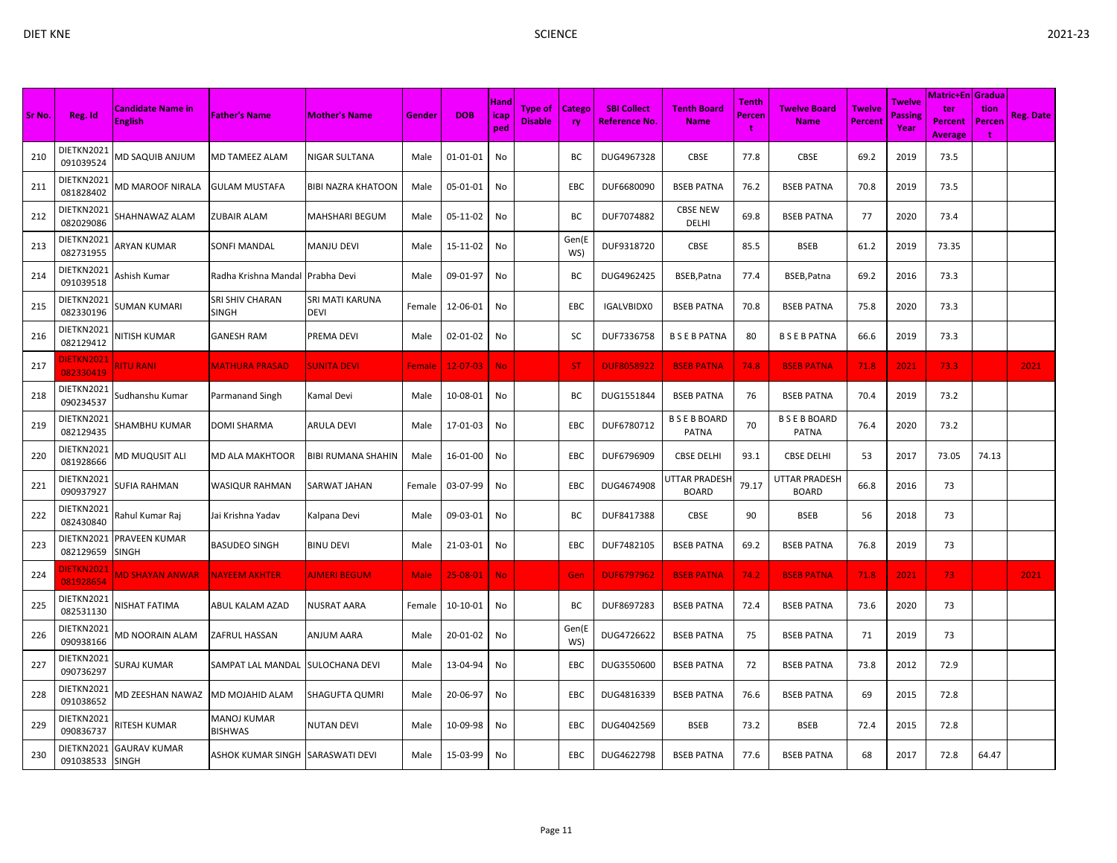| Sr No. | Reg. Id                        | <b>Candidate Name in</b><br><b>English</b> | <b>Father's Name</b>                   | <b>Mother's Name</b>           | Gender      | <b>DOB</b>     | Hand<br><b>icap</b><br>ped | Type of<br><b>Disable</b> | <b>Catego</b><br>ry | <b>SBI Collect</b><br><u>Reference No.</u> | <b>Tenth Board</b><br><b>Name</b>    | Tenth<br><b>Percen</b> | <b>Twelve Board</b><br><b>Name</b> | <b>Twelve</b><br>Percent | <b>Twelve</b><br><b>Passing</b><br>Year | <b>Matric+En Gradua</b><br>ter<br><b>Percent</b><br><b>Average</b> | tion<br>Percen<br>÷ | <b>Reg. Date</b> |
|--------|--------------------------------|--------------------------------------------|----------------------------------------|--------------------------------|-------------|----------------|----------------------------|---------------------------|---------------------|--------------------------------------------|--------------------------------------|------------------------|------------------------------------|--------------------------|-----------------------------------------|--------------------------------------------------------------------|---------------------|------------------|
| 210    | DIETKN2021<br>091039524        | MD SAQUIB ANJUM                            | MD TAMEEZ ALAM                         | NIGAR SULTANA                  | Male        | 01-01-01       | No                         |                           | BС                  | DUG4967328                                 | <b>CBSE</b>                          | 77.8                   | <b>CBSE</b>                        | 69.2                     | 2019                                    | 73.5                                                               |                     |                  |
| 211    | DIETKN2021<br>081828402        | MD MAROOF NIRALA                           | <b>GULAM MUSTAFA</b>                   | <b>BIBI NAZRA KHATOON</b>      | Male        | 05-01-01       | No                         |                           | EBC                 | DUF6680090                                 | <b>BSEB PATNA</b>                    | 76.2                   | <b>BSEB PATNA</b>                  | 70.8                     | 2019                                    | 73.5                                                               |                     |                  |
| 212    | DIETKN2021<br>082029086        | SHAHNAWAZ ALAM                             | <b>ZUBAIR ALAM</b>                     | MAHSHARI BEGUM                 | Male        | 05-11-02       | No                         |                           | ВC                  | DUF7074882                                 | <b>CBSE NEW</b><br>DELHI             | 69.8                   | <b>BSEB PATNA</b>                  | 77                       | 2020                                    | 73.4                                                               |                     |                  |
| 213    | DIETKN2021<br>082731955        | ARYAN KUMAR                                | <b>SONFI MANDAL</b>                    | <b>MANJU DEVI</b>              | Male        | 15-11-02       | No                         |                           | Gen(E<br>WS)        | DUF9318720                                 | CBSE                                 | 85.5                   | <b>BSEB</b>                        | 61.2                     | 2019                                    | 73.35                                                              |                     |                  |
| 214    | DIETKN2021<br>091039518        | Ashish Kumar                               | Radha Krishna Mandal Prabha Devi       |                                | Male        | 09-01-97       | No                         |                           | ВC                  | DUG4962425                                 | BSEB, Patna                          | 77.4                   | BSEB, Patna                        | 69.2                     | 2016                                    | 73.3                                                               |                     |                  |
| 215    | DIETKN2021<br>082330196        | SUMAN KUMARI                               | <b>SRI SHIV CHARAN</b><br><b>SINGH</b> | SRI MATI KARUNA<br><b>DEVI</b> | Female      | 12-06-01       | No                         |                           | EBC                 | IGALVBIDX0                                 | <b>BSEB PATNA</b>                    | 70.8                   | <b>BSEB PATNA</b>                  | 75.8                     | 2020                                    | 73.3                                                               |                     |                  |
| 216    | DIETKN2021<br>082129412        | NITISH KUMAR                               | <b>GANESH RAM</b>                      | PREMA DEVI                     | Male        | 02-01-02       | No                         |                           | SC                  | DUF7336758                                 | <b>BSEBPATNA</b>                     | 80                     | <b>BSEBPATNA</b>                   | 66.6                     | 2019                                    | 73.3                                                               |                     |                  |
| 217    | <b>JIETKN2021</b><br>082330419 | RITU RANI                                  | <b>MATHURA PRASAD</b>                  | <b>SUNITA DEVI</b>             | Female      | $12 - 07 - 03$ | <b>No</b>                  |                           | <b>ST</b>           | <b>DUF8058922</b>                          | <b>BSEB PATNA</b>                    | 74.8                   | <b>BSEB PATNA</b>                  | 71.8                     | 2021                                    | 73.3                                                               |                     | 2021             |
| 218    | DIETKN2021<br>090234537        | Sudhanshu Kumar                            | Parmanand Singh                        | Kamal Devi                     | Male        | 10-08-01       | No                         |                           | ВC                  | DUG1551844                                 | <b>BSEB PATNA</b>                    | 76                     | <b>BSEB PATNA</b>                  | 70.4                     | 2019                                    | 73.2                                                               |                     |                  |
| 219    | DIETKN2021<br>082129435        | SHAMBHU KUMAR                              | <b>DOMI SHARMA</b>                     | ARULA DEVI                     | Male        | 17-01-03       | No                         |                           | EBC                 | DUF6780712                                 | <b>BSEBBOARD</b><br>PATNA            | 70                     | <b>BSEBBOARD</b><br>PATNA          | 76.4                     | 2020                                    | 73.2                                                               |                     |                  |
| 220    | DIETKN2021<br>081928666        | MD MUQUSIT ALI                             | <b>MD ALA MAKHTOOR</b>                 | <b>BIBI RUMANA SHAHIN</b>      | Male        | 16-01-00       | No                         |                           | EBC                 | DUF6796909                                 | <b>CBSE DELHI</b>                    | 93.1                   | <b>CBSE DELHI</b>                  | 53                       | 2017                                    | 73.05                                                              | 74.13               |                  |
| 221    | DIETKN2021<br>090937927        | SUFIA RAHMAN                               | <b>WASIQUR RAHMAN</b>                  | SARWAT JAHAN                   | Female      | 03-07-99       | No                         |                           | EBC                 | DUG4674908                                 | <b>JTTAR PRADESH</b><br><b>BOARD</b> | 79.17                  | UTTAR PRADESH<br><b>BOARD</b>      | 66.8                     | 2016                                    | 73                                                                 |                     |                  |
| 222    | DIETKN2021<br>082430840        | Rahul Kumar Raj                            | Jai Krishna Yadav                      | Kalpana Devi                   | Male        | 09-03-01       | No                         |                           | BC                  | DUF8417388                                 | CBSE                                 | 90                     | <b>BSEB</b>                        | 56                       | 2018                                    | 73                                                                 |                     |                  |
| 223    | DIETKN2021<br>082129659        | PRAVEEN KUMAR<br><b>SINGH</b>              | <b>BASUDEO SINGH</b>                   | <b>BINU DEVI</b>               | Male        | 21-03-01       | No                         |                           | EBC                 | DUF7482105                                 | <b>BSEB PATNA</b>                    | 69.2                   | <b>BSEB PATNA</b>                  | 76.8                     | 2019                                    | 73                                                                 |                     |                  |
| 224    | <b>NETKN2021</b><br>081928654  | <b>MD SHAYAN ANWAR</b>                     | <b>NAYEEM AKHTER</b>                   | <b>AIMERI BEGUM</b>            | <b>Male</b> | 25-08-01       | <b>No</b>                  |                           | Gen                 | <b>DUF6797962</b>                          | <b>BSEB PATNA</b>                    | 74.2                   | <b>BSEB PATNA</b>                  | 71.8                     | 2021                                    | 73 <sub>1</sub>                                                    |                     | 2021             |
| 225    | DIETKN2021<br>082531130        | NISHAT FATIMA                              | ABUL KALAM AZAD                        | <b>NUSRAT AARA</b>             | Female      | 10-10-01       | No                         |                           | ВC                  | DUF8697283                                 | <b>BSEB PATNA</b>                    | 72.4                   | <b>BSEB PATNA</b>                  | 73.6                     | 2020                                    | 73                                                                 |                     |                  |
| 226    | DIETKN2021<br>090938166        | MD NOORAIN ALAM                            | <b>ZAFRUL HASSAN</b>                   | ANJUM AARA                     | Male        | 20-01-02       | No                         |                           | Gen(E<br>WS)        | DUG4726622                                 | <b>BSEB PATNA</b>                    | 75                     | <b>BSEB PATNA</b>                  | 71                       | 2019                                    | 73                                                                 |                     |                  |
| 227    | DIETKN2021<br>090736297        | SURAJ KUMAR                                | SAMPAT LAL MANDAL                      | SULOCHANA DEVI                 | Male        | 13-04-94       | No                         |                           | EBC                 | DUG3550600                                 | <b>BSEB PATNA</b>                    | 72                     | <b>BSEB PATNA</b>                  | 73.8                     | 2012                                    | 72.9                                                               |                     |                  |
| 228    | DIETKN2021<br>091038652        | <b>MD ZEESHAN NAWAZ</b>                    | MD MOJAHID ALAM                        | SHAGUFTA QUMRI                 | Male        | 20-06-97       | No                         |                           | EBC                 | DUG4816339                                 | <b>BSEB PATNA</b>                    | 76.6                   | <b>BSEB PATNA</b>                  | 69                       | 2015                                    | 72.8                                                               |                     |                  |
| 229    | DIETKN2021<br>090836737        | RITESH KUMAR                               | MANOJ KUMAR<br><b>BISHWAS</b>          | <b>NUTAN DEVI</b>              | Male        | 10-09-98       | No                         |                           | EBC                 | DUG4042569                                 | <b>BSEB</b>                          | 73.2                   | <b>BSEB</b>                        | 72.4                     | 2015                                    | 72.8                                                               |                     |                  |
| 230    | DIETKN2021<br>091038533 SINGH  | <b>GAURAV KUMAR</b>                        | ASHOK KUMAR SINGH SARASWATI DEVI       |                                | Male        | 15-03-99       | No                         |                           | <b>EBC</b>          | DUG4622798                                 | <b>BSEB PATNA</b>                    | 77.6                   | <b>BSEB PATNA</b>                  | 68                       | 2017                                    | 72.8                                                               | 64.47               |                  |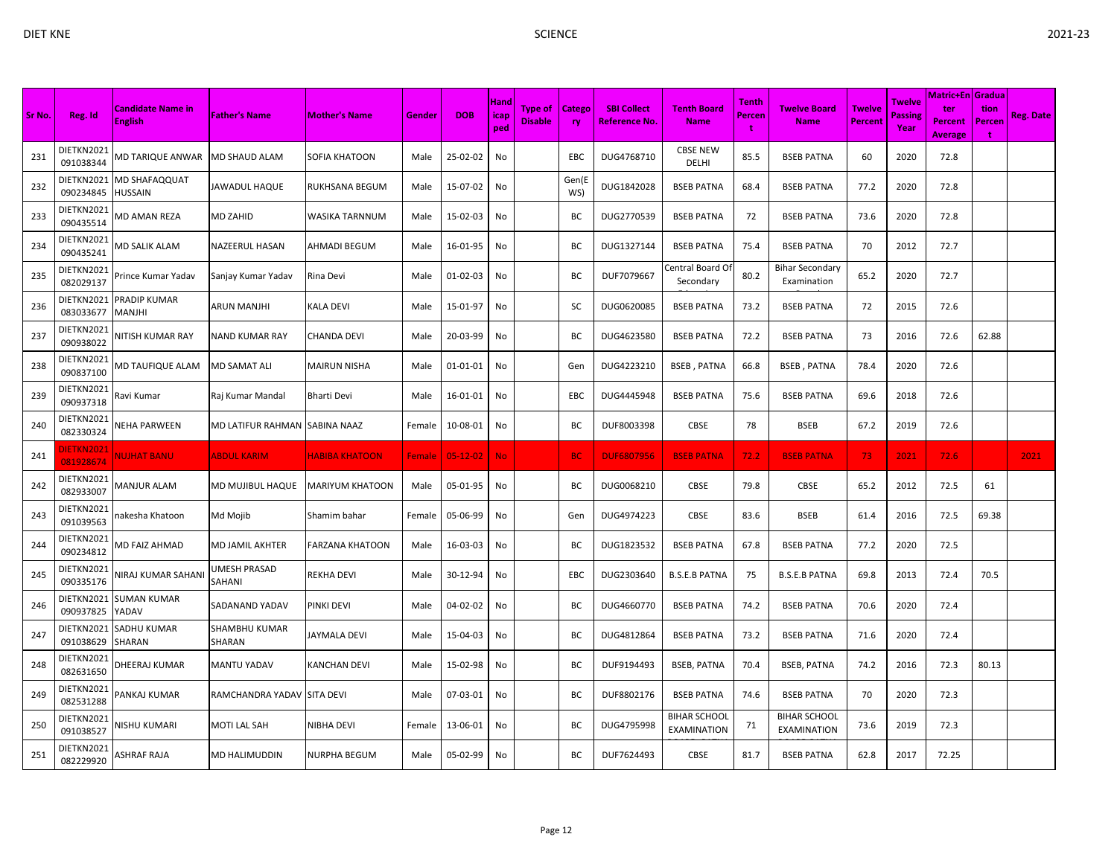| I |  |
|---|--|

|        |                                |                                            |                                |                        |               |                |                     |                                  |                     |                                            |                                           |                             |                                    |                                 |                           | <b>Matric+En Gradua</b>                 |                            |                  |
|--------|--------------------------------|--------------------------------------------|--------------------------------|------------------------|---------------|----------------|---------------------|----------------------------------|---------------------|--------------------------------------------|-------------------------------------------|-----------------------------|------------------------------------|---------------------------------|---------------------------|-----------------------------------------|----------------------------|------------------|
| Sr No. | Reg. Id                        | <b>Candidate Name in</b><br><b>English</b> | <b>Father's Name</b>           | <b>Mother's Name</b>   | Gender        | <b>DOB</b>     | Hand<br>icap<br>ped | <b>Type of</b><br><b>Disable</b> | <b>Catego</b><br>ry | <b>SBI Collect</b><br><u>Reference No.</u> | <b>Tenth Board</b><br><b>Name</b>         | <b>Tenth</b><br>Percen<br>t | Twelve Board<br><b>Name</b>        | <b>Twelve</b><br><b>Percent</b> | Twelve<br>Passine<br>Year | ter<br><b>Percent</b><br><b>Average</b> | tion<br>Percen<br><b>t</b> | <b>Reg. Date</b> |
| 231    | DIETKN2021<br>091038344        | MD TARIQUE ANWAR                           | MD SHAUD ALAM                  | <b>SOFIA KHATOON</b>   | Male          | 25-02-02       | No                  |                                  | EBC                 | DUG4768710                                 | <b>CBSE NEW</b><br><b>DELHI</b>           | 85.5                        | <b>BSEB PATNA</b>                  | 60                              | 2020                      | 72.8                                    |                            |                  |
| 232    | DIETKN2021<br>090234845        | MD SHAFAQQUAT<br>HUSSAIN                   | JAWADUL HAQUE                  | RUKHSANA BEGUM         | Male          | 15-07-02       | No                  |                                  | Gen(E<br>WS)        | DUG1842028                                 | <b>BSEB PATNA</b>                         | 68.4                        | <b>BSEB PATNA</b>                  | 77.2                            | 2020                      | 72.8                                    |                            |                  |
| 233    | DIETKN2021<br>090435514        | MD AMAN REZA                               | MD ZAHID                       | WASIKA TARNNUM         | Male          | 15-02-03       | No                  |                                  | ВC                  | DUG2770539                                 | <b>BSEB PATNA</b>                         | 72                          | <b>BSEB PATNA</b>                  | 73.6                            | 2020                      | 72.8                                    |                            |                  |
| 234    | DIETKN2021<br>090435241        | <b>MD SALIK ALAM</b>                       | NAZEERUL HASAN                 | AHMADI BEGUM           | Male          | 16-01-95       | No                  |                                  | ВC                  | DUG1327144                                 | <b>BSEB PATNA</b>                         | 75.4                        | <b>BSEB PATNA</b>                  | 70                              | 2012                      | 72.7                                    |                            |                  |
| 235    | DIETKN2021<br>082029137        | Prince Kumar Yadav                         | Sanjay Kumar Yadav             | Rina Devi              | Male          | 01-02-03       | No                  |                                  | ВC                  | DUF7079667                                 | Central Board O<br>Secondary              | 80.2                        | Bihar Secondary<br>Examination     | 65.2                            | 2020                      | 72.7                                    |                            |                  |
| 236    | DIETKN2021<br>083033677        | PRADIP KUMAR<br><b>MANJHI</b>              | ARUN MANJHI                    | KALA DEVI              | Male          | 15-01-97       | No                  |                                  | sc                  | DUG0620085                                 | <b>BSEB PATNA</b>                         | 73.2                        | <b>BSEB PATNA</b>                  | 72                              | 2015                      | 72.6                                    |                            |                  |
| 237    | DIETKN2021<br>090938022        | <b>NITISH KUMAR RAY</b>                    | NAND KUMAR RAY                 | <b>CHANDA DEVI</b>     | Male          | 20-03-99       | No                  |                                  | BC                  | DUG4623580                                 | <b>BSEB PATNA</b>                         | 72.2                        | <b>BSEB PATNA</b>                  | 73                              | 2016                      | 72.6                                    | 62.88                      |                  |
| 238    | DIETKN2021<br>090837100        | MD TAUFIQUE ALAM                           | <b>MD SAMAT ALI</b>            | <b>MAIRUN NISHA</b>    | Male          | $01 - 01 - 01$ | No                  |                                  | Gen                 | DUG4223210                                 | <b>BSEB, PATNA</b>                        | 66.8                        | <b>BSEB, PATNA</b>                 | 78.4                            | 2020                      | 72.6                                    |                            |                  |
| 239    | DIETKN2021<br>090937318        | Ravi Kumar                                 | Raj Kumar Mandal               | Bharti Devi            | Male          | 16-01-01       | No                  |                                  | EBC                 | DUG4445948                                 | <b>BSEB PATNA</b>                         | 75.6                        | <b>BSEB PATNA</b>                  | 69.6                            | 2018                      | 72.6                                    |                            |                  |
| 240    | DIETKN2021<br>082330324        | NEHA PARWEEN                               | MD LATIFUR RAHMAN SABINA NAAZ  |                        | Female        | 10-08-01       | No                  |                                  | BC                  | DUF8003398                                 | <b>CBSE</b>                               | 78                          | <b>BSEB</b>                        | 67.2                            | 2019                      | 72.6                                    |                            |                  |
| 241    | <b>JIETKN2021</b><br>081928674 | NUJHAT BANU                                | <b>ABDUL KARIM</b>             | <b>HABIBA KHATOON</b>  | <b>Female</b> | $05-12-02$     | <b>No</b>           |                                  | <b>BC</b>           | <b>DUF6807956</b>                          | <b>BSEB PATNA</b>                         | 72.2                        | <b>BSEB PATNA</b>                  | 73                              | 2021                      | 72.6                                    |                            | 2021             |
| 242    | DIETKN2021<br>082933007        | <b>MANJUR ALAM</b>                         | MD MUJIBUL HAQUE               | <b>MARIYUM KHATOON</b> | Male          | 05-01-95       | No                  |                                  | ВC                  | DUG0068210                                 | CBSE                                      | 79.8                        | <b>CBSE</b>                        | 65.2                            | 2012                      | 72.5                                    | 61                         |                  |
| 243    | DIETKN2021<br>091039563        | hakesha Khatoon                            | Md Mojib                       | Shamim bahar           | Female        | 05-06-99       | No                  |                                  | Gen                 | DUG4974223                                 | CBSE                                      | 83.6                        | <b>BSEB</b>                        | 61.4                            | 2016                      | 72.5                                    | 69.38                      |                  |
| 244    | DIETKN2021<br>090234812        | MD FAIZ AHMAD                              | MD JAMIL AKHTER                | <b>FARZANA KHATOON</b> | Male          | 16-03-03       | No                  |                                  | ВC                  | DUG1823532                                 | <b>BSEB PATNA</b>                         | 67.8                        | <b>BSEB PATNA</b>                  | 77.2                            | 2020                      | 72.5                                    |                            |                  |
| 245    | DIETKN2021<br>090335176        | <b>NIRAJ KUMAR SAHAN</b>                   | UMESH PRASAD<br>SAHANI         | REKHA DEVI             | Male          | 30-12-94       | No                  |                                  | <b>EBC</b>          | DUG2303640                                 | <b>B.S.E.B PATNA</b>                      | 75                          | <b>B.S.E.B PATNA</b>               | 69.8                            | 2013                      | 72.4                                    | 70.5                       |                  |
| 246    | DIETKN2021<br>090937825        | <b>SUMAN KUMAR</b><br>YADAV                | SADANAND YADAV                 | <b>PINKI DEVI</b>      | Male          | 04-02-02       | No                  |                                  | ВC                  | DUG4660770                                 | <b>BSEB PATNA</b>                         | 74.2                        | <b>BSEB PATNA</b>                  | 70.6                            | 2020                      | 72.4                                    |                            |                  |
| 247    | DIETKN2021<br>091038629        | SADHU KUMAR<br><b>SHARAN</b>               | <b>SHAMBHU KUMAR</b><br>SHARAN | <b>JAYMALA DEVI</b>    | Male          | 15-04-03       | No                  |                                  | ВC                  | DUG4812864                                 | <b>BSEB PATNA</b>                         | 73.2                        | <b>BSEB PATNA</b>                  | 71.6                            | 2020                      | 72.4                                    |                            |                  |
| 248    | DIETKN2021<br>082631650        | DHEERAJ KUMAR                              | <b>MANTU YADAV</b>             | <b>KANCHAN DEVI</b>    | Male          | 15-02-98       | No                  |                                  | BC                  | DUF9194493                                 | <b>BSEB, PATNA</b>                        | 70.4                        | <b>BSEB, PATNA</b>                 | 74.2                            | 2016                      | 72.3                                    | 80.13                      |                  |
| 249    | DIETKN2021<br>082531288        | PANKAJ KUMAR                               | RAMCHANDRA YADAV SITA DEVI     |                        | Male          | 07-03-01       | No                  |                                  | BC                  | DUF8802176                                 | <b>BSEB PATNA</b>                         | 74.6                        | <b>BSEB PATNA</b>                  | 70                              | 2020                      | 72.3                                    |                            |                  |
| 250    | DIETKN2021<br>091038527        | VISHU KUMARI                               | <b>MOTI LAL SAH</b>            | NIBHA DEVI             | Female        | 13-06-01       | No                  |                                  | BС                  | DUG4795998                                 | <b>BIHAR SCHOOL</b><br><b>EXAMINATION</b> | 71                          | <b>BIHAR SCHOOL</b><br>EXAMINATION | 73.6                            | 2019                      | 72.3                                    |                            |                  |
| 251    | DIETKN2021<br>082229920        | ASHRAF RAJA                                | <b>MD HALIMUDDIN</b>           | <b>NURPHA BEGUM</b>    | Male          | 05-02-99       | No                  |                                  | BC                  | DUF7624493                                 | <b>CBSE</b>                               | 81.7                        | <b>BSEB PATNA</b>                  | 62.8                            | 2017                      | 72.25                                   |                            |                  |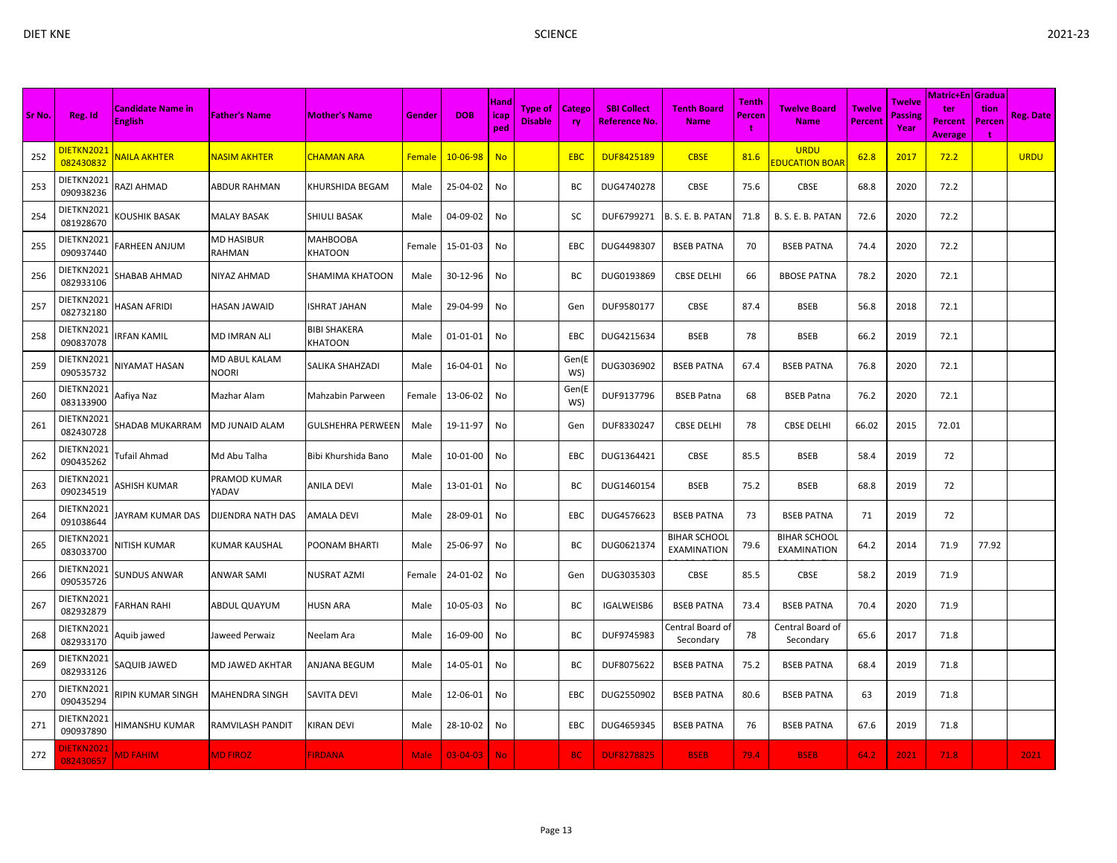| Sr No. | Reg. Id                       | <b>Candidate Name in</b><br><b>English</b> | <b>Father's Name</b>      | <b>Mother's Name</b>    | Gender        | <b>DOB</b>     | Hand<br>icap<br>ped | <b>Type of</b><br><b>Disable</b> | <b>Catego</b><br><b>ry</b> | <b>SBI Collect</b><br><b>Reference No.</b> | <b>Tenth Board</b><br><b>Name</b>         | Tenth<br><b>Percen</b><br>÷ | <b>Twelve Board</b><br><b>Name</b>   | <b>Twelve</b><br>Percent | <b>Twelve</b><br>Passing<br>Year | <b>Matric+En Gradua</b><br>ter<br>Percent<br><b>Average</b> | tion<br><b>Percen</b><br>÷ | <b>Reg. Date</b> |
|--------|-------------------------------|--------------------------------------------|---------------------------|-------------------------|---------------|----------------|---------------------|----------------------------------|----------------------------|--------------------------------------------|-------------------------------------------|-----------------------------|--------------------------------------|--------------------------|----------------------------------|-------------------------------------------------------------|----------------------------|------------------|
| 252    | DIETKN2021<br>082430832       | NAILA AKHTER                               | <mark>NASIM AKHTER</mark> | CHAMAN ARA              | <b>Female</b> | $10 - 06 - 98$ | <b>No</b>           |                                  | <b>EBC</b>                 | <b>DUF8425189</b>                          | <b>CBSE</b>                               | 81.6                        | <b>URDU</b><br><b>EDUCATION BOAF</b> | 62.8                     | 2017                             | 72.2                                                        |                            | <b>URDU</b>      |
| 253    | DIETKN2021<br>090938236       | <b>AZI AHMAD</b>                           | ABDUR RAHMAN              | KHURSHIDA BEGAM         | Male          | 25-04-02       | No                  |                                  | BC                         | DUG4740278                                 | CBSE                                      | 75.6                        | CBSE                                 | 68.8                     | 2020                             | 72.2                                                        |                            |                  |
| 254    | DIETKN2021<br>081928670       | <b>COUSHIK BASAK</b>                       | <b>MALAY BASAK</b>        | SHIULI BASAK            | Male          | 04-09-02       | No                  |                                  | SC                         | DUF6799271                                 | B. S. E. B. PATAN                         | 71.8                        | B. S. E. B. PATAN                    | 72.6                     | 2020                             | 72.2                                                        |                            |                  |
| 255    | DIETKN2021<br>090937440       | ARHEEN ANJUM                               | MD HASIBUR<br>RAHMAN      | МАНВООВА<br>KHATOON     | Female        | 15-01-03       | No                  |                                  | EBC                        | DUG4498307                                 | <b>BSEB PATNA</b>                         | 70                          | <b>BSEB PATNA</b>                    | 74.4                     | 2020                             | 72.2                                                        |                            |                  |
| 256    | DIETKN2021<br>082933106       | SHABAB AHMAD                               | NIYAZ AHMAD               | SHAMIMA KHATOON         | Male          | 30-12-96       | No                  |                                  | BC                         | DUG0193869                                 | <b>CBSE DELHI</b>                         | 66                          | <b>BBOSE PATNA</b>                   | 78.2                     | 2020                             | 72.1                                                        |                            |                  |
| 257    | DIETKN2021<br>082732180       | IASAN AFRIDI                               | HASAN JAWAID              | ISHRAT JAHAN            | Male          | 29-04-99       | No                  |                                  | Gen                        | DUF9580177                                 | <b>CBSE</b>                               | 87.4                        | <b>BSEB</b>                          | 56.8                     | 2018                             | 72.1                                                        |                            |                  |
| 258    | DIETKN2021<br>090837078       | RFAN KAMIL                                 | MD IMRAN ALI              | BIBI SHAKERA<br>KHATOON | Male          | $01 - 01 - 01$ | No                  |                                  | EBC                        | DUG4215634                                 | <b>BSEB</b>                               | 78                          | <b>BSEB</b>                          | 66.2                     | 2019                             | 72.1                                                        |                            |                  |
| 259    | DIETKN2021<br>090535732       | <b>IIYAMAT HASAN</b>                       | MD ABUL KALAM<br>NOORI    | SALIKA SHAHZADI         | Male          | 16-04-01       | No                  |                                  | Gen(E<br>WS)               | DUG3036902                                 | <b>BSEB PATNA</b>                         | 67.4                        | <b>BSEB PATNA</b>                    | 76.8                     | 2020                             | 72.1                                                        |                            |                  |
| 260    | DIETKN2021<br>083133900       | Aafiya Naz                                 | Mazhar Alam               | Mahzabin Parween        | Female        | 13-06-02       | No                  |                                  | Gen(E<br>WS)               | DUF9137796                                 | <b>BSEB Patna</b>                         | 68                          | <b>BSEB Patna</b>                    | 76.2                     | 2020                             | 72.1                                                        |                            |                  |
| 261    | DIETKN2021<br>082430728       | SHADAB MUKARRAM                            | MD JUNAID ALAM            | GULSHEHRA PERWEEN       | Male          | 19-11-97       | No                  |                                  | Gen                        | DUF8330247                                 | <b>CBSE DELHI</b>                         | 78                          | <b>CBSE DELHI</b>                    | 66.02                    | 2015                             | 72.01                                                       |                            |                  |
| 262    | DIETKN2021<br>090435262       | Tufail Ahmad                               | Md Abu Talha              | Bibi Khurshida Bano     | Male          | 10-01-00       | No                  |                                  | EBC                        | DUG1364421                                 | CBSE                                      | 85.5                        | <b>BSEB</b>                          | 58.4                     | 2019                             | 72                                                          |                            |                  |
| 263    | DIETKN2021<br>090234519       | <b>\SHISH KUMAR</b>                        | PRAMOD KUMAR<br>YADAV     | <b>ANILA DEVI</b>       | Male          | 13-01-01       | No                  |                                  | ВC                         | DUG1460154                                 | <b>BSEB</b>                               | 75.2                        | <b>BSEB</b>                          | 68.8                     | 2019                             | 72                                                          |                            |                  |
| 264    | DIETKN2021<br>091038644       | IAYRAM KUMAR DAS                           | DIJENDRA NATH DAS         | AMALA DEVI              | Male          | 28-09-01       | No                  |                                  | <b>EBC</b>                 | DUG4576623                                 | <b>BSEB PATNA</b>                         | 73                          | <b>BSEB PATNA</b>                    | 71                       | 2019                             | 72                                                          |                            |                  |
| 265    | DIETKN2021<br>083033700       | <b>IITISH KUMAR</b>                        | KUMAR KAUSHAL             | POONAM BHARTI           | Male          | 25-06-97       | No                  |                                  | BC                         | DUG0621374                                 | <b>BIHAR SCHOOL</b><br><b>EXAMINATION</b> | 79.6                        | <b>BIHAR SCHOOL</b><br>EXAMINATION   | 64.2                     | 2014                             | 71.9                                                        | 77.92                      |                  |
| 266    | DIETKN2021<br>090535726       | <b>SUNDUS ANWAR</b>                        | ANWAR SAMI                | NUSRAT AZMI             | Female        | 24-01-02       | No                  |                                  | Gen                        | DUG3035303                                 | CBSE                                      | 85.5                        | CBSE                                 | 58.2                     | 2019                             | 71.9                                                        |                            |                  |
| 267    | DIETKN2021<br>082932879       | ARHAN RAHI:                                | ABDUL QUAYUM              | HUSN ARA                | Male          | 10-05-03       | No                  |                                  | BC                         | IGALWEISB6                                 | <b>BSEB PATNA</b>                         | 73.4                        | <b>BSEB PATNA</b>                    | 70.4                     | 2020                             | 71.9                                                        |                            |                  |
| 268    | DIETKN2021<br>082933170       | Aquib jawed                                | Jaweed Perwaiz            | Neelam Ara              | Male          | 16-09-00       | No                  |                                  | BC                         | DUF9745983                                 | Central Board of<br>Secondary             | 78                          | Central Board of<br>Secondary        | 65.6                     | 2017                             | 71.8                                                        |                            |                  |
| 269    | DIETKN2021<br>082933126       | <b>SAQUIB JAWED</b>                        | MD JAWED AKHTAR           | ANJANA BEGUM            | Male          | 14-05-01       | No                  |                                  | BC                         | DUF8075622                                 | <b>BSEB PATNA</b>                         | 75.2                        | <b>BSEB PATNA</b>                    | 68.4                     | 2019                             | 71.8                                                        |                            |                  |
| 270    | DIETKN2021<br>090435294       | RIPIN KUMAR SINGH                          | MAHENDRA SINGH            | SAVITA DEVI             | Male          | 12-06-01       | No                  |                                  | EBC                        | DUG2550902                                 | <b>BSEB PATNA</b>                         | 80.6                        | <b>BSEB PATNA</b>                    | 63                       | 2019                             | 71.8                                                        |                            |                  |
| 271    | DIETKN2021<br>090937890       | IIMANSHU KUMAR                             | RAMVILASH PANDIT          | KIRAN DEVI              | Male          | 28-10-02       | No                  |                                  | EBC                        | DUG4659345                                 | <b>BSEB PATNA</b>                         | 76                          | <b>BSEB PATNA</b>                    | 67.6                     | 2019                             | 71.8                                                        |                            |                  |
| 272    | <b>IETKN2021</b><br>082430657 | <b>MD FAHIM</b>                            | <b>MD FIROZ</b>           | <b>FIRDANA</b>          | <b>Male</b>   | $03 - 04 - 03$ | <b>No</b>           |                                  | <b>BC</b>                  | <b>DUF8278825</b>                          | <b>BSEB</b>                               | 79.4                        | <b>BSEB</b>                          | 64.2                     | 2021                             | 71.8                                                        |                            | 2021             |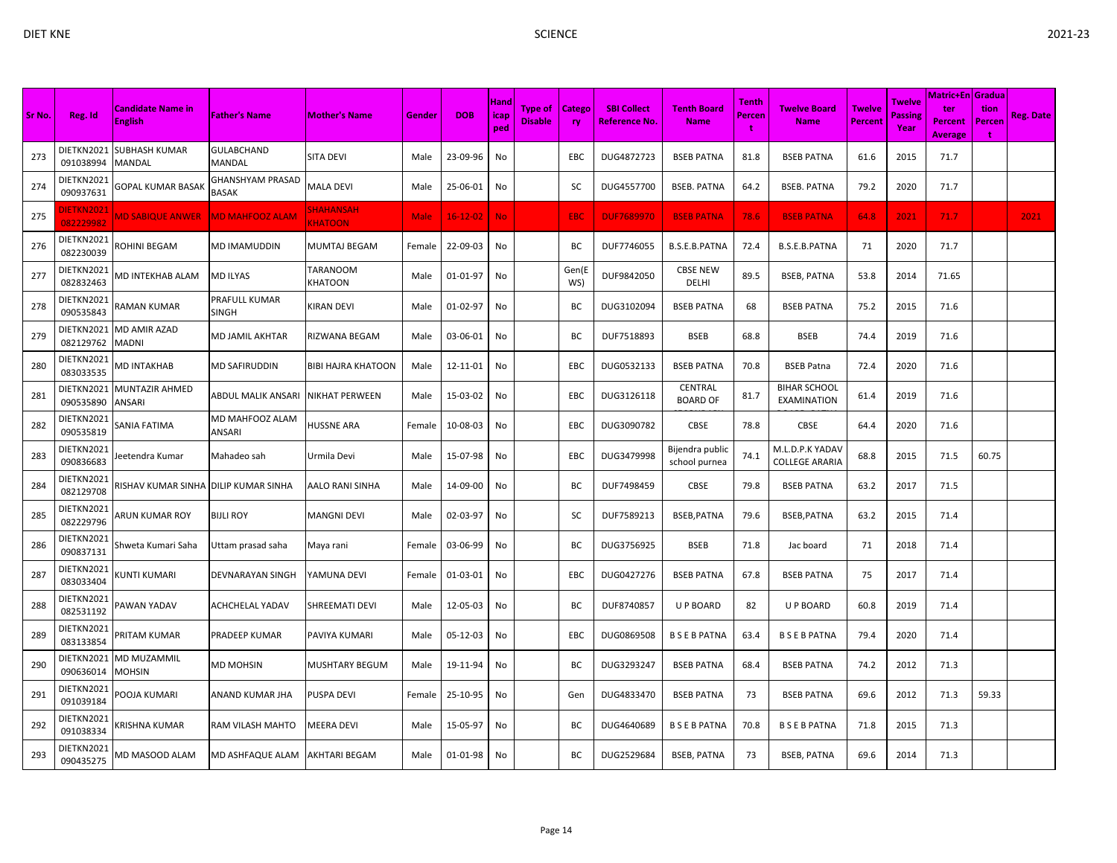| × |  |
|---|--|
|   |  |
| I |  |

| <b>Sr No</b> | Reg. Id                 | <b>Candidate Name in</b><br><b>English</b> | <b>Father's Name</b>             | <b>Mother's Name</b>               | Gender | <b>DOB</b>     | Hand<br>icap<br>ped | <b>Type of</b><br><b>Disable</b> | Catego<br>ry | <b>SBI Collect</b><br><b>Reference No.</b> | <b>Tenth Board</b><br><b>Name</b> | <b>Tenth</b><br>Percen<br>t | <b>Twelve Board</b><br><b>Name</b>       | <b>Twelve</b><br><b>Percent</b> | Twelve<br><b>Passing</b><br>Year | Matric+En Gradua<br>ter<br><b>Percent</b><br><b>Average</b> | tion<br>Percer<br>t | <b>Reg. Date</b> |
|--------------|-------------------------|--------------------------------------------|----------------------------------|------------------------------------|--------|----------------|---------------------|----------------------------------|--------------|--------------------------------------------|-----------------------------------|-----------------------------|------------------------------------------|---------------------------------|----------------------------------|-------------------------------------------------------------|---------------------|------------------|
| 273          | DIETKN2021<br>091038994 | <b>SUBHASH KUMAR</b><br><b>MANDAL</b>      | GULABCHAND<br>MANDAL             | SITA DEVI                          | Male   | 23-09-96       | <b>No</b>           |                                  | EBC          | DUG4872723                                 | <b>BSEB PATNA</b>                 | 81.8                        | <b>BSEB PATNA</b>                        | 61.6                            | 2015                             | 71.7                                                        |                     |                  |
| 274          | DIETKN2021<br>090937631 | GOPAL KUMAR BASAK                          | GHANSHYAM PRASAD<br>BASAK        | <b>MALA DEVI</b>                   | Male   | 25-06-01       | No                  |                                  | SC           | DUG4557700                                 | <b>BSEB. PATNA</b>                | 64.2                        | <b>BSEB. PATNA</b>                       | 79.2                            | 2020                             | 71.7                                                        |                     |                  |
| 275          | DIETKN2021<br>082229982 | <b>MD SABIQUE ANWER</b>                    | <b>MD MAHFOOZ ALAM</b>           | <b>SHAHANSAH</b><br><b>KHATOON</b> | Male   | $16 - 12 - 02$ | <b>No</b>           |                                  | <b>EBC</b>   | <b>DUF7689970</b>                          | <b>BSEB PATNA</b>                 | 78.6                        | <b>BSEB PATNA</b>                        | 64.8                            | 2021                             | 71.7                                                        |                     | 2021             |
| 276          | DIETKN2021<br>082230039 | ROHINI BEGAM                               | MD IMAMUDDIN                     | MUMTAJ BEGAM                       | Female | 22-09-03       | No                  |                                  | BC           | DUF7746055                                 | B.S.E.B.PATNA                     | 72.4                        | B.S.E.B.PATNA                            | 71                              | 2020                             | 71.7                                                        |                     |                  |
| 277          | DIETKN2021<br>082832463 | <b>MD INTEKHAB ALAM</b>                    | MD ILYAS                         | TARANOOM<br>KHATOON                | Male   | 01-01-97       | No                  |                                  | Gen(E<br>WS) | DUF9842050                                 | <b>CBSE NEW</b><br>DELHI          | 89.5                        | <b>BSEB, PATNA</b>                       | 53.8                            | 2014                             | 71.65                                                       |                     |                  |
| 278          | DIETKN2021<br>090535843 | RAMAN KUMAR                                | PRAFULL KUMAR<br><b>SINGH</b>    | KIRAN DEVI                         | Male   | 01-02-97       | <b>No</b>           |                                  | BC           | DUG3102094                                 | <b>BSEB PATNA</b>                 | 68                          | <b>BSEB PATNA</b>                        | 75.2                            | 2015                             | 71.6                                                        |                     |                  |
| 279          | DIETKN2021<br>082129762 | MD AMIR AZAD<br>MADNI                      | MD JAMIL AKHTAR                  | RIZWANA BEGAM                      | Male   | 03-06-01       | No                  |                                  | BC           | DUF7518893                                 | <b>BSEB</b>                       | 68.8                        | <b>BSEB</b>                              | 74.4                            | 2019                             | 71.6                                                        |                     |                  |
| 280          | DIETKN2021<br>083033535 | MD INTAKHAB                                | <b>MD SAFIRUDDIN</b>             | <b>BIBI HAJRA KHATOON</b>          | Male   | 12-11-01       | No                  |                                  | EBC          | DUG0532133                                 | <b>BSEB PATNA</b>                 | 70.8                        | <b>BSEB Patna</b>                        | 72.4                            | 2020                             | 71.6                                                        |                     |                  |
| 281          | DIETKN2021<br>090535890 | <b>MUNTAZIR AHMED</b><br>ANSARI            | ABDUL MALIK ANSARI               | <b>NIKHAT PERWEEN</b>              | Male   | 15-03-02       | <b>No</b>           |                                  | EBC          | DUG3126118                                 | <b>CENTRAL</b><br><b>BOARD OF</b> | 81.7                        | <b>BIHAR SCHOOL</b><br>EXAMINATION       | 61.4                            | 2019                             | 71.6                                                        |                     |                  |
| 282          | DIETKN2021<br>090535819 | SANIA FATIMA                               | <b>MD MAHFOOZ ALAM</b><br>ANSARI | HUSSNE ARA                         | Female | 10-08-03       | No                  |                                  | EBC          | DUG3090782                                 | <b>CBSE</b>                       | 78.8                        | <b>CBSE</b>                              | 64.4                            | 2020                             | 71.6                                                        |                     |                  |
| 283          | DIETKN2021<br>090836683 | leetendra Kumar                            | Mahadeo sah                      | Urmila Devi                        | Male   | 15-07-98       | No                  |                                  | EBC          | DUG3479998                                 | Bijendra public<br>school purnea  | 74.1                        | M.L.D.P.K YADAV<br><b>COLLEGE ARARIA</b> | 68.8                            | 2015                             | 71.5                                                        | 60.75               |                  |
| 284          | DIETKN2021<br>082129708 | RISHAV KUMAR SINHA                         | <b>DILIP KUMAR SINHA</b>         | AALO RANI SINHA                    | Male   | 14-09-00       | No                  |                                  | BC           | DUF7498459                                 | <b>CBSE</b>                       | 79.8                        | <b>BSEB PATNA</b>                        | 63.2                            | 2017                             | 71.5                                                        |                     |                  |
| 285          | DIETKN2021<br>082229796 | ARUN KUMAR ROY                             | <b>BIJLI ROY</b>                 | MANGNI DEVI                        | Male   | 02-03-97       | <b>No</b>           |                                  | SC           | DUF7589213                                 | BSEB, PATNA                       | 79.6                        | BSEB, PATNA                              | 63.2                            | 2015                             | 71.4                                                        |                     |                  |
| 286          | DIETKN2021<br>090837131 | Shweta Kumari Saha                         | Uttam prasad saha                | Maya rani                          | Female | 03-06-99       | No                  |                                  | BC           | DUG3756925                                 | <b>BSEB</b>                       | 71.8                        | Jac board                                | 71                              | 2018                             | 71.4                                                        |                     |                  |
| 287          | DIETKN2021<br>083033404 | <b>(UNTI KUMARI</b>                        | DEVNARAYAN SINGH                 | YAMUNA DEVI                        | Female | 01-03-01       | No                  |                                  | EBC          | DUG0427276                                 | <b>BSEB PATNA</b>                 | 67.8                        | <b>BSEB PATNA</b>                        | 75                              | 2017                             | 71.4                                                        |                     |                  |
| 288          | DIETKN2021<br>082531192 | PAWAN YADAV                                | <b>ACHCHELAL YADAV</b>           | SHREEMATI DEVI                     | Male   | 12-05-03       | No                  |                                  | BC           | DUF8740857                                 | <b>U P BOARD</b>                  | 82                          | U P BOARD                                | 60.8                            | 2019                             | 71.4                                                        |                     |                  |
| 289          | DIETKN2021<br>083133854 | PRITAM KUMAR                               | PRADEEP KUMAR                    | PAVIYA KUMARI                      | Male   | 05-12-03       | No                  |                                  | EBC          | DUG0869508                                 | <b>BSEBPATNA</b>                  | 63.4                        | <b>BSEBPATNA</b>                         | 79.4                            | 2020                             | 71.4                                                        |                     |                  |
| 290          | DIETKN2021<br>090636014 | <b>MD MUZAMMIL</b><br>MOHSIN               | MD MOHSIN                        | MUSHTARY BEGUM                     | Male   | 19-11-94       | No                  |                                  | BC           | DUG3293247                                 | <b>BSEB PATNA</b>                 | 68.4                        | <b>BSEB PATNA</b>                        | 74.2                            | 2012                             | 71.3                                                        |                     |                  |
| 291          | DIETKN2021<br>091039184 | POOJA KUMARI                               | ANAND KUMAR JHA                  | PUSPA DEVI                         | Female | 25-10-95       | No                  |                                  | Gen          | DUG4833470                                 | <b>BSEB PATNA</b>                 | 73                          | <b>BSEB PATNA</b>                        | 69.6                            | 2012                             | 71.3                                                        | 59.33               |                  |
| 292          | DIETKN2021<br>091038334 | KRISHNA KUMAR                              | RAM VILASH MAHTO                 | MEERA DEVI                         | Male   | 15-05-97       | No                  |                                  | BС           | DUG4640689                                 | <b>BSEBPATNA</b>                  | 70.8                        | <b>BSEBPATNA</b>                         | 71.8                            | 2015                             | 71.3                                                        |                     |                  |
| 293          | DIETKN2021<br>090435275 | VID MASOOD ALAM                            | MD ASHFAQUE ALAM                 | <b>AKHTARI BEGAM</b>               | Male   | 01-01-98       | No                  |                                  | ВC           | DUG2529684                                 | <b>BSEB, PATNA</b>                | 73                          | <b>BSEB, PATNA</b>                       | 69.6                            | 2014                             | 71.3                                                        |                     |                  |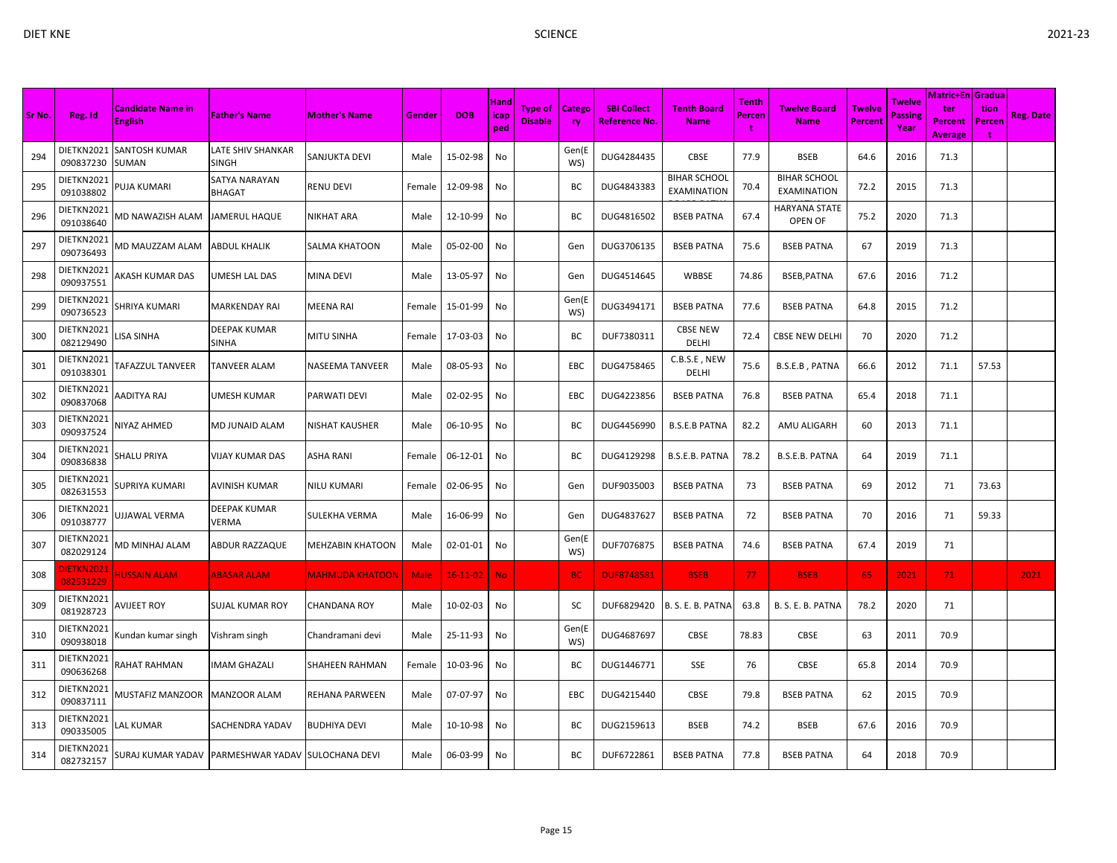|        |                                |                                     |                                                     |                         |             |                |                            |                                  |               |                                     |                                    |                             |                                    |                          |                           | <b>Matric+En Gradua</b>                 |                     |                  |
|--------|--------------------------------|-------------------------------------|-----------------------------------------------------|-------------------------|-------------|----------------|----------------------------|----------------------------------|---------------|-------------------------------------|------------------------------------|-----------------------------|------------------------------------|--------------------------|---------------------------|-----------------------------------------|---------------------|------------------|
| Sr No. | Reg. Id                        | Candidate Name in<br><b>English</b> | <b>Father's Name</b>                                | <b>Mother's Name</b>    | Gender      | <b>DOB</b>     | <b>Hand</b><br>icap<br>ped | <b>Type of</b><br><b>Disable</b> | Catego<br>ry. | <b>SBI Collect</b><br>Reference No. | <b>Tenth Board</b><br><b>Name</b>  | <b>Tenth</b><br>Percen<br>t | Twelve Board<br><b>Name</b>        | <b>Twelve</b><br>Percent | Twelve<br>Passine<br>Year | ter<br><b>Percent</b><br><b>Average</b> | tion<br>Percen<br>t | <b>Reg. Date</b> |
| 294    | DIETKN2021<br>090837230        | <b>SANTOSH KUMAR</b><br>SUMAN       | LATE SHIV SHANKAR<br>SINGH                          | SANJUKTA DEVI           | Male        | 15-02-98       | No                         |                                  | Gen(E<br>WS)  | DUG4284435                          | CBSE                               | 77.9                        | <b>BSEB</b>                        | 64.6                     | 2016                      | 71.3                                    |                     |                  |
| 295    | DIETKN2021<br>091038802        | PUJA KUMARI                         | SATYA NARAYAN<br>BHAGAT                             | <b>RENU DEVI</b>        | Female      | 12-09-98       | No                         |                                  | ВC            | DUG4843383                          | <b>BIHAR SCHOOL</b><br>EXAMINATION | 70.4                        | <b>BIHAR SCHOOL</b><br>EXAMINATION | 72.2                     | 2015                      | 71.3                                    |                     |                  |
| 296    | DIETKN2021<br>091038640        | <b>MD NAWAZISH ALAM</b>             | JAMERUL HAQUE                                       | <b>NIKHAT ARA</b>       | Male        | 12-10-99       | No                         |                                  | BC            | DUG4816502                          | <b>BSEB PATNA</b>                  | 67.4                        | <b>HARYANA STATE</b><br>OPEN OF    | 75.2                     | 2020                      | 71.3                                    |                     |                  |
| 297    | DIETKN2021<br>090736493        | MD MAUZZAM ALAM                     | <b>ABDUL KHALIK</b>                                 | <b>SALMA KHATOON</b>    | Male        | 05-02-00       | No                         |                                  | Gen           | DUG3706135                          | <b>BSEB PATNA</b>                  | 75.6                        | <b>BSEB PATNA</b>                  | 67                       | 2019                      | 71.3                                    |                     |                  |
| 298    | DIETKN2021<br>090937551        | AKASH KUMAR DAS                     | UMESH LAL DAS                                       | <b>MINA DEVI</b>        | Male        | 13-05-97       | No                         |                                  | Gen           | DUG4514645                          | WBBSE                              | 74.86                       | BSEB, PATNA                        | 67.6                     | 2016                      | 71.2                                    |                     |                  |
| 299    | DIETKN2021<br>090736523        | SHRIYA KUMARI                       | MARKENDAY RAI                                       | <b>MEENA RAI</b>        | Female      | 15-01-99       | No                         |                                  | Gen(E<br>WS)  | DUG3494171                          | <b>BSEB PATNA</b>                  | 77.6                        | <b>BSEB PATNA</b>                  | 64.8                     | 2015                      | 71.2                                    |                     |                  |
| 300    | DIETKN2021<br>082129490        | ISA SINHA                           | DEEPAK KUMAR<br>SINHA                               | <b>MITU SINHA</b>       | Female      | 17-03-03       | No                         |                                  | BC            | DUF7380311                          | <b>CBSE NEW</b><br>DELHI           | 72.4                        | <b>CBSE NEW DELHI</b>              | 70                       | 2020                      | 71.2                                    |                     |                  |
| 301    | DIETKN2021<br>091038301        | <b><i>FAFAZZUL TANVEER</i></b>      | TANVEER ALAM                                        | <b>NASEEMA TANVEER</b>  | Male        | 08-05-93       | No                         |                                  | EBC           | DUG4758465                          | C.B.S.E, NEW<br>DELHI              | 75.6                        | B.S.E.B, PATNA                     | 66.6                     | 2012                      | 71.1                                    | 57.53               |                  |
| 302    | DIETKN2021<br>090837068        | AADITYA RAJ                         | UMESH KUMAR                                         | <b>PARWATI DEVI</b>     | Male        | 02-02-95       | No                         |                                  | EBC           | DUG4223856                          | <b>BSEB PATNA</b>                  | 76.8                        | <b>BSEB PATNA</b>                  | 65.4                     | 2018                      | 71.1                                    |                     |                  |
| 303    | DIETKN2021<br>090937524        | NIYAZ AHMED                         | MD JUNAID ALAM                                      | <b>NISHAT KAUSHER</b>   | Male        | 06-10-95       | No                         |                                  | ВC            | DUG4456990                          | <b>B.S.E.B PATNA</b>               | 82.2                        | AMU ALIGARH                        | 60                       | 2013                      | 71.1                                    |                     |                  |
| 304    | DIETKN2021<br>090836838        | SHALU PRIYA                         | VIJAY KUMAR DAS                                     | <b>ASHA RANI</b>        | Female      | 06-12-01       | No                         |                                  | ВC            | DUG4129298                          | B.S.E.B. PATNA                     | 78.2                        | B.S.E.B. PATNA                     | 64                       | 2019                      | 71.1                                    |                     |                  |
| 305    | DIETKN2021<br>082631553        | SUPRIYA KUMARI                      | <b>AVINISH KUMAR</b>                                | <b>NILU KUMARI</b>      | Female      | 02-06-95       | No                         |                                  | Gen           | DUF9035003                          | <b>BSEB PATNA</b>                  | 73                          | <b>BSEB PATNA</b>                  | 69                       | 2012                      | 71                                      | 73.63               |                  |
| 306    | DIETKN2021<br>091038777        | UJJAWAL VERMA                       | DEEPAK KUMAR<br>VERMA                               | <b>SULEKHA VERMA</b>    | Male        | 16-06-99       | No                         |                                  | Gen           | DUG4837627                          | <b>BSEB PATNA</b>                  | 72                          | <b>BSEB PATNA</b>                  | 70                       | 2016                      | 71                                      | 59.33               |                  |
| 307    | DIETKN2021<br>082029124        | VID MINHAJ ALAM                     | ABDUR RAZZAQUE                                      | <b>MEHZABIN KHATOON</b> | Male        | 02-01-01       | No                         |                                  | Gen(E<br>WS)  | DUF7076875                          | <b>BSEB PATNA</b>                  | 74.6                        | <b>BSEB PATNA</b>                  | 67.4                     | 2019                      | 71                                      |                     |                  |
| 308    | <b>DIETKN2021</b><br>082531229 | <b>IUSSAIN ALAM</b>                 | <b>ABASAR ALAM</b>                                  | <b>MAHMUDA KHATOON</b>  | <b>Male</b> | $16 - 11 - 02$ | <b>No</b>                  |                                  | <b>BC</b>     | <b>DUF8748581</b>                   | <b>BSEB</b>                        | 77                          | <b>BSEB</b>                        | 65                       | 2021                      | 71 <sub>1</sub>                         |                     | 2021             |
| 309    | DIETKN2021<br>081928723        | <b>AVIJEET ROY</b>                  | SUJAL KUMAR ROY                                     | <b>CHANDANA ROY</b>     | Male        | 10-02-03       | No                         |                                  | SC            | DUF6829420                          | B. S. E. B. PATNA                  | 63.8                        | B. S. E. B. PATNA                  | 78.2                     | 2020                      | 71                                      |                     |                  |
| 310    | DIETKN2021<br>090938018        | Kundan kumar singh                  | Vishram singh                                       | Chandramani devi        | Male        | 25-11-93       | No                         |                                  | Gen(E<br>WS)  | DUG4687697                          | CBSE                               | 78.83                       | <b>CBSE</b>                        | 63                       | 2011                      | 70.9                                    |                     |                  |
| 311    | DIETKN2021<br>090636268        | RAHAT RAHMAN                        | IMAM GHAZALI                                        | <b>SHAHEEN RAHMAN</b>   | Female      | 10-03-96       | No                         |                                  | ВC            | DUG1446771                          | SSE                                | 76                          | CBSE                               | 65.8                     | 2014                      | 70.9                                    |                     |                  |
| 312    | DIETKN2021<br>090837111        | <b>MUSTAFIZ MANZOOR</b>             | <b>MANZOOR ALAM</b>                                 | <b>REHANA PARWEEN</b>   | Male        | 07-07-97       | No                         |                                  | EBC           | DUG4215440                          | CBSE                               | 79.8                        | <b>BSEB PATNA</b>                  | 62                       | 2015                      | 70.9                                    |                     |                  |
| 313    | DIETKN2021<br>090335005        | .AL KUMAR                           | SACHENDRA YADAV                                     | <b>BUDHIYA DEVI</b>     | Male        | 10-10-98       | No                         |                                  | ВC            | DUG2159613                          | <b>BSEB</b>                        | 74.2                        | <b>BSEB</b>                        | 67.6                     | 2016                      | 70.9                                    |                     |                  |
| 314    | DIETKN2021<br>082732157        |                                     | SURAJ KUMAR YADAV  PARMESHWAR YADAV  SULOCHANA DEVI |                         | Male        | 06-03-99       | No                         |                                  | BC            | DUF6722861                          | <b>BSEB PATNA</b>                  | 77.8                        | <b>BSEB PATNA</b>                  | 64                       | 2018                      | 70.9                                    |                     |                  |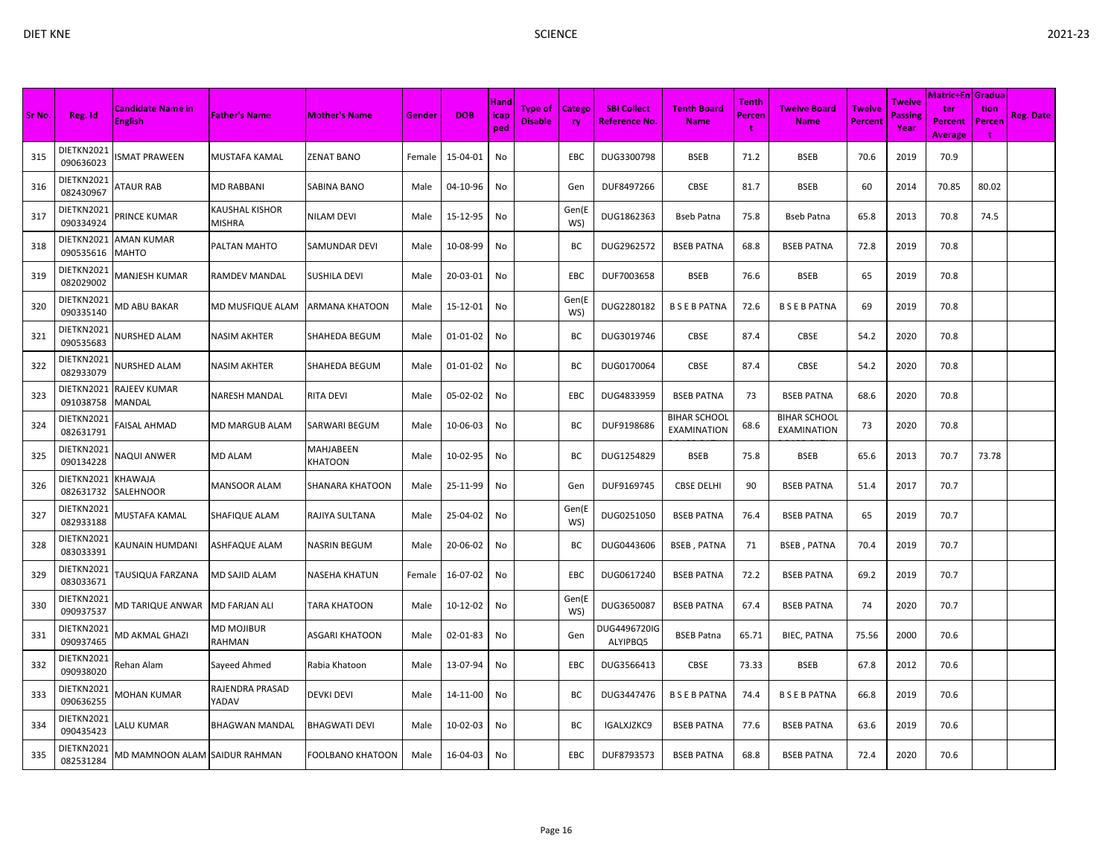|        |                         |                                     |                          |                                    |        |                | Hand        |                           |                     |                                     |                                           | <b>Tenth</b> |                                    |                                 | Twelve                 | Matric+En   Gradua                      |                                       |                  |
|--------|-------------------------|-------------------------------------|--------------------------|------------------------------------|--------|----------------|-------------|---------------------------|---------------------|-------------------------------------|-------------------------------------------|--------------|------------------------------------|---------------------------------|------------------------|-----------------------------------------|---------------------------------------|------------------|
| Sr No. | Reg. Id                 | Candidate Name in<br><b>English</b> | <b>Father's Name</b>     | <b>Mother's Name</b>               | Gender | <b>DOB</b>     | icap<br>ped | Type of<br><b>Disable</b> | Catego<br><b>ry</b> | <b>SBI Collect</b><br>Reference No. | <b>Tenth Board</b><br><b>Name</b>         | Percen<br>t  | <b>Twelve Board</b><br><b>Name</b> | <b>Twelve</b><br><b>Percent</b> | <b>Passing</b><br>Year | ter<br><b>Percent</b><br><b>Average</b> | tion<br>Percen<br>$\ddot{\mathbf{r}}$ | <b>Reg. Date</b> |
| 315    | DIETKN2021<br>090636023 | <b>SMAT PRAWEEN</b>                 | MUSTAFA KAMAL            | <b>ZENAT BANO</b>                  | Female | 15-04-01       | No          |                           | EBC                 | DUG3300798                          | <b>BSEB</b>                               | 71.2         | <b>BSEB</b>                        | 70.6                            | 2019                   | 70.9                                    |                                       |                  |
| 316    | DIETKN2021<br>082430967 | <b>ATAUR RAB</b>                    | MD RABBANI               | <b>SABINA BANO</b>                 | Male   | 04-10-96       | No          |                           | Gen                 | DUF8497266                          | CBSE                                      | 81.7         | <b>BSEB</b>                        | 60                              | 2014                   | 70.85                                   | 80.02                                 |                  |
| 317    | DIETKN2021<br>090334924 | PRINCE KUMAR                        | KAUSHAL KISHOR<br>MISHRA | <b>NILAM DEVI</b>                  | Male   | 15-12-95       | No          |                           | Gen(E<br>WS)        | DUG1862363                          | Bseb Patna                                | 75.8         | <b>Bseb Patna</b>                  | 65.8                            | 2013                   | 70.8                                    | 74.5                                  |                  |
| 318    | DIETKN2021<br>090535616 | AMAN KUMAR<br>MAHTO                 | PALTAN MAHTO             | <b>SAMUNDAR DEVI</b>               | Male   | 10-08-99       | No          |                           | ВC                  | DUG2962572                          | <b>BSEB PATNA</b>                         | 68.8         | <b>BSEB PATNA</b>                  | 72.8                            | 2019                   | 70.8                                    |                                       |                  |
| 319    | DIETKN2021<br>082029002 | MANJESH KUMAR                       | RAMDEV MANDAL            | <b>SUSHILA DEVI</b>                | Male   | 20-03-01       | No          |                           | EBC                 | DUF7003658                          | <b>BSEB</b>                               | 76.6         | <b>BSEB</b>                        | 65                              | 2019                   | 70.8                                    |                                       |                  |
| 320    | DIETKN2021<br>090335140 | VID ABU BAKAR                       | MD MUSFIQUE ALAM         | <b>ARMANA KHATOON</b>              | Male   | 15-12-01       | No          |                           | Gen(E<br>WS)        | DUG2280182                          | <b>BSEBPATNA</b>                          | 72.6         | <b>BSEBPATNA</b>                   | 69                              | 2019                   | 70.8                                    |                                       |                  |
| 321    | DIETKN2021<br>090535683 | <b>NURSHED ALAM</b>                 | NASIM AKHTER             | <b>SHAHEDA BEGUM</b>               | Male   | $01 - 01 - 02$ | No          |                           | BC                  | DUG3019746                          | CBSE                                      | 87.4         | <b>CBSE</b>                        | 54.2                            | 2020                   | 70.8                                    |                                       |                  |
| 322    | DIETKN2021<br>082933079 | <b>NURSHED ALAM</b>                 | NASIM AKHTER             | SHAHEDA BEGUM                      | Male   | 01-01-02       | No          |                           | ВC                  | DUG0170064                          | <b>CBSE</b>                               | 87.4         | CBSE                               | 54.2                            | 2020                   | 70.8                                    |                                       |                  |
| 323    | DIETKN2021<br>091038758 | RAJEEV KUMAR<br>MANDAL              | NARESH MANDAL            | <b>RITA DEVI</b>                   | Male   | 05-02-02       | No          |                           | <b>EBC</b>          | DUG4833959                          | <b>BSEB PATNA</b>                         | 73           | <b>BSEB PATNA</b>                  | 68.6                            | 2020                   | 70.8                                    |                                       |                  |
| 324    | DIETKN2021<br>082631791 | <b>FAISAL AHMAD</b>                 | MD MARGUB ALAM           | <b>SARWARI BEGUM</b>               | Male   | 10-06-03       | No          |                           | ВC                  | DUF9198686                          | <b>BIHAR SCHOOL</b><br><b>EXAMINATION</b> | 68.6         | <b>BIHAR SCHOOL</b><br>EXAMINATION | 73                              | 2020                   | 70.8                                    |                                       |                  |
| 325    | DIETKN2021<br>090134228 | <b>VAQUI ANWER</b>                  | MD ALAM                  | <b>MAHJABEEN</b><br><b>KHATOON</b> | Male   | 10-02-95       | No          |                           | BC                  | DUG1254829                          | <b>BSEB</b>                               | 75.8         | <b>BSEB</b>                        | 65.6                            | 2013                   | 70.7                                    | 73.78                                 |                  |
| 326    | DIETKN2021<br>082631732 | KHAWAJA<br>SALEHNOOR                | MANSOOR ALAM             | <b>SHANARA KHATOON</b>             | Male   | 25-11-99       | No          |                           | Gen                 | DUF9169745                          | <b>CBSE DELHI</b>                         | 90           | <b>BSEB PATNA</b>                  | 51.4                            | 2017                   | 70.7                                    |                                       |                  |
| 327    | DIETKN2021<br>082933188 | MUSTAFA KAMAL                       | SHAFIQUE ALAM            | RAJIYA SULTANA                     | Male   | 25-04-02       | No          |                           | Gen(E<br>WS)        | DUG0251050                          | <b>BSEB PATNA</b>                         | 76.4         | <b>BSEB PATNA</b>                  | 65                              | 2019                   | 70.7                                    |                                       |                  |
| 328    | DIETKN2021<br>083033391 | KAUNAIN HUMDANI                     | ASHFAQUE ALAM            | <b>NASRIN BEGUM</b>                | Male   | 20-06-02       | No          |                           | BC                  | DUG0443606                          | <b>BSEB, PATNA</b>                        | 71           | <b>BSEB, PATNA</b>                 | 70.4                            | 2019                   | 70.7                                    |                                       |                  |
| 329    | DIETKN2021<br>083033671 | <b>TAUSIQUA FARZANA</b>             | MD SAJID ALAM            | <b>NASEHA KHATUN</b>               | Female | 16-07-02       | No          |                           | EBC                 | DUG0617240                          | <b>BSEB PATNA</b>                         | 72.2         | <b>BSEB PATNA</b>                  | 69.2                            | 2019                   | 70.7                                    |                                       |                  |
| 330    | DIETKN2021<br>090937537 | <b>MD TARIQUE ANWAR</b>             | MD FARJAN ALI            | <b>TARA KHATOON</b>                | Male   | 10-12-02       | No          |                           | Gen(E<br>WS)        | DUG3650087                          | <b>BSEB PATNA</b>                         | 67.4         | <b>BSEB PATNA</b>                  | 74                              | 2020                   | 70.7                                    |                                       |                  |
| 331    | DIETKN2021<br>090937465 | MD AKMAL GHAZI                      | MD MOJIBUR<br>RAHMAN     | <b>ASGARI KHATOON</b>              | Male   | 02-01-83       | No          |                           | Gen                 | DUG4496720IG<br>ALYIPBQ5            | <b>BSEB Patna</b>                         | 65.71        | <b>BIEC, PATNA</b>                 | 75.56                           | 2000                   | 70.6                                    |                                       |                  |
| 332    | DIETKN2021<br>090938020 | Rehan Alam                          | Sayeed Ahmed             | Rabia Khatoon                      | Male   | 13-07-94       | No          |                           | EBC                 | DUG3566413                          | CBSE                                      | 73.33        | <b>BSEB</b>                        | 67.8                            | 2012                   | 70.6                                    |                                       |                  |
| 333    | DIETKN2021<br>090636255 | <b>MOHAN KUMAR</b>                  | RAJENDRA PRASAD<br>YADAV | <b>DEVKI DEVI</b>                  | Male   | 14-11-00       | No          |                           | BC                  | DUG3447476                          | <b>BSEBPATNA</b>                          | 74.4         | <b>BSEBPATNA</b>                   | 66.8                            | 2019                   | 70.6                                    |                                       |                  |
| 334    | DIETKN2021<br>090435423 | ALU KUMAR.                          | BHAGWAN MANDAL           | <b>BHAGWATI DEVI</b>               | Male   | 10-02-03       | No          |                           | ВC                  | IGALXJZKC9                          | <b>BSEB PATNA</b>                         | 77.6         | <b>BSEB PATNA</b>                  | 63.6                            | 2019                   | 70.6                                    |                                       |                  |
| 335    | DIETKN2021<br>082531284 | MD MAMNOON ALAM SAIDUR RAHMAN       |                          | <b>FOOLBANO KHATOON</b>            | Male   | 16-04-03       | No          |                           | <b>EBC</b>          | DUF8793573                          | <b>BSEB PATNA</b>                         | 68.8         | <b>BSEB PATNA</b>                  | 72.4                            | 2020                   | 70.6                                    |                                       |                  |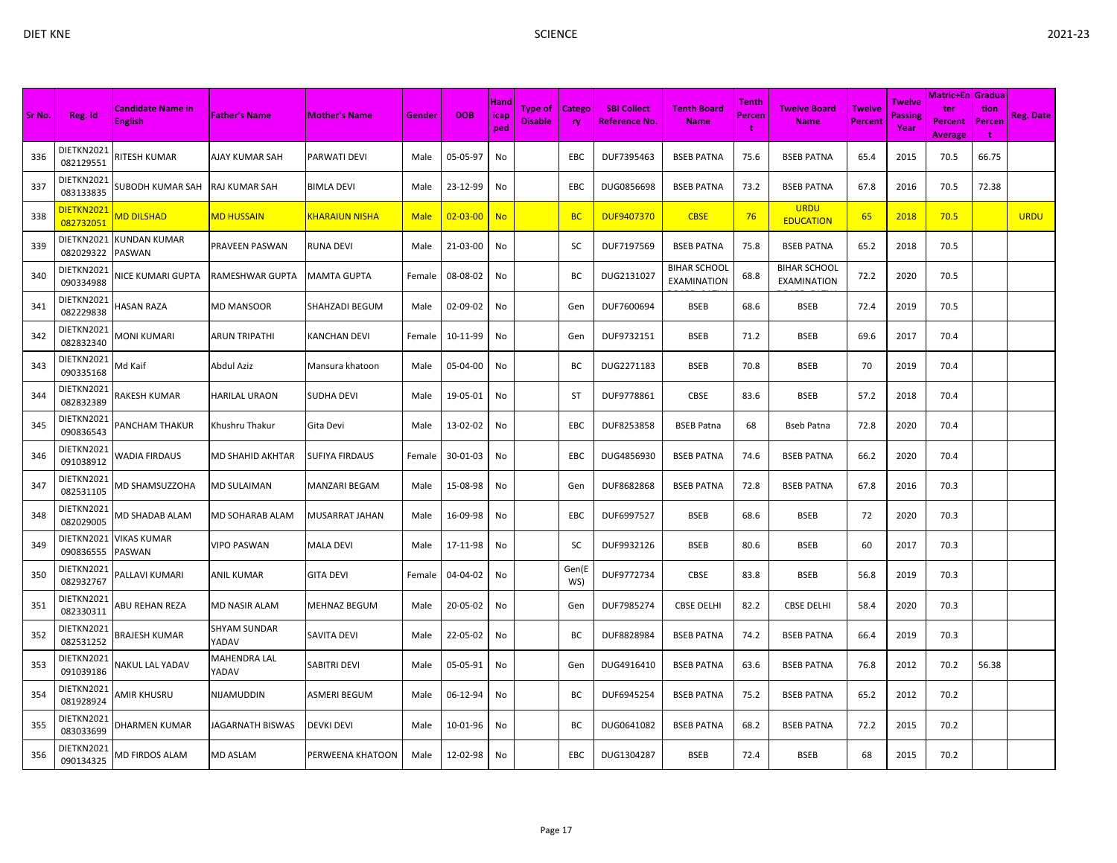|        |                         |                                     |                       |                       |             | <b>Tenth</b>   |                            |                                  |               | Matric+En Gradua                           |                                           |             |                                           |                          |                           |                                         |                            |                  |
|--------|-------------------------|-------------------------------------|-----------------------|-----------------------|-------------|----------------|----------------------------|----------------------------------|---------------|--------------------------------------------|-------------------------------------------|-------------|-------------------------------------------|--------------------------|---------------------------|-----------------------------------------|----------------------------|------------------|
| Sr No. | Reg. Id                 | Candidate Name in<br><b>English</b> | <b>Father's Name</b>  | <b>Mother's Name</b>  | Gender      | <b>DOB</b>     | <b>Hand</b><br>icap<br>ped | <b>Type of</b><br><b>Disable</b> | Catego<br>ry. | <b>SBI Collect</b><br><u>Reference No.</u> | <b>Tenth Board</b><br><b>Name</b>         | Percen<br>t | Twelve Board<br><b>Name</b>               | <b>Twelve</b><br>Percent | Twelve<br>Passine<br>Year | ter<br><b>Percent</b><br><b>Average</b> | tion<br>Percen<br><b>t</b> | <b>Reg. Date</b> |
| 336    | DIETKN2021<br>082129551 | RITESH KUMAR                        | AJAY KUMAR SAH        | <b>PARWATI DEVI</b>   | Male        | 05-05-97       | No                         |                                  | <b>EBC</b>    | DUF7395463                                 | <b>BSEB PATNA</b>                         | 75.6        | <b>BSEB PATNA</b>                         | 65.4                     | 2015                      | 70.5                                    | 66.75                      |                  |
| 337    | DIETKN2021<br>083133835 | SUBODH KUMAR SAH                    | RAJ KUMAR SAH         | <b>BIMLA DEVI</b>     | Male        | 23-12-99       | No                         |                                  | EBC           | DUG0856698                                 | <b>BSEB PATNA</b>                         | 73.2        | <b>BSEB PATNA</b>                         | 67.8                     | 2016                      | 70.5                                    | 72.38                      |                  |
| 338    | DIETKN202:<br>082732051 | MD DILSHAD                          | <b>MD HUSSAIN</b>     | <b>KHARAIUN NISHA</b> | <b>Male</b> | $02 - 03 - 00$ | <b>No</b>                  |                                  | <b>BC</b>     | <b>DUF9407370</b>                          | <b>CBSE</b>                               | 76          | <b>URDU</b><br><b>EDUCATION</b>           | 65                       | 2018                      | 70.5                                    |                            | <b>URDU</b>      |
| 339    | DIETKN2021<br>082029322 | KUNDAN KUMAR<br>PASWAN              | PRAVEEN PASWAN        | <b>RUNA DEVI</b>      | Male        | 21-03-00       | No                         |                                  | sc            | DUF7197569                                 | <b>BSEB PATNA</b>                         | 75.8        | <b>BSEB PATNA</b>                         | 65.2                     | 2018                      | 70.5                                    |                            |                  |
| 340    | DIETKN2021<br>090334988 | NICE KUMARI GUPTA                   | RAMESHWAR GUPTA       | <b>MAMTA GUPTA</b>    | Female      | 08-08-02       | No                         |                                  | BС            | DUG2131027                                 | <b>BIHAR SCHOOL</b><br><b>EXAMINATION</b> | 68.8        | <b>BIHAR SCHOOL</b><br><b>EXAMINATION</b> | 72.2                     | 2020                      | 70.5                                    |                            |                  |
| 341    | DIETKN2021<br>082229838 | HASAN RAZA                          | MD MANSOOR            | <b>SHAHZADI BEGUM</b> | Male        | 02-09-02       | No                         |                                  | Gen           | DUF7600694                                 | <b>BSEB</b>                               | 68.6        | <b>BSEB</b>                               | 72.4                     | 2019                      | 70.5                                    |                            |                  |
| 342    | DIETKN2021<br>082832340 | VIONI KUMARI                        | ARUN TRIPATHI         | <b>KANCHAN DEVI</b>   | Female      | 10-11-99       | No                         |                                  | Gen           | DUF9732151                                 | <b>BSEB</b>                               | 71.2        | <b>BSEB</b>                               | 69.6                     | 2017                      | 70.4                                    |                            |                  |
| 343    | DIETKN2021<br>090335168 | Md Kaif                             | Abdul Aziz            | Mansura khatoon       | Male        | 05-04-00       | No                         |                                  | ВC            | DUG2271183                                 | <b>BSEB</b>                               | 70.8        | <b>BSEB</b>                               | 70                       | 2019                      | 70.4                                    |                            |                  |
| 344    | DIETKN2021<br>082832389 | RAKESH KUMAR                        | HARILAL URAON         | <b>SUDHA DEVI</b>     | Male        | 19-05-01       | No                         |                                  | ST            | DUF9778861                                 | CBSE                                      | 83.6        | <b>BSEB</b>                               | 57.2                     | 2018                      | 70.4                                    |                            |                  |
| 345    | DIETKN2021<br>090836543 | PANCHAM THAKUR                      | Khushru Thakur        | Gita Devi             | Male        | 13-02-02       | No                         |                                  | <b>EBC</b>    | DUF8253858                                 | <b>BSEB Patna</b>                         | 68          | Bseb Patna                                | 72.8                     | 2020                      | 70.4                                    |                            |                  |
| 346    | DIETKN2021<br>091038912 | WADIA FIRDAUS                       | MD SHAHID AKHTAR      | <b>SUFIYA FIRDAUS</b> | Female      | 30-01-03       | No                         |                                  | EBC           | DUG4856930                                 | <b>BSEB PATNA</b>                         | 74.6        | <b>BSEB PATNA</b>                         | 66.2                     | 2020                      | 70.4                                    |                            |                  |
| 347    | DIETKN2021<br>082531105 | VID SHAMSUZZOHA                     | MD SULAIMAN           | <b>MANZARI BEGAM</b>  | Male        | 15-08-98       | No                         |                                  | Gen           | DUF8682868                                 | <b>BSEB PATNA</b>                         | 72.8        | <b>BSEB PATNA</b>                         | 67.8                     | 2016                      | 70.3                                    |                            |                  |
| 348    | DIETKN2021<br>082029005 | VID SHADAB ALAM                     | MD SOHARAB ALAM       | MUSARRAT JAHAN        | Male        | 16-09-98       | No                         |                                  | EBC           | DUF6997527                                 | <b>BSEB</b>                               | 68.6        | <b>BSEB</b>                               | 72                       | 2020                      | 70.3                                    |                            |                  |
| 349    | DIETKN2021<br>090836555 | VIKAS KUMAR<br>PASWAN               | VIPO PASWAN           | <b>MALA DEVI</b>      | Male        | 17-11-98       | No                         |                                  | SC            | DUF9932126                                 | <b>BSEB</b>                               | 80.6        | <b>BSEB</b>                               | 60                       | 2017                      | 70.3                                    |                            |                  |
| 350    | DIETKN2021<br>082932767 | PALLAVI KUMARI                      | ANIL KUMAR            | <b>GITA DEVI</b>      | Female      | 04-04-02       | No                         |                                  | Gen(E<br>WS)  | DUF9772734                                 | CBSE                                      | 83.8        | <b>BSEB</b>                               | 56.8                     | 2019                      | 70.3                                    |                            |                  |
| 351    | DIETKN2021<br>082330311 | ABU REHAN REZA                      | MD NASIR ALAM         | <b>MEHNAZ BEGUM</b>   | Male        | 20-05-02       | No                         |                                  | Gen           | DUF7985274                                 | <b>CBSE DELHI</b>                         | 82.2        | <b>CBSE DELHI</b>                         | 58.4                     | 2020                      | 70.3                                    |                            |                  |
| 352    | DIETKN2021<br>082531252 | BRAJESH KUMAR                       | SHYAM SUNDAR<br>YADAV | <b>SAVITA DEVI</b>    | Male        | 22-05-02       | No                         |                                  | BC            | DUF8828984                                 | <b>BSEB PATNA</b>                         | 74.2        | <b>BSEB PATNA</b>                         | 66.4                     | 2019                      | 70.3                                    |                            |                  |
| 353    | DIETKN2021<br>091039186 | NAKUL LAL YADAV                     | MAHENDRA LAL<br>YADAV | SABITRI DEVI          | Male        | 05-05-91       | No                         |                                  | Gen           | DUG4916410                                 | <b>BSEB PATNA</b>                         | 63.6        | <b>BSEB PATNA</b>                         | 76.8                     | 2012                      | 70.2                                    | 56.38                      |                  |
| 354    | DIETKN2021<br>081928924 | AMIR KHUSRU                         | NIJAMUDDIN            | <b>ASMERI BEGUM</b>   | Male        | 06-12-94       | No                         |                                  | BC            | DUF6945254                                 | <b>BSEB PATNA</b>                         | 75.2        | <b>BSEB PATNA</b>                         | 65.2                     | 2012                      | 70.2                                    |                            |                  |
| 355    | DIETKN2021<br>083033699 | DHARMEN KUMAR                       | JAGARNATH BISWAS      | <b>DEVKI DEVI</b>     | Male        | 10-01-96       | No                         |                                  | ВC            | DUG0641082                                 | <b>BSEB PATNA</b>                         | 68.2        | <b>BSEB PATNA</b>                         | 72.2                     | 2015                      | 70.2                                    |                            |                  |
| 356    | DIETKN2021<br>090134325 | <b>MD FIRDOS ALAM</b>               | MD ASLAM              | PERWEENA KHATOON      | Male        | 12-02-98       | No                         |                                  | EBC           | DUG1304287                                 | <b>BSEB</b>                               | 72.4        | <b>BSEB</b>                               | 68                       | 2015                      | 70.2                                    |                            |                  |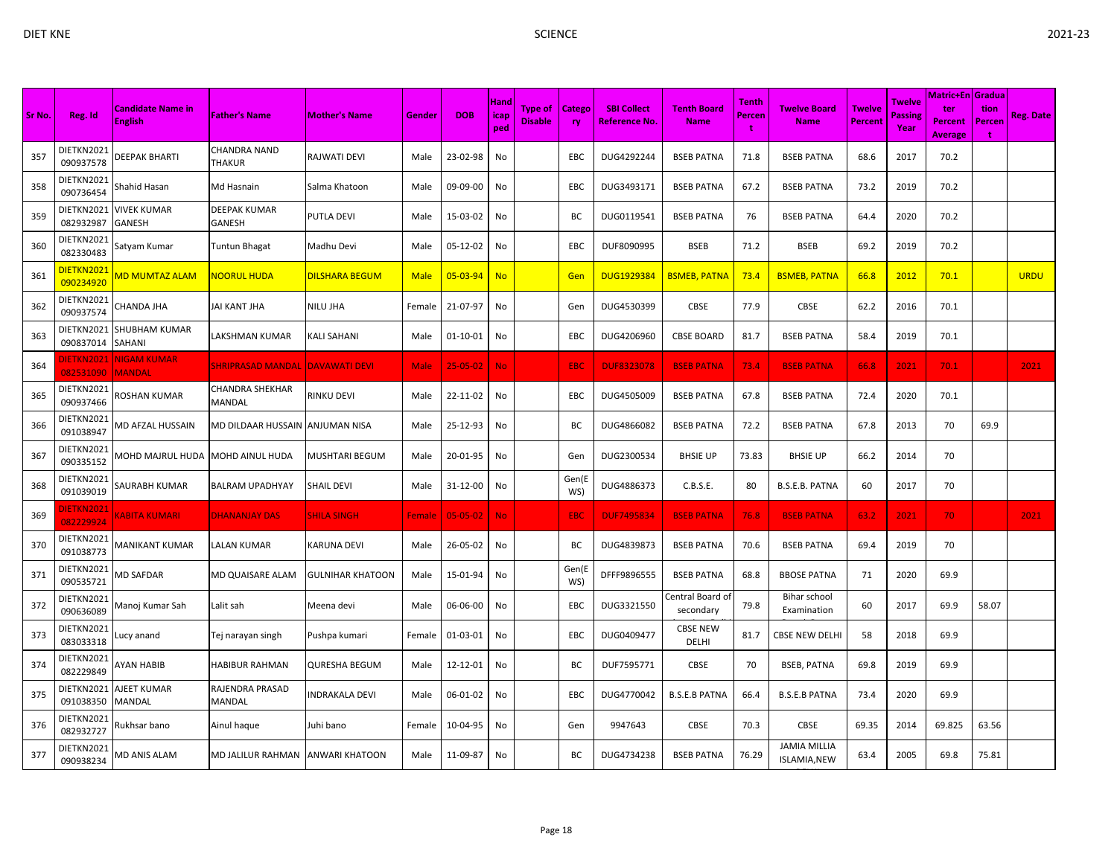| × |  |
|---|--|
|   |  |

| Sr No. | Reg. Id                        | Candidate Name in<br><b>English</b> | <b>Father's Name</b>                          | <b>Mother's Name</b>    | Gender      | <b>DOB</b>     | <b>Hand</b><br>icap<br>ped | <b>Type of</b><br><b>Disable</b> | Catego<br>ry. | <b>SBI Collect</b><br>Reference No. | <b>Tenth Board</b><br><b>Name</b> | <b>Tenth</b><br><b>Percen</b><br>t | <b>Twelve Board</b><br><b>Name</b>         | <b>Twelve</b><br>Percent | Twelve<br>Passing<br>Year | Matric+En <i>Gradua</i><br>ter<br><b>Percent</b><br><b>Average</b> | tion<br>Percen<br>t | <b>Reg. Date</b> |
|--------|--------------------------------|-------------------------------------|-----------------------------------------------|-------------------------|-------------|----------------|----------------------------|----------------------------------|---------------|-------------------------------------|-----------------------------------|------------------------------------|--------------------------------------------|--------------------------|---------------------------|--------------------------------------------------------------------|---------------------|------------------|
| 357    | DIETKN2021<br>090937578        | DEEPAK BHARTI                       | CHANDRA NAND<br>THAKUR                        | <b>RAJWATI DEVI</b>     | Male        | 23-02-98       | No                         |                                  | EBC           | DUG4292244                          | <b>BSEB PATNA</b>                 | 71.8                               | <b>BSEB PATNA</b>                          | 68.6                     | 2017                      | 70.2                                                               |                     |                  |
| 358    | DIETKN2021<br>090736454        | Shahid Hasan                        | Md Hasnain                                    | Salma Khatoon           | Male        | 09-09-00       | No                         |                                  | EBC           | DUG3493171                          | <b>BSEB PATNA</b>                 | 67.2                               | <b>BSEB PATNA</b>                          | 73.2                     | 2019                      | 70.2                                                               |                     |                  |
| 359    | DIETKN2021<br>082932987        | <b>VIVEK KUMAR</b><br>GANESH        | DEEPAK KUMAR<br>GANESH                        | <b>PUTLA DEVI</b>       | Male        | 15-03-02       | No                         |                                  | BC            | DUG0119541                          | <b>BSEB PATNA</b>                 | 76                                 | <b>BSEB PATNA</b>                          | 64.4                     | 2020                      | 70.2                                                               |                     |                  |
| 360    | DIETKN2021<br>082330483        | Satyam Kumar                        | Tuntun Bhagat                                 | Madhu Devi              | Male        | 05-12-02       | No                         |                                  | EBC           | DUF8090995                          | <b>BSEB</b>                       | 71.2                               | <b>BSEB</b>                                | 69.2                     | 2019                      | 70.2                                                               |                     |                  |
| 361    | DIETKN2021<br>090234920        | <mark>AD MUMTAZ ALAM</mark>         | <mark>NOORUL HUDA</mark>                      | <b>DILSHARA BEGUM</b>   | <b>Male</b> | 05-03-94       | <b>No</b>                  |                                  | Gen           | <b>DUG1929384</b>                   | <b>BSMEB, PATNA</b>               | 73.4                               | <b>BSMEB, PATNA</b>                        | 66.8                     | 2012                      | 70.1                                                               |                     | <b>URDU</b>      |
| 362    | DIETKN2021<br>090937574        | CHANDA JHA                          | JAI KANT JHA                                  | <b>NILU JHA</b>         | Female      | 21-07-97       | No                         |                                  | Gen           | DUG4530399                          | CBSE                              | 77.9                               | CBSE                                       | 62.2                     | 2016                      | 70.1                                                               |                     |                  |
| 363    | DIETKN2021<br>090837014        | SHUBHAM KUMAR<br>SAHANI             | LAKSHMAN KUMAR                                | <b>KALI SAHANI</b>      | Male        | $01 - 10 - 01$ | No                         |                                  | EBC           | DUG4206960                          | <b>CBSE BOARD</b>                 | 81.7                               | <b>BSEB PATNA</b>                          | 58.4                     | 2019                      | 70.1                                                               |                     |                  |
| 364    | <b>ILETKN2021</b><br>082531090 | <b>NIGAM KUMAR</b><br>MANDAL        | <mark>SHRIPRASAD MANDAL  DAVAWATI DEVI</mark> |                         | Male        | $25 - 05 - 02$ | <b>No</b>                  |                                  | EBC           | <b>DUF8323078</b>                   | <b>BSEB PATNA</b>                 | 73.4                               | <b>BSEB PATNA</b>                          | 66.8                     | 2021                      | 70.1                                                               |                     | 2021             |
| 365    | DIETKN2021<br>090937466        | ROSHAN KUMAR                        | CHANDRA SHEKHAR<br>MANDAL                     | <b>RINKU DEVI</b>       | Male        | 22-11-02       | No                         |                                  | EBC           | DUG4505009                          | <b>BSEB PATNA</b>                 | 67.8                               | <b>BSEB PATNA</b>                          | 72.4                     | 2020                      | 70.1                                                               |                     |                  |
| 366    | DIETKN2021<br>091038947        | VID AFZAL HUSSAIN                   | MD DILDAAR HUSSAIN TANJUMAN NISA              |                         | Male        | 25-12-93       | No                         |                                  | ВC            | DUG4866082                          | <b>BSEB PATNA</b>                 | 72.2                               | <b>BSEB PATNA</b>                          | 67.8                     | 2013                      | 70                                                                 | 69.9                |                  |
| 367    | DIETKN2021<br>090335152        | MOHD MAJRUL HUDA                    | MOHD AINUL HUDA                               | <b>MUSHTARI BEGUM</b>   | Male        | 20-01-95       | No                         |                                  | Gen           | DUG2300534                          | <b>BHSIE UP</b>                   | 73.83                              | <b>BHSIE UP</b>                            | 66.2                     | 2014                      | 70                                                                 |                     |                  |
| 368    | DIETKN2021<br>091039019        | SAURABH KUMAR                       | BALRAM UPADHYAY                               | <b>SHAIL DEVI</b>       | Male        | 31-12-00       | No                         |                                  | Gen(E<br>WS)  | DUG4886373                          | C.B.S.E.                          | 80                                 | B.S.E.B. PATNA                             | 60                       | 2017                      | 70                                                                 |                     |                  |
| 369    | DIETKN2021<br>082229924        | <b>CABITA KUMARI</b>                | <b>DHANANJAY DAS</b>                          | <b>SHILA SINGH</b>      | Female      | 05-05-02       | <b>No</b>                  |                                  | <b>EBC</b>    | <b>DUF7495834</b>                   | <b>BSEB PATNA</b>                 | 76.8                               | <b>BSEB PATNA</b>                          | 63.2                     | 2021                      | 70                                                                 |                     | 2021             |
| 370    | DIETKN2021<br>091038773        | MANIKANT KUMAR                      | LALAN KUMAR                                   | <b>KARUNA DEVI</b>      | Male        | 26-05-02       | No                         |                                  | ВC            | DUG4839873                          | <b>BSEB PATNA</b>                 | 70.6                               | <b>BSEB PATNA</b>                          | 69.4                     | 2019                      | 70                                                                 |                     |                  |
| 371    | DIETKN2021<br>090535721        | <b>MD SAFDAR</b>                    | MD QUAISARE ALAM                              | <b>GULNIHAR KHATOON</b> | Male        | 15-01-94       | No                         |                                  | Gen(E<br>WS)  | DFFF9896555                         | <b>BSEB PATNA</b>                 | 68.8                               | <b>BBOSE PATNA</b>                         | 71                       | 2020                      | 69.9                                                               |                     |                  |
| 372    | DIETKN2021<br>090636089        | Manoj Kumar Sah                     | Lalit sah                                     | Meena devi              | Male        | 06-06-00       | No                         |                                  | EBC           | DUG3321550                          | Central Board of<br>secondary     | 79.8                               | Bihar school<br>Examination                | 60                       | 2017                      | 69.9                                                               | 58.07               |                  |
| 373    | DIETKN2021<br>083033318        | ucy anand                           | Tej narayan singh                             | Pushpa kumari           | Female      | 01-03-01       | No                         |                                  | EBC           | DUG0409477                          | <b>CBSE NEW</b><br>DELHI          | 81.7                               | <b>CBSE NEW DELH</b>                       | 58                       | 2018                      | 69.9                                                               |                     |                  |
| 374    | DIETKN2021<br>082229849        | <b>AYAN HABIB</b>                   | HABIBUR RAHMAN                                | <b>QURESHA BEGUM</b>    | Male        | 12-12-01       | No                         |                                  | ВC            | DUF7595771                          | CBSE                              | 70                                 | <b>BSEB, PATNA</b>                         | 69.8                     | 2019                      | 69.9                                                               |                     |                  |
| 375    | DIETKN2021<br>091038350        | AJEET KUMAR<br>MANDAL               | RAJENDRA PRASAD<br>MANDAL                     | <b>INDRAKALA DEVI</b>   | Male        | 06-01-02       | No                         |                                  | EBC           | DUG4770042                          | <b>B.S.E.B PATNA</b>              | 66.4                               | <b>B.S.E.B PATNA</b>                       | 73.4                     | 2020                      | 69.9                                                               |                     |                  |
| 376    | DIETKN2021<br>082932727        | Rukhsar bano                        | Ainul haque                                   | Juhi bano               | Female      | 10-04-95       | No                         |                                  | Gen           | 9947643                             | CBSE                              | 70.3                               | CBSE                                       | 69.35                    | 2014                      | 69.825                                                             | 63.56               |                  |
| 377    | DIETKN2021<br>090938234        | <b>MD ANIS ALAM</b>                 | MD JALILUR RAHMAN                             | <b>ANWARI KHATOON</b>   | Male        | 11-09-87       | No                         |                                  | BC            | DUG4734238                          | <b>BSEB PATNA</b>                 | 76.29                              | <b>JAMIA MILLIA</b><br><b>ISLAMIA, NEW</b> | 63.4                     | 2005                      | 69.8                                                               | 75.81               |                  |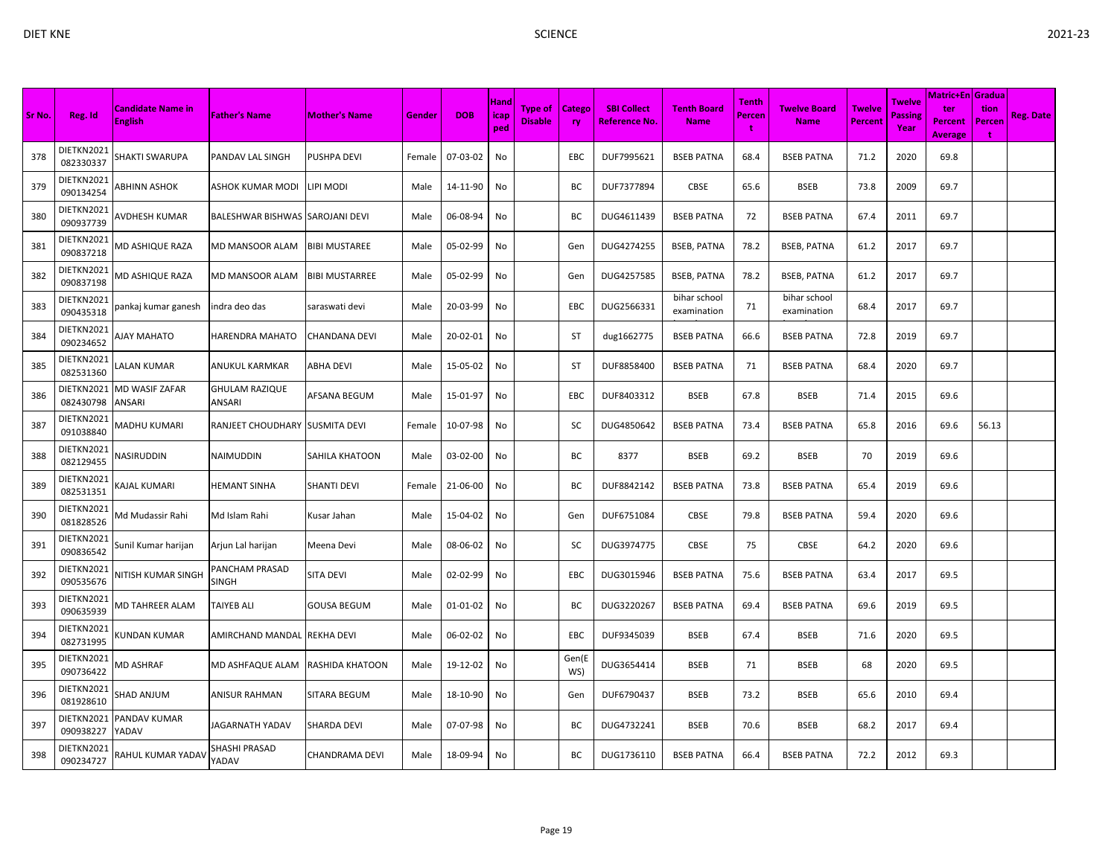|        |                         |                                            |                                 |                       |        |            | Hand        |                                  |                            |                                            |                                   | <b>Tenth</b> |                                    |                                 | Twelve                 | Matric+En   Gradua               |                     |                  |
|--------|-------------------------|--------------------------------------------|---------------------------------|-----------------------|--------|------------|-------------|----------------------------------|----------------------------|--------------------------------------------|-----------------------------------|--------------|------------------------------------|---------------------------------|------------------------|----------------------------------|---------------------|------------------|
| Sr No. | Reg. Id                 | <b>Candidate Name in</b><br><b>English</b> | <b>Father's Name</b>            | <b>Mother's Name</b>  | Gender | <b>DOB</b> | icap<br>ped | <b>Type of</b><br><b>Disable</b> | <b>Catego</b><br><b>ry</b> | <b>SBI Collect</b><br><b>Reference No.</b> | <b>Tenth Board</b><br><b>Name</b> | Percen<br>÷  | <b>Twelve Board</b><br><b>Name</b> | <b>Twelve</b><br><b>Percent</b> | <b>Passing</b><br>Year | ter<br>Percent<br><b>Average</b> | tion<br>Percen<br>÷ | <b>Reg. Date</b> |
| 378    | DIETKN2021<br>082330337 | SHAKTI SWARUPA                             | PANDAV LAL SINGH                | PUSHPA DEVI           | Female | 07-03-02   | No          |                                  | EBC                        | DUF7995621                                 | <b>BSEB PATNA</b>                 | 68.4         | <b>BSEB PATNA</b>                  | 71.2                            | 2020                   | 69.8                             |                     |                  |
| 379    | DIETKN2021<br>090134254 | ABHINN ASHOK                               | ASHOK KUMAR MODI                | IPI MODI              | Male   | 14-11-90   | No          |                                  | BC                         | DUF7377894                                 | <b>CBSE</b>                       | 65.6         | <b>BSEB</b>                        | 73.8                            | 2009                   | 69.7                             |                     |                  |
| 380    | DIETKN2021<br>090937739 | AVDHESH KUMAR                              | BALESHWAR BISHWAS SAROJANI DEVI |                       | Male   | 06-08-94   | No          |                                  | BC                         | DUG4611439                                 | <b>BSEB PATNA</b>                 | 72           | <b>BSEB PATNA</b>                  | 67.4                            | 2011                   | 69.7                             |                     |                  |
| 381    | DIETKN2021<br>090837218 | VID ASHIQUE RAZA                           | <b>MD MANSOOR ALAM</b>          | <b>BIBI MUSTAREE</b>  | Male   | 05-02-99   | No          |                                  | Gen                        | DUG4274255                                 | <b>BSEB, PATNA</b>                | 78.2         | <b>BSEB, PATNA</b>                 | 61.2                            | 2017                   | 69.7                             |                     |                  |
| 382    | DIETKN2021<br>090837198 | VID ASHIQUE RAZA                           | MD MANSOOR ALAM                 | <b>BIBI MUSTARREE</b> | Male   | 05-02-99   | No          |                                  | Gen                        | DUG4257585                                 | <b>BSEB, PATNA</b>                | 78.2         | <b>BSEB, PATNA</b>                 | 61.2                            | 2017                   | 69.7                             |                     |                  |
| 383    | DIETKN2021<br>090435318 | pankaj kumar ganesh                        | indra deo das                   | saraswati devi        | Male   | 20-03-99   | No          |                                  | EBC                        | DUG2566331                                 | bihar school<br>examination       | 71           | bihar school<br>examination        | 68.4                            | 2017                   | 69.7                             |                     |                  |
| 384    | DIETKN2021<br>090234652 | <b>NAY MAHATO</b>                          | HARENDRA MAHATO                 | CHANDANA DEVI         | Male   | 20-02-01   | No          |                                  | ST                         | dug1662775                                 | <b>BSEB PATNA</b>                 | 66.6         | <b>BSEB PATNA</b>                  | 72.8                            | 2019                   | 69.7                             |                     |                  |
| 385    | DIETKN2021<br>082531360 | ALAN KUMAR                                 | ANUKUL KARMKAR                  | <b>ABHA DEVI</b>      | Male   | 15-05-02   | No          |                                  | ST                         | DUF8858400                                 | <b>BSEB PATNA</b>                 | 71           | <b>BSEB PATNA</b>                  | 68.4                            | 2020                   | 69.7                             |                     |                  |
| 386    | DIETKN2021<br>082430798 | MD WASIF ZAFAR<br>ANSARI                   | <b>GHULAM RAZIQUE</b><br>ANSARI | AFSANA BEGUM          | Male   | 15-01-97   | No          |                                  | <b>EBC</b>                 | DUF8403312                                 | <b>BSEB</b>                       | 67.8         | <b>BSEB</b>                        | 71.4                            | 2015                   | 69.6                             |                     |                  |
| 387    | DIETKN2021<br>091038840 | MADHU KUMARI                               | RANJEET CHOUDHARY SUSMITA DEVI  |                       | Female | 10-07-98   | No          |                                  | SC                         | DUG4850642                                 | <b>BSEB PATNA</b>                 | 73.4         | <b>BSEB PATNA</b>                  | 65.8                            | 2016                   | 69.6                             | 56.13               |                  |
| 388    | DIETKN2021<br>082129455 | VASIRUDDIN                                 | NAIMUDDIN                       | SAHILA KHATOON        | Male   | 03-02-00   | No          |                                  | ВC                         | 8377                                       | <b>BSEB</b>                       | 69.2         | <b>BSEB</b>                        | 70                              | 2019                   | 69.6                             |                     |                  |
| 389    | DIETKN2021<br>082531351 | KAJAL KUMARI                               | <b>HEMANT SINHA</b>             | <b>SHANTI DEVI</b>    | Female | 21-06-00   | No          |                                  | BC                         | DUF8842142                                 | <b>BSEB PATNA</b>                 | 73.8         | <b>BSEB PATNA</b>                  | 65.4                            | 2019                   | 69.6                             |                     |                  |
| 390    | DIETKN2021<br>081828526 | Vid Mudassir Rahi                          | Md Islam Rahi                   | Kusar Jahan           | Male   | 15-04-02   | No          |                                  | Gen                        | DUF6751084                                 | <b>CBSE</b>                       | 79.8         | <b>BSEB PATNA</b>                  | 59.4                            | 2020                   | 69.6                             |                     |                  |
| 391    | DIETKN2021<br>090836542 | Sunil Kumar harijan                        | Arjun Lal harijan               | Meena Devi            | Male   | 08-06-02   | No          |                                  | SC                         | DUG3974775                                 | CBSE                              | 75           | CBSE                               | 64.2                            | 2020                   | 69.6                             |                     |                  |
| 392    | DIETKN2021<br>090535676 | <b>VITISH KUMAR SINGH</b>                  | PANCHAM PRASAD<br>SINGH         | SITA DEVI             | Male   | 02-02-99   | No          |                                  | EBC                        | DUG3015946                                 | <b>BSEB PATNA</b>                 | 75.6         | <b>BSEB PATNA</b>                  | 63.4                            | 2017                   | 69.5                             |                     |                  |
| 393    | DIETKN2021<br>090635939 | <b>MD TAHREER ALAM</b>                     | <b>TAIYEB ALI</b>               | <b>GOUSA BEGUM</b>    | Male   | 01-01-02   | No          |                                  | BC                         | DUG3220267                                 | <b>BSEB PATNA</b>                 | 69.4         | <b>BSEB PATNA</b>                  | 69.6                            | 2019                   | 69.5                             |                     |                  |
| 394    | DIETKN2021<br>082731995 | (UNDAN KUMAR                               | AMIRCHAND MANDAL                | <b>REKHA DEVI</b>     | Male   | 06-02-02   | No          |                                  | <b>EBC</b>                 | DUF9345039                                 | <b>BSEB</b>                       | 67.4         | <b>BSEB</b>                        | 71.6                            | 2020                   | 69.5                             |                     |                  |
| 395    | DIETKN2021<br>090736422 | VID ASHRAF                                 | MD ASHFAQUE ALAM                | RASHIDA KHATOON       | Male   | 19-12-02   | No          |                                  | Gen(E<br>WS)               | DUG3654414                                 | <b>BSEB</b>                       | 71           | <b>BSEB</b>                        | 68                              | 2020                   | 69.5                             |                     |                  |
| 396    | DIETKN2021<br>081928610 | SHAD ANJUM                                 | ANISUR RAHMAN                   | <b>SITARA BEGUM</b>   | Male   | 18-10-90   | No          |                                  | Gen                        | DUF6790437                                 | <b>BSEB</b>                       | 73.2         | <b>BSEB</b>                        | 65.6                            | 2010                   | 69.4                             |                     |                  |
| 397    | DIETKN2021<br>090938227 | PANDAV KUMAR<br>YADAV                      | JAGARNATH YADAV                 | <b>SHARDA DEVI</b>    | Male   | 07-07-98   | No          |                                  | BC                         | DUG4732241                                 | <b>BSEB</b>                       | 70.6         | <b>BSEB</b>                        | 68.2                            | 2017                   | 69.4                             |                     |                  |
| 398    | DIETKN2021<br>090234727 | RAHUL KUMAR YADA\                          | SHASHI PRASAD<br>YADAV          | CHANDRAMA DEVI        | Male   | 18-09-94   | No          |                                  | ВC                         | DUG1736110                                 | <b>BSEB PATNA</b>                 | 66.4         | <b>BSEB PATNA</b>                  | 72.2                            | 2012                   | 69.3                             |                     |                  |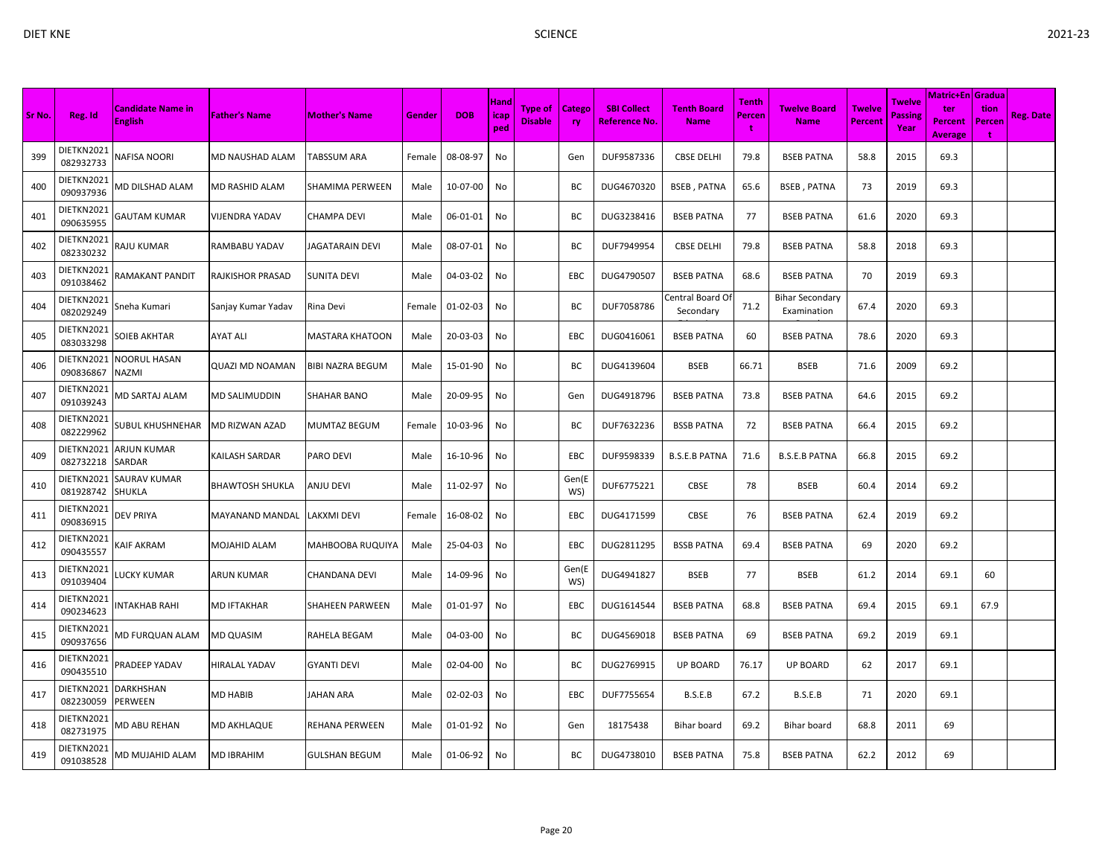|        |                         |                                            |                      |                         |        |            |                     |                                  |                     |                                            |                                   |                             |                                       |                                 |                                  | Matric+En   Gradua               |                     |                  |
|--------|-------------------------|--------------------------------------------|----------------------|-------------------------|--------|------------|---------------------|----------------------------------|---------------------|--------------------------------------------|-----------------------------------|-----------------------------|---------------------------------------|---------------------------------|----------------------------------|----------------------------------|---------------------|------------------|
| Sr No. | Reg. Id                 | <b>Candidate Name in</b><br><b>English</b> | <b>Father's Name</b> | <b>Mother's Name</b>    | Gender | <b>DOB</b> | Hand<br>icap<br>ped | <b>Type of</b><br><b>Disable</b> | <b>Catego</b><br>ry | <b>SBI Collect</b><br><b>Reference No.</b> | <b>Tenth Board</b><br><b>Name</b> | <b>Tenth</b><br>Percen<br>Ť | <b>Twelve Board</b><br><b>Name</b>    | <b>Twelve</b><br><b>Percent</b> | Twelve<br><b>Passing</b><br>Year | ter<br>Percent<br><b>Average</b> | tion<br>Percen<br>÷ | <b>Reg. Date</b> |
| 399    | DIETKN2021<br>082932733 | NAFISA NOORI                               | MD NAUSHAD ALAM      | <b>TABSSUM ARA</b>      | Female | 08-08-97   | No                  |                                  | Gen                 | DUF9587336                                 | <b>CBSE DELHI</b>                 | 79.8                        | <b>BSEB PATNA</b>                     | 58.8                            | 2015                             | 69.3                             |                     |                  |
| 400    | DIETKN2021<br>090937936 | <b>MD DILSHAD ALAM</b>                     | MD RASHID ALAM       | <b>SHAMIMA PERWEEN</b>  | Male   | 10-07-00   | No                  |                                  | ВC                  | DUG4670320                                 | <b>BSEB, PATNA</b>                | 65.6                        | <b>BSEB, PATNA</b>                    | 73                              | 2019                             | 69.3                             |                     |                  |
| 401    | DIETKN2021<br>090635955 | GAUTAM KUMAR                               | VIJENDRA YADAV       | <b>CHAMPA DEVI</b>      | Male   | 06-01-01   | No                  |                                  | ВC                  | DUG3238416                                 | <b>BSEB PATNA</b>                 | 77                          | <b>BSEB PATNA</b>                     | 61.6                            | 2020                             | 69.3                             |                     |                  |
| 402    | DIETKN2021<br>082330232 | RAJU KUMAR                                 | RAMBABU YADAV        | JAGATARAIN DEVI         | Male   | 08-07-01   | No                  |                                  | BC                  | DUF7949954                                 | <b>CBSE DELHI</b>                 | 79.8                        | <b>BSEB PATNA</b>                     | 58.8                            | 2018                             | 69.3                             |                     |                  |
| 403    | DIETKN2021<br>091038462 | RAMAKANT PANDIT                            | RAJKISHOR PRASAD     | <b>SUNITA DEVI</b>      | Male   | 04-03-02   | No                  |                                  | EBC                 | DUG4790507                                 | <b>BSEB PATNA</b>                 | 68.6                        | <b>BSEB PATNA</b>                     | 70                              | 2019                             | 69.3                             |                     |                  |
| 404    | DIETKN2021<br>082029249 | Sneha Kumari                               | Sanjay Kumar Yadav   | Rina Devi               | Female | 01-02-03   | No                  |                                  | BC                  | DUF7058786                                 | `entral Board O<br>Secondary      | 71.2                        | <b>Bihar Secondary</b><br>Examination | 67.4                            | 2020                             | 69.3                             |                     |                  |
| 405    | DIETKN2021<br>083033298 | SOIEB AKHTAR                               | AYAT ALI             | <b>MASTARA KHATOON</b>  | Male   | 20-03-03   | No                  |                                  | EBC                 | DUG0416061                                 | <b>BSEB PATNA</b>                 | 60                          | <b>BSEB PATNA</b>                     | 78.6                            | 2020                             | 69.3                             |                     |                  |
| 406    | DIETKN2021<br>090836867 | NOORUL HASAN<br>NAZMI                      | QUAZI MD NOAMAN      | <b>BIBI NAZRA BEGUM</b> | Male   | 15-01-90   | No                  |                                  | ВC                  | DUG4139604                                 | <b>BSEB</b>                       | 66.71                       | <b>BSEB</b>                           | 71.6                            | 2009                             | 69.2                             |                     |                  |
| 407    | DIETKN2021<br>091039243 | MD SARTAJ ALAM                             | MD SALIMUDDIN        | <b>SHAHAR BANO</b>      | Male   | 20-09-95   | No                  |                                  | Gen                 | DUG4918796                                 | <b>BSEB PATNA</b>                 | 73.8                        | <b>BSEB PATNA</b>                     | 64.6                            | 2015                             | 69.2                             |                     |                  |
| 408    | DIETKN2021<br>082229962 | SUBUL KHUSHNEHAR                           | MD RIZWAN AZAD       | <b>MUMTAZ BEGUM</b>     | Female | 10-03-96   | No                  |                                  | ВC                  | DUF7632236                                 | <b>BSSB PATNA</b>                 | 72                          | <b>BSEB PATNA</b>                     | 66.4                            | 2015                             | 69.2                             |                     |                  |
| 409    | DIETKN2021<br>082732218 | ARJUN KUMAR<br>SARDAR                      | KAILASH SARDAR       | PARO DEVI               | Male   | 16-10-96   | No                  |                                  | EBC                 | DUF9598339                                 | <b>B.S.E.B PATNA</b>              | 71.6                        | <b>B.S.E.B PATNA</b>                  | 66.8                            | 2015                             | 69.2                             |                     |                  |
| 410    | DIETKN2021<br>081928742 | <b>SAURAV KUMAR</b><br>SHUKLA              | BHAWTOSH SHUKLA      | <b>ANJU DEVI</b>        | Male   | 11-02-97   | No                  |                                  | Gen(E<br>WS)        | DUF6775221                                 | CBSE                              | 78                          | <b>BSEB</b>                           | 60.4                            | 2014                             | 69.2                             |                     |                  |
| 411    | DIETKN2021<br>090836915 | DEV PRIYA                                  | MAYANAND MANDAL      | LAKXMI DEVI             | Female | 16-08-02   | No                  |                                  | EBC                 | DUG4171599                                 | CBSE                              | 76                          | <b>BSEB PATNA</b>                     | 62.4                            | 2019                             | 69.2                             |                     |                  |
| 412    | DIETKN2021<br>090435557 | <b>CAIF AKRAM</b>                          | MOJAHID ALAM         | <b>MAHBOOBA RUQUIYA</b> | Male   | 25-04-03   | No                  |                                  | EBC                 | DUG2811295                                 | <b>BSSB PATNA</b>                 | 69.4                        | <b>BSEB PATNA</b>                     | 69                              | 2020                             | 69.2                             |                     |                  |
| 413    | DIETKN2021<br>091039404 | <b>UCKY KUMAR</b>                          | ARUN KUMAR           | <b>CHANDANA DEVI</b>    | Male   | 14-09-96   | No                  |                                  | Gen(E<br>WS)        | DUG4941827                                 | <b>BSEB</b>                       | 77                          | <b>BSEB</b>                           | 61.2                            | 2014                             | 69.1                             | 60                  |                  |
| 414    | DIETKN2021<br>090234623 | NTAKHAB RAHI                               | MD IFTAKHAR          | <b>SHAHEEN PARWEEN</b>  | Male   | 01-01-97   | No                  |                                  | EBC                 | DUG1614544                                 | <b>BSEB PATNA</b>                 | 68.8                        | <b>BSEB PATNA</b>                     | 69.4                            | 2015                             | 69.1                             | 67.9                |                  |
| 415    | DIETKN2021<br>090937656 | MD FURQUAN ALAM                            | MD QUASIM            | RAHELA BEGAM            | Male   | 04-03-00   | No                  |                                  | BC                  | DUG4569018                                 | <b>BSEB PATNA</b>                 | 69                          | <b>BSEB PATNA</b>                     | 69.2                            | 2019                             | 69.1                             |                     |                  |
| 416    | DIETKN2021<br>090435510 | PRADEEP YADAV                              | HIRALAL YADAV        | <b>GYANTI DEVI</b>      | Male   | 02-04-00   | No                  |                                  | ВC                  | DUG2769915                                 | <b>UP BOARD</b>                   | 76.17                       | <b>UP BOARD</b>                       | 62                              | 2017                             | 69.1                             |                     |                  |
| 417    | DIETKN2021<br>082230059 | DARKHSHAN<br>PERWEEN                       | MD HABIB             | <b>JAHAN ARA</b>        | Male   | 02-02-03   | No                  |                                  | EBC                 | DUF7755654                                 | B.S.E.B                           | 67.2                        | B.S.E.B                               | 71                              | 2020                             | 69.1                             |                     |                  |
| 418    | DIETKN2021<br>082731975 | VID ABU REHAN                              | MD AKHLAQUE          | <b>REHANA PERWEEN</b>   | Male   | 01-01-92   | No                  |                                  | Gen                 | 18175438                                   | Bihar board                       | 69.2                        | Bihar board                           | 68.8                            | 2011                             | 69                               |                     |                  |
| 419    | DIETKN2021<br>091038528 | MD MUJAHID ALAM                            | MD IBRAHIM           | <b>GULSHAN BEGUM</b>    | Male   | 01-06-92   | No                  |                                  | BC                  | DUG4738010                                 | <b>BSEB PATNA</b>                 | 75.8                        | <b>BSEB PATNA</b>                     | 62.2                            | 2012                             | 69                               |                     |                  |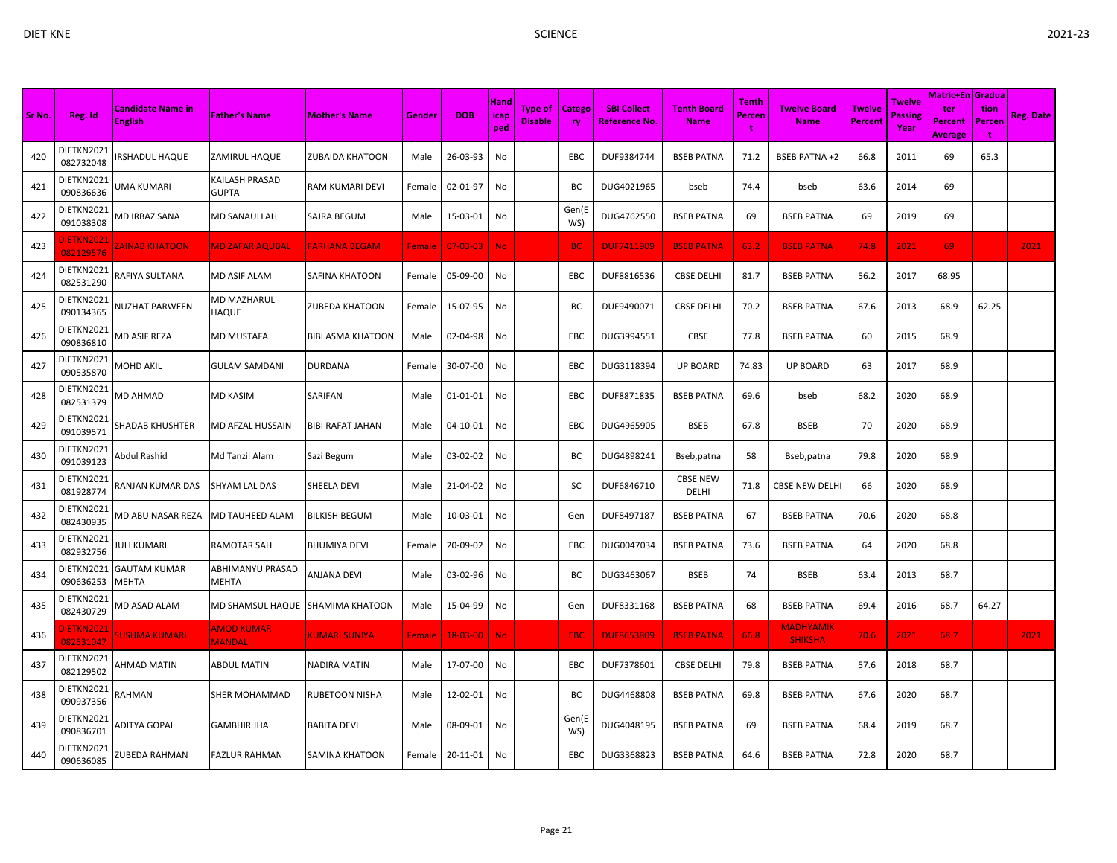| × |  |
|---|--|
|   |  |
| I |  |

| Sr No. | Reg. Id                        | <b>Candidate Name in</b><br><b>English</b> | <b>Father's Name</b>        | <b>Mother's Name</b>     | Gender        | <b>DOB</b>     | Hand<br>icap<br>ped | <b>Type of</b><br><b>Disable</b> | <b>Catego</b><br>ry | <b>SBI Collect</b><br><b>Reference No.</b> | <b>Tenth Board</b><br><b>Name</b> | <b>Tenth</b><br>Percen<br>÷ | <b>Twelve Board</b><br><b>Name</b> | <b>Twelve</b><br><b>Percent</b> | Twelve<br>Passing<br>Year | Matric+En   Gradua  <br>ter<br>Percent<br><b>Average</b> | tion<br>Percen<br>÷ | <b>Reg. Date</b> |
|--------|--------------------------------|--------------------------------------------|-----------------------------|--------------------------|---------------|----------------|---------------------|----------------------------------|---------------------|--------------------------------------------|-----------------------------------|-----------------------------|------------------------------------|---------------------------------|---------------------------|----------------------------------------------------------|---------------------|------------------|
| 420    | DIETKN2021<br>082732048        | RSHADUL HAQUE                              | ZAMIRUL HAQUE               | <b>ZUBAIDA KHATOON</b>   | Male          | 26-03-93       | No                  |                                  | EBC                 | DUF9384744                                 | <b>BSEB PATNA</b>                 | 71.2                        | <b>BSEB PATNA +2</b>               | 66.8                            | 2011                      | 69                                                       | 65.3                |                  |
| 421    | DIETKN2021<br>090836636        | <b>JMA KUMARI</b>                          | KAILASH PRASAD<br>GUPTA     | RAM KUMARI DEVI          | Female        | 02-01-97       | No                  |                                  | ВC                  | DUG4021965                                 | bseb                              | 74.4                        | bseb                               | 63.6                            | 2014                      | 69                                                       |                     |                  |
| 422    | DIETKN2021<br>091038308        | <b>MD IRBAZ SANA</b>                       | MD SANAULLAH                | <b>SAJRA BEGUM</b>       | Male          | 15-03-01       | No                  |                                  | Gen(E<br>WS)        | DUG4762550                                 | <b>BSEB PATNA</b>                 | 69                          | <b>BSEB PATNA</b>                  | 69                              | 2019                      | 69                                                       |                     |                  |
| 423    | <b>DIETKN202</b><br>082129576  | <b>ZAINAB KHATOON</b>                      | <b>MD ZAFAR AQUBAL</b>      | <b>FARHANA BEGAM</b>     | <b>Female</b> | $07 - 03 - 03$ | <b>No</b>           |                                  | BC.                 | <b>DUF7411909</b>                          | <b>BSEB PATNA</b>                 | 63.2                        | <b>BSEB PATNA</b>                  | 74.8                            | 2021                      | 69                                                       |                     | 2021             |
| 424    | DIETKN2021<br>082531290        | RAFIYA SULTANA                             | MD ASIF ALAM                | SAFINA KHATOON           | Female        | 05-09-00       | No                  |                                  | EBC                 | DUF8816536                                 | <b>CBSE DELHI</b>                 | 81.7                        | <b>BSEB PATNA</b>                  | 56.2                            | 2017                      | 68.95                                                    |                     |                  |
| 425    | DIETKN2021<br>090134365        | <b>NUZHAT PARWEEN</b>                      | MD MAZHARUL<br>HAQUE        | <b>ZUBEDA KHATOON</b>    | Female        | 15-07-95       | No                  |                                  | BC                  | DUF9490071                                 | <b>CBSE DELHI</b>                 | 70.2                        | <b>BSEB PATNA</b>                  | 67.6                            | 2013                      | 68.9                                                     | 62.25               |                  |
| 426    | DIETKN2021<br>090836810        | <b>MD ASIF REZA</b>                        | MD MUSTAFA                  | <b>BIBI ASMA KHATOON</b> | Male          | 02-04-98       | No                  |                                  | EBC                 | DUG3994551                                 | CBSE                              | 77.8                        | <b>BSEB PATNA</b>                  | 60                              | 2015                      | 68.9                                                     |                     |                  |
| 427    | DIETKN2021<br>090535870        | MOHD AKIL                                  | GULAM SAMDANI               | <b>DURDANA</b>           | Female        | 30-07-00       | No                  |                                  | EBC                 | DUG3118394                                 | <b>UP BOARD</b>                   | 74.83                       | <b>UP BOARD</b>                    | 63                              | 2017                      | 68.9                                                     |                     |                  |
| 428    | DIETKN2021<br>082531379        | MD AHMAD                                   | MD KASIM                    | SARIFAN                  | Male          | 01-01-01       | No                  |                                  | EBC                 | DUF8871835                                 | <b>BSEB PATNA</b>                 | 69.6                        | bseb                               | 68.2                            | 2020                      | 68.9                                                     |                     |                  |
| 429    | DIETKN2021<br>091039571        | SHADAB KHUSHTER                            | MD AFZAL HUSSAIN            | <b>BIBI RAFAT JAHAN</b>  | Male          | 04-10-01       | No                  |                                  | <b>EBC</b>          | DUG4965905                                 | <b>BSEB</b>                       | 67.8                        | <b>BSEB</b>                        | 70                              | 2020                      | 68.9                                                     |                     |                  |
| 430    | DIETKN2021<br>091039123        | Abdul Rashid                               | Md Tanzil Alam              | Sazi Begum               | Male          | 03-02-02       | No                  |                                  | BC                  | DUG4898241                                 | Bseb, patna                       | 58                          | Bseb, patna                        | 79.8                            | 2020                      | 68.9                                                     |                     |                  |
| 431    | DIETKN2021<br>081928774        | RANJAN KUMAR DAS                           | SHYAM LAL DAS               | SHEELA DEVI              | Male          | 21-04-02       | No                  |                                  | SC                  | DUF6846710                                 | <b>CBSE NEW</b><br>DELHI          | 71.8                        | <b>CBSE NEW DELHI</b>              | 66                              | 2020                      | 68.9                                                     |                     |                  |
| 432    | DIETKN2021<br>082430935        | MD ABU NASAR REZA                          | MD TAUHEED ALAM             | <b>BILKISH BEGUM</b>     | Male          | 10-03-01       | No                  |                                  | Gen                 | DUF8497187                                 | <b>BSEB PATNA</b>                 | 67                          | <b>BSEB PATNA</b>                  | 70.6                            | 2020                      | 68.8                                                     |                     |                  |
| 433    | DIETKN2021<br>082932756        | <b>ULI KUMARI</b>                          | RAMOTAR SAH                 | <b>BHUMIYA DEVI</b>      | Female        | 20-09-02       | No                  |                                  | EBC                 | DUG0047034                                 | <b>BSEB PATNA</b>                 | 73.6                        | <b>BSEB PATNA</b>                  | 64                              | 2020                      | 68.8                                                     |                     |                  |
| 434    | DIETKN2021<br>090636253        | <b>GAUTAM KUMAR</b><br>MEHTA               | ABHIMANYU PRASAD<br>MEHTA   | <b>ANJANA DEVI</b>       | Male          | 03-02-96       | No                  |                                  | ВC                  | DUG3463067                                 | <b>BSEB</b>                       | 74                          | <b>BSEB</b>                        | 63.4                            | 2013                      | 68.7                                                     |                     |                  |
| 435    | DIETKN2021<br>082430729        | MD ASAD ALAM                               | MD SHAMSUL HAQUE            | <b>SHAMIMA KHATOON</b>   | Male          | 15-04-99       | No                  |                                  | Gen                 | DUF8331168                                 | <b>BSEB PATNA</b>                 | 68                          | <b>BSEB PATNA</b>                  | 69.4                            | 2016                      | 68.7                                                     | 64.27               |                  |
| 436    | <b>DIETKN2021</b><br>082531047 | SUSHMA KUMARI                              | <b>AMOD KUMAR</b><br>MANDAL | <b>KUMARI SUNIYA</b>     | Female        | $18 - 03 - 00$ | <b>No</b>           |                                  | <b>EBC</b>          | <b>DUF8653809</b>                          | <b>BSEB PATNA</b>                 | 66.8                        | <b>MADHYAMIK</b><br><b>SHIKSHA</b> | 70.6                            | 2021                      | 68.7                                                     |                     | 2021             |
| 437    | DIETKN2021<br>082129502        | AHMAD MATIN                                | ABDUL MATIN                 | NADIRA MATIN             | Male          | 17-07-00       | No                  |                                  | EBC                 | DUF7378601                                 | <b>CBSE DELHI</b>                 | 79.8                        | <b>BSEB PATNA</b>                  | 57.6                            | 2018                      | 68.7                                                     |                     |                  |
| 438    | DIETKN2021<br>090937356        | RAHMAN                                     | SHER MOHAMMAD               | <b>RUBETOON NISHA</b>    | Male          | 12-02-01       | No                  |                                  | BC                  | DUG4468808                                 | <b>BSEB PATNA</b>                 | 69.8                        | <b>BSEB PATNA</b>                  | 67.6                            | 2020                      | 68.7                                                     |                     |                  |
| 439    | DIETKN2021<br>090836701        | ADITYA GOPAL                               | GAMBHIR JHA                 | <b>BABITA DEVI</b>       | Male          | 08-09-01       | No                  |                                  | Gen(E<br>WS)        | DUG4048195                                 | <b>BSEB PATNA</b>                 | 69                          | <b>BSEB PATNA</b>                  | 68.4                            | 2019                      | 68.7                                                     |                     |                  |
| 440    | DIETKN2021<br>090636085        | ZUBEDA RAHMAN                              | FAZLUR RAHMAN               | <b>SAMINA KHATOON</b>    | Female        | 20-11-01       | No                  |                                  | <b>EBC</b>          | DUG3368823                                 | <b>BSEB PATNA</b>                 | 64.6                        | <b>BSEB PATNA</b>                  | 72.8                            | 2020                      | 68.7                                                     |                     |                  |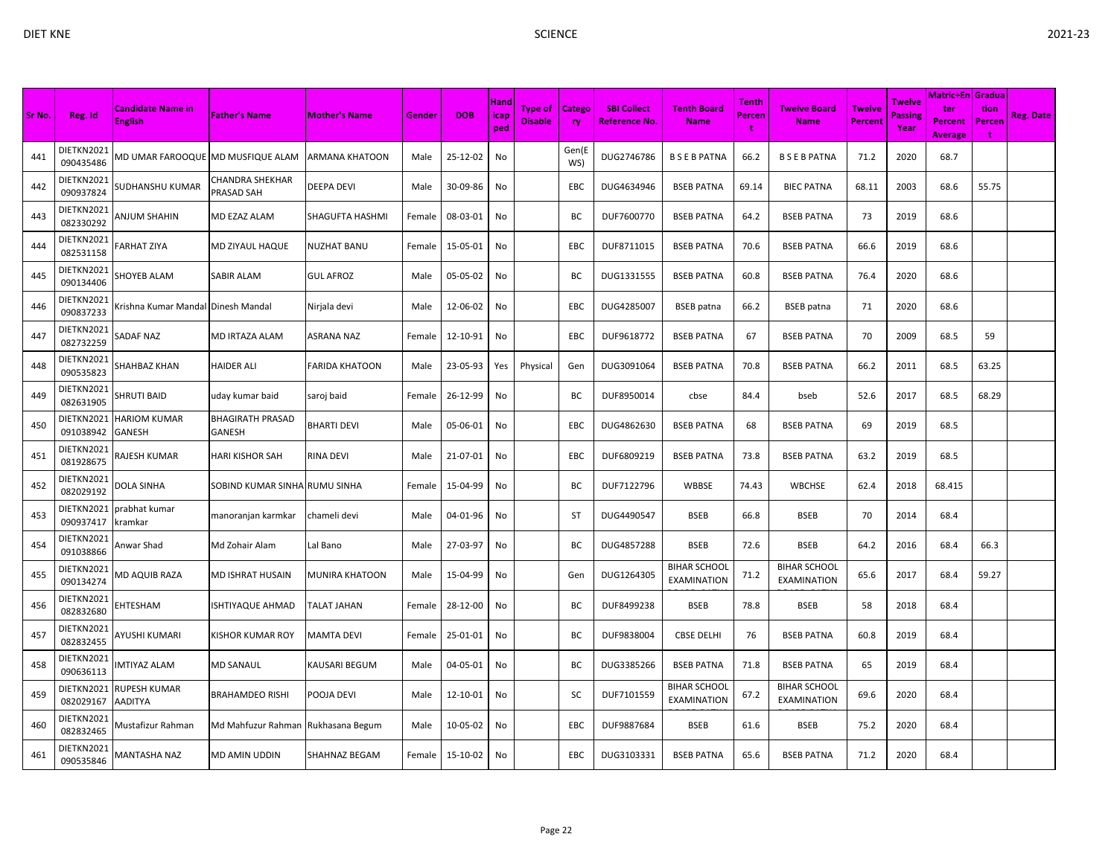|        |                         |                                            |                                      |                        |        |            |                     |                                  |                     |                                            |                                    |                             |                                    |                                 |                           | <b>Matric+En Gradua</b>          |                            |                  |
|--------|-------------------------|--------------------------------------------|--------------------------------------|------------------------|--------|------------|---------------------|----------------------------------|---------------------|--------------------------------------------|------------------------------------|-----------------------------|------------------------------------|---------------------------------|---------------------------|----------------------------------|----------------------------|------------------|
| Sr No. | Reg. Id                 | <b>Candidate Name in</b><br><b>English</b> | <b>Father's Name</b>                 | <b>Mother's Name</b>   | Gender | <b>DOB</b> | Hand<br>icap<br>ped | <b>Type of</b><br><b>Disable</b> | <b>Catego</b><br>ry | <b>SBI Collect</b><br><b>Reference No.</b> | <b>Tenth Board</b><br><b>Name</b>  | <b>Tenth</b><br>Percen<br>t | <b>Twelve Board</b><br><b>Name</b> | <b>Twelve</b><br><b>Percent</b> | Twelve<br>Passing<br>Year | ter<br>Percent<br><b>Average</b> | tion<br><b>Percen</b><br>t | <b>Reg. Date</b> |
| 441    | DIETKN2021<br>090435486 | <b>MD UMAR FAROOQUE MD MUSFIQUE ALAM</b>   |                                      | <b>ARMANA KHATOON</b>  | Male   | 25-12-02   | No                  |                                  | Gen(E<br>WS)        | DUG2746786                                 | <b>BSEBPATNA</b>                   | 66.2                        | <b>BSEBPATNA</b>                   | 71.2                            | 2020                      | 68.7                             |                            |                  |
| 442    | DIETKN2021<br>090937824 | SUDHANSHU KUMAR                            | CHANDRA SHEKHAR<br>PRASAD SAH        | <b>DEEPA DEVI</b>      | Male   | 30-09-86   | No                  |                                  | EBC                 | DUG4634946                                 | <b>BSEB PATNA</b>                  | 69.14                       | <b>BIEC PATNA</b>                  | 68.11                           | 2003                      | 68.6                             | 55.75                      |                  |
| 443    | DIETKN2021<br>082330292 | ANJUM SHAHIN                               | MD EZAZ ALAM                         | <b>SHAGUFTA HASHMI</b> | Female | 08-03-01   | No                  |                                  | BC                  | DUF7600770                                 | <b>BSEB PATNA</b>                  | 64.2                        | <b>BSEB PATNA</b>                  | 73                              | 2019                      | 68.6                             |                            |                  |
| 444    | DIETKN2021<br>082531158 | <b>ARHAT ZIYA</b>                          | MD ZIYAUL HAQUE                      | <b>NUZHAT BANU</b>     | Female | 15-05-01   | No                  |                                  | EBC                 | DUF8711015                                 | <b>BSEB PATNA</b>                  | 70.6                        | <b>BSEB PATNA</b>                  | 66.6                            | 2019                      | 68.6                             |                            |                  |
| 445    | DIETKN2021<br>090134406 | SHOYEB ALAM                                | SABIR ALAM                           | <b>GUL AFROZ</b>       | Male   | 05-05-02   | No                  |                                  | ВC                  | DUG1331555                                 | <b>BSEB PATNA</b>                  | 60.8                        | <b>BSEB PATNA</b>                  | 76.4                            | 2020                      | 68.6                             |                            |                  |
| 446    | DIETKN2021<br>090837233 | Krishna Kumar Mandal Dinesh Mandal         |                                      | Nirjala devi           | Male   | 12-06-02   | No                  |                                  | EBC                 | DUG4285007                                 | <b>BSEB</b> patna                  | 66.2                        | <b>BSEB</b> patna                  | 71                              | 2020                      | 68.6                             |                            |                  |
| 447    | DIETKN2021<br>082732259 | SADAF NAZ                                  | MD IRTAZA ALAM                       | <b>ASRANA NAZ</b>      | Female | 12-10-91   | No                  |                                  | EBC                 | DUF9618772                                 | <b>BSEB PATNA</b>                  | 67                          | <b>BSEB PATNA</b>                  | 70                              | 2009                      | 68.5                             | 59                         |                  |
| 448    | DIETKN2021<br>090535823 | SHAHBAZ KHAN                               | <b>HAIDER ALI</b>                    | <b>FARIDA KHATOON</b>  | Male   | 23-05-93   | Yes                 | Physical                         | Gen                 | DUG3091064                                 | <b>BSEB PATNA</b>                  | 70.8                        | <b>BSEB PATNA</b>                  | 66.2                            | 2011                      | 68.5                             | 63.25                      |                  |
| 449    | DIETKN2021<br>082631905 | SHRUTI BAID                                | uday kumar baid                      | saroj baid             | Female | 26-12-99   | No                  |                                  | ВC                  | DUF8950014                                 | cbse                               | 84.4                        | bseb                               | 52.6                            | 2017                      | 68.5                             | 68.29                      |                  |
| 450    | DIETKN2021<br>091038942 | HARIOM KUMAR<br>GANESH                     | BHAGIRATH PRASAD<br>GANESH           | <b>BHARTI DEVI</b>     | Male   | 05-06-01   | No                  |                                  | <b>EBC</b>          | DUG4862630                                 | <b>BSEB PATNA</b>                  | 68                          | <b>BSEB PATNA</b>                  | 69                              | 2019                      | 68.5                             |                            |                  |
| 451    | DIETKN2021<br>081928675 | RAJESH KUMAR                               | HARI KISHOR SAH                      | <b>RINA DEVI</b>       | Male   | 21-07-01   | No                  |                                  | EBC                 | DUF6809219                                 | <b>BSEB PATNA</b>                  | 73.8                        | <b>BSEB PATNA</b>                  | 63.2                            | 2019                      | 68.5                             |                            |                  |
| 452    | DIETKN2021<br>082029192 | DOLA SINHA                                 | SOBIND KUMAR SINHA RUMU SINHA        |                        | Female | 15-04-99   | No                  |                                  | BC                  | DUF7122796                                 | WBBSE                              | 74.43                       | WBCHSE                             | 62.4                            | 2018                      | 68.415                           |                            |                  |
| 453    | DIETKN2021<br>090937417 | orabhat kumar<br>kramkar                   | manoranjan karmkar                   | chameli devi           | Male   | 04-01-96   | No                  |                                  | ST                  | DUG4490547                                 | <b>BSEB</b>                        | 66.8                        | <b>BSEB</b>                        | 70                              | 2014                      | 68.4                             |                            |                  |
| 454    | DIETKN2021<br>091038866 | Anwar Shad                                 | Md Zohair Alam                       | Lal Bano               | Male   | 27-03-97   | No                  |                                  | BC                  | DUG4857288                                 | <b>BSEB</b>                        | 72.6                        | <b>BSEB</b>                        | 64.2                            | 2016                      | 68.4                             | 66.3                       |                  |
| 455    | DIETKN2021<br>090134274 | <b>MD AQUIB RAZA</b>                       | MD ISHRAT HUSAIN                     | <b>MUNIRA KHATOON</b>  | Male   | 15-04-99   | No                  |                                  | Gen                 | DUG1264305                                 | <b>BIHAR SCHOOL</b><br>EXAMINATION | 71.2                        | <b>BIHAR SCHOOL</b><br>EXAMINATION | 65.6                            | 2017                      | 68.4                             | 59.27                      |                  |
| 456    | DIETKN2021<br>082832680 | <b>HTESHAM</b>                             | ISHTIYAQUE AHMAD                     | <b>TALAT JAHAN</b>     | Female | 28-12-00   | No                  |                                  | ВC                  | DUF8499238                                 | <b>BSEB</b>                        | 78.8                        | <b>BSEB</b>                        | 58                              | 2018                      | 68.4                             |                            |                  |
| 457    | DIETKN2021<br>082832455 | AYUSHI KUMARI                              | KISHOR KUMAR ROY                     | <b>MAMTA DEVI</b>      | Female | 25-01-01   | No                  |                                  | BC                  | DUF9838004                                 | <b>CBSE DELHI</b>                  | 76                          | <b>BSEB PATNA</b>                  | 60.8                            | 2019                      | 68.4                             |                            |                  |
| 458    | DIETKN2021<br>090636113 | MTIYAZ ALAM                                | MD SANAUL                            | <b>KAUSARI BEGUM</b>   | Male   | 04-05-01   | No                  |                                  | ВC                  | DUG3385266                                 | <b>BSEB PATNA</b>                  | 71.8                        | <b>BSEB PATNA</b>                  | 65                              | 2019                      | 68.4                             |                            |                  |
| 459    | DIETKN2021<br>082029167 | RUPESH KUMAR<br>AADITYA                    | BRAHAMDEO RISHI                      | POOJA DEVI             | Male   | 12-10-01   | No                  |                                  | SC                  | DUF7101559                                 | <b>BIHAR SCHOOL</b><br>EXAMINATION | 67.2                        | <b>BIHAR SCHOOL</b><br>EXAMINATION | 69.6                            | 2020                      | 68.4                             |                            |                  |
| 460    | DIETKN2021<br>082832465 | Mustafizur Rahman                          | Md Mahfuzur Rahman   Rukhasana Begum |                        | Male   | 10-05-02   | No                  |                                  | EBC                 | DUF9887684                                 | <b>BSEB</b>                        | 61.6                        | <b>BSEB</b>                        | 75.2                            | 2020                      | 68.4                             |                            |                  |
| 461    | DIETKN2021<br>090535846 | MANTASHA NAZ                               | MD AMIN UDDIN                        | <b>SHAHNAZ BEGAM</b>   | Female | 15-10-02   | No                  |                                  | <b>EBC</b>          | DUG3103331                                 | <b>BSEB PATNA</b>                  | 65.6                        | <b>BSEB PATNA</b>                  | 71.2                            | 2020                      | 68.4                             |                            |                  |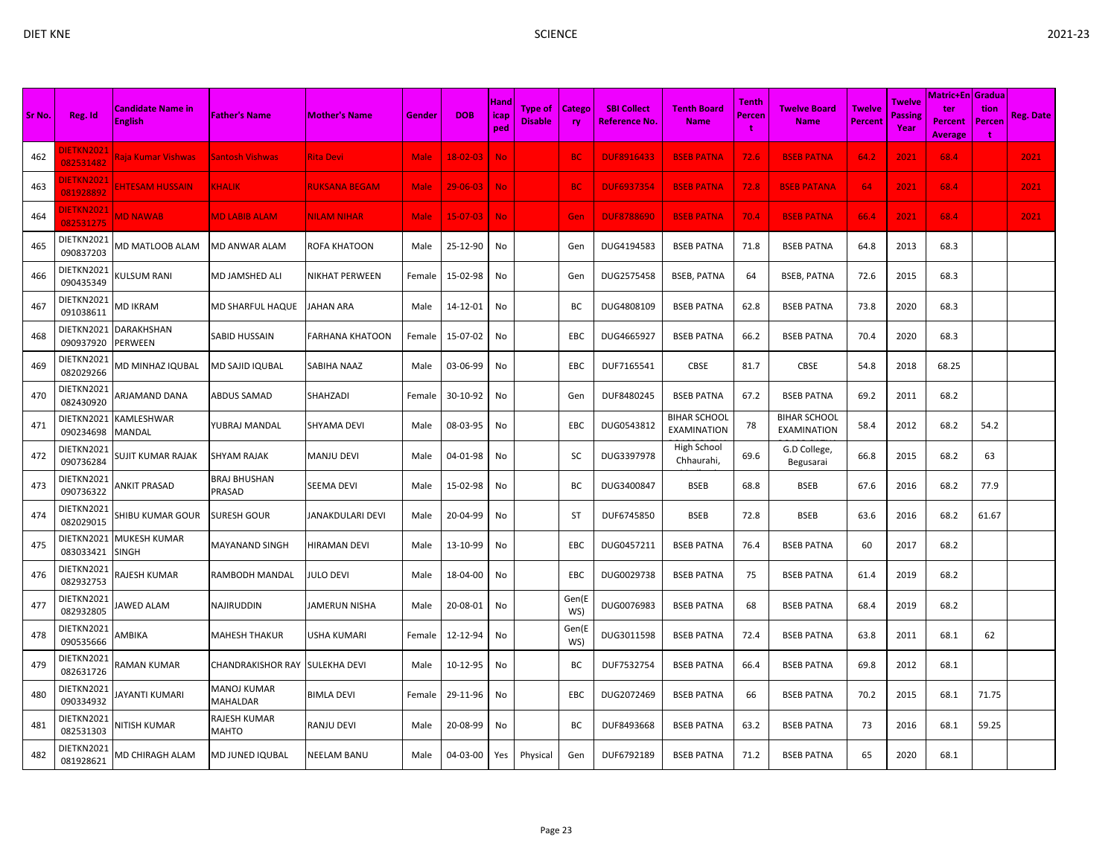| Sr No. | Reg. Id                       | <b>Candidate Name in</b><br><b>English</b> | <b>Father's Name</b>                  | <b>Mother's Name</b>   | Gender      | <b>DOB</b>     | <b>Hand</b><br>icap<br>ped | <b>Type of</b><br><b>Disable</b> | <b>Catego</b><br>ry | <b>SBI Collect</b><br><b>Reference No.</b> | <b>Tenth Board</b><br><b>Name</b>         | Tenth<br>Percen<br>÷ | <b>Twelve Board</b><br><b>Name</b> | <b>Twelve</b><br><b>Percent</b> | Twelve<br>Passing<br>Year | <b>Matric+En Gradua</b><br>ter<br><b>Percent</b><br><b>Average</b> | tion<br>Percen<br>÷ | <b>Reg. Date</b> |
|--------|-------------------------------|--------------------------------------------|---------------------------------------|------------------------|-------------|----------------|----------------------------|----------------------------------|---------------------|--------------------------------------------|-------------------------------------------|----------------------|------------------------------------|---------------------------------|---------------------------|--------------------------------------------------------------------|---------------------|------------------|
| 462    | <b>IETKN2021</b><br>082531482 | Raja Kumar Vishwas                         | Santosh Vishwas                       | <b>Rita Devi</b>       | <b>Male</b> | $18 - 02 - 03$ | <b>No</b>                  |                                  | BC.                 | <b>DUF8916433</b>                          | <b>BSEB PATNA</b>                         | 72.6                 | <b>BSEB PATNA</b>                  | 64.2                            | 2021                      | 68.4                                                               |                     | 2021             |
| 463    | <b>IETKN2021</b><br>081928892 | <b>HTESAM HUSSAIN</b>                      | <b>KHALIK</b>                         | <b>RUKSANA BEGAM</b>   | Male        | $29 - 06 - 03$ | <b>No</b>                  |                                  | <b>BC</b>           | <b>DUF6937354</b>                          | <b>BSEB PATNA</b>                         | 72.8                 | <b>BSEB PATANA</b>                 | 64                              | 2021                      | 68.4                                                               |                     | 2021             |
| 464    | <b>IETKN2021</b><br>082531275 | <b>MD NAWAB</b>                            | <b>MD LABIB ALAM</b>                  | <b>NILAM NIHAR</b>     | <b>Male</b> | $15-07-03$     | <b>No</b>                  |                                  | Gen                 | <b>DUF8788690</b>                          | <b>BSEB PATNA</b>                         | 70.4                 | <b>BSEB PATNA</b>                  | 66.4                            | 2021                      | 68.4                                                               |                     | 2021             |
| 465    | DIETKN2021<br>090837203       | <b>MD MATLOOB ALAM</b>                     | MD ANWAR ALAM                         | ROFA KHATOON           | Male        | 25-12-90       | No                         |                                  | Gen                 | DUG4194583                                 | <b>BSEB PATNA</b>                         | 71.8                 | <b>BSEB PATNA</b>                  | 64.8                            | 2013                      | 68.3                                                               |                     |                  |
| 466    | DIETKN2021<br>090435349       | <b>CULSUM RANI</b>                         | MD JAMSHED ALI                        | <b>NIKHAT PERWEEN</b>  | Female      | 15-02-98       | No                         |                                  | Gen                 | DUG2575458                                 | <b>BSEB, PATNA</b>                        | 64                   | <b>BSEB, PATNA</b>                 | 72.6                            | 2015                      | 68.3                                                               |                     |                  |
| 467    | DIETKN2021<br>091038611       | MD IKRAM                                   | MD SHARFUL HAQUE                      | JAHAN ARA              | Male        | 14-12-01       | No                         |                                  | ВC                  | DUG4808109                                 | <b>BSEB PATNA</b>                         | 62.8                 | <b>BSEB PATNA</b>                  | 73.8                            | 2020                      | 68.3                                                               |                     |                  |
| 468    | DIETKN2021<br>090937920       | DARAKHSHAN<br>PERWEEN                      | SABID HUSSAIN                         | <b>FARHANA KHATOON</b> | Female      | 15-07-02       | No                         |                                  | EBC                 | DUG4665927                                 | <b>BSEB PATNA</b>                         | 66.2                 | <b>BSEB PATNA</b>                  | 70.4                            | 2020                      | 68.3                                                               |                     |                  |
| 469    | DIETKN2021<br>082029266       | MD MINHAZ IQUBAL                           | <b>MD SAJID IQUBAL</b>                | SABIHA NAAZ            | Male        | 03-06-99       | No                         |                                  | EBC                 | DUF7165541                                 | CBSE                                      | 81.7                 | CBSE                               | 54.8                            | 2018                      | 68.25                                                              |                     |                  |
| 470    | DIETKN2021<br>082430920       | ARJAMAND DANA                              | ABDUS SAMAD                           | SHAHZADI               | Female      | 30-10-92       | No                         |                                  | Gen                 | DUF8480245                                 | <b>BSEB PATNA</b>                         | 67.2                 | <b>BSEB PATNA</b>                  | 69.2                            | 2011                      | 68.2                                                               |                     |                  |
| 471    | DIETKN2021<br>090234698       | KAMLESHWAR<br><b>MANDAL</b>                | YUBRAJ MANDAL                         | <b>SHYAMA DEVI</b>     | Male        | 08-03-95       | No                         |                                  | EBC                 | DUG0543812                                 | <b>BIHAR SCHOOL</b><br><b>EXAMINATION</b> | 78                   | <b>BIHAR SCHOOL</b><br>EXAMINATION | 58.4                            | 2012                      | 68.2                                                               | 54.2                |                  |
| 472    | DIETKN2021<br>090736284       | SUJIT KUMAR RAJAK                          | <b>SHYAM RAJAK</b>                    | <b>MANJU DEVI</b>      | Male        | 04-01-98       | No                         |                                  | SC                  | DUG3397978                                 | High School<br>Chhaurahi,                 | 69.6                 | G.D College,<br>Begusarai          | 66.8                            | 2015                      | 68.2                                                               | 63                  |                  |
| 473    | DIETKN2021<br>090736322       | ANKIT PRASAD                               | <b>BRAJ BHUSHAN</b><br>PRASAD         | <b>SEEMA DEVI</b>      | Male        | 15-02-98       | No                         |                                  | ВC                  | DUG3400847                                 | <b>BSEB</b>                               | 68.8                 | <b>BSEB</b>                        | 67.6                            | 2016                      | 68.2                                                               | 77.9                |                  |
| 474    | DIETKN2021<br>082029015       | SHIBU KUMAR GOUR                           | <b>SURESH GOUR</b>                    | JANAKDULARI DEVI       | Male        | 20-04-99       | No                         |                                  | ST                  | DUF6745850                                 | <b>BSEB</b>                               | 72.8                 | <b>BSEB</b>                        | 63.6                            | 2016                      | 68.2                                                               | 61.67               |                  |
| 475    | DIETKN2021<br>083033421       | MUKESH KUMAR<br><b>SINGH</b>               | <b>MAYANAND SINGH</b>                 | <b>HIRAMAN DEVI</b>    | Male        | 13-10-99       | No                         |                                  | EBC                 | DUG0457211                                 | <b>BSEB PATNA</b>                         | 76.4                 | <b>BSEB PATNA</b>                  | 60                              | 2017                      | 68.2                                                               |                     |                  |
| 476    | DIETKN2021<br>082932753       | RAJESH KUMAR                               | RAMBODH MANDAL                        | <b>JULO DEVI</b>       | Male        | 18-04-00       | No                         |                                  | EBC                 | DUG0029738                                 | <b>BSEB PATNA</b>                         | 75                   | <b>BSEB PATNA</b>                  | 61.4                            | 2019                      | 68.2                                                               |                     |                  |
| 477    | DIETKN2021<br>082932805       | AWED ALAM                                  | <b>NAJIRUDDIN</b>                     | <b>JAMERUN NISHA</b>   | Male        | 20-08-01       | No                         |                                  | Gen(E<br>WS)        | DUG0076983                                 | <b>BSEB PATNA</b>                         | 68                   | <b>BSEB PATNA</b>                  | 68.4                            | 2019                      | 68.2                                                               |                     |                  |
| 478    | DIETKN2021<br>090535666       | AMBIKA                                     | <b>MAHESH THAKUR</b>                  | <b>USHA KUMARI</b>     | Female      | 12-12-94       | No                         |                                  | Gen(E<br>WS)        | DUG3011598                                 | <b>BSEB PATNA</b>                         | 72.4                 | <b>BSEB PATNA</b>                  | 63.8                            | 2011                      | 68.1                                                               | 62                  |                  |
| 479    | DIETKN2021<br>082631726       | RAMAN KUMAR                                | CHANDRAKISHOR RAY SULEKHA DEVI        |                        | Male        | 10-12-95       | No                         |                                  | BC                  | DUF7532754                                 | <b>BSEB PATNA</b>                         | 66.4                 | <b>BSEB PATNA</b>                  | 69.8                            | 2012                      | 68.1                                                               |                     |                  |
| 480    | DIETKN2021<br>090334932       | <b>AYANTI KUMARI</b>                       | <b>MANOJ KUMAR</b><br><b>MAHALDAR</b> | <b>BIMLA DEVI</b>      | Female      | 29-11-96       | No                         |                                  | EBC                 | DUG2072469                                 | <b>BSEB PATNA</b>                         | 66                   | <b>BSEB PATNA</b>                  | 70.2                            | 2015                      | 68.1                                                               | 71.75               |                  |
| 481    | DIETKN2021<br>082531303       | NITISH KUMAR                               | RAJESH KUMAR<br><b>MAHTO</b>          | <b>RANJU DEVI</b>      | Male        | 20-08-99       | No                         |                                  | ВC                  | DUF8493668                                 | <b>BSEB PATNA</b>                         | 63.2                 | <b>BSEB PATNA</b>                  | 73                              | 2016                      | 68.1                                                               | 59.25               |                  |
| 482    | DIETKN2021<br>081928621       | MD CHIRAGH ALAM                            | <b>MD JUNED IQUBAL</b>                | <b>NEELAM BANU</b>     | Male        | 04-03-00       | Yes                        | Physical                         | Gen                 | DUF6792189                                 | <b>BSEB PATNA</b>                         | 71.2                 | <b>BSEB PATNA</b>                  | 65                              | 2020                      | 68.1                                                               |                     |                  |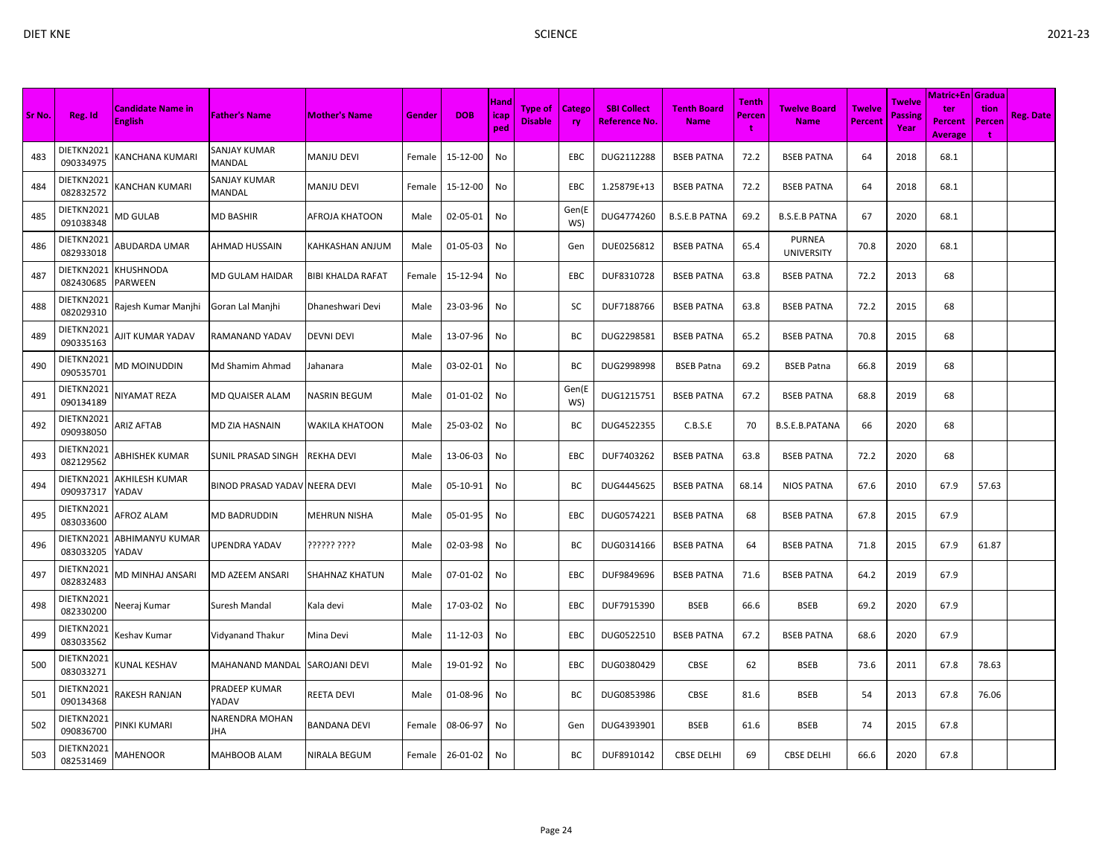|        |                         |                                            |                               |                          |        |            | Hand        |                                  |              |                                            |                                   | Tenth       |                                    |                          | Twelve          | Matric+En   Gradua               |                                       |                  |
|--------|-------------------------|--------------------------------------------|-------------------------------|--------------------------|--------|------------|-------------|----------------------------------|--------------|--------------------------------------------|-----------------------------------|-------------|------------------------------------|--------------------------|-----------------|----------------------------------|---------------------------------------|------------------|
| Sr No. | Reg. Id                 | <b>Candidate Name in</b><br><b>English</b> | <b>Father's Name</b>          | Mother's Name            | Gender | <b>DOB</b> | icap<br>ped | <b>Type of</b><br><b>Disable</b> | Catego<br>ry | <b>SBI Collect</b><br><b>Reference No.</b> | <b>Tenth Board</b><br><b>Name</b> | Percen<br>÷ | Twelve Board<br><b>Name</b>        | Twelve<br><b>Percent</b> | Passing<br>Year | ter<br>Percent<br><b>Average</b> | tion<br>Percen<br>$\ddot{\mathbf{r}}$ | <b>Reg. Date</b> |
| 483    | DIETKN2021<br>090334975 | (ANCHANA KUMARI                            | SANJAY KUMAR<br>MANDAL        | <b>MANJU DEVI</b>        | Female | 15-12-00   | No          |                                  | EBC          | DUG2112288                                 | <b>BSEB PATNA</b>                 | 72.2        | <b>BSEB PATNA</b>                  | 64                       | 2018            | 68.1                             |                                       |                  |
| 484    | DIETKN2021<br>082832572 | (ANCHAN KUMARI                             | SANJAY KUMAR<br>MANDAL        | <b>MANJU DEVI</b>        | Female | 15-12-00   | No          |                                  | EBC          | 1.25879E+13                                | <b>BSEB PATNA</b>                 | 72.2        | <b>BSEB PATNA</b>                  | 64                       | 2018            | 68.1                             |                                       |                  |
| 485    | DIETKN2021<br>091038348 | <b>MD GULAB</b>                            | MD BASHIR                     | AFROJA KHATOON           | Male   | 02-05-01   | No          |                                  | Gen(E<br>WS) | DUG4774260                                 | <b>B.S.E.B PATNA</b>              | 69.2        | <b>B.S.E.B PATNA</b>               | 67                       | 2020            | 68.1                             |                                       |                  |
| 486    | DIETKN2021<br>082933018 | ABUDARDA UMAR                              | <b>AHMAD HUSSAIN</b>          | <b>KAHKASHAN ANJUM</b>   | Male   | 01-05-03   | No          |                                  | Gen          | DUE0256812                                 | <b>BSEB PATNA</b>                 | 65.4        | <b>PURNEA</b><br><b>UNIVERSITY</b> | 70.8                     | 2020            | 68.1                             |                                       |                  |
| 487    | DIETKN2021<br>082430685 | KHUSHNODA<br>PARWEEN                       | MD GULAM HAIDAR               | <b>BIBI KHALDA RAFAT</b> | Female | 15-12-94   | No          |                                  | EBC          | DUF8310728                                 | <b>BSEB PATNA</b>                 | 63.8        | <b>BSEB PATNA</b>                  | 72.2                     | 2013            | 68                               |                                       |                  |
| 488    | DIETKN2021<br>082029310 | Rajesh Kumar Manjhi                        | Goran Lal Manjhi              | Dhaneshwari Devi         | Male   | 23-03-96   | No          |                                  | SC           | DUF7188766                                 | <b>BSEB PATNA</b>                 | 63.8        | <b>BSEB PATNA</b>                  | 72.2                     | 2015            | 68                               |                                       |                  |
| 489    | DIETKN2021<br>090335163 | <b>NIT KUMAR YADAV</b>                     | RAMANAND YADAV                | <b>DEVNI DEVI</b>        | Male   | 13-07-96   | No          |                                  | BC           | DUG2298581                                 | <b>BSEB PATNA</b>                 | 65.2        | <b>BSEB PATNA</b>                  | 70.8                     | 2015            | 68                               |                                       |                  |
| 490    | DIETKN2021<br>090535701 | MD MOINUDDIN                               | Md Shamim Ahmad               | Jahanara                 | Male   | 03-02-01   | No          |                                  | ВC           | DUG2998998                                 | <b>BSEB Patna</b>                 | 69.2        | <b>BSEB Patna</b>                  | 66.8                     | 2019            | 68                               |                                       |                  |
| 491    | DIETKN2021<br>090134189 | <b>NIYAMAT REZA</b>                        | MD QUAISER ALAM               | <b>NASRIN BEGUM</b>      | Male   | 01-01-02   | No          |                                  | Gen(E<br>WS) | DUG1215751                                 | <b>BSEB PATNA</b>                 | 67.2        | <b>BSEB PATNA</b>                  | 68.8                     | 2019            | 68                               |                                       |                  |
| 492    | DIETKN2021<br>090938050 | <b>ARIZ AFTAB</b>                          | MD ZIA HASNAIN                | WAKILA KHATOON           | Male   | 25-03-02   | No          |                                  | ВC           | DUG4522355                                 | C.B.S.E                           | 70          | B.S.E.B.PATANA                     | 66                       | 2020            | 68                               |                                       |                  |
| 493    | DIETKN2021<br>082129562 | <b>ABHISHEK KUMAR</b>                      | SUNIL PRASAD SINGH            | <b>REKHA DEVI</b>        | Male   | 13-06-03   | No          |                                  | EBC          | DUF7403262                                 | <b>BSEB PATNA</b>                 | 63.8        | <b>BSEB PATNA</b>                  | 72.2                     | 2020            | 68                               |                                       |                  |
| 494    | DIETKN2021<br>090937317 | AKHILESH KUMAR<br>YADAV                    | BINOD PRASAD YADAV NEERA DEVI |                          | Male   | 05-10-91   | No          |                                  | BC           | DUG4445625                                 | <b>BSEB PATNA</b>                 | 68.14       | <b>NIOS PATNA</b>                  | 67.6                     | 2010            | 67.9                             | 57.63                                 |                  |
| 495    | DIETKN2021<br>083033600 | AFROZ ALAM                                 | MD BADRUDDIN                  | <b>MEHRUN NISHA</b>      | Male   | 05-01-95   | No          |                                  | <b>EBC</b>   | DUG0574221                                 | <b>BSEB PATNA</b>                 | 68          | <b>BSEB PATNA</b>                  | 67.8                     | 2015            | 67.9                             |                                       |                  |
| 496    | DIETKN2021<br>083033205 | ABHIMANYU KUMAR<br>YADAV                   | UPENDRA YADAV                 | ?????? ????              | Male   | 02-03-98   | No          |                                  | BC           | DUG0314166                                 | <b>BSEB PATNA</b>                 | 64          | <b>BSEB PATNA</b>                  | 71.8                     | 2015            | 67.9                             | 61.87                                 |                  |
| 497    | DIETKN2021<br>082832483 | <b>JD MINHAJ ANSARI</b>                    | MD AZEEM ANSARI               | <b>SHAHNAZ KHATUN</b>    | Male   | 07-01-02   | No          |                                  | EBC          | DUF9849696                                 | <b>BSEB PATNA</b>                 | 71.6        | <b>BSEB PATNA</b>                  | 64.2                     | 2019            | 67.9                             |                                       |                  |
| 498    | DIETKN2021<br>082330200 | Neeraj Kumar                               | Suresh Mandal                 | Kala devi                | Male   | 17-03-02   | No          |                                  | <b>EBC</b>   | DUF7915390                                 | <b>BSEB</b>                       | 66.6        | <b>BSEB</b>                        | 69.2                     | 2020            | 67.9                             |                                       |                  |
| 499    | DIETKN2021<br>083033562 | Keshav Kumar                               | Vidyanand Thakur              | Mina Devi                | Male   | 11-12-03   | No          |                                  | <b>EBC</b>   | DUG0522510                                 | <b>BSEB PATNA</b>                 | 67.2        | <b>BSEB PATNA</b>                  | 68.6                     | 2020            | 67.9                             |                                       |                  |
| 500    | DIETKN2021<br>083033271 | <b>CUNAL KESHAV</b>                        | MAHANAND MANDAL               | SAROJANI DEVI            | Male   | 19-01-92   | No          |                                  | EBC          | DUG0380429                                 | CBSE                              | 62          | <b>BSEB</b>                        | 73.6                     | 2011            | 67.8                             | 78.63                                 |                  |
| 501    | DIETKN2021<br>090134368 | <b>AKESH RANJAN</b>                        | PRADEEP KUMAR<br>YADAV        | <b>REETA DEVI</b>        | Male   | 01-08-96   | No          |                                  | ВC           | DUG0853986                                 | CBSE                              | 81.6        | <b>BSEB</b>                        | 54                       | 2013            | 67.8                             | 76.06                                 |                  |
| 502    | DIETKN2021<br>090836700 | PINKI KUMARI                               | NARENDRA MOHAN<br>JHA         | <b>BANDANA DEVI</b>      | Female | 08-06-97   | No          |                                  | Gen          | DUG4393901                                 | <b>BSEB</b>                       | 61.6        | <b>BSEB</b>                        | 74                       | 2015            | 67.8                             |                                       |                  |
| 503    | DIETKN2021<br>082531469 | <b>MAHENOOR</b>                            | MAHBOOB ALAM                  | <b>NIRALA BEGUM</b>      | Female | 26-01-02   | No          |                                  | BC           | DUF8910142                                 | <b>CBSE DELHI</b>                 | 69          | <b>CBSE DELHI</b>                  | 66.6                     | 2020            | 67.8                             |                                       |                  |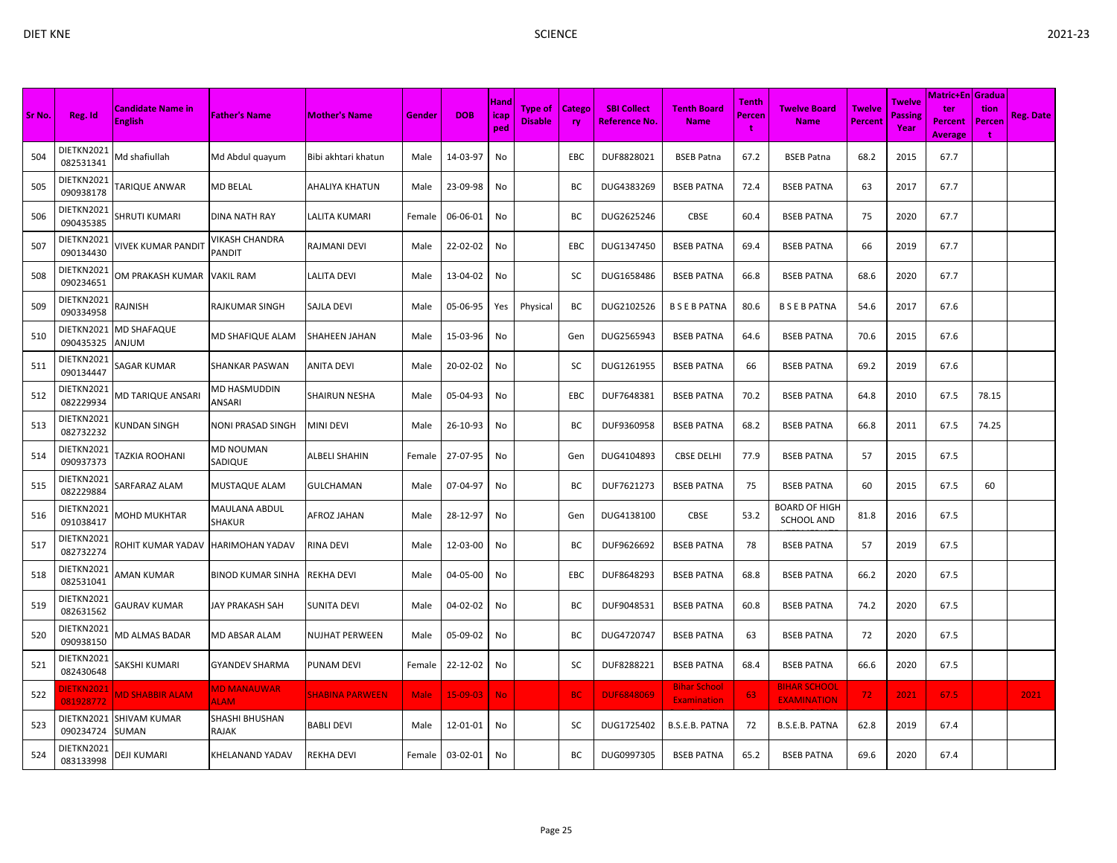| × |  |
|---|--|
|   |  |

|        |                         |                                            |                                   |                        |             |            |                     |                                  |                     |                                            |                                           | Tenth  |                                           |                          |                                         | <b>Matric+En Gradua</b>                 |                     |                  |
|--------|-------------------------|--------------------------------------------|-----------------------------------|------------------------|-------------|------------|---------------------|----------------------------------|---------------------|--------------------------------------------|-------------------------------------------|--------|-------------------------------------------|--------------------------|-----------------------------------------|-----------------------------------------|---------------------|------------------|
| Sr No. | Reg. Id                 | <b>Candidate Name in</b><br><b>English</b> | <b>Father's Name</b>              | <b>Mother's Name</b>   | Gender      | <b>DOB</b> | Hand<br>icap<br>ped | <b>Type of</b><br><b>Disable</b> | Catego<br><b>ry</b> | <b>SBI Collect</b><br><b>Reference No.</b> | <b>Tenth Board</b><br><b>Name</b>         | Percen | <b>Twelve Board</b><br><b>Name</b>        | <b>Twelve</b><br>Percent | <b>Twelve</b><br><b>Passing</b><br>Year | ter<br><b>Percent</b><br><b>Average</b> | tion<br>Percen<br>t | <b>Reg. Date</b> |
| 504    | DIETKN2021<br>082531341 | Md shafiullah                              | Md Abdul quayum                   | Bibi akhtari khatun    | Male        | 14-03-97   | No                  |                                  | EBC                 | DUF8828021                                 | <b>BSEB Patna</b>                         | 67.2   | <b>BSEB Patna</b>                         | 68.2                     | 2015                                    | 67.7                                    |                     |                  |
| 505    | DIETKN2021<br>090938178 | TARIQUE ANWAR                              | MD BELAL                          | AHALIYA KHATUN         | Male        | 23-09-98   | No                  |                                  | BC                  | DUG4383269                                 | <b>BSEB PATNA</b>                         | 72.4   | <b>BSEB PATNA</b>                         | 63                       | 2017                                    | 67.7                                    |                     |                  |
| 506    | DIETKN2021<br>090435385 | <b>SHRUTI KUMARI</b>                       | DINA NATH RAY                     | LALITA KUMARI          | Female      | 06-06-01   | No                  |                                  | BC                  | DUG2625246                                 | CBSE                                      | 60.4   | <b>BSEB PATNA</b>                         | 75                       | 2020                                    | 67.7                                    |                     |                  |
| 507    | DIETKN2021<br>090134430 | <b>IVEK KUMAR PANDIT</b>                   | VIKASH CHANDRA<br>PANDIT          | RAJMANI DEVI           | Male        | 22-02-02   | No                  |                                  | EBC                 | DUG1347450                                 | <b>BSEB PATNA</b>                         | 69.4   | <b>BSEB PATNA</b>                         | 66                       | 2019                                    | 67.7                                    |                     |                  |
| 508    | DIETKN2021<br>090234651 | OM PRAKASH KUMAR                           | <b>VAKIL RAM</b>                  | LALITA DEVI            | Male        | 13-04-02   | No                  |                                  | SC                  | DUG1658486                                 | <b>BSEB PATNA</b>                         | 66.8   | <b>BSEB PATNA</b>                         | 68.6                     | 2020                                    | 67.7                                    |                     |                  |
| 509    | DIETKN2021<br>090334958 | HZINIAF                                    | RAJKUMAR SINGH                    | SAJLA DEVI             | Male        | 05-06-95   | Yes                 | Physical                         | ВC                  | DUG2102526                                 | <b>BSEBPATNA</b>                          | 80.6   | <b>BSEBPATNA</b>                          | 54.6                     | 2017                                    | 67.6                                    |                     |                  |
| 510    | DIETKN2021<br>090435325 | MD SHAFAQUE<br>MULNA                       | MD SHAFIQUE ALAM                  | SHAHEEN JAHAN          | Male        | 15-03-96   | No                  |                                  | Gen                 | DUG2565943                                 | <b>BSEB PATNA</b>                         | 64.6   | <b>BSEB PATNA</b>                         | 70.6                     | 2015                                    | 67.6                                    |                     |                  |
| 511    | DIETKN2021<br>090134447 | <b>SAGAR KUMAR</b>                         | <b>SHANKAR PASWAN</b>             | <b>ANITA DEVI</b>      | Male        | 20-02-02   | No                  |                                  | sc                  | DUG1261955                                 | <b>BSEB PATNA</b>                         | 66     | <b>BSEB PATNA</b>                         | 69.2                     | 2019                                    | 67.6                                    |                     |                  |
| 512    | DIETKN2021<br>082229934 | VID TARIQUE ANSARI                         | MD HASMUDDIN<br>ANSARI            | SHAIRUN NESHA          | Male        | 05-04-93   | No                  |                                  | EBC                 | DUF7648381                                 | <b>BSEB PATNA</b>                         | 70.2   | <b>BSEB PATNA</b>                         | 64.8                     | 2010                                    | 67.5                                    | 78.15               |                  |
| 513    | DIETKN2021<br>082732232 | (UNDAN SINGH                               | NONI PRASAD SINGH                 | <b>MINI DEVI</b>       | Male        | 26-10-93   | No                  |                                  | BC                  | DUF9360958                                 | <b>BSEB PATNA</b>                         | 68.2   | <b>BSEB PATNA</b>                         | 66.8                     | 2011                                    | 67.5                                    | 74.25               |                  |
| 514    | DIETKN2021<br>090937373 | <b>TAZKIA ROOHANI</b>                      | MD NOUMAN<br>SADIQUE              | ALBELI SHAHIN          | Female      | 27-07-95   | No                  |                                  | Gen                 | DUG4104893                                 | <b>CBSE DELHI</b>                         | 77.9   | <b>BSEB PATNA</b>                         | 57                       | 2015                                    | 67.5                                    |                     |                  |
| 515    | DIETKN2021<br>082229884 | <b>SARFARAZ ALAM</b>                       | <b>MUSTAQUE ALAM</b>              | GULCHAMAN              | Male        | 07-04-97   | No                  |                                  | ВC                  | DUF7621273                                 | <b>BSEB PATNA</b>                         | 75     | <b>BSEB PATNA</b>                         | 60                       | 2015                                    | 67.5                                    | 60                  |                  |
| 516    | DIETKN2021<br>091038417 | MOHD MUKHTAR                               | MAULANA ABDUL<br>SHAKUR           | AFROZ JAHAN            | Male        | 28-12-97   | No                  |                                  | Gen                 | DUG4138100                                 | CBSE                                      | 53.2   | BOARD OF HIGH<br><b>SCHOOL AND</b>        | 81.8                     | 2016                                    | 67.5                                    |                     |                  |
| 517    | DIETKN2021<br>082732274 | ROHIT KUMAR YADAV                          | <b>HARIMOHAN YADAV</b>            | RINA DEVI              | Male        | 12-03-00   | No                  |                                  | ВC                  | DUF9626692                                 | <b>BSEB PATNA</b>                         | 78     | <b>BSEB PATNA</b>                         | 57                       | 2019                                    | 67.5                                    |                     |                  |
| 518    | DIETKN2021<br>082531041 | <b>AMAN KUMAR</b>                          | <b>BINOD KUMAR SINHA</b>          | REKHA DEVI             | Male        | 04-05-00   | No                  |                                  | <b>EBC</b>          | DUF8648293                                 | <b>BSEB PATNA</b>                         | 68.8   | <b>BSEB PATNA</b>                         | 66.2                     | 2020                                    | 67.5                                    |                     |                  |
| 519    | DIETKN2021<br>082631562 | GAURAV KUMAR                               | <b>JAY PRAKASH SAH</b>            | SUNITA DEVI            | Male        | 04-02-02   | No                  |                                  | ВC                  | DUF9048531                                 | <b>BSEB PATNA</b>                         | 60.8   | <b>BSEB PATNA</b>                         | 74.2                     | 2020                                    | 67.5                                    |                     |                  |
| 520    | DIETKN2021<br>090938150 | <b>MD ALMAS BADAR</b>                      | MD ABSAR ALAM                     | NUJHAT PERWEEN         | Male        | 05-09-02   | No                  |                                  | ВC                  | DUG4720747                                 | <b>BSEB PATNA</b>                         | 63     | <b>BSEB PATNA</b>                         | 72                       | 2020                                    | 67.5                                    |                     |                  |
| 521    | DIETKN2021<br>082430648 | SAKSHI KUMARI                              | <b>GYANDEV SHARMA</b>             | PUNAM DEVI             | Female      | 22-12-02   | No                  |                                  | SC                  | DUF8288221                                 | <b>BSEB PATNA</b>                         | 68.4   | <b>BSEB PATNA</b>                         | 66.6                     | 2020                                    | 67.5                                    |                     |                  |
| 522    | DIETKN2021<br>081928772 | <b>MD SHABBIR ALAM</b>                     | <b>MD MANAUWAR</b><br><b>ALAM</b> | <b>SHABINA PARWEEN</b> | <b>Male</b> | 15-09-03   | No.                 |                                  | <b>BC</b>           | <b>DUF6848069</b>                          | <b>Bihar School</b><br><b>Examination</b> | 63     | <b>BIHAR SCHOOL</b><br><b>EXAMINATION</b> | 72 <sub>1</sub>          | 2021                                    | 67.5                                    |                     | 2021             |
| 523    | DIETKN2021<br>090234724 | <b>SHIVAM KUMAR</b><br>SUMAN               | SHASHI BHUSHAN<br>RAJAK           | BABLI DEVI             | Male        | 12-01-01   | No                  |                                  | SC                  | DUG1725402                                 | B.S.E.B. PATNA                            | 72     | B.S.E.B. PATNA                            | 62.8                     | 2019                                    | 67.4                                    |                     |                  |
| 524    | DIETKN2021<br>083133998 | DEJI KUMARI                                | KHELANAND YADAV                   | REKHA DEVI             | Female      | 03-02-01   | No                  |                                  | ВC                  | DUG0997305                                 | <b>BSEB PATNA</b>                         | 65.2   | <b>BSEB PATNA</b>                         | 69.6                     | 2020                                    | 67.4                                    |                     |                  |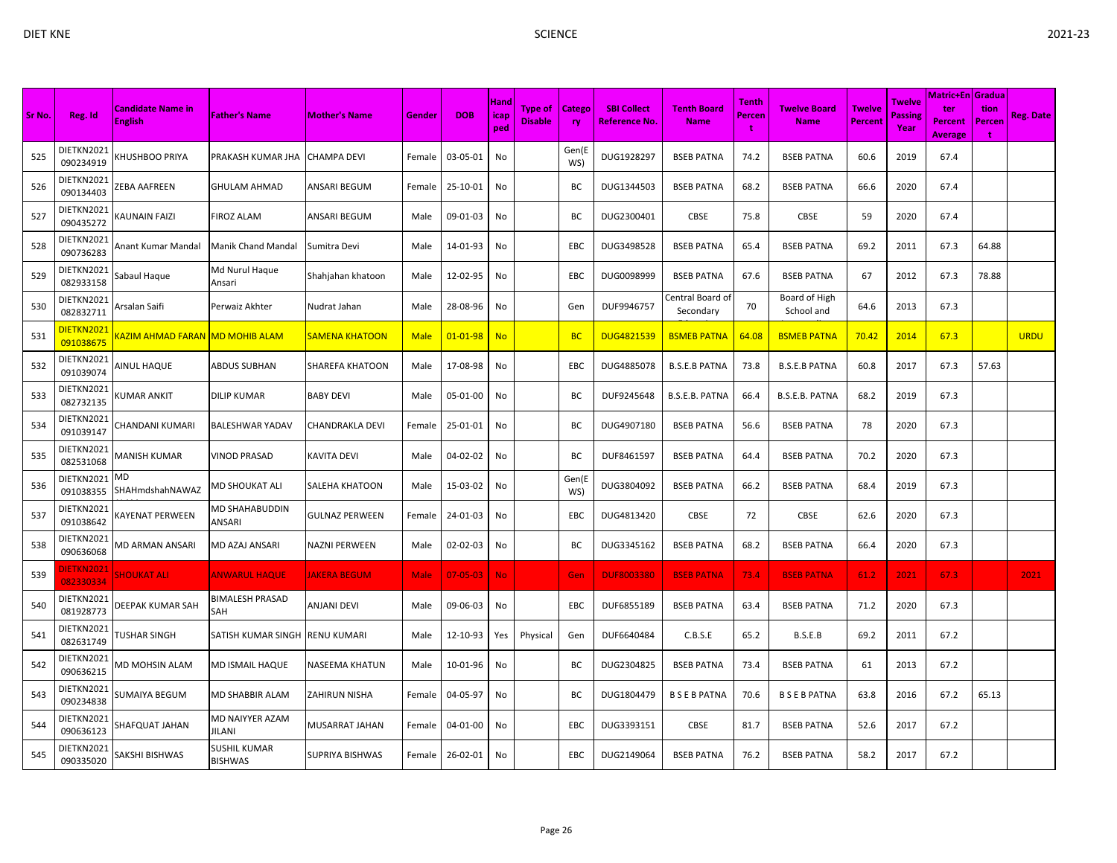| Sr No. | Reg. Id                       | <b>Candidate Name in</b><br><b>English</b> | <b>Father's Name</b>           | <b>Mother's Name</b>  | Gender      | <b>DOB</b>     | Hand<br>icap | Type of<br><b>Disable</b> | <b>Catego</b><br><b>ry</b> | <b>SBI Collect</b><br><b>Reference No.</b> | <b>Tenth Board</b><br><b>Name</b> | Tenth<br>Percen | <b>Twelve Board</b><br><b>Name</b> | <b>Twelve</b><br><b>Percent</b> | Twelve<br><b>Passing</b> | Matric+En   Gradua  <br>ter<br>Percent | tion<br>Percen | <b>Reg. Date</b> |
|--------|-------------------------------|--------------------------------------------|--------------------------------|-----------------------|-------------|----------------|--------------|---------------------------|----------------------------|--------------------------------------------|-----------------------------------|-----------------|------------------------------------|---------------------------------|--------------------------|----------------------------------------|----------------|------------------|
|        |                               |                                            |                                |                       |             |                | ped          |                           |                            |                                            |                                   | ÷               |                                    |                                 | Year                     | <b>Average</b>                         | ÷              |                  |
| 525    | DIETKN2021<br>090234919       | <b>CHUSHBOO PRIYA</b>                      | PRAKASH KUMAR JHA              | <b>CHAMPA DEVI</b>    | Female      | 03-05-01       | No           |                           | Gen(E<br>WS)               | DUG1928297                                 | <b>BSEB PATNA</b>                 | 74.2            | <b>BSEB PATNA</b>                  | 60.6                            | 2019                     | 67.4                                   |                |                  |
| 526    | DIETKN2021<br>090134403       | ZEBA AAFREEN                               | GHULAM AHMAD                   | ANSARI BEGUM          | Female      | 25-10-01       | No           |                           | BC                         | DUG1344503                                 | <b>BSEB PATNA</b>                 | 68.2            | <b>BSEB PATNA</b>                  | 66.6                            | 2020                     | 67.4                                   |                |                  |
| 527    | DIETKN2021<br>090435272       | <b>AUNAIN FAIZI</b>                        | <b>FIROZ ALAM</b>              | ANSARI BEGUM          | Male        | 09-01-03       | No           |                           | BC                         | DUG2300401                                 | CBSE                              | 75.8            | CBSE                               | 59                              | 2020                     | 67.4                                   |                |                  |
| 528    | DIETKN2021<br>090736283       | Anant Kumar Mandal                         | Manik Chand Mandal             | Sumitra Devi          | Male        | 14-01-93       | No           |                           | EBC                        | DUG3498528                                 | <b>BSEB PATNA</b>                 | 65.4            | <b>BSEB PATNA</b>                  | 69.2                            | 2011                     | 67.3                                   | 64.88          |                  |
| 529    | DIETKN2021<br>082933158       | Sabaul Haque                               | Md Nurul Haque<br>Ansari       | Shahjahan khatoon     | Male        | 12-02-95       | No           |                           | EBC                        | DUG0098999                                 | <b>BSEB PATNA</b>                 | 67.6            | <b>BSEB PATNA</b>                  | 67                              | 2012                     | 67.3                                   | 78.88          |                  |
| 530    | DIETKN2021<br>082832711       | Arsalan Saifi                              | Perwaiz Akhter                 | Nudrat Jahan          | Male        | 28-08-96       | No           |                           | Gen                        | DUF9946757                                 | Central Board of<br>Secondary     | 70              | Board of High<br>School and        | 64.6                            | 2013                     | 67.3                                   |                |                  |
| 531    | DIETKN2021<br>091038675       | <u>(AZIM AHMAD FARAN  MD MOHIB ALAM</u>    |                                | <b>SAMENA KHATOON</b> | <b>Male</b> | $01 - 01 - 98$ | <b>No</b>    |                           | <b>BC</b>                  | <b>DUG4821539</b>                          | <b>BSMEB PATNA</b>                | 64.08           | <b>BSMEB PATNA</b>                 | 70.42                           | 2014                     | 67.3                                   |                | <b>URDU</b>      |
| 532    | DIETKN2021<br>091039074       | <b>INUL HAQUE</b>                          | ABDUS SUBHAN                   | SHAREFA KHATOON       | Male        | 17-08-98       | No           |                           | EBC                        | DUG4885078                                 | <b>B.S.E.B PATNA</b>              | 73.8            | <b>B.S.E.B PATNA</b>               | 60.8                            | 2017                     | 67.3                                   | 57.63          |                  |
| 533    | DIETKN2021<br>082732135       | KUMAR ANKIT                                | DILIP KUMAR                    | BABY DEVI             | Male        | 05-01-00       | No           |                           | BС                         | DUF9245648                                 | B.S.E.B. PATNA                    | 66.4            | B.S.E.B. PATNA                     | 68.2                            | 2019                     | 67.3                                   |                |                  |
| 534    | DIETKN2021<br>091039147       | CHANDANI KUMARI                            | BALESHWAR YADAV                | CHANDRAKLA DEVI       | Female      | 25-01-01       | No           |                           | BC                         | DUG4907180                                 | <b>BSEB PATNA</b>                 | 56.6            | <b>BSEB PATNA</b>                  | 78                              | 2020                     | 67.3                                   |                |                  |
| 535    | DIETKN2021<br>082531068       | <b>MANISH KUMAR</b>                        | VINOD PRASAD                   | <b>KAVITA DEVI</b>    | Male        | 04-02-02       | No           |                           | BC                         | DUF8461597                                 | <b>BSEB PATNA</b>                 | 64.4            | <b>BSEB PATNA</b>                  | 70.2                            | 2020                     | 67.3                                   |                |                  |
| 536    | DIETKN2021<br>091038355       | MD<br>SHAHmdshahNAWAZ                      | MD SHOUKAT ALI                 | SALEHA KHATOON        | Male        | 15-03-02       | No           |                           | Gen(E<br>WS)               | DUG3804092                                 | <b>BSEB PATNA</b>                 | 66.2            | <b>BSEB PATNA</b>                  | 68.4                            | 2019                     | 67.3                                   |                |                  |
| 537    | DIETKN2021<br>091038642       | <b>KAYENAT PERWEEN</b>                     | MD SHAHABUDDIN<br>ANSARI       | <b>GULNAZ PERWEEN</b> | Female      | 24-01-03       | No           |                           | EBC                        | DUG4813420                                 | <b>CBSE</b>                       | 72              | <b>CBSE</b>                        | 62.6                            | 2020                     | 67.3                                   |                |                  |
| 538    | DIETKN2021<br>090636068       | AD ARMAN ANSARI                            | MD AZAJ ANSARI                 | NAZNI PERWEEN         | Male        | 02-02-03       | No           |                           | BC                         | DUG3345162                                 | <b>BSEB PATNA</b>                 | 68.2            | <b>BSEB PATNA</b>                  | 66.4                            | 2020                     | 67.3                                   |                |                  |
| 539    | <b>IETKN2021</b><br>082330334 | <b>SHOUKAT ALI</b>                         | <b>ANWARUL HAQUE</b>           | <b>JAKERA BEGUM</b>   | Male        | $07 - 05 - 03$ | No.          |                           | Gen                        | <b>DUF8003380</b>                          | <b>BSEB PATNA</b>                 | 73.4            | <b>BSEB PATNA</b>                  | 61.2                            | 2021                     | 67.3                                   |                | 2021             |
| 540    | DIETKN2021<br>081928773       | DEEPAK KUMAR SAH                           | <b>BIMALESH PRASAD</b><br>SAH  | ANJANI DEVI           | Male        | 09-06-03       | No           |                           | EBC                        | DUF6855189                                 | <b>BSEB PATNA</b>                 | 63.4            | <b>BSEB PATNA</b>                  | 71.2                            | 2020                     | 67.3                                   |                |                  |
| 541    | DIETKN2021<br>082631749       | TUSHAR SINGH                               | SATISH KUMAR SINGH             | <b>RENU KUMARI</b>    | Male        | 12-10-93       | Yes          | Physical                  | Gen                        | DUF6640484                                 | C.B.S.E                           | 65.2            | B.S.E.B                            | 69.2                            | 2011                     | 67.2                                   |                |                  |
| 542    | DIETKN2021<br>090636215       | AD MOHSIN ALAM                             | MD ISMAIL HAQUE                | NASEEMA KHATUN        | Male        | 10-01-96       | No           |                           | ВC                         | DUG2304825                                 | <b>BSEB PATNA</b>                 | 73.4            | <b>BSEB PATNA</b>                  | 61                              | 2013                     | 67.2                                   |                |                  |
| 543    | DIETKN2021<br>090234838       | SUMAIYA BEGUM                              | <b>MD SHABBIR ALAM</b>         | ZAHIRUN NISHA         | Female      | 04-05-97       | No           |                           | ВC                         | DUG1804479                                 | <b>BSEBPATNA</b>                  | 70.6            | <b>B S E B PATNA</b>               | 63.8                            | 2016                     | 67.2                                   | 65.13          |                  |
| 544    | DIETKN2021<br>090636123       | HAFQUAT JAHAN                              | MD NAIYYER AZAM<br>JILANI      | MUSARRAT JAHAN        | Female      | 04-01-00       | No           |                           | EBC                        | DUG3393151                                 | <b>CBSE</b>                       | 81.7            | <b>BSEB PATNA</b>                  | 52.6                            | 2017                     | 67.2                                   |                |                  |
| 545    | DIETKN2021<br>090335020       | SAKSHI BISHWAS                             | SUSHIL KUMAR<br><b>BISHWAS</b> | SUPRIYA BISHWAS       | Female      | 26-02-01       | No           |                           | EBC                        | DUG2149064                                 | <b>BSEB PATNA</b>                 | 76.2            | <b>BSEB PATNA</b>                  | 58.2                            | 2017                     | 67.2                                   |                |                  |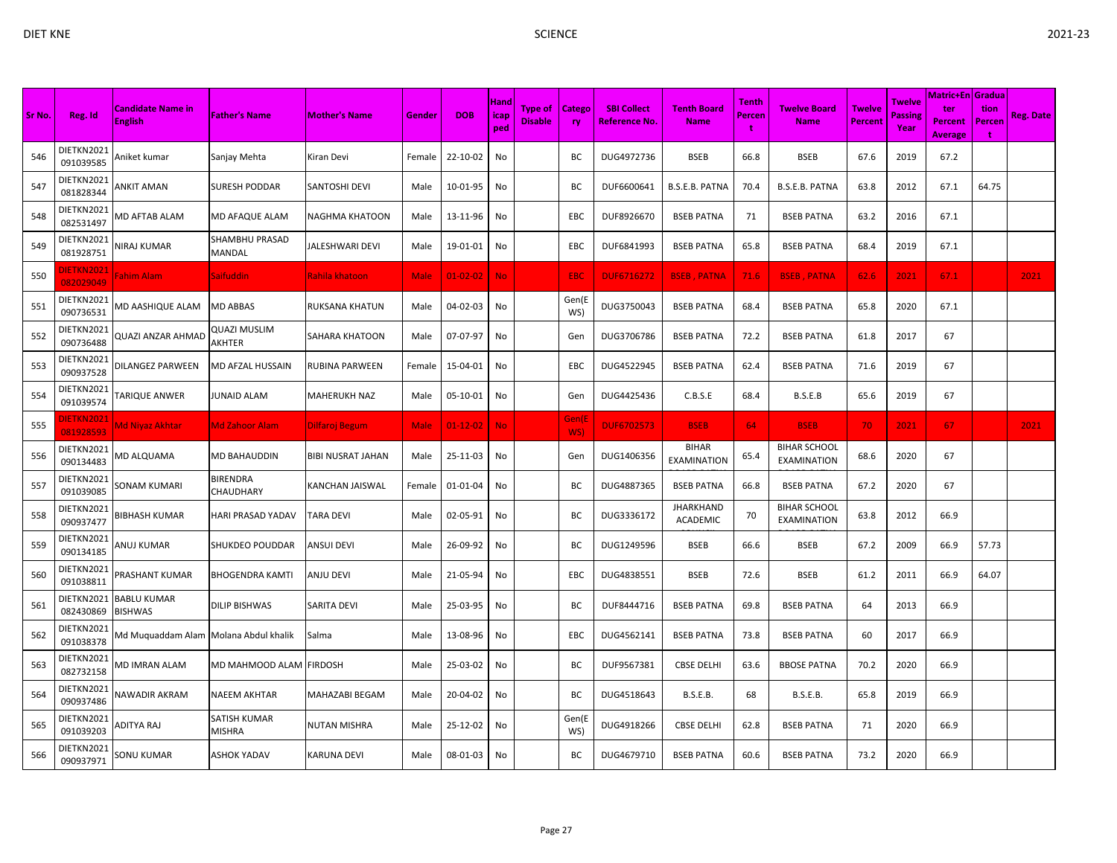| × |  |
|---|--|
|   |  |

|        |                               |                                     |                          |                          |             |                |                            |                                  |                     |                                     |                                     |                             |                                           |                          |                           | <b>Matric+En Gradua</b>                 |                            |                  |
|--------|-------------------------------|-------------------------------------|--------------------------|--------------------------|-------------|----------------|----------------------------|----------------------------------|---------------------|-------------------------------------|-------------------------------------|-----------------------------|-------------------------------------------|--------------------------|---------------------------|-----------------------------------------|----------------------------|------------------|
| Sr No. | Reg. Id                       | Candidate Name in<br><b>English</b> | <b>Father's Name</b>     | <b>Mother's Name</b>     | Gender      | <b>DOB</b>     | <b>Hand</b><br>icap<br>ped | <b>Type of</b><br><b>Disable</b> | Catego<br><b>ry</b> | <b>SBI Collect</b><br>Reference No. | <b>Tenth Board</b><br><b>Name</b>   | <b>Tenth</b><br>Percen<br>t | Twelve Board<br><b>Name</b>               | <b>Twelve</b><br>Percent | Twelve<br>Passine<br>Year | ter<br><b>Percent</b><br><b>Average</b> | tion<br>Percen<br><b>t</b> | <b>Reg. Date</b> |
| 546    | DIETKN2021<br>091039585       | Aniket kumar                        | Sanjay Mehta             | Kiran Devi               | Female      | 22-10-02       | No                         |                                  | ВC                  | DUG4972736                          | <b>BSEB</b>                         | 66.8                        | <b>BSEB</b>                               | 67.6                     | 2019                      | 67.2                                    |                            |                  |
| 547    | DIETKN2021<br>081828344       | ANKIT AMAN                          | SURESH PODDAR            | <b>SANTOSHI DEVI</b>     | Male        | 10-01-95       | No                         |                                  | ВC                  | DUF6600641                          | B.S.E.B. PATNA                      | 70.4                        | B.S.E.B. PATNA                            | 63.8                     | 2012                      | 67.1                                    | 64.75                      |                  |
| 548    | DIETKN2021<br>082531497       | <b>MD AFTAB ALAM</b>                | MD AFAQUE ALAM           | <b>NAGHMA KHATOON</b>    | Male        | 13-11-96       | No                         |                                  | EBC                 | DUF8926670                          | <b>BSEB PATNA</b>                   | 71                          | <b>BSEB PATNA</b>                         | 63.2                     | 2016                      | 67.1                                    |                            |                  |
| 549    | DIETKN2021<br>081928751       | <b>JIRAJ KUMAR</b>                  | SHAMBHU PRASAD<br>MANDAL | JALESHWARI DEVI          | Male        | 19-01-01       | No                         |                                  | EBC                 | DUF6841993                          | <b>BSEB PATNA</b>                   | 65.8                        | <b>BSEB PATNA</b>                         | 68.4                     | 2019                      | 67.1                                    |                            |                  |
| 550    | <b>NETKN2021</b><br>082029049 | Fahim Alam                          | Saifuddin                | Rahila khatoon           | <b>Male</b> | $01 - 02 - 02$ | <b>No</b>                  |                                  | <b>EBC</b>          | <b>DUF6716272</b>                   | <b>BSEB, PATNA</b>                  | 71.6                        | <b>BSEB, PATNA</b>                        | 62.6                     | 2021                      | 67.1                                    |                            | 2021             |
| 551    | DIETKN2021<br>090736531       | VID AASHIQUE ALAM                   | <b>MD ABBAS</b>          | RUKSANA KHATUN           | Male        | 04-02-03       | No                         |                                  | Gen(E<br>WS)        | DUG3750043                          | <b>BSEB PATNA</b>                   | 68.4                        | <b>BSEB PATNA</b>                         | 65.8                     | 2020                      | 67.1                                    |                            |                  |
| 552    | DIETKN2021<br>090736488       | QUAZI ANZAR AHMAD                   | QUAZI MUSLIM<br>AKHTER   | <b>SAHARA KHATOON</b>    | Male        | 07-07-97       | No                         |                                  | Gen                 | DUG3706786                          | <b>BSEB PATNA</b>                   | 72.2                        | <b>BSEB PATNA</b>                         | 61.8                     | 2017                      | 67                                      |                            |                  |
| 553    | DIETKN2021<br>090937528       | DILANGEZ PARWEEN                    | MD AFZAL HUSSAIN         | <b>RUBINA PARWEEN</b>    | Female      | 15-04-01       | No                         |                                  | EBC                 | DUG4522945                          | <b>BSEB PATNA</b>                   | 62.4                        | <b>BSEB PATNA</b>                         | 71.6                     | 2019                      | 67                                      |                            |                  |
| 554    | DIETKN2021<br>091039574       | <b><i>TARIQUE ANWER</i></b>         | JUNAID ALAM              | <b>MAHERUKH NAZ</b>      | Male        | 05-10-01       | No                         |                                  | Gen                 | DUG4425436                          | C.B.S.E                             | 68.4                        | B.S.E.B                                   | 65.6                     | 2019                      | 67                                      |                            |                  |
| 555    | DIETKN202:<br>081928593       | <b>Md Niyaz Akhtar</b>              | <u> Md Zahoor Alam</u>   | Dilfaroj Begum           | Male        | $01-12-02$     | <b>No</b>                  |                                  | Gen(E<br>WS)        | <b>DUF6702573</b>                   | <b>BSEB</b>                         | 64                          | <b>BSEB</b>                               | 70                       | 2021                      | 67                                      |                            | 2021             |
| 556    | DIETKN2021<br>090134483       | <b>MD ALQUAMA</b>                   | MD BAHAUDDIN             | <b>BIBI NUSRAT JAHAN</b> | Male        | 25-11-03       | No                         |                                  | Gen                 | DUG1406356                          | <b>BIHAR</b><br><b>EXAMINATION</b>  | 65.4                        | <b>BIHAR SCHOOL</b><br>EXAMINATION        | 68.6                     | 2020                      | 67                                      |                            |                  |
| 557    | DIETKN2021<br>091039085       | SONAM KUMARI                        | BIRENDRA<br>CHAUDHARY    | <b>KANCHAN JAISWAL</b>   | Female      | 01-01-04       | No                         |                                  | ВC                  | DUG4887365                          | <b>BSEB PATNA</b>                   | 66.8                        | <b>BSEB PATNA</b>                         | 67.2                     | 2020                      | 67                                      |                            |                  |
| 558    | DIETKN2021<br>090937477       | BIBHASH KUMAR                       | HARI PRASAD YADAV        | <b>TARA DEVI</b>         | Male        | 02-05-91       | No                         |                                  | BC                  | DUG3336172                          | <b>JHARKHAND</b><br><b>ACADEMIC</b> | 70                          | <b>BIHAR SCHOOL</b><br><b>EXAMINATION</b> | 63.8                     | 2012                      | 66.9                                    |                            |                  |
| 559    | DIETKN2021<br>090134185       | ANUJ KUMAR                          | SHUKDEO POUDDAR          | <b>ANSUI DEVI</b>        | Male        | 26-09-92       | No                         |                                  | BC                  | DUG1249596                          | <b>BSEB</b>                         | 66.6                        | <b>BSEB</b>                               | 67.2                     | 2009                      | 66.9                                    | 57.73                      |                  |
| 560    | DIETKN2021<br>091038811       | <b>PRASHANT KUMAR</b>               | BHOGENDRA KAMTI          | <b>ANJU DEVI</b>         | Male        | 21-05-94       | No                         |                                  | EBC                 | DUG4838551                          | <b>BSEB</b>                         | 72.6                        | <b>BSEB</b>                               | 61.2                     | 2011                      | 66.9                                    | 64.07                      |                  |
| 561    | DIETKN2021<br>082430869       | <b>BABLU KUMAR</b><br>BISHWAS       | DILIP BISHWAS            | <b>SARITA DEVI</b>       | Male        | 25-03-95       | No                         |                                  | BC                  | DUF8444716                          | <b>BSEB PATNA</b>                   | 69.8                        | <b>BSEB PATNA</b>                         | 64                       | 2013                      | 66.9                                    |                            |                  |
| 562    | DIETKN2021<br>091038378       | Md Muquaddam Alam                   | Molana Abdul khalik      | Salma                    | Male        | 13-08-96       | No                         |                                  | EBC                 | DUG4562141                          | <b>BSEB PATNA</b>                   | 73.8                        | <b>BSEB PATNA</b>                         | 60                       | 2017                      | 66.9                                    |                            |                  |
| 563    | DIETKN2021<br>082732158       | <b>MD IMRAN ALAM</b>                | MD MAHMOOD ALAM  FIRDOSH |                          | Male        | 25-03-02       | No                         |                                  | BC                  | DUF9567381                          | <b>CBSE DELHI</b>                   | 63.6                        | <b>BBOSE PATNA</b>                        | 70.2                     | 2020                      | 66.9                                    |                            |                  |
| 564    | DIETKN2021<br>090937486       | <b>VAWADIR AKRAM</b>                | NAEEM AKHTAR             | <b>MAHAZABI BEGAM</b>    | Male        | 20-04-02       | No                         |                                  | BC                  | DUG4518643                          | <b>B.S.E.B.</b>                     | 68                          | B.S.E.B.                                  | 65.8                     | 2019                      | 66.9                                    |                            |                  |
| 565    | DIETKN2021<br>091039203       | ADITYA RAJ                          | SATISH KUMAR<br>MISHRA   | <b>NUTAN MISHRA</b>      | Male        | 25-12-02       | No                         |                                  | Gen(E<br>WS)        | DUG4918266                          | <b>CBSE DELHI</b>                   | 62.8                        | <b>BSEB PATNA</b>                         | 71                       | 2020                      | 66.9                                    |                            |                  |
| 566    | DIETKN2021<br>090937971       | SONU KUMAR                          | <b>ASHOK YADAV</b>       | <b>KARUNA DEVI</b>       | Male        | 08-01-03       | No                         |                                  | BC                  | DUG4679710                          | <b>BSEB PATNA</b>                   | 60.6                        | <b>BSEB PATNA</b>                         | 73.2                     | 2020                      | 66.9                                    |                            |                  |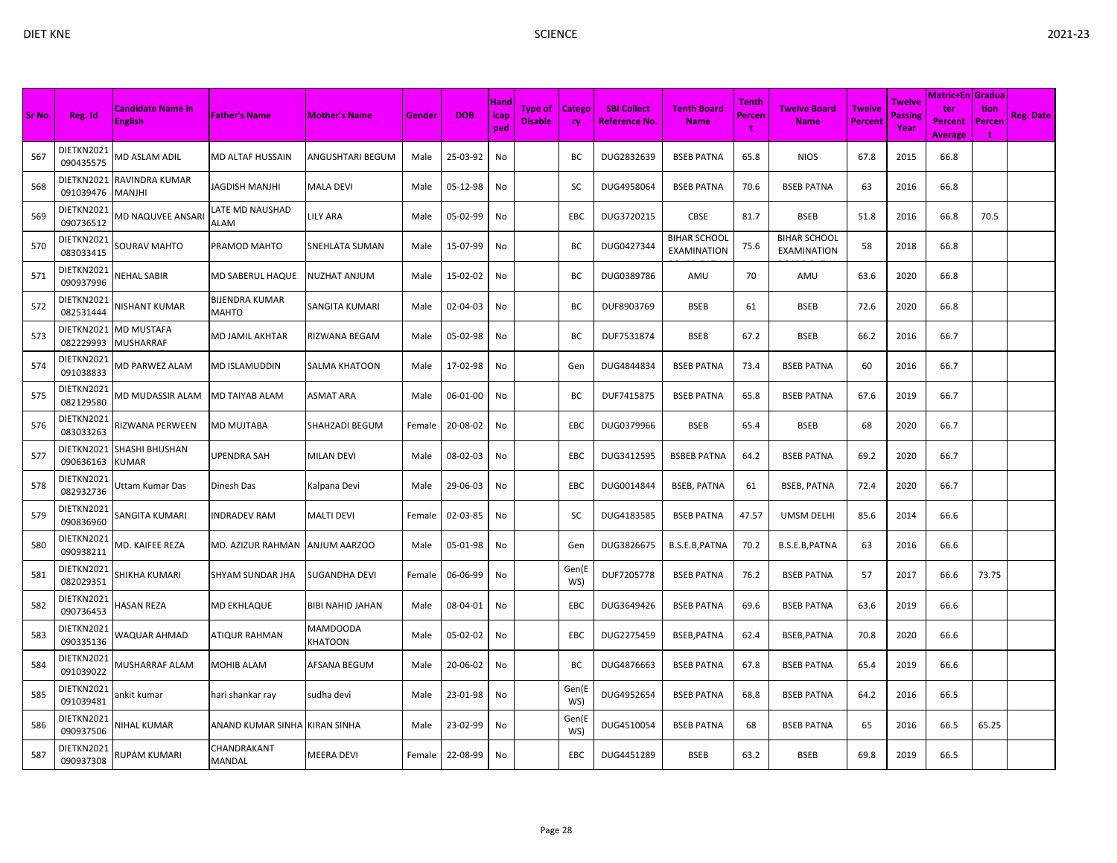| Sr No. | Reg. Id                 | <b>Candidate Name in</b><br><b>English</b> | <b>Father's Name</b>           | <b>Mother's Name</b> | <b>Gender</b> | <b>DOB</b> | Hand<br>icap<br>ped | <b>Type of</b><br><b>Disable</b> | <b>Catego</b><br><b>ry</b> | <b>SBI Collect</b><br><b>Reference No.</b> | <b>Tenth Board</b><br><b>Name</b>         | Tenth<br>Percen | <b>Twelve Board</b><br><b>Name</b>        | <b>Twelve</b><br>Percent | <b>Twelve</b><br>Passing<br>Year | <b>Matric+En Gradua</b><br>ter<br><b>Percent</b><br><b>Average</b> | tion<br><b>Percen</b><br>÷ | <b>Reg. Date</b> |
|--------|-------------------------|--------------------------------------------|--------------------------------|----------------------|---------------|------------|---------------------|----------------------------------|----------------------------|--------------------------------------------|-------------------------------------------|-----------------|-------------------------------------------|--------------------------|----------------------------------|--------------------------------------------------------------------|----------------------------|------------------|
| 567    | DIETKN2021<br>090435575 | MD ASLAM ADIL                              | MD ALTAF HUSSAIN               | ANGUSHTARI BEGUM     | Male          | 25-03-92   | No                  |                                  | BС                         | DUG2832639                                 | <b>BSEB PATNA</b>                         | 65.8            | <b>NIOS</b>                               | 67.8                     | 2015                             | 66.8                                                               |                            |                  |
| 568    | DIETKN2021<br>091039476 | RAVINDRA KUMAR<br>MANJHI                   | JAGDISH MANJHI                 | MALA DEVI            | Male          | 05-12-98   | No                  |                                  | SC                         | DUG4958064                                 | <b>BSEB PATNA</b>                         | 70.6            | <b>BSEB PATNA</b>                         | 63                       | 2016                             | 66.8                                                               |                            |                  |
| 569    | DIETKN2021<br>090736512 | <b>MD NAQUVEE ANSARI</b>                   | LATE MD NAUSHAD<br>ALAM        | LILY ARA             | Male          | 05-02-99   | No                  |                                  | <b>EBC</b>                 | DUG3720215                                 | CBSE                                      | 81.7            | <b>BSEB</b>                               | 51.8                     | 2016                             | 66.8                                                               | 70.5                       |                  |
| 570    | DIETKN2021<br>083033415 | <b>SOURAV MAHTO</b>                        | PRAMOD MAHTO                   | SNEHLATA SUMAN       | Male          | 15-07-99   | No                  |                                  | BC                         | DUG0427344                                 | <b>BIHAR SCHOOL</b><br><b>EXAMINATION</b> | 75.6            | <b>BIHAR SCHOOL</b><br><b>EXAMINATION</b> | 58                       | 2018                             | 66.8                                                               |                            |                  |
| 571    | DIETKN2021<br>090937996 | <b>NEHAL SABIR</b>                         | MD SABERUL HAQUE               | NUZHAT ANJUM         | Male          | 15-02-02   | No                  |                                  | BС                         | DUG0389786                                 | AMU                                       | 70              | AMU                                       | 63.6                     | 2020                             | 66.8                                                               |                            |                  |
| 572    | DIETKN2021<br>082531444 | NISHANT KUMAR                              | BIJENDRA KUMAR<br><b>MAHTO</b> | SANGITA KUMARI       | Male          | 02-04-03   | No                  |                                  | BC                         | DUF8903769                                 | <b>BSEB</b>                               | 61              | <b>BSEB</b>                               | 72.6                     | 2020                             | 66.8                                                               |                            |                  |
| 573    | DIETKN2021<br>082229993 | MD MUSTAFA<br>MUSHARRAF                    | MD JAMIL AKHTAR                | RIZWANA BEGAM        | Male          | 05-02-98   | No                  |                                  | BC                         | DUF7531874                                 | <b>BSEB</b>                               | 67.2            | <b>BSEB</b>                               | 66.2                     | 2016                             | 66.7                                                               |                            |                  |
| 574    | DIETKN2021<br>091038833 | VID PARWEZ ALAM                            | <b>MD ISLAMUDDIN</b>           | SALMA KHATOON        | Male          | 17-02-98   | No                  |                                  | Gen                        | DUG4844834                                 | <b>BSEB PATNA</b>                         | 73.4            | <b>BSEB PATNA</b>                         | 60                       | 2016                             | 66.7                                                               |                            |                  |
| 575    | DIETKN2021<br>082129580 | VID MUDASSIR ALAM                          | MD TAIYAB ALAM                 | ASMAT ARA            | Male          | 06-01-00   | No                  |                                  | ВC                         | DUF7415875                                 | <b>BSEB PATNA</b>                         | 65.8            | <b>BSEB PATNA</b>                         | 67.6                     | 2019                             | 66.7                                                               |                            |                  |
| 576    | DIETKN2021<br>083033263 | RIZWANA PERWEEN                            | MD MUJTABA                     | SHAHZADI BEGUM       | Female        | 20-08-02   | No                  |                                  | EBC                        | DUG0379966                                 | <b>BSEB</b>                               | 65.4            | <b>BSEB</b>                               | 68                       | 2020                             | 66.7                                                               |                            |                  |
| 577    | DIETKN2021<br>090636163 | SHASHI BHUSHAN<br>KUMAR                    | UPENDRA SAH                    | MILAN DEVI           | Male          | 08-02-03   | No                  |                                  | EBC                        | DUG3412595                                 | <b>BSBEB PATNA</b>                        | 64.2            | <b>BSEB PATNA</b>                         | 69.2                     | 2020                             | 66.7                                                               |                            |                  |
| 578    | DIETKN2021<br>082932736 | Jttam Kumar Das                            | Dinesh Das                     | Kalpana Devi         | Male          | 29-06-03   | No                  |                                  | EBC                        | DUG0014844                                 | <b>BSEB, PATNA</b>                        | 61              | <b>BSEB, PATNA</b>                        | 72.4                     | 2020                             | 66.7                                                               |                            |                  |
| 579    | DIETKN2021<br>090836960 | SANGITA KUMARI                             | <b>NDRADEV RAM</b>             | <b>MALTI DEVI</b>    | Female        | 02-03-85   | No                  |                                  | SC                         | DUG4183585                                 | <b>BSEB PATNA</b>                         | 47.57           | UMSM DELHI                                | 85.6                     | 2014                             | 66.6                                                               |                            |                  |
| 580    | DIETKN2021<br>090938211 | <b>MD. KAIFEE REZA</b>                     | MD. AZIZUR RAHMAN              | ANJUM AARZOO         | Male          | 05-01-98   | No                  |                                  | Gen                        | DUG3826675                                 | B.S.E.B, PATNA                            | 70.2            | B.S.E.B, PATNA                            | 63                       | 2016                             | 66.6                                                               |                            |                  |
| 581    | DIETKN2021<br>082029351 | HIKHA KUMARI                               | <b>SHYAM SUNDAR JHA</b>        | SUGANDHA DEVI        | Female        | 06-06-99   | No                  |                                  | Gen(E<br>WS)               | DUF7205778                                 | <b>BSEB PATNA</b>                         | 76.2            | <b>BSEB PATNA</b>                         | 57                       | 2017                             | 66.6                                                               | 73.75                      |                  |
| 582    | DIETKN2021<br>090736453 | IASAN REZA                                 | <b>MD EKHLAQUE</b>             | BIBI NAHID JAHAN     | Male          | 08-04-01   | No                  |                                  | EBC                        | DUG3649426                                 | <b>BSEB PATNA</b>                         | 69.6            | <b>BSEB PATNA</b>                         | 63.6                     | 2019                             | 66.6                                                               |                            |                  |
| 583    | DIETKN2021<br>090335136 | WAQUAR AHMAD                               | ATIQUR RAHMAN                  | MAMDOODA<br>KHATOON  | Male          | 05-02-02   | No                  |                                  | EBC                        | DUG2275459                                 | BSEB, PATNA                               | 62.4            | BSEB, PATNA                               | 70.8                     | 2020                             | 66.6                                                               |                            |                  |
| 584    | DIETKN2021<br>091039022 | VIUSHARRAF ALAM                            | MOHIB ALAM                     | AFSANA BEGUM         | Male          | 20-06-02   | No                  |                                  | BC                         | DUG4876663                                 | <b>BSEB PATNA</b>                         | 67.8            | <b>BSEB PATNA</b>                         | 65.4                     | 2019                             | 66.6                                                               |                            |                  |
| 585    | DIETKN2021<br>091039481 | ankit kumar                                | hari shankar ray               | sudha devi           | Male          | 23-01-98   | No                  |                                  | Gen(E<br>WS)               | DUG4952654                                 | <b>BSEB PATNA</b>                         | 68.8            | <b>BSEB PATNA</b>                         | 64.2                     | 2016                             | 66.5                                                               |                            |                  |
| 586    | DIETKN2021<br>090937506 | <b>VIHAL KUMAR</b>                         | ANAND KUMAR SINHA KIRAN SINHA  |                      | Male          | 23-02-99   | No                  |                                  | Gen(E<br>WS)               | DUG4510054                                 | <b>BSEB PATNA</b>                         | 68              | <b>BSEB PATNA</b>                         | 65                       | 2016                             | 66.5                                                               | 65.25                      |                  |
| 587    | DIETKN2021<br>090937308 | RUPAM KUMARI                               | CHANDRAKANT<br>MANDAL          | MEERA DEVI           | Female        | 22-08-99   | No                  |                                  | <b>EBC</b>                 | DUG4451289                                 | <b>BSEB</b>                               | 63.2            | <b>BSEB</b>                               | 69.8                     | 2019                             | 66.5                                                               |                            |                  |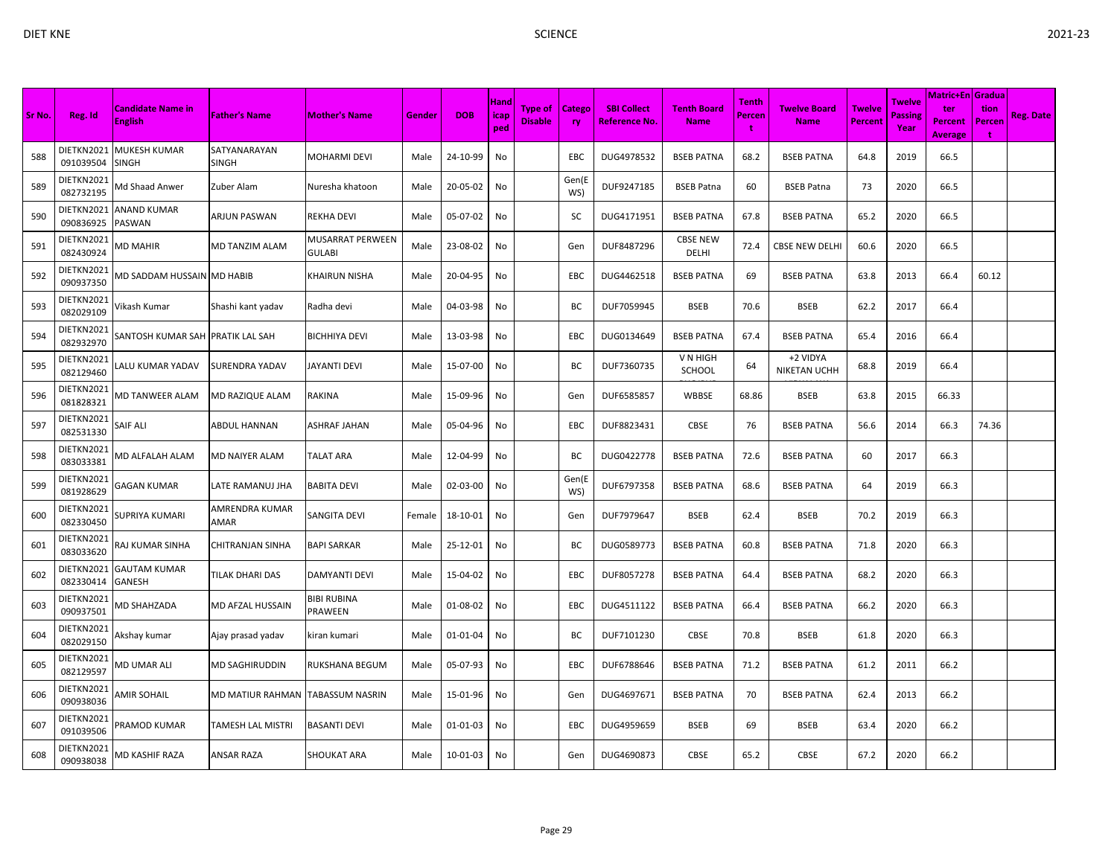| Sr No. | Reg. Id                 | <b>Candidate Name in</b><br><b>English</b> | <b>Father's Name</b>   | <b>Mother's Name</b>                     | Gender | <b>DOB</b> | <b>Hand</b><br>icap<br>ped | <b>Type of</b><br><b>Disable</b> | Catego<br><b>ry</b> | <b>SBI Collect</b><br><b>Reference No.</b> | <b>Tenth Board</b><br><b>Name</b> | Tenth<br>Percen<br>t | <b>Twelve Board</b><br><b>Name</b> | <b>Twelve</b><br>Percent | <b>Twelve</b><br>Passine<br>Year | Matric+En <i>Gradua</i><br>ter<br><b>Percent</b><br><b>Average</b> | tion<br>Percer<br>÷ | <b>Reg. Date</b> |
|--------|-------------------------|--------------------------------------------|------------------------|------------------------------------------|--------|------------|----------------------------|----------------------------------|---------------------|--------------------------------------------|-----------------------------------|----------------------|------------------------------------|--------------------------|----------------------------------|--------------------------------------------------------------------|---------------------|------------------|
| 588    | DIETKN2021<br>091039504 | MUKESH KUMAR<br>SINGH                      | SATYANARAYAN<br>SINGH  | <b>MOHARMI DEVI</b>                      | Male   | 24-10-99   | No                         |                                  | EBC                 | DUG4978532                                 | <b>BSEB PATNA</b>                 | 68.2                 | <b>BSEB PATNA</b>                  | 64.8                     | 2019                             | 66.5                                                               |                     |                  |
| 589    | DIETKN2021<br>082732195 | <b>Md Shaad Anwer</b>                      | Zuber Alam             | Nuresha khatoon                          | Male   | 20-05-02   | No                         |                                  | Gen(E<br>WS)        | DUF9247185                                 | <b>BSEB Patna</b>                 | 60                   | <b>BSEB Patna</b>                  | 73                       | 2020                             | 66.5                                                               |                     |                  |
| 590    | DIETKN2021<br>090836925 | ANAND KUMAR<br>PASWAN                      | ARJUN PASWAN           | <b>REKHA DEVI</b>                        | Male   | 05-07-02   | No                         |                                  | SC                  | DUG4171951                                 | <b>BSEB PATNA</b>                 | 67.8                 | <b>BSEB PATNA</b>                  | 65.2                     | 2020                             | 66.5                                                               |                     |                  |
| 591    | DIETKN2021<br>082430924 | VID MAHIR                                  | MD TANZIM ALAM         | <b>MUSARRAT PERWEEN</b><br><b>GULABI</b> | Male   | 23-08-02   | No                         |                                  | Gen                 | DUF8487296                                 | <b>CBSE NEW</b><br>DELHI          | 72.4                 | <b>CBSE NEW DELHI</b>              | 60.6                     | 2020                             | 66.5                                                               |                     |                  |
| 592    | DIETKN2021<br>090937350 | <b>MD SADDAM HUSSAIN MD HABIB</b>          |                        | <b>KHAIRUN NISHA</b>                     | Male   | 20-04-95   | No                         |                                  | EBC                 | DUG4462518                                 | <b>BSEB PATNA</b>                 | 69                   | <b>BSEB PATNA</b>                  | 63.8                     | 2013                             | 66.4                                                               | 60.12               |                  |
| 593    | DIETKN2021<br>082029109 | ∕ikash Kumar                               | Shashi kant yadav      | Radha devi                               | Male   | 04-03-98   | No                         |                                  | BC                  | DUF7059945                                 | <b>BSEB</b>                       | 70.6                 | <b>BSEB</b>                        | 62.2                     | 2017                             | 66.4                                                               |                     |                  |
| 594    | DIETKN2021<br>082932970 | SANTOSH KUMAR SAH PRATIK LAL SAH           |                        | <b>BICHHIYA DEVI</b>                     | Male   | 13-03-98   | No                         |                                  | EBC                 | DUG0134649                                 | <b>BSEB PATNA</b>                 | 67.4                 | <b>BSEB PATNA</b>                  | 65.4                     | 2016                             | 66.4                                                               |                     |                  |
| 595    | DIETKN2021<br>082129460 | ALU KUMAR YADAV.                           | SURENDRA YADAV         | <b>JAYANTI DEVI</b>                      | Male   | 15-07-00   | No                         |                                  | ВC                  | DUF7360735                                 | V N HIGH<br>SCHOOL                | 64                   | +2 VIDYA<br><b>NIKETAN UCHH</b>    | 68.8                     | 2019                             | 66.4                                                               |                     |                  |
| 596    | DIETKN2021<br>081828321 | MD TANWEER ALAM                            | MD RAZIQUE ALAM        | RAKINA                                   | Male   | 15-09-96   | No                         |                                  | Gen                 | DUF6585857                                 | WBBSE                             | 68.86                | <b>BSEB</b>                        | 63.8                     | 2015                             | 66.33                                                              |                     |                  |
| 597    | DIETKN2021<br>082531330 | SAIF ALI                                   | ABDUL HANNAN           | <b>ASHRAF JAHAN</b>                      | Male   | 05-04-96   | No                         |                                  | EBC                 | DUF8823431                                 | CBSE                              | 76                   | <b>BSEB PATNA</b>                  | 56.6                     | 2014                             | 66.3                                                               | 74.36               |                  |
| 598    | DIETKN2021<br>083033381 | MD ALFALAH ALAM                            | MD NAIYER ALAM         | <b>TALAT ARA</b>                         | Male   | 12-04-99   | No                         |                                  | ВC                  | DUG0422778                                 | <b>BSEB PATNA</b>                 | 72.6                 | <b>BSEB PATNA</b>                  | 60                       | 2017                             | 66.3                                                               |                     |                  |
| 599    | DIETKN2021<br>081928629 | GAGAN KUMAR                                | LATE RAMANUJ JHA       | <b>BABITA DEVI</b>                       | Male   | 02-03-00   | No                         |                                  | Gen(E<br>WS)        | DUF6797358                                 | <b>BSEB PATNA</b>                 | 68.6                 | <b>BSEB PATNA</b>                  | 64                       | 2019                             | 66.3                                                               |                     |                  |
| 600    | DIETKN2021<br>082330450 | SUPRIYA KUMARI                             | AMRENDRA KUMAR<br>AMAR | <b>SANGITA DEVI</b>                      | Female | 18-10-01   | No                         |                                  | Gen                 | DUF7979647                                 | <b>BSEB</b>                       | 62.4                 | <b>BSEB</b>                        | 70.2                     | 2019                             | 66.3                                                               |                     |                  |
| 601    | DIETKN2021<br>083033620 | RAJ KUMAR SINHA                            | CHITRANJAN SINHA       | <b>BAPI SARKAR</b>                       | Male   | 25-12-01   | No                         |                                  | BC                  | DUG0589773                                 | <b>BSEB PATNA</b>                 | 60.8                 | <b>BSEB PATNA</b>                  | 71.8                     | 2020                             | 66.3                                                               |                     |                  |
| 602    | DIETKN2021<br>082330414 | <b>GAUTAM KUMAR</b><br>GANESH              | TILAK DHARI DAS        | DAMYANTI DEVI                            | Male   | 15-04-02   | No                         |                                  | EBC                 | DUF8057278                                 | <b>BSEB PATNA</b>                 | 64.4                 | <b>BSEB PATNA</b>                  | 68.2                     | 2020                             | 66.3                                                               |                     |                  |
| 603    | DIETKN2021<br>090937501 | <b>MD SHAHZADA</b>                         | MD AFZAL HUSSAIN       | <b>BIBI RUBINA</b><br>PRAWEEN            | Male   | 01-08-02   | No                         |                                  | EBC                 | DUG4511122                                 | <b>BSEB PATNA</b>                 | 66.4                 | <b>BSEB PATNA</b>                  | 66.2                     | 2020                             | 66.3                                                               |                     |                  |
| 604    | DIETKN2021<br>082029150 | Akshay kumar                               | Ajay prasad yadav      | kiran kumari                             | Male   | 01-01-04   | No                         |                                  | ВC                  | DUF7101230                                 | CBSE                              | 70.8                 | <b>BSEB</b>                        | 61.8                     | 2020                             | 66.3                                                               |                     |                  |
| 605    | DIETKN2021<br>082129597 | <b>MD UMAR ALI</b>                         | MD SAGHIRUDDIN         | <b>RUKSHANA BEGUM</b>                    | Male   | 05-07-93   | No                         |                                  | EBC                 | DUF6788646                                 | <b>BSEB PATNA</b>                 | 71.2                 | <b>BSEB PATNA</b>                  | 61.2                     | 2011                             | 66.2                                                               |                     |                  |
| 606    | DIETKN2021<br>090938036 | <b>AMIR SOHAIL</b>                         | MD MATIUR RAHMAN       | <b>TABASSUM NASRIN</b>                   | Male   | 15-01-96   | No                         |                                  | Gen                 | DUG4697671                                 | <b>BSEB PATNA</b>                 | 70                   | <b>BSEB PATNA</b>                  | 62.4                     | 2013                             | 66.2                                                               |                     |                  |
| 607    | DIETKN2021<br>091039506 | <b>PRAMOD KUMAR</b>                        | TAMESH LAL MISTRI      | <b>BASANTI DEVI</b>                      | Male   | 01-01-03   | No                         |                                  | EBC                 | DUG4959659                                 | <b>BSEB</b>                       | 69                   | <b>BSEB</b>                        | 63.4                     | 2020                             | 66.2                                                               |                     |                  |
| 608    | DIETKN2021<br>090938038 | <b>MD KASHIF RAZA</b>                      | ANSAR RAZA             | <b>SHOUKAT ARA</b>                       | Male   | 10-01-03   | No                         |                                  | Gen                 | DUG4690873                                 | <b>CBSE</b>                       | 65.2                 | <b>CBSE</b>                        | 67.2                     | 2020                             | 66.2                                                               |                     |                  |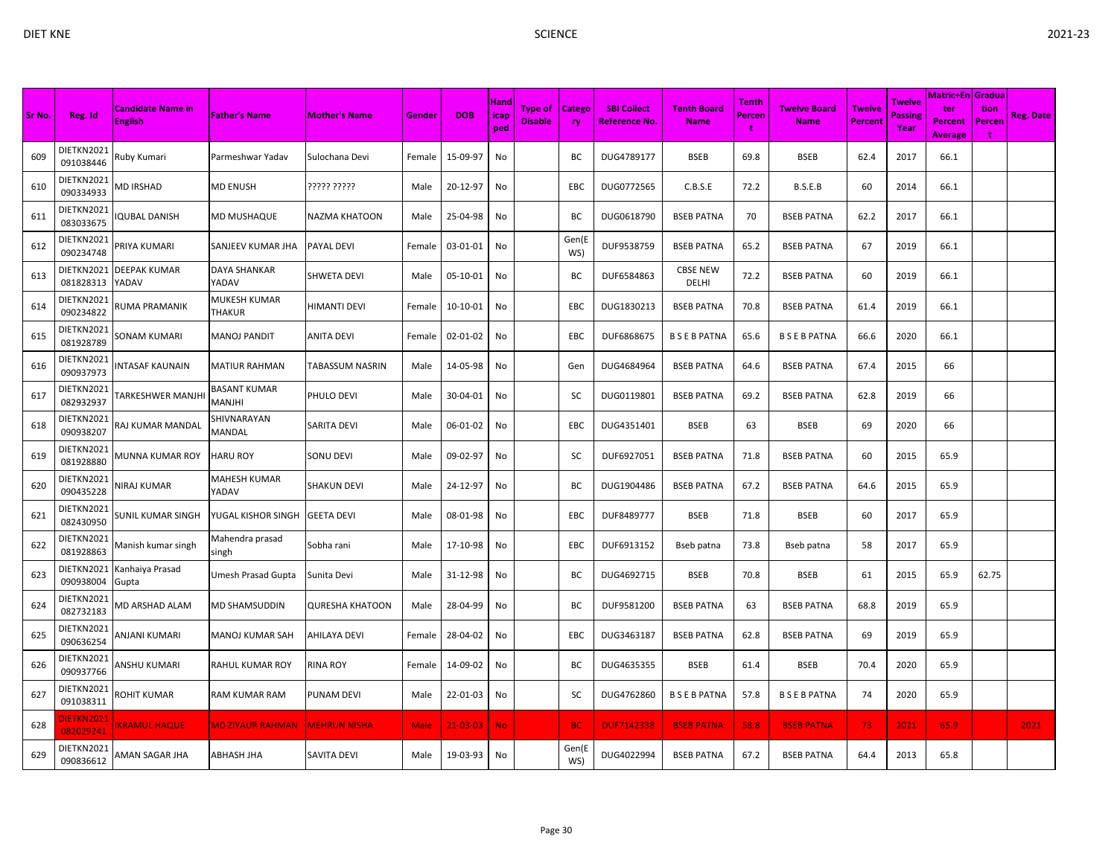|        |                                | <b>Candidate Name in</b> |                               |                        |             |                | Hand        | <b>Type of</b> | <b>Catego</b> | <b>SBI Collect</b>   | <b>Tenth Board</b>       | <b>Tenth</b> | <b>Twelve Board</b> | <b>Twelve</b>  | Twelve                 | Matric+En   Gradua  <br>ter | tion        |                  |
|--------|--------------------------------|--------------------------|-------------------------------|------------------------|-------------|----------------|-------------|----------------|---------------|----------------------|--------------------------|--------------|---------------------|----------------|------------------------|-----------------------------|-------------|------------------|
| Sr No. | Reg. Id                        | <b>English</b>           | <b>Father's Name</b>          | <b>Mother's Name</b>   | Gender      | <b>DOB</b>     | icap<br>ped | <b>Disable</b> | <b>ry</b>     | <b>Reference No.</b> | <b>Name</b>              | Percen<br>÷  | <b>Name</b>         | <b>Percent</b> | <b>Passing</b><br>Year | Percent<br><b>Average</b>   | Percen<br>÷ | <b>Reg. Date</b> |
| 609    | DIETKN2021<br>091038446        | Ruby Kumari              | Parmeshwar Yadav              | Sulochana Devi         | Female      | 15-09-97       | No          |                | BС            | DUG4789177           | <b>BSEB</b>              | 69.8         | <b>BSEB</b>         | 62.4           | 2017                   | 66.1                        |             |                  |
| 610    | DIETKN2021<br>090334933        | <b>MD IRSHAD</b>         | MD ENUSH                      | ????? ?????            | Male        | 20-12-97       | No          |                | <b>EBC</b>    | DUG0772565           | C.B.S.E                  | 72.2         | B.S.E.B             | 60             | 2014                   | 66.1                        |             |                  |
| 611    | DIETKN2021<br>083033675        | <b>QUBAL DANISH</b>      | MD MUSHAQUE                   | NAZMA KHATOON          | Male        | 25-04-98       | No          |                | BC            | DUG0618790           | <b>BSEB PATNA</b>        | 70           | <b>BSEB PATNA</b>   | 62.2           | 2017                   | 66.1                        |             |                  |
| 612    | DIETKN2021<br>090234748        | PRIYA KUMARI             | SANJEEV KUMAR JHA             | PAYAL DEVI             | Female      | 03-01-01       | No          |                | Gen(E<br>WS)  | DUF9538759           | <b>BSEB PATNA</b>        | 65.2         | <b>BSEB PATNA</b>   | 67             | 2019                   | 66.1                        |             |                  |
| 613    | DIETKN2021<br>081828313        | DEEPAK KUMAR<br>YADAV    | <b>DAYA SHANKAR</b><br>YADAV  | <b>SHWETA DEVI</b>     | Male        | 05-10-01       | No          |                | BC            | DUF6584863           | <b>CBSE NEW</b><br>DELHI | 72.2         | <b>BSEB PATNA</b>   | 60             | 2019                   | 66.1                        |             |                  |
| 614    | DIETKN2021<br>090234822        | <b>RUMA PRAMANIK</b>     | MUKESH KUMAR<br><b>THAKUR</b> | HIMANTI DEVI           | Female      | $10-10-01$     | No          |                | EBC           | DUG1830213           | <b>BSEB PATNA</b>        | 70.8         | <b>BSEB PATNA</b>   | 61.4           | 2019                   | 66.1                        |             |                  |
| 615    | DIETKN2021<br>081928789        | SONAM KUMARI             | <b>MANOJ PANDIT</b>           | <b>ANITA DEVI</b>      | Female      | 02-01-02       | No          |                | EBC           | DUF6868675           | <b>BSEBPATNA</b>         | 65.6         | <b>BSEBPATNA</b>    | 66.6           | 2020                   | 66.1                        |             |                  |
| 616    | DIETKN2021<br>090937973        | NTASAF KAUNAIN           | <b>MATIUR RAHMAN</b>          | TABASSUM NASRIN        | Male        | 14-05-98       | No          |                | Gen           | DUG4684964           | <b>BSEB PATNA</b>        | 64.6         | <b>BSEB PATNA</b>   | 67.4           | 2015                   | 66                          |             |                  |
| 617    | DIETKN2021<br>082932937        | FARKESHWER MANJHI        | <b>BASANT KUMAR</b><br>MANJHI | PHULO DEVI             | Male        | 30-04-01       | No          |                | SC            | DUG0119801           | <b>BSEB PATNA</b>        | 69.2         | <b>BSEB PATNA</b>   | 62.8           | 2019                   | 66                          |             |                  |
| 618    | DIETKN2021<br>090938207        | RAJ KUMAR MANDAL         | SHIVNARAYAN<br>MANDAL         | SARITA DEVI            | Male        | 06-01-02       | No          |                | EBC           | DUG4351401           | <b>BSEB</b>              | 63           | <b>BSEB</b>         | 69             | 2020                   | 66                          |             |                  |
| 619    | DIETKN2021<br>081928880        | <b>MUNNA KUMAR ROY</b>   | <b>HARU ROY</b>               | SONU DEVI              | Male        | 09-02-97       | No          |                | SC            | DUF6927051           | <b>BSEB PATNA</b>        | 71.8         | <b>BSEB PATNA</b>   | 60             | 2015                   | 65.9                        |             |                  |
| 620    | DIETKN2021<br>090435228        | <b>VIRAJ KUMAR</b>       | MAHESH KUMAR<br>YADAV         | <b>SHAKUN DEVI</b>     | Male        | 24-12-97       | No          |                | BC            | DUG1904486           | <b>BSEB PATNA</b>        | 67.2         | <b>BSEB PATNA</b>   | 64.6           | 2015                   | 65.9                        |             |                  |
| 621    | DIETKN2021<br>082430950        | SUNIL KUMAR SINGH        | YUGAL KISHOR SINGH            | <b>GEETA DEVI</b>      | Male        | 08-01-98       | No          |                | EBC           | DUF8489777           | <b>BSEB</b>              | 71.8         | <b>BSEB</b>         | 60             | 2017                   | 65.9                        |             |                  |
| 622    | DIETKN2021<br>081928863        | Manish kumar singh       | Mahendra prasad<br>singh      | Sobha rani             | Male        | 17-10-98       | No          |                | EBC           | DUF6913152           | Bseb patna               | 73.8         | Bseb patna          | 58             | 2017                   | 65.9                        |             |                  |
| 623    | DIETKN2021<br>090938004        | Kanhaiya Prasad<br>Gupta | Umesh Prasad Gupta            | Sunita Devi            | Male        | 31-12-98       | No          |                | BC            | DUG4692715           | <b>BSEB</b>              | 70.8         | <b>BSEB</b>         | 61             | 2015                   | 65.9                        | 62.75       |                  |
| 624    | DIETKN2021<br>082732183        | <b>MD ARSHAD ALAM</b>    | <b>MD SHAMSUDDIN</b>          | <b>QURESHA KHATOON</b> | Male        | 28-04-99       | No          |                | BC            | DUF9581200           | <b>BSEB PATNA</b>        | 63           | <b>BSEB PATNA</b>   | 68.8           | 2019                   | 65.9                        |             |                  |
| 625    | DIETKN2021<br>090636254        | ANJANI KUMARI            | <b>MANOJ KUMAR SAH</b>        | AHILAYA DEVI           | Female      | 28-04-02       | No          |                | <b>EBC</b>    | DUG3463187           | <b>BSEB PATNA</b>        | 62.8         | <b>BSEB PATNA</b>   | 69             | 2019                   | 65.9                        |             |                  |
| 626    | DIETKN2021<br>090937766        | INSHU KUMARI             | RAHUL KUMAR ROY               | RINA ROY               | Female      | 14-09-02       | No          |                | BC            | DUG4635355           | <b>BSEB</b>              | 61.4         | <b>BSEB</b>         | 70.4           | 2020                   | 65.9                        |             |                  |
| 627    | DIETKN2021<br>091038311        | ROHIT KUMAR              | RAM KUMAR RAM                 | PUNAM DEVI             | Male        | 22-01-03       | No          |                | SC            | DUG4762860           | <b>BSEBPATNA</b>         | 57.8         | <b>BSEBPATNA</b>    | 74             | 2020                   | 65.9                        |             |                  |
| 628    | <b>DIETKN2021</b><br>082029241 | <b>KRAMUL HAQUE</b>      | MD ZIYAUR RAHMAN              | <b>MEHRUN NISHA</b>    | <b>Male</b> | $21 - 03 - 03$ | <b>No</b>   |                | <b>BC</b>     | <b>DUF7142338</b>    | <b>BSEB PATNA</b>        | 58.8         | <b>BSEB PATNA</b>   | 73.            | 2021                   | 65.9                        |             | 2021             |
| 629    | DIETKN2021<br>090836612        | AMAN SAGAR JHA           | ABHASH JHA                    | SAVITA DEVI            | Male        | 19-03-93       | No          |                | Gen(E<br>WS)  | DUG4022994           | <b>BSEB PATNA</b>        | 67.2         | <b>BSEB PATNA</b>   | 64.4           | 2013                   | 65.8                        |             |                  |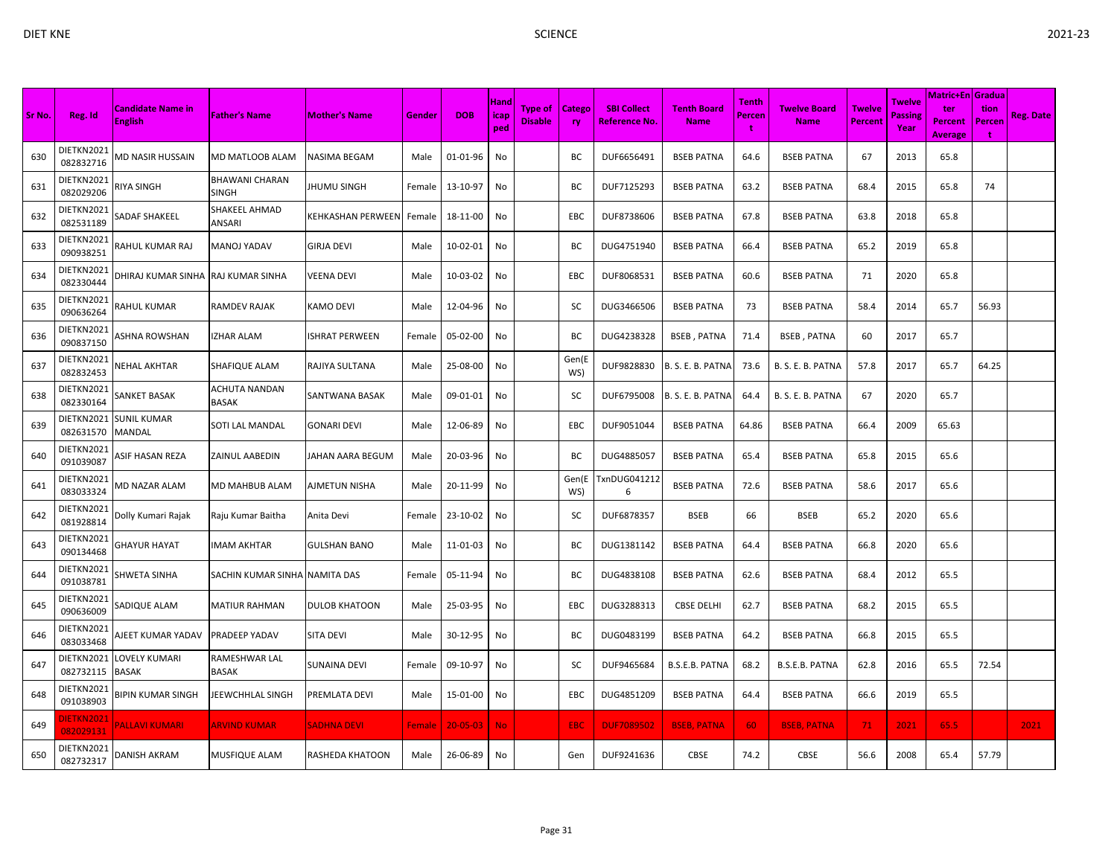|        |                         |                                     |                               |                          |               |                |                            |                                  |               |                                     |                                   |                             |                             |                          |                           | <b>Matric+En Gradua</b>                 |                     |                  |
|--------|-------------------------|-------------------------------------|-------------------------------|--------------------------|---------------|----------------|----------------------------|----------------------------------|---------------|-------------------------------------|-----------------------------------|-----------------------------|-----------------------------|--------------------------|---------------------------|-----------------------------------------|---------------------|------------------|
| Sr No. | Reg. Id                 | Candidate Name in<br><b>English</b> | <b>Father's Name</b>          | <b>Mother's Name</b>     | Gender        | <b>DOB</b>     | <b>Hand</b><br>icap<br>ped | <b>Type of</b><br><b>Disable</b> | Catego<br>ry. | <b>SBI Collect</b><br>Reference No. | <b>Tenth Board</b><br><b>Name</b> | <b>Tenth</b><br>Percen<br>t | Twelve Board<br><b>Name</b> | <b>Twelve</b><br>Percent | Twelve<br>Passine<br>Year | ter<br><b>Percent</b><br><b>Average</b> | tion<br>Percen<br>t | <b>Reg. Date</b> |
| 630    | DIETKN2021<br>082832716 | <b>MD NASIR HUSSAIN</b>             | MD MATLOOB ALAM               | NASIMA BEGAM             | Male          | 01-01-96       | No                         |                                  | BC            | DUF6656491                          | <b>BSEB PATNA</b>                 | 64.6                        | <b>BSEB PATNA</b>           | 67                       | 2013                      | 65.8                                    |                     |                  |
| 631    | DIETKN2021<br>082029206 | RIYA SINGH                          | BHAWANI CHARAN<br>SINGH       | <b>JHUMU SINGH</b>       | Female        | 13-10-97       | No                         |                                  | ВC            | DUF7125293                          | <b>BSEB PATNA</b>                 | 63.2                        | <b>BSEB PATNA</b>           | 68.4                     | 2015                      | 65.8                                    | 74                  |                  |
| 632    | DIETKN2021<br>082531189 | <b>SADAF SHAKEEL</b>                | SHAKEEL AHMAD<br>ANSARI       | <b>KEHKASHAN PERWEEN</b> | Female        | 18-11-00       | No                         |                                  | EBC           | DUF8738606                          | <b>BSEB PATNA</b>                 | 67.8                        | <b>BSEB PATNA</b>           | 63.8                     | 2018                      | 65.8                                    |                     |                  |
| 633    | DIETKN2021<br>090938251 | RAHUL KUMAR RAJ                     | MANOJ YADAV                   | <b>GIRJA DEVI</b>        | Male          | 10-02-01       | No                         |                                  | ВC            | DUG4751940                          | <b>BSEB PATNA</b>                 | 66.4                        | <b>BSEB PATNA</b>           | 65.2                     | 2019                      | 65.8                                    |                     |                  |
| 634    | DIETKN2021<br>082330444 | DHIRAJ KUMAR SINHA                  | RAJ KUMAR SINHA               | <b>VEENA DEVI</b>        | Male          | 10-03-02       | No                         |                                  | EBC           | DUF8068531                          | <b>BSEB PATNA</b>                 | 60.6                        | <b>BSEB PATNA</b>           | 71                       | 2020                      | 65.8                                    |                     |                  |
| 635    | DIETKN2021<br>090636264 | RAHUL KUMAR                         | RAMDEV RAJAK                  | <b>KAMO DEVI</b>         | Male          | 12-04-96       | No                         |                                  | sc            | DUG3466506                          | <b>BSEB PATNA</b>                 | 73                          | <b>BSEB PATNA</b>           | 58.4                     | 2014                      | 65.7                                    | 56.93               |                  |
| 636    | DIETKN2021<br>090837150 | ASHNA ROWSHAN                       | IZHAR ALAM                    | <b>ISHRAT PERWEEN</b>    | Female        | 05-02-00       | No                         |                                  | ВC            | DUG4238328                          | <b>BSEB, PATNA</b>                | 71.4                        | <b>BSEB, PATNA</b>          | 60                       | 2017                      | 65.7                                    |                     |                  |
| 637    | DIETKN2021<br>082832453 | NEHAL AKHTAR                        | SHAFIQUE ALAM                 | RAJIYA SULTANA           | Male          | 25-08-00       | No                         |                                  | Gen(E<br>WS)  | DUF9828830                          | B. S. E. B. PATNA                 | 73.6                        | B. S. E. B. PATNA           | 57.8                     | 2017                      | 65.7                                    | 64.25               |                  |
| 638    | DIETKN2021<br>082330164 | SANKET BASAK                        | ACHUTA NANDAN<br>BASAK        | <b>SANTWANA BASAK</b>    | Male          | 09-01-01       | No                         |                                  | sc            | DUF6795008                          | B. S. E. B. PATNA                 | 64.4                        | B. S. E. B. PATNA           | 67                       | 2020                      | 65.7                                    |                     |                  |
| 639    | DIETKN2021<br>082631570 | SUNIL KUMAR<br>MANDAL               | SOTI LAL MANDAL               | <b>GONARI DEVI</b>       | Male          | 12-06-89       | No                         |                                  | EBC           | DUF9051044                          | <b>BSEB PATNA</b>                 | 64.86                       | <b>BSEB PATNA</b>           | 66.4                     | 2009                      | 65.63                                   |                     |                  |
| 640    | DIETKN2021<br>091039087 | ASIF HASAN REZA                     | ZAINUL AABEDIN                | JAHAN AARA BEGUM         | Male          | 20-03-96       | No                         |                                  | ВC            | DUG4885057                          | <b>BSEB PATNA</b>                 | 65.4                        | <b>BSEB PATNA</b>           | 65.8                     | 2015                      | 65.6                                    |                     |                  |
| 641    | DIETKN2021<br>083033324 | <b>MD NAZAR ALAM</b>                | MD MAHBUB ALAM                | <b>AJMETUN NISHA</b>     | Male          | 20-11-99       | No                         |                                  | Gen(E<br>WS)  | TxnDUG041212<br>6                   | <b>BSEB PATNA</b>                 | 72.6                        | <b>BSEB PATNA</b>           | 58.6                     | 2017                      | 65.6                                    |                     |                  |
| 642    | DIETKN2021<br>081928814 | Dolly Kumari Rajak                  | Raju Kumar Baitha             | Anita Devi               | Female        | 23-10-02       | No                         |                                  | sc            | DUF6878357                          | <b>BSEB</b>                       | 66                          | <b>BSEB</b>                 | 65.2                     | 2020                      | 65.6                                    |                     |                  |
| 643    | DIETKN2021<br>090134468 | GHAYUR HAYAT                        | IMAM AKHTAR                   | <b>GULSHAN BANO</b>      | Male          | 11-01-03       | No                         |                                  | BC            | DUG1381142                          | <b>BSEB PATNA</b>                 | 64.4                        | <b>BSEB PATNA</b>           | 66.8                     | 2020                      | 65.6                                    |                     |                  |
| 644    | DIETKN2021<br>091038781 | SHWETA SINHA                        | SACHIN KUMAR SINHA NAMITA DAS |                          | Female        | 05-11-94       | No                         |                                  | ВC            | DUG4838108                          | <b>BSEB PATNA</b>                 | 62.6                        | <b>BSEB PATNA</b>           | 68.4                     | 2012                      | 65.5                                    |                     |                  |
| 645    | DIETKN2021<br>090636009 | SADIQUE ALAM                        | MATIUR RAHMAN                 | <b>DULOB KHATOON</b>     | Male          | 25-03-95       | No                         |                                  | EBC           | DUG3288313                          | <b>CBSE DELHI</b>                 | 62.7                        | <b>BSEB PATNA</b>           | 68.2                     | 2015                      | 65.5                                    |                     |                  |
| 646    | DIETKN2021<br>083033468 | AJEET KUMAR YADAV                   | PRADEEP YADAV                 | <b>SITA DEVI</b>         | Male          | 30-12-95       | No                         |                                  | BC            | DUG0483199                          | <b>BSEB PATNA</b>                 | 64.2                        | <b>BSEB PATNA</b>           | 66.8                     | 2015                      | 65.5                                    |                     |                  |
| 647    | DIETKN2021<br>082732115 | LOVELY KUMARI<br>BASAK              | RAMESHWAR LAL<br>BASAK        | <b>SUNAINA DEVI</b>      | Female        | 09-10-97       | No                         |                                  | sc            | DUF9465684                          | B.S.E.B. PATNA                    | 68.2                        | B.S.E.B. PATNA              | 62.8                     | 2016                      | 65.5                                    | 72.54               |                  |
| 648    | DIETKN2021<br>091038903 | BIPIN KUMAR SINGH                   | JEEWCHHLAL SINGH              | PREMLATA DEVI            | Male          | 15-01-00       | No                         |                                  | EBC           | DUG4851209                          | <b>BSEB PATNA</b>                 | 64.4                        | <b>BSEB PATNA</b>           | 66.6                     | 2019                      | 65.5                                    |                     |                  |
| 649    | DIETKN202:<br>082029131 | <b>ALLAVI KUMARI</b>                | <b>ARVIND KUMAR</b>           | <b>SADHNA DEVI</b>       | <b>Female</b> | $20 - 05 - 03$ | <b>No</b>                  |                                  | EBC           | <b>DUF7089502</b>                   | <b>BSEB, PATNA</b>                | 60                          | <b>BSEB, PATNA</b>          | 71.                      | 2021                      | 65.5                                    |                     | 2021             |
| 650    | DIETKN2021<br>082732317 | DANISH AKRAM                        | MUSFIQUE ALAM                 | RASHEDA KHATOON          | Male          | 26-06-89       | No                         |                                  | Gen           | DUF9241636                          | <b>CBSE</b>                       | 74.2                        | <b>CBSE</b>                 | 56.6                     | 2008                      | 65.4                                    | 57.79               |                  |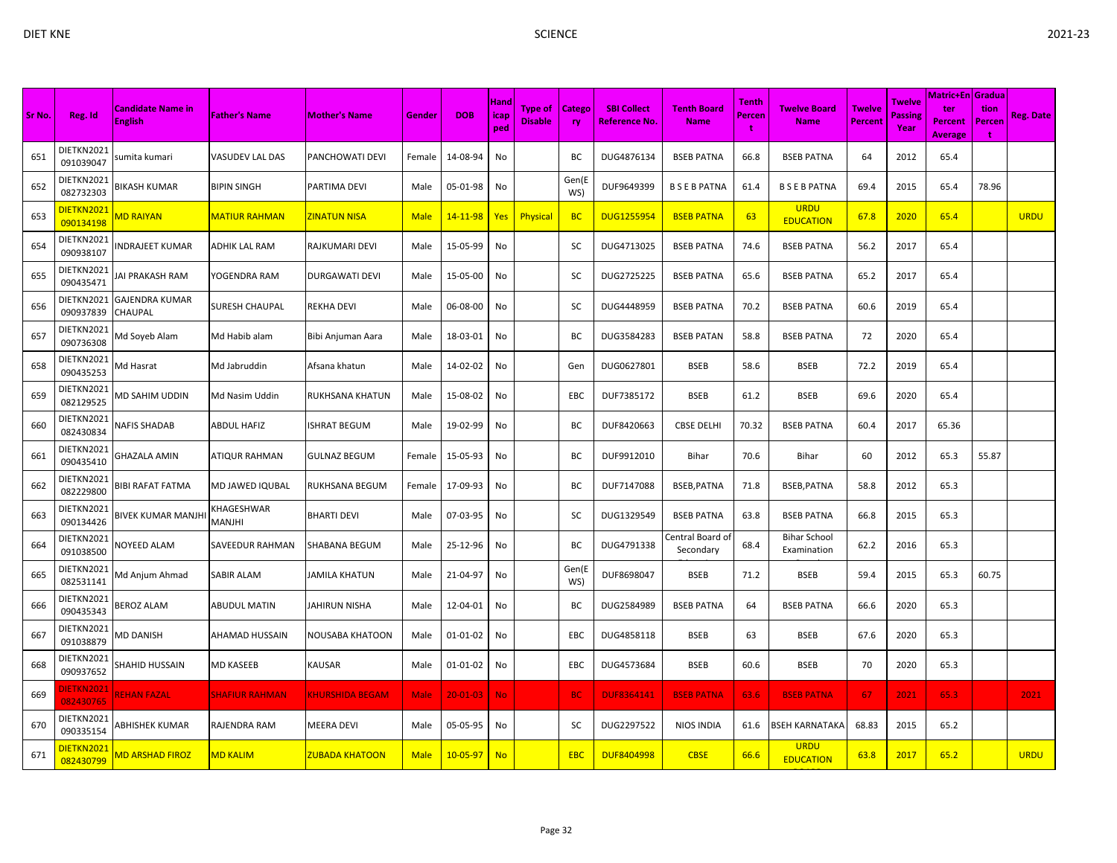| I |  |
|---|--|

| Sr No. | Reg. Id                        | <b>Candidate Name in</b><br><b>English</b> | <b>Father's Name</b>  | <b>Mother's Name</b>   | Gender      | <b>DOB</b>     | <b>Hand</b><br>icap<br>ped | <b>Type of</b><br><b>Disable</b> | Catego<br>ry | <b>SBI Collect</b><br><b>Reference No</b> | <b>Tenth Board</b><br><b>Name</b> | Tenth<br>Percen<br>t | Twelve Board<br><b>Name</b>        | <b>Twelve</b><br><b>Percent</b> | Twelve<br><b>Passing</b><br>Year | Matric+En <i>Gradua</i><br>ter<br><b>Percent</b><br><b>Average</b> | tion<br>Percen<br>t | <b>Reg. Date</b> |
|--------|--------------------------------|--------------------------------------------|-----------------------|------------------------|-------------|----------------|----------------------------|----------------------------------|--------------|-------------------------------------------|-----------------------------------|----------------------|------------------------------------|---------------------------------|----------------------------------|--------------------------------------------------------------------|---------------------|------------------|
| 651    | DIETKN2021<br>091039047        | sumita kumari                              | VASUDEV LAL DAS       | PANCHOWATI DEVI        | Female      | 14-08-94       | No                         |                                  | ВC           | DUG4876134                                | <b>BSEB PATNA</b>                 | 66.8                 | <b>BSEB PATNA</b>                  | 64                              | 2012                             | 65.4                                                               |                     |                  |
| 652    | DIETKN2021<br>082732303        | BIKASH KUMAR                               | <b>BIPIN SINGH</b>    | PARTIMA DEVI           | Male        | 05-01-98       | No                         |                                  | Gen(E<br>WS) | DUF9649399                                | <b>BSEBPATNA</b>                  | 61.4                 | <b>BSEBPATNA</b>                   | 69.4                            | 2015                             | 65.4                                                               | 78.96               |                  |
| 653    | DIETKN2021<br>090134198        | <b>MD RAIYAN</b>                           | MATIUR RAHMAN         | ZINATUN NISA           | <b>Male</b> | $14 - 11 - 98$ | Yes                        | Physical                         | <b>BC</b>    | <b>DUG1255954</b>                         | <b>BSEB PATNA</b>                 | 63                   | <b>URDU</b><br><b>EDUCATION</b>    | 67.8                            | 2020                             | 65.4                                                               |                     | <b>URDU</b>      |
| 654    | DIETKN2021<br>090938107        | NDRAJEET KUMAR                             | <b>ADHIK LAL RAM</b>  | RAJKUMARI DEVI         | Male        | 15-05-99       | No                         |                                  | sc           | DUG4713025                                | <b>BSEB PATNA</b>                 | 74.6                 | <b>BSEB PATNA</b>                  | 56.2                            | 2017                             | 65.4                                                               |                     |                  |
| 655    | DIETKN2021<br>090435471        | AI PRAKASH RAM                             | YOGENDRA RAM          | <b>DURGAWATI DEVI</b>  | Male        | 15-05-00       | No                         |                                  | SC           | DUG2725225                                | <b>BSEB PATNA</b>                 | 65.6                 | <b>BSEB PATNA</b>                  | 65.2                            | 2017                             | 65.4                                                               |                     |                  |
| 656    | DIETKN2021<br>090937839        | GAJENDRA KUMAR<br>CHAUPAL                  | SURESH CHAUPAL        | <b>REKHA DEVI</b>      | Male        | 06-08-00       | No                         |                                  | SC           | DUG4448959                                | <b>BSEB PATNA</b>                 | 70.2                 | <b>BSEB PATNA</b>                  | 60.6                            | 2019                             | 65.4                                                               |                     |                  |
| 657    | DIETKN2021<br>090736308        | Md Soyeb Alam                              | Md Habib alam         | Bibi Anjuman Aara      | Male        | 18-03-01       | No                         |                                  | BC           | DUG3584283                                | <b>BSEB PATAN</b>                 | 58.8                 | <b>BSEB PATNA</b>                  | 72                              | 2020                             | 65.4                                                               |                     |                  |
| 658    | DIETKN2021<br>090435253        | Vid Hasrat                                 | Md Jabruddin          | Afsana khatun          | Male        | 14-02-02       | No                         |                                  | Gen          | DUG0627801                                | <b>BSEB</b>                       | 58.6                 | <b>BSEB</b>                        | 72.2                            | 2019                             | 65.4                                                               |                     |                  |
| 659    | DIETKN2021<br>082129525        | VID SAHIM UDDIN                            | Md Nasim Uddin        | RUKHSANA KHATUN        | Male        | 15-08-02       | No                         |                                  | EBC          | DUF7385172                                | <b>BSEB</b>                       | 61.2                 | <b>BSEB</b>                        | 69.6                            | 2020                             | 65.4                                                               |                     |                  |
| 660    | DIETKN2021<br>082430834        | <b>VAFIS SHADAB</b>                        | ABDUL HAFIZ           | <b>ISHRAT BEGUM</b>    | Male        | 19-02-99       | No                         |                                  | ВC           | DUF8420663                                | <b>CBSE DELHI</b>                 | 70.32                | <b>BSEB PATNA</b>                  | 60.4                            | 2017                             | 65.36                                                              |                     |                  |
| 661    | DIETKN2021<br>090435410        | GHAZALA AMIN                               | ATIQUR RAHMAN         | <b>GULNAZ BEGUM</b>    | Female      | 15-05-93       | No                         |                                  | ВC           | DUF9912010                                | Bihar                             | 70.6                 | <b>Bihar</b>                       | 60                              | 2012                             | 65.3                                                               | 55.87               |                  |
| 662    | DIETKN2021<br>082229800        | 3IBI RAFAT FATMA                           | MD JAWED IQUBAL       | RUKHSANA BEGUM         | Female      | 17-09-93       | No                         |                                  | BC           | DUF7147088                                | BSEB, PATNA                       | 71.8                 | BSEB, PATNA                        | 58.8                            | 2012                             | 65.3                                                               |                     |                  |
| 663    | DIETKN2021<br>090134426        | BIVEK KUMAR MANJH                          | KHAGESHWAR<br>MANJHI  | <b>BHARTI DEVI</b>     | Male        | 07-03-95       | No                         |                                  | sc           | DUG1329549                                | <b>BSEB PATNA</b>                 | 63.8                 | <b>BSEB PATNA</b>                  | 66.8                            | 2015                             | 65.3                                                               |                     |                  |
| 664    | DIETKN2021<br>091038500        | <b>NOYEED ALAM</b>                         | SAVEEDUR RAHMAN       | <b>SHABANA BEGUM</b>   | Male        | 25-12-96       | No                         |                                  | ВC           | DUG4791338                                | Central Board o<br>Secondary      | 68.4                 | <b>Bihar School</b><br>Examination | 62.2                            | 2016                             | 65.3                                                               |                     |                  |
| 665    | DIETKN2021<br>082531141        | Md Anjum Ahmad                             | SABIR ALAM            | <b>JAMILA KHATUN</b>   | Male        | 21-04-97       | No                         |                                  | Gen(E<br>WS) | DUF8698047                                | <b>BSEB</b>                       | 71.2                 | <b>BSEB</b>                        | 59.4                            | 2015                             | 65.3                                                               | 60.75               |                  |
| 666    | DIETKN2021<br>090435343        | <b>BEROZ ALAM</b>                          | ABUDUL MATIN          | JAHIRUN NISHA          | Male        | 12-04-01       | No                         |                                  | BC           | DUG2584989                                | <b>BSEB PATNA</b>                 | 64                   | <b>BSEB PATNA</b>                  | 66.6                            | 2020                             | 65.3                                                               |                     |                  |
| 667    | DIETKN2021<br>091038879        | <b>MD DANISH</b>                           | AHAMAD HUSSAIN        | <b>NOUSABA KHATOON</b> | Male        | 01-01-02       | No                         |                                  | <b>EBC</b>   | DUG4858118                                | <b>BSEB</b>                       | 63                   | <b>BSEB</b>                        | 67.6                            | 2020                             | 65.3                                                               |                     |                  |
| 668    | DIETKN2021<br>090937652        | SHAHID HUSSAIN                             | MD KASEEB             | <b>KAUSAR</b>          | Male        | 01-01-02       | No                         |                                  | EBC          | DUG4573684                                | <b>BSEB</b>                       | 60.6                 | <b>BSEB</b>                        | 70                              | 2020                             | 65.3                                                               |                     |                  |
| 669    | <b>JIETKN2021</b><br>082430765 | <b>REHAN FAZAL</b>                         | <b>SHAFIUR RAHMAN</b> | <b>KHURSHIDA BEGAM</b> | <b>Male</b> | $20 - 01 - 03$ | <b>No</b>                  |                                  | <b>BC</b>    | <b>DUF8364141</b>                         | <b>BSEB PATNA</b>                 | 63.6                 | <b>BSEB PATNA</b>                  | 67                              | 2021                             | 65.3                                                               |                     | 2021             |
| 670    | DIETKN2021<br>090335154        | <b>\BHISHEK KUMAR</b>                      | RAJENDRA RAM          | <b>MEERA DEVI</b>      | Male        | 05-05-95       | No                         |                                  | SC           | DUG2297522                                | <b>NIOS INDIA</b>                 | 61.6                 | <b>BSEH KARNATAKA</b>              | 68.83                           | 2015                             | 65.2                                                               |                     |                  |
| 671    | DIETKN2021<br>082430799        | <b>MD ARSHAD FIROZ</b>                     | <b>MD KALIM</b>       | <b>ZUBADA KHATOON</b>  | <b>Male</b> | 10-05-97       | <b>No</b>                  |                                  | <b>EBC</b>   | <b>DUF8404998</b>                         | <b>CBSE</b>                       | 66.6                 | <b>URDU</b><br><b>EDUCATION</b>    | 63.8                            | 2017                             | 65.2                                                               |                     | <b>URDU</b>      |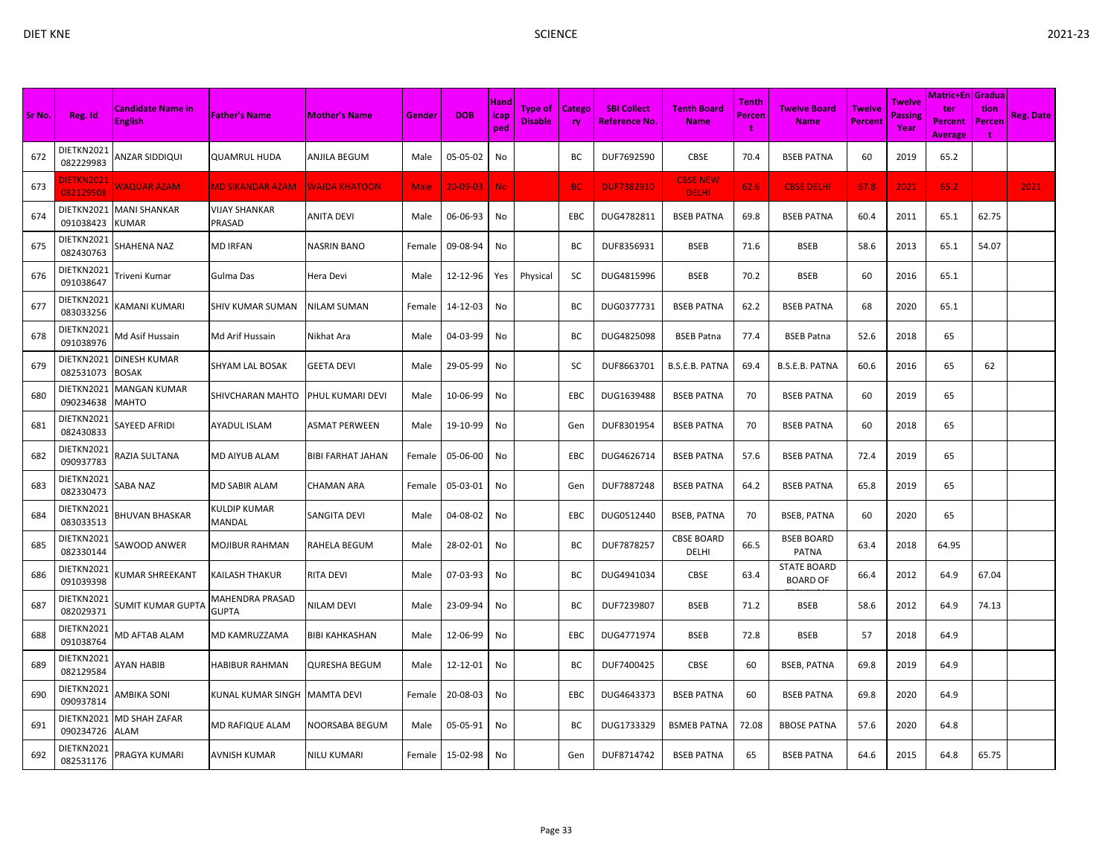| Sr No. | Reg. Id                 | <b>Candidate Name in</b><br><b>English</b> | <b>Father's Name</b>            | <b>Mother's Name</b> | Gender | <b>DOB</b>     | Hand<br>icap<br>ped | <b>Type of</b><br><b>Disable</b> | <b>Catego</b><br>ry | <b>SBI Collect</b><br><b>Reference No.</b> | <b>Tenth Board</b><br><b>Name</b> | Tenth<br>Percen<br>t | <b>Twelve Board</b><br><b>Name</b>    | <b>Twelve</b><br><b>Percent</b> | <b>Twelve</b><br>Passing<br>Year | <b>Matric+En Gradua</b><br>ter<br><b>Percent</b><br>Average | tion<br>Percen | Reg. Date |
|--------|-------------------------|--------------------------------------------|---------------------------------|----------------------|--------|----------------|---------------------|----------------------------------|---------------------|--------------------------------------------|-----------------------------------|----------------------|---------------------------------------|---------------------------------|----------------------------------|-------------------------------------------------------------|----------------|-----------|
| 672    | DIETKN2021<br>082229983 | ANZAR SIDDIQUI                             | <b>QUAMRUL HUDA</b>             | ANJILA BEGUM         | Male   | 05-05-02       | No                  |                                  | ВC                  | DUF7692590                                 | CBSE                              | 70.4                 | <b>BSEB PATNA</b>                     | 60                              | 2019                             | 65.2                                                        |                |           |
| 673    | DIETKN202:<br>082129508 | <b>NAQUAR AZAM</b>                         | <b>MD SIKANDAR AZAM</b>         | <b>WAJDA KHATOON</b> | Male   | $20 - 09 - 03$ | <b>No</b>           |                                  | <b>BC</b>           | <b>DUF7382910</b>                          | <b>CBSE NEW</b><br><b>DELHI</b>   | 62.6                 | <b>CBSE DELHI</b>                     | 67.8                            | 2021                             | 65.2                                                        |                | 2021      |
| 674    | DIETKN2021<br>091038423 | MANI SHANKAR<br>KUMAR                      | <b>VIJAY SHANKAR</b><br>PRASAD  | <b>ANITA DEVI</b>    | Male   | 06-06-93       | No                  |                                  | EBC                 | DUG4782811                                 | <b>BSEB PATNA</b>                 | 69.8                 | <b>BSEB PATNA</b>                     | 60.4                            | 2011                             | 65.1                                                        | 62.75          |           |
| 675    | DIETKN2021<br>082430763 | SHAHENA NAZ                                | <b>MD IRFAN</b>                 | <b>NASRIN BANO</b>   | Female | 09-08-94       | No                  |                                  | ВC                  | DUF8356931                                 | <b>BSEB</b>                       | 71.6                 | <b>BSEB</b>                           | 58.6                            | 2013                             | 65.1                                                        | 54.07          |           |
| 676    | DIETKN2021<br>091038647 | Triveni Kumar                              | Gulma Das                       | Hera Devi            | Male   | 12-12-96       | Yes                 | Physical                         | sc                  | DUG4815996                                 | <b>BSEB</b>                       | 70.2                 | <b>BSEB</b>                           | 60                              | 2016                             | 65.1                                                        |                |           |
| 677    | DIETKN2021<br>083033256 | KAMANI KUMARI                              | SHIV KUMAR SUMAN                | NILAM SUMAN          | Female | 14-12-03       | No                  |                                  | BC                  | DUG0377731                                 | <b>BSEB PATNA</b>                 | 62.2                 | <b>BSEB PATNA</b>                     | 68                              | 2020                             | 65.1                                                        |                |           |
| 678    | DIETKN2021<br>091038976 | Md Asif Hussain                            | Md Arif Hussain                 | Nikhat Ara           | Male   | 04-03-99       | No                  |                                  | ВC                  | DUG4825098                                 | <b>BSEB Patna</b>                 | 77.4                 | <b>BSEB Patna</b>                     | 52.6                            | 2018                             | 65                                                          |                |           |
| 679    | DIETKN2021<br>082531073 | DINESH KUMAR<br>BOSAK                      | SHYAM LAL BOSAK                 | GEETA DEVI           | Male   | 29-05-99       | No                  |                                  | SC                  | DUF8663701                                 | B.S.E.B. PATNA                    | 69.4                 | B.S.E.B. PATNA                        | 60.6                            | 2016                             | 65                                                          | 62             |           |
| 680    | DIETKN2021<br>090234638 | MANGAN KUMAR<br>MAHTO                      | SHIVCHARAN MAHTO                | PHUL KUMARI DEVI     | Male   | 10-06-99       | No                  |                                  | EBC                 | DUG1639488                                 | <b>BSEB PATNA</b>                 | 70                   | <b>BSEB PATNA</b>                     | 60                              | 2019                             | 65                                                          |                |           |
| 681    | DIETKN2021<br>082430833 | SAYEED AFRIDI                              | <b>AYADUL ISLAM</b>             | ASMAT PERWEEN        | Male   | 19-10-99       | No                  |                                  | Gen                 | DUF8301954                                 | <b>BSEB PATNA</b>                 | 70                   | <b>BSEB PATNA</b>                     | 60                              | 2018                             | 65                                                          |                |           |
| 682    | DIETKN2021<br>090937783 | RAZIA SULTANA                              | MD AIYUB ALAM                   | BIBI FARHAT JAHAN    | Female | 05-06-00       | No                  |                                  | EBC                 | DUG4626714                                 | <b>BSEB PATNA</b>                 | 57.6                 | <b>BSEB PATNA</b>                     | 72.4                            | 2019                             | 65                                                          |                |           |
| 683    | DIETKN2021<br>082330473 | SABA NAZ                                   | <b>MD SABIR ALAM</b>            | <b>CHAMAN ARA</b>    | Female | 05-03-01       | No                  |                                  | Gen                 | DUF7887248                                 | <b>BSEB PATNA</b>                 | 64.2                 | <b>BSEB PATNA</b>                     | 65.8                            | 2019                             | 65                                                          |                |           |
| 684    | DIETKN2021<br>083033513 | <b>BHUVAN BHASKAR</b>                      | KULDIP KUMAR<br><b>MANDAL</b>   | SANGITA DEVI         | Male   | 04-08-02       | No                  |                                  | EBC                 | DUG0512440                                 | <b>BSEB, PATNA</b>                | 70                   | <b>BSEB, PATNA</b>                    | 60                              | 2020                             | 65                                                          |                |           |
| 685    | DIETKN2021<br>082330144 | SAWOOD ANWER                               | <b>MOJIBUR RAHMAN</b>           | RAHELA BEGUM         | Male   | 28-02-01       | No                  |                                  | ВC                  | DUF7878257                                 | <b>CBSE BOARD</b><br>DELHI        | 66.5                 | <b>BSEB BOARD</b><br>PATNA            | 63.4                            | 2018                             | 64.95                                                       |                |           |
| 686    | DIETKN2021<br>091039398 | UMAR SHREEKANT)                            | KAILASH THAKUR                  | RITA DEVI            | Male   | 07-03-93       | No                  |                                  | ВC                  | DUG4941034                                 | <b>CBSE</b>                       | 63.4                 | <b>STATE BOARD</b><br><b>BOARD OF</b> | 66.4                            | 2012                             | 64.9                                                        | 67.04          |           |
| 687    | DIETKN2021<br>082029371 | SUMIT KUMAR GUPTA                          | MAHENDRA PRASAD<br><b>GUPTA</b> | NILAM DEVI           | Male   | 23-09-94       | No                  |                                  | BC                  | DUF7239807                                 | <b>BSEB</b>                       | 71.2                 | <b>BSEB</b>                           | 58.6                            | 2012                             | 64.9                                                        | 74.13          |           |
| 688    | DIETKN2021<br>091038764 | <b>MD AFTAB ALAM</b>                       | MD KAMRUZZAMA                   | BIBI KAHKASHAN       | Male   | 12-06-99       | No                  |                                  | EBC                 | DUG4771974                                 | <b>BSEB</b>                       | 72.8                 | <b>BSEB</b>                           | 57                              | 2018                             | 64.9                                                        |                |           |
| 689    | DIETKN2021<br>082129584 | AYAN HABIB                                 | <b>HABIBUR RAHMAN</b>           | QURESHA BEGUM        | Male   | 12-12-01       | No                  |                                  | BС                  | DUF7400425                                 | CBSE                              | 60                   | BSEB, PATNA                           | 69.8                            | 2019                             | 64.9                                                        |                |           |
| 690    | DIETKN2021<br>090937814 | AMBIKA SONI                                | KUNAL KUMAR SINGH               | <b>MAMTA DEVI</b>    | Female | 20-08-03       | No                  |                                  | EBC                 | DUG4643373                                 | <b>BSEB PATNA</b>                 | 60                   | <b>BSEB PATNA</b>                     | 69.8                            | 2020                             | 64.9                                                        |                |           |
| 691    | DIETKN2021<br>090234726 | MD SHAH ZAFAR<br>ALAM                      | <b>MD RAFIQUE ALAM</b>          | NOORSABA BEGUM       | Male   | 05-05-91       | No                  |                                  | BС                  | DUG1733329                                 | <b>BSMEB PATNA</b>                | 72.08                | <b>BBOSE PATNA</b>                    | 57.6                            | 2020                             | 64.8                                                        |                |           |
| 692    | DIETKN2021<br>082531176 | PRAGYA KUMARI                              | <b>AVNISH KUMAR</b>             | NILU KUMARI          | Female | 15-02-98       | No                  |                                  | Gen                 | DUF8714742                                 | <b>BSEB PATNA</b>                 | 65                   | <b>BSEB PATNA</b>                     | 64.6                            | 2015                             | 64.8                                                        | 65.75          |           |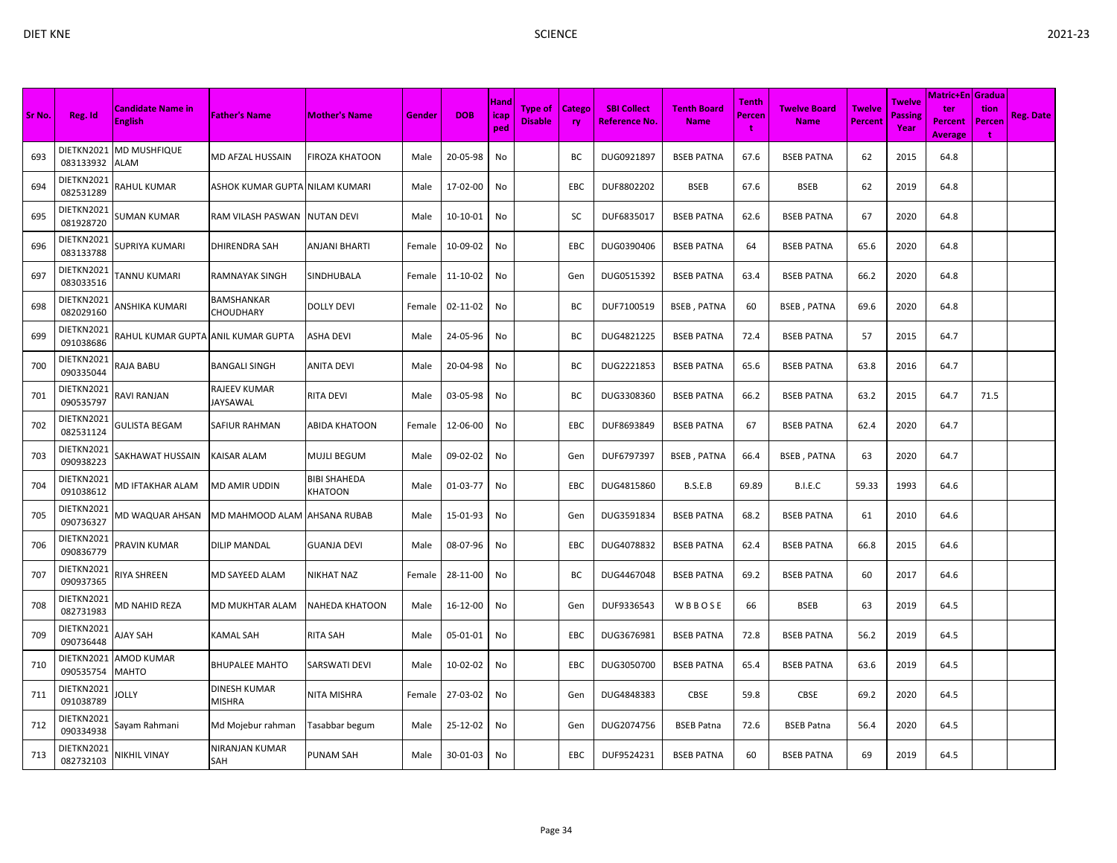| ×. |  |
|----|--|
|    |  |

| Sr No. | Reg. Id                 | <b>Candidate Name in</b><br><b>English</b> | <b>Father's Name</b>            | <b>Mother's Name</b>    | Gender | <b>DOB</b> | Hand<br>icap<br>ped | Type of<br><b>Disable</b> | <b>Catego</b><br><b>ry</b> | <b>SBI Collect</b><br><b>Reference No.</b> | <b>Tenth Board</b><br><b>Name</b> | Tenth<br>Percen | <b>Twelve Board</b><br><b>Name</b> | <b>Twelve</b><br>Percent | <b>Twelve</b><br>Passing<br>Year | Matric+En Gradua<br>ter<br>Percent<br><b>Average</b> | tion<br>Percen<br>$\ddot{\phantom{1}}$ | <b>Reg. Date</b> |
|--------|-------------------------|--------------------------------------------|---------------------------------|-------------------------|--------|------------|---------------------|---------------------------|----------------------------|--------------------------------------------|-----------------------------------|-----------------|------------------------------------|--------------------------|----------------------------------|------------------------------------------------------|----------------------------------------|------------------|
| 693    | DIETKN2021<br>083133932 | <b>MD MUSHFIQUE</b><br>ALAM                | MD AFZAL HUSSAIN                | <b>FIROZA KHATOON</b>   | Male   | 20-05-98   | No                  |                           | ВC                         | DUG0921897                                 | <b>BSEB PATNA</b>                 | 67.6            | <b>BSEB PATNA</b>                  | 62                       | 2015                             | 64.8                                                 |                                        |                  |
| 694    | DIETKN2021<br>082531289 | RAHUL KUMAR                                | ASHOK KUMAR GUPTA NILAM KUMARI  |                         | Male   | 17-02-00   | No                  |                           | EBC                        | DUF8802202                                 | BSEB                              | 67.6            | <b>BSEB</b>                        | 62                       | 2019                             | 64.8                                                 |                                        |                  |
| 695    | DIETKN2021<br>081928720 | <b>SUMAN KUMAR</b>                         | RAM VILASH PASWAN               | <b>NUTAN DEVI</b>       | Male   | 10-10-01   | No                  |                           | SC                         | DUF6835017                                 | <b>BSEB PATNA</b>                 | 62.6            | <b>BSEB PATNA</b>                  | 67                       | 2020                             | 64.8                                                 |                                        |                  |
| 696    | DIETKN2021<br>083133788 | SUPRIYA KUMARI                             | <b>DHIRENDRA SAH</b>            | <b>ANJANI BHARTI</b>    | Female | 10-09-02   | No                  |                           | EBC                        | DUG0390406                                 | <b>BSEB PATNA</b>                 | 64              | <b>BSEB PATNA</b>                  | 65.6                     | 2020                             | 64.8                                                 |                                        |                  |
| 697    | DIETKN2021<br>083033516 | TANNU KUMARI                               | <b>RAMNAYAK SINGH</b>           | SINDHUBALA              | Female | 11-10-02   | No                  |                           | Gen                        | DUG0515392                                 | <b>BSEB PATNA</b>                 | 63.4            | <b>BSEB PATNA</b>                  | 66.2                     | 2020                             | 64.8                                                 |                                        |                  |
| 698    | DIETKN2021<br>082029160 | ANSHIKA KUMARI                             | BAMSHANKAR<br>CHOUDHARY         | <b>DOLLY DEVI</b>       | Female | 02-11-02   | No                  |                           | BC                         | DUF7100519                                 | <b>BSEB, PATNA</b>                | 60              | <b>BSEB, PATNA</b>                 | 69.6                     | 2020                             | 64.8                                                 |                                        |                  |
| 699    | DIETKN2021<br>091038686 | RAHUL KUMAR GUPTA ANIL KUMAR GUPTA         |                                 | ASHA DEVI               | Male   | 24-05-96   | No                  |                           | BC                         | DUG4821225                                 | <b>BSEB PATNA</b>                 | 72.4            | <b>BSEB PATNA</b>                  | 57                       | 2015                             | 64.7                                                 |                                        |                  |
| 700    | DIETKN2021<br>090335044 | RAJA BABU                                  | <b>BANGALI SINGH</b>            | <b>ANITA DEVI</b>       | Male   | 20-04-98   | No                  |                           | ВC                         | DUG2221853                                 | <b>BSEB PATNA</b>                 | 65.6            | <b>BSEB PATNA</b>                  | 63.8                     | 2016                             | 64.7                                                 |                                        |                  |
| 701    | DIETKN2021<br>090535797 | <b>RAVI RANJAN</b>                         | <b>RAJEEV KUMAR</b><br>JAYSAWAL | RITA DEVI               | Male   | 03-05-98   | No                  |                           | ВC                         | DUG3308360                                 | <b>BSEB PATNA</b>                 | 66.2            | <b>BSEB PATNA</b>                  | 63.2                     | 2015                             | 64.7                                                 | 71.5                                   |                  |
| 702    | DIETKN2021<br>082531124 | <b>GULISTA BEGAM</b>                       | SAFIUR RAHMAN                   | ABIDA KHATOON           | Female | 12-06-00   | No                  |                           | EBC                        | DUF8693849                                 | <b>BSEB PATNA</b>                 | 67              | <b>BSEB PATNA</b>                  | 62.4                     | 2020                             | 64.7                                                 |                                        |                  |
| 703    | DIETKN2021<br>090938223 | SAKHAWAT HUSSAIN                           | KAISAR ALAM                     | MUJLI BEGUM             | Male   | 09-02-02   | No                  |                           | Gen                        | DUF6797397                                 | <b>BSEB, PATNA</b>                | 66.4            | <b>BSEB, PATNA</b>                 | 63                       | 2020                             | 64.7                                                 |                                        |                  |
| 704    | DIETKN2021<br>091038612 | MD IFTAKHAR ALAM                           | <b>MD AMIR UDDIN</b>            | BIBI SHAHEDA<br>KHATOON | Male   | 01-03-77   | No                  |                           | EBC                        | DUG4815860                                 | B.S.E.B                           | 69.89           | B.I.E.C                            | 59.33                    | 1993                             | 64.6                                                 |                                        |                  |
| 705    | DIETKN2021<br>090736327 | MD WAQUAR AHSAN                            | MD MAHMOOD ALAM                 | <b>AHSANA RUBAB</b>     | Male   | 15-01-93   | No                  |                           | Gen                        | DUG3591834                                 | <b>BSEB PATNA</b>                 | 68.2            | <b>BSEB PATNA</b>                  | 61                       | 2010                             | 64.6                                                 |                                        |                  |
| 706    | DIETKN2021<br>090836779 | PRAVIN KUMAR                               | <b>DILIP MANDAL</b>             | <b>GUANJA DEVI</b>      | Male   | 08-07-96   | No                  |                           | EBC                        | DUG4078832                                 | <b>BSEB PATNA</b>                 | 62.4            | <b>BSEB PATNA</b>                  | 66.8                     | 2015                             | 64.6                                                 |                                        |                  |
| 707    | DIETKN2021<br>090937365 | RIYA SHREEN                                | MD SAYEED ALAM                  | NIKHAT NAZ              | Female | 28-11-00   | No                  |                           | ВC                         | DUG4467048                                 | <b>BSEB PATNA</b>                 | 69.2            | <b>BSEB PATNA</b>                  | 60                       | 2017                             | 64.6                                                 |                                        |                  |
| 708    | DIETKN2021<br>082731983 | MD NAHID REZA                              | MD MUKHTAR ALAM                 | <b>NAHEDA KHATOON</b>   | Male   | 16-12-00   | No                  |                           | Gen                        | DUF9336543                                 | WBBOSE                            | 66              | <b>BSEB</b>                        | 63                       | 2019                             | 64.5                                                 |                                        |                  |
| 709    | DIETKN2021<br>090736448 | AJAY SAH                                   | KAMAL SAH                       | RITA SAH                | Male   | 05-01-01   | No                  |                           | EBC                        | DUG3676981                                 | <b>BSEB PATNA</b>                 | 72.8            | <b>BSEB PATNA</b>                  | 56.2                     | 2019                             | 64.5                                                 |                                        |                  |
| 710    | DIETKN2021<br>090535754 | AMOD KUMAR<br><b>MAHTO</b>                 | <b>BHUPALEE MAHTO</b>           | SARSWATI DEVI           | Male   | 10-02-02   | No                  |                           | EBC                        | DUG3050700                                 | <b>BSEB PATNA</b>                 | 65.4            | <b>BSEB PATNA</b>                  | 63.6                     | 2019                             | 64.5                                                 |                                        |                  |
| 711    | DIETKN2021<br>091038789 | <b>JOLLY</b>                               | DINESH KUMAR<br><b>MISHRA</b>   | NITA MISHRA             | Female | 27-03-02   | No                  |                           | Gen                        | DUG4848383                                 | CBSE                              | 59.8            | CBSE                               | 69.2                     | 2020                             | 64.5                                                 |                                        |                  |
| 712    | DIETKN2021<br>090334938 | Sayam Rahmani                              | Md Mojebur rahman               | Tasabbar begum          | Male   | 25-12-02   | No                  |                           | Gen                        | DUG2074756                                 | <b>BSEB Patna</b>                 | 72.6            | <b>BSEB Patna</b>                  | 56.4                     | 2020                             | 64.5                                                 |                                        |                  |
| 713    | DIETKN2021<br>082732103 | NIKHIL VINAY                               | NIRANJAN KUMAR<br>SAH           | <b>PUNAM SAH</b>        | Male   | 30-01-03   | No                  |                           | EBC                        | DUF9524231                                 | <b>BSEB PATNA</b>                 | 60              | <b>BSEB PATNA</b>                  | 69                       | 2019                             | 64.5                                                 |                                        |                  |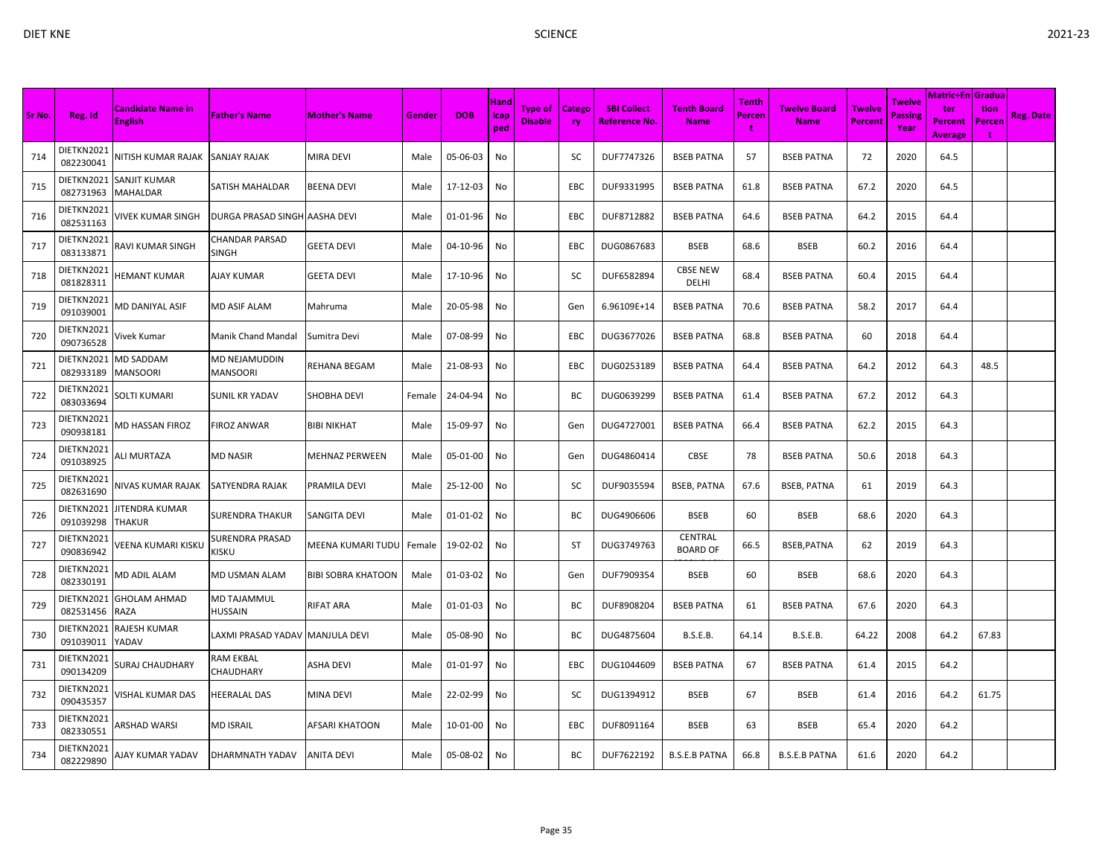| Sr No. | Reg. Id                 | <b>Candidate Name in</b><br><b>English</b> | <b>Father's Name</b>           | <b>Mother's Name</b> | Gender | <b>DOB</b> | Hand<br>icap<br>ped | Type of<br><b>Disable</b> | <b>Catego</b><br><b>ry</b> | <b>SBI Collect</b><br><u>Reference No.</u> | <b>Tenth Board</b><br><b>Name</b> | Tenth<br><b>Percen</b><br>÷ | <b>Twelve Board</b><br><b>Name</b> | <b>Twelve</b><br><b>Percent</b> | <b>Twelve</b><br><b>Passing</b><br>Year | <b>Matric+En Gradua</b><br>ter<br><b>Percent</b><br><b>Average</b> | tion<br>Percen<br>÷ | <b>Reg. Date</b> |
|--------|-------------------------|--------------------------------------------|--------------------------------|----------------------|--------|------------|---------------------|---------------------------|----------------------------|--------------------------------------------|-----------------------------------|-----------------------------|------------------------------------|---------------------------------|-----------------------------------------|--------------------------------------------------------------------|---------------------|------------------|
| 714    | DIETKN2021<br>082230041 | NITISH KUMAR RAJAK                         | <b>SANJAY RAJAK</b>            | MIRA DEVI            | Male   | 05-06-03   | No                  |                           | SC                         | DUF7747326                                 | <b>BSEB PATNA</b>                 | 57                          | <b>BSEB PATNA</b>                  | 72                              | 2020                                    | 64.5                                                               |                     |                  |
| 715    | DIETKN2021<br>082731963 | SANJIT KUMAR<br>MAHALDAR                   | SATISH MAHALDAR                | BEENA DEVI           | Male   | 17-12-03   | No                  |                           | <b>EBC</b>                 | DUF9331995                                 | <b>BSEB PATNA</b>                 | 61.8                        | <b>BSEB PATNA</b>                  | 67.2                            | 2020                                    | 64.5                                                               |                     |                  |
| 716    | DIETKN2021<br>082531163 | VIVEK KUMAR SINGH                          | DURGA PRASAD SINGH AASHA DEVI  |                      | Male   | 01-01-96   | No                  |                           | EBC                        | DUF8712882                                 | <b>BSEB PATNA</b>                 | 64.6                        | <b>BSEB PATNA</b>                  | 64.2                            | 2015                                    | 64.4                                                               |                     |                  |
| 717    | DIETKN2021<br>083133871 | RAVI KUMAR SINGH                           | CHANDAR PARSAD<br><b>SINGH</b> | GEETA DEVI           | Male   | 04-10-96   | No                  |                           | EBC                        | DUG0867683                                 | <b>BSEB</b>                       | 68.6                        | <b>BSEB</b>                        | 60.2                            | 2016                                    | 64.4                                                               |                     |                  |
| 718    | DIETKN2021<br>081828311 | <b>HEMANT KUMAR</b>                        | AJAY KUMAR                     | GEETA DEVI           | Male   | 17-10-96   | No                  |                           | SC                         | DUF6582894                                 | <b>CBSE NEW</b><br>DELHI          | 68.4                        | <b>BSEB PATNA</b>                  | 60.4                            | 2015                                    | 64.4                                                               |                     |                  |
| 719    | DIETKN2021<br>091039001 | VID DANIYAL ASIF                           | MD ASIF ALAM                   | Mahruma              | Male   | 20-05-98   | No                  |                           | Gen                        | 6.96109E+14                                | <b>BSEB PATNA</b>                 | 70.6                        | <b>BSEB PATNA</b>                  | 58.2                            | 2017                                    | 64.4                                                               |                     |                  |
| 720    | DIETKN2021<br>090736528 | Vivek Kumar                                | Manik Chand Mandal             | Sumitra Devi         | Male   | 07-08-99   | No                  |                           | EBC                        | DUG3677026                                 | <b>BSEB PATNA</b>                 | 68.8                        | <b>BSEB PATNA</b>                  | 60                              | 2018                                    | 64.4                                                               |                     |                  |
| 721    | DIETKN2021<br>082933189 | MD SADDAM<br><b>MANSOORI</b>               | MD NEJAMUDDIN<br>MANSOORI      | REHANA BEGAM         | Male   | 21-08-93   | No                  |                           | EBC                        | DUG0253189                                 | <b>BSEB PATNA</b>                 | 64.4                        | <b>BSEB PATNA</b>                  | 64.2                            | 2012                                    | 64.3                                                               | 48.5                |                  |
| 722    | DIETKN2021<br>083033694 | <b>SOLTI KUMARI</b>                        | <b>SUNIL KR YADAV</b>          | SHOBHA DEVI          | Female | 24-04-94   | No                  |                           | BC                         | DUG0639299                                 | <b>BSEB PATNA</b>                 | 61.4                        | <b>BSEB PATNA</b>                  | 67.2                            | 2012                                    | 64.3                                                               |                     |                  |
| 723    | DIETKN2021<br>090938181 | MD HASSAN FIROZ                            | FIROZ ANWAR                    | BIBI NIKHAT          | Male   | 15-09-97   | No                  |                           | Gen                        | DUG4727001                                 | <b>BSEB PATNA</b>                 | 66.4                        | <b>BSEB PATNA</b>                  | 62.2                            | 2015                                    | 64.3                                                               |                     |                  |
| 724    | DIETKN2021<br>091038925 | <b>ALI MURTAZA</b>                         | <b>MD NASIR</b>                | MEHNAZ PERWEEN       | Male   | 05-01-00   | No                  |                           | Gen                        | DUG4860414                                 | CBSE                              | 78                          | <b>BSEB PATNA</b>                  | 50.6                            | 2018                                    | 64.3                                                               |                     |                  |
| 725    | DIETKN2021<br>082631690 | NIVAS KUMAR RAJAK                          | <b>SATYENDRA RAJAK</b>         | PRAMILA DEVI         | Male   | 25-12-00   | No                  |                           | SC                         | DUF9035594                                 | <b>BSEB, PATNA</b>                | 67.6                        | <b>BSEB, PATNA</b>                 | 61                              | 2019                                    | 64.3                                                               |                     |                  |
| 726    | DIETKN2021<br>091039298 | IITENDRA KUMAR<br><b>THAKUR</b>            | <b>SURENDRA THAKUR</b>         | SANGITA DEVI         | Male   | 01-01-02   | No                  |                           | BС                         | DUG4906606                                 | <b>BSEB</b>                       | 60                          | <b>BSEB</b>                        | 68.6                            | 2020                                    | 64.3                                                               |                     |                  |
| 727    | DIETKN2021<br>090836942 | <b>JEENA KUMARI KISKU</b>                  | SURENDRA PRASAD<br>KISKU       | MEENA KUMARI TUDU    | Female | 19-02-02   | No                  |                           | <b>ST</b>                  | DUG3749763                                 | <b>CENTRAL</b><br><b>BOARD OF</b> | 66.5                        | BSEB, PATNA                        | 62                              | 2019                                    | 64.3                                                               |                     |                  |
| 728    | DIETKN2021<br>082330191 | <b>MD ADIL ALAM</b>                        | MD USMAN ALAM                  | BIBI SOBRA KHATOON   | Male   | 01-03-02   | No                  |                           | Gen                        | DUF7909354                                 | <b>BSEB</b>                       | 60                          | <b>BSEB</b>                        | 68.6                            | 2020                                    | 64.3                                                               |                     |                  |
| 729    | DIETKN2021<br>082531456 | <b>GHOLAM AHMAD</b><br>RAZA                | MD TAJAMMUL<br>HUSSAIN         | RIFAT ARA            | Male   | 01-01-03   | No                  |                           | ВC                         | DUF8908204                                 | <b>BSEB PATNA</b>                 | 61                          | <b>BSEB PATNA</b>                  | 67.6                            | 2020                                    | 64.3                                                               |                     |                  |
| 730    | DIETKN2021<br>091039011 | RAJESH KUMAR<br>YADAV                      | LAXMI PRASAD YADAV             | <b>MANJULA DEVI</b>  | Male   | 05-08-90   | No                  |                           | BC                         | DUG4875604                                 | <b>B.S.E.B.</b>                   | 64.14                       | <b>B.S.E.B.</b>                    | 64.22                           | 2008                                    | 64.2                                                               | 67.83               |                  |
| 731    | DIETKN2021<br>090134209 | SURAJ CHAUDHARY                            | RAM EKBAL<br>CHAUDHARY         | ASHA DEVI            | Male   | 01-01-97   | No                  |                           | EBC                        | DUG1044609                                 | <b>BSEB PATNA</b>                 | 67                          | <b>BSEB PATNA</b>                  | 61.4                            | 2015                                    | 64.2                                                               |                     |                  |
| 732    | DIETKN2021<br>090435357 | VISHAL KUMAR DAS                           | <b>HEERALAL DAS</b>            | MINA DEVI            | Male   | 22-02-99   | No                  |                           | SC                         | DUG1394912                                 | <b>BSEB</b>                       | 67                          | <b>BSEB</b>                        | 61.4                            | 2016                                    | 64.2                                                               | 61.75               |                  |
| 733    | DIETKN2021<br>082330551 | <b>ARSHAD WARSI</b>                        | <b>MD ISRAIL</b>               | AFSARI KHATOON       | Male   | 10-01-00   | No                  |                           | EBC                        | DUF8091164                                 | <b>BSEB</b>                       | 63                          | <b>BSEB</b>                        | 65.4                            | 2020                                    | 64.2                                                               |                     |                  |
| 734    | DIETKN2021<br>082229890 | AJAY KUMAR YADAV                           | DHARMNATH YADAV                | <b>ANITA DEVI</b>    | Male   | 05-08-02   | No                  |                           | BC                         | DUF7622192                                 | <b>B.S.E.B PATNA</b>              | 66.8                        | <b>B.S.E.B PATNA</b>               | 61.6                            | 2020                                    | 64.2                                                               |                     |                  |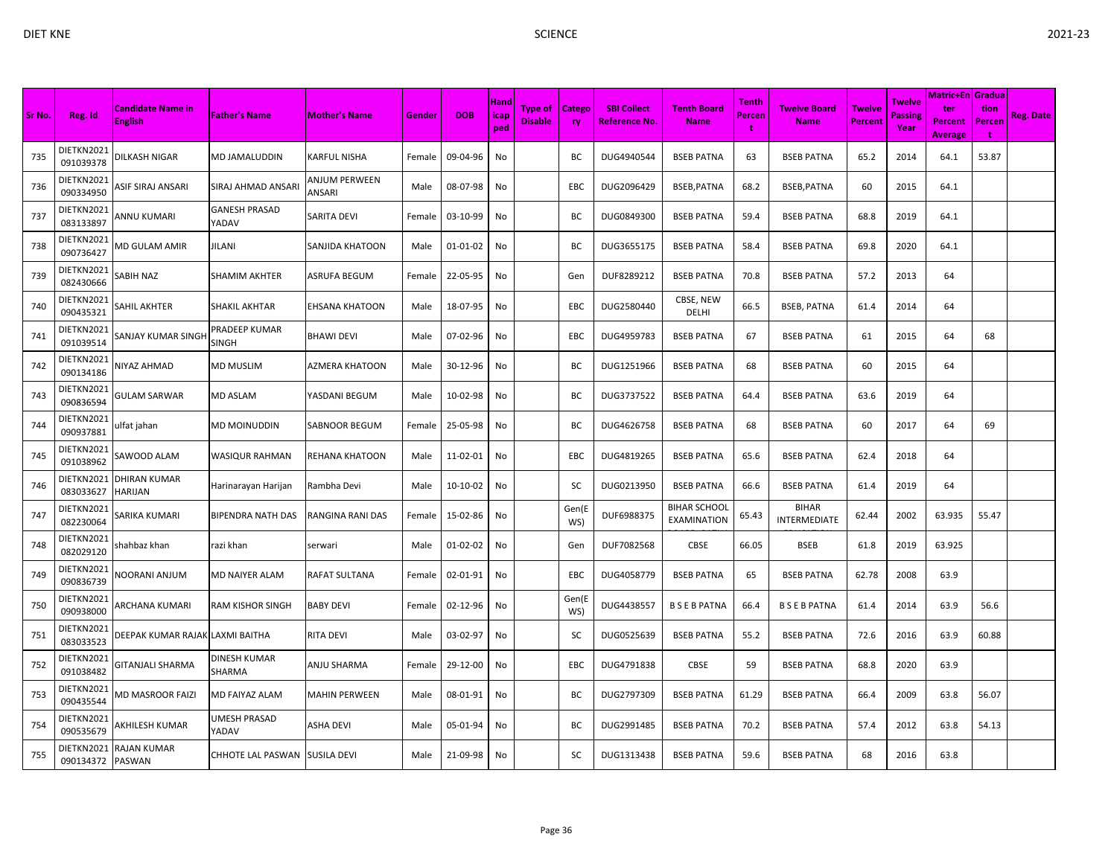|        |                                |                                            |                               |                         |        |            |                     |                                  |                     |                                            |                                           |                             |                                    |                                 |                                  | <b>Matric+En Gradua</b>                 |                            |                  |
|--------|--------------------------------|--------------------------------------------|-------------------------------|-------------------------|--------|------------|---------------------|----------------------------------|---------------------|--------------------------------------------|-------------------------------------------|-----------------------------|------------------------------------|---------------------------------|----------------------------------|-----------------------------------------|----------------------------|------------------|
| Sr No. | Reg. Id                        | <b>Candidate Name in</b><br><b>English</b> | <b>Father's Name</b>          | <b>Mother's Name</b>    | Gender | <b>DOB</b> | Hand<br>icap<br>ped | <b>Type of</b><br><b>Disable</b> | Catego<br><b>ry</b> | <b>SBI Collect</b><br><b>Reference No.</b> | <b>Tenth Board</b><br><b>Name</b>         | <b>Tenth</b><br>Percen<br>t | <b>Twelve Board</b><br><b>Name</b> | <b>Twelve</b><br><b>Percent</b> | Twelve<br><b>Passing</b><br>Year | ter<br><b>Percent</b><br><b>Average</b> | tion<br>Percen<br><b>t</b> | <b>Reg. Date</b> |
| 735    | DIETKN2021<br>091039378        | <b>DILKASH NIGAR</b>                       | MD JAMALUDDIN                 | KARFUL NISHA            | Female | 09-04-96   | No                  |                                  | BC                  | DUG4940544                                 | <b>BSEB PATNA</b>                         | 63                          | <b>BSEB PATNA</b>                  | 65.2                            | 2014                             | 64.1                                    | 53.87                      |                  |
| 736    | DIETKN2021<br>090334950        | ASIF SIRAJ ANSARI                          | SIRAJ AHMAD ANSARI            | ANJUM PERWEEN<br>ANSARI | Male   | 08-07-98   | No                  |                                  | <b>EBC</b>          | DUG2096429                                 | BSEB, PATNA                               | 68.2                        | BSEB, PATNA                        | 60                              | 2015                             | 64.1                                    |                            |                  |
| 737    | DIETKN2021<br>083133897        | ANNU KUMARI                                | <b>GANESH PRASAD</b><br>YADAV | SARITA DEVI             | Female | 03-10-99   | No                  |                                  | BC                  | DUG0849300                                 | <b>BSEB PATNA</b>                         | 59.4                        | <b>BSEB PATNA</b>                  | 68.8                            | 2019                             | 64.1                                    |                            |                  |
| 738    | DIETKN2021<br>090736427        | VID GULAM AMIR                             | JILANI                        | SANJIDA KHATOON         | Male   | 01-01-02   | No                  |                                  | BC                  | DUG3655175                                 | <b>BSEB PATNA</b>                         | 58.4                        | <b>BSEB PATNA</b>                  | 69.8                            | 2020                             | 64.1                                    |                            |                  |
| 739    | DIETKN2021<br>082430666        | SABIH NAZ                                  | <b>SHAMIM AKHTER</b>          | ASRUFA BEGUM            | Female | 22-05-95   | No                  |                                  | Gen                 | DUF8289212                                 | <b>BSEB PATNA</b>                         | 70.8                        | <b>BSEB PATNA</b>                  | 57.2                            | 2013                             | 64                                      |                            |                  |
| 740    | DIETKN2021<br>090435321        | SAHIL AKHTER                               | SHAKIL AKHTAR                 | EHSANA KHATOON          | Male   | 18-07-95   | No                  |                                  | EBC                 | DUG2580440                                 | CBSE, NEW<br>DELHI                        | 66.5                        | <b>BSEB, PATNA</b>                 | 61.4                            | 2014                             | 64                                      |                            |                  |
| 741    | DIETKN2021<br>091039514        | SANJAY KUMAR SINGH                         | PRADEEP KUMAR<br>SINGH        | <b>BHAWI DEVI</b>       | Male   | 07-02-96   | No                  |                                  | EBC                 | DUG4959783                                 | <b>BSEB PATNA</b>                         | 67                          | <b>BSEB PATNA</b>                  | 61                              | 2015                             | 64                                      | 68                         |                  |
| 742    | DIETKN2021<br>090134186        | <b>NIYAZ AHMAD</b>                         | <b>MD MUSLIM</b>              | AZMERA KHATOON          | Male   | 30-12-96   | No                  |                                  | BC                  | DUG1251966                                 | <b>BSEB PATNA</b>                         | 68                          | <b>BSEB PATNA</b>                  | 60                              | 2015                             | 64                                      |                            |                  |
| 743    | DIETKN2021<br>090836594        | GULAM SARWAR                               | MD ASLAM                      | YASDANI BEGUM           | Male   | 10-02-98   | No                  |                                  | BС                  | DUG3737522                                 | <b>BSEB PATNA</b>                         | 64.4                        | <b>BSEB PATNA</b>                  | 63.6                            | 2019                             | 64                                      |                            |                  |
| 744    | DIETKN2021<br>090937881        | lfat jahan.                                | MD MOINUDDIN                  | SABNOOR BEGUM           | Female | 25-05-98   | No                  |                                  | BC                  | DUG4626758                                 | <b>BSEB PATNA</b>                         | 68                          | <b>BSEB PATNA</b>                  | 60                              | 2017                             | 64                                      | 69                         |                  |
| 745    | DIETKN2021<br>091038962        | SAWOOD ALAM                                | <b>WASIQUR RAHMAN</b>         | REHANA KHATOON          | Male   | 11-02-01   | No                  |                                  | EBC                 | DUG4819265                                 | <b>BSEB PATNA</b>                         | 65.6                        | <b>BSEB PATNA</b>                  | 62.4                            | 2018                             | 64                                      |                            |                  |
| 746    | DIETKN2021<br>083033627        | <b>DHIRAN KUMAR</b><br><b>HARIJAN</b>      | Harinarayan Harijan           | Rambha Devi             | Male   | 10-10-02   | No                  |                                  | SC                  | DUG0213950                                 | <b>BSEB PATNA</b>                         | 66.6                        | <b>BSEB PATNA</b>                  | 61.4                            | 2019                             | 64                                      |                            |                  |
| 747    | DIETKN2021<br>082230064        | SARIKA KUMARI                              | BIPENDRA NATH DAS             | RANGINA RANI DAS        | Female | 15-02-86   | No                  |                                  | Gen(E<br>WS)        | DUF6988375                                 | <b>BIHAR SCHOOL</b><br><b>EXAMINATION</b> | 65.43                       | <b>BIHAR</b><br>INTERMEDIATE       | 62.44                           | 2002                             | 63.935                                  | 55.47                      |                  |
| 748    | DIETKN2021<br>082029120        | shahbaz khan                               | razi khan                     | serwari                 | Male   | 01-02-02   | No                  |                                  | Gen                 | DUF7082568                                 | CBSE                                      | 66.05                       | <b>BSEB</b>                        | 61.8                            | 2019                             | 63.925                                  |                            |                  |
| 749    | DIETKN2021<br>090836739        | <b>VOORANI ANJUM</b>                       | MD NAIYER ALAM                | RAFAT SULTANA           | Female | 02-01-91   | No                  |                                  | EBC                 | DUG4058779                                 | <b>BSEB PATNA</b>                         | 65                          | <b>BSEB PATNA</b>                  | 62.78                           | 2008                             | 63.9                                    |                            |                  |
| 750    | DIETKN2021<br>090938000        | ARCHANA KUMARI                             | <b>RAM KISHOR SINGH</b>       | <b>BABY DEVI</b>        | Female | 02-12-96   | No                  |                                  | Gen(E<br>WS)        | DUG4438557                                 | <b>BSEBPATNA</b>                          | 66.4                        | <b>BSEBPATNA</b>                   | 61.4                            | 2014                             | 63.9                                    | 56.6                       |                  |
| 751    | DIETKN2021<br>083033523        | DEEPAK KUMAR RAJAK LAXMI BAITHA            |                               | RITA DEVI               | Male   | 03-02-97   | No                  |                                  | SC                  | DUG0525639                                 | <b>BSEB PATNA</b>                         | 55.2                        | <b>BSEB PATNA</b>                  | 72.6                            | 2016                             | 63.9                                    | 60.88                      |                  |
| 752    | DIETKN2021<br>091038482        | GITANJALI SHARMA                           | DINESH KUMAR<br>SHARMA        | ANJU SHARMA             | Female | 29-12-00   | No                  |                                  | EBC                 | DUG4791838                                 | <b>CBSE</b>                               | 59                          | <b>BSEB PATNA</b>                  | 68.8                            | 2020                             | 63.9                                    |                            |                  |
| 753    | DIETKN2021<br>090435544        | <b>MD MASROOR FAIZI</b>                    | MD FAIYAZ ALAM                | MAHIN PERWEEN           | Male   | 08-01-91   | No                  |                                  | BC                  | DUG2797309                                 | <b>BSEB PATNA</b>                         | 61.29                       | <b>BSEB PATNA</b>                  | 66.4                            | 2009                             | 63.8                                    | 56.07                      |                  |
| 754    | DIETKN2021<br>090535679        | AKHILESH KUMAR                             | UMESH PRASAD<br>YADAV         | ASHA DEVI               | Male   | 05-01-94   | No                  |                                  | ВC                  | DUG2991485                                 | <b>BSEB PATNA</b>                         | 70.2                        | <b>BSEB PATNA</b>                  | 57.4                            | 2012                             | 63.8                                    | 54.13                      |                  |
| 755    | DIETKN2021<br>090134372 PASWAN | RAJAN KUMAR                                | CHHOTE LAL PASWAN SUSILA DEVI |                         | Male   | 21-09-98   | No                  |                                  | SC                  | DUG1313438                                 | <b>BSEB PATNA</b>                         | 59.6                        | <b>BSEB PATNA</b>                  | 68                              | 2016                             | 63.8                                    |                            |                  |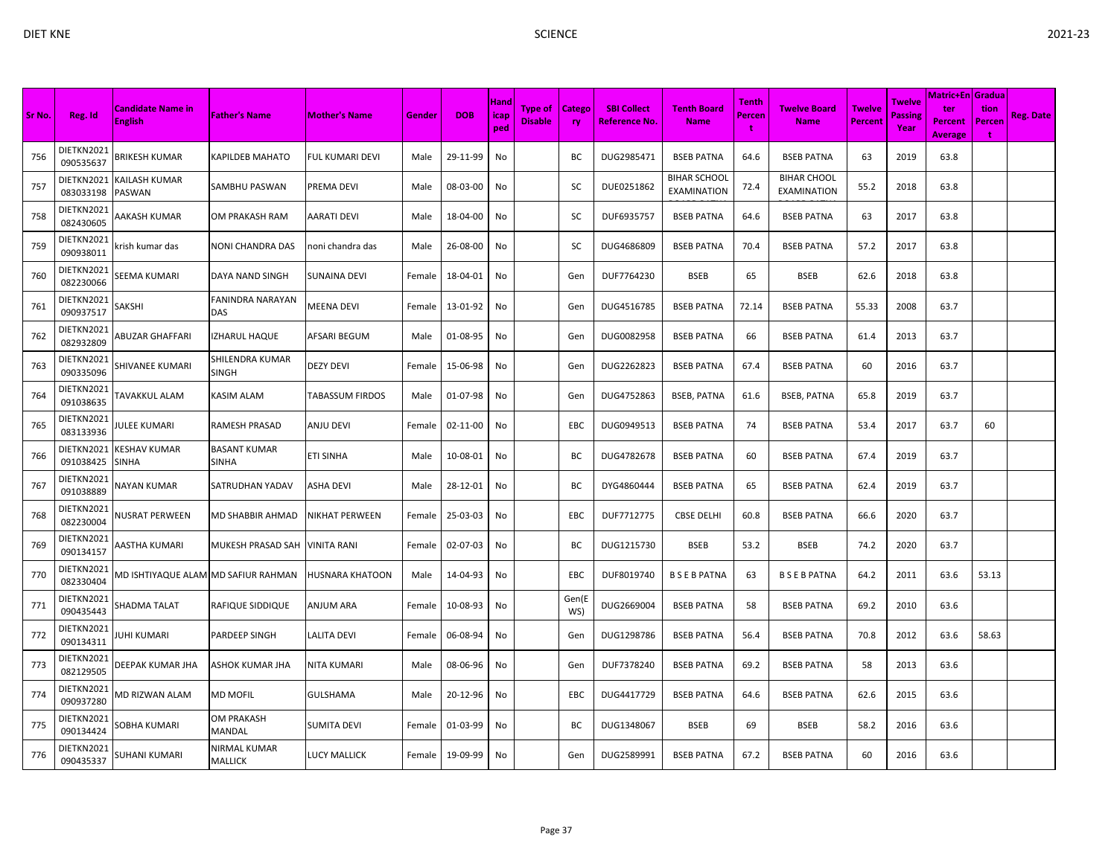|        |                         |                                            |                                |                        |        |            |                     |                                  |                     |                                            |                                           |                 |                                    |                                 |                                         | <b>Matric+En Gradua</b>          |                     |                  |
|--------|-------------------------|--------------------------------------------|--------------------------------|------------------------|--------|------------|---------------------|----------------------------------|---------------------|--------------------------------------------|-------------------------------------------|-----------------|------------------------------------|---------------------------------|-----------------------------------------|----------------------------------|---------------------|------------------|
| Sr No. | Reg. Id                 | <b>Candidate Name in</b><br><b>English</b> | <b>Father's Name</b>           | <b>Mother's Name</b>   | Gender | <b>DOB</b> | Hand<br>icap<br>ped | <b>Type of</b><br><b>Disable</b> | <b>Catego</b><br>ry | <b>SBI Collect</b><br><b>Reference No.</b> | <b>Tenth Board</b><br><b>Name</b>         | Tenth<br>Percen | <b>Twelve Board</b><br><b>Name</b> | <b>Twelve</b><br><b>Percent</b> | <b>Twelve</b><br><b>Passing</b><br>Year | ter<br>Percent<br><b>Average</b> | tion<br>Percen<br>t | <b>Reg. Date</b> |
| 756    | DIETKN2021<br>090535637 | BRIKESH KUMAR                              | <b><i>CAPILDEB MAHATO</i></b>  | <b>FUL KUMARI DEVI</b> | Male   | 29-11-99   | No                  |                                  | ВC                  | DUG2985471                                 | <b>BSEB PATNA</b>                         | 64.6            | <b>BSEB PATNA</b>                  | 63                              | 2019                                    | 63.8                             |                     |                  |
| 757    | DIETKN2021<br>083033198 | KAILASH KUMAR<br>PASWAN                    | SAMBHU PASWAN                  | PREMA DEVI             | Male   | 08-03-00   | No                  |                                  | SC                  | DUE0251862                                 | <b>BIHAR SCHOOL</b><br><b>EXAMINATION</b> | 72.4            | <b>BIHAR CHOOL</b><br>EXAMINATION  | 55.2                            | 2018                                    | 63.8                             |                     |                  |
| 758    | DIETKN2021<br>082430605 | AAKASH KUMAR                               | OM PRAKASH RAM                 | <b>AARATI DEVI</b>     | Male   | 18-04-00   | No                  |                                  | SC                  | DUF6935757                                 | <b>BSEB PATNA</b>                         | 64.6            | <b>BSEB PATNA</b>                  | 63                              | 2017                                    | 63.8                             |                     |                  |
| 759    | DIETKN2021<br>090938011 | rrish kumar das                            | NONI CHANDRA DAS               | noni chandra das       | Male   | 26-08-00   | No                  |                                  | SC                  | DUG4686809                                 | <b>BSEB PATNA</b>                         | 70.4            | <b>BSEB PATNA</b>                  | 57.2                            | 2017                                    | 63.8                             |                     |                  |
| 760    | DIETKN2021<br>082230066 | SEEMA KUMARI                               | DAYA NAND SINGH                | <b>SUNAINA DEVI</b>    | Female | 18-04-01   | No                  |                                  | Gen                 | DUF7764230                                 | <b>BSEB</b>                               | 65              | <b>BSEB</b>                        | 62.6                            | 2018                                    | 63.8                             |                     |                  |
| 761    | DIETKN2021<br>090937517 | SAKSHI                                     | FANINDRA NARAYAN<br><b>DAS</b> | <b>MEENA DEVI</b>      | Female | 13-01-92   | No                  |                                  | Gen                 | DUG4516785                                 | <b>BSEB PATNA</b>                         | 72.14           | <b>BSEB PATNA</b>                  | 55.33                           | 2008                                    | 63.7                             |                     |                  |
| 762    | DIETKN2021<br>082932809 | <b>ABUZAR GHAFFARI</b>                     | <b>IZHARUL HAQUE</b>           | AFSARI BEGUM           | Male   | 01-08-95   | No                  |                                  | Gen                 | DUG0082958                                 | <b>BSEB PATNA</b>                         | 66              | <b>BSEB PATNA</b>                  | 61.4                            | 2013                                    | 63.7                             |                     |                  |
| 763    | DIETKN2021<br>090335096 | SHIVANEE KUMARI                            | SHILENDRA KUMAR<br>SINGH       | <b>DEZY DEVI</b>       | Female | 15-06-98   | No                  |                                  | Gen                 | DUG2262823                                 | <b>BSEB PATNA</b>                         | 67.4            | <b>BSEB PATNA</b>                  | 60                              | 2016                                    | 63.7                             |                     |                  |
| 764    | DIETKN2021<br>091038635 | <b><i>FAVAKKUL ALAM</i></b>                | KASIM ALAM                     | <b>TABASSUM FIRDOS</b> | Male   | 01-07-98   | No                  |                                  | Gen                 | DUG4752863                                 | <b>BSEB, PATNA</b>                        | 61.6            | <b>BSEB, PATNA</b>                 | 65.8                            | 2019                                    | 63.7                             |                     |                  |
| 765    | DIETKN2021<br>083133936 | <b>ULEE KUMARI</b>                         | RAMESH PRASAD                  | <b>ANJU DEVI</b>       | Female | 02-11-00   | No                  |                                  | EBC                 | DUG0949513                                 | <b>BSEB PATNA</b>                         | 74              | <b>BSEB PATNA</b>                  | 53.4                            | 2017                                    | 63.7                             | 60                  |                  |
| 766    | DIETKN2021<br>091038425 | KESHAV KUMAR<br>SINHA                      | <b>BASANT KUMAR</b><br>SINHA   | ETI SINHA              | Male   | 10-08-01   | No                  |                                  | BC                  | DUG4782678                                 | <b>BSEB PATNA</b>                         | 60              | <b>BSEB PATNA</b>                  | 67.4                            | 2019                                    | 63.7                             |                     |                  |
| 767    | DIETKN2021<br>091038889 | <b>VAYAN KUMAR</b>                         | SATRUDHAN YADAV                | <b>ASHA DEVI</b>       | Male   | 28-12-01   | No                  |                                  | BC                  | DYG4860444                                 | <b>BSEB PATNA</b>                         | 65              | <b>BSEB PATNA</b>                  | 62.4                            | 2019                                    | 63.7                             |                     |                  |
| 768    | DIETKN2021<br>082230004 | <b>NUSRAT PERWEEN</b>                      | MD SHABBIR AHMAD               | <b>NIKHAT PERWEEN</b>  | Female | 25-03-03   | No                  |                                  | EBC                 | DUF7712775                                 | <b>CBSE DELHI</b>                         | 60.8            | <b>BSEB PATNA</b>                  | 66.6                            | 2020                                    | 63.7                             |                     |                  |
| 769    | DIETKN2021<br>090134157 | AASTHA KUMARI                              | MUKESH PRASAD SAH              | <b>VINITA RANI</b>     | Female | 02-07-03   | No                  |                                  | BC                  | DUG1215730                                 | <b>BSEB</b>                               | 53.2            | <b>BSEB</b>                        | 74.2                            | 2020                                    | 63.7                             |                     |                  |
| 770    | DIETKN2021<br>082330404 | MD ISHTIYAQUE ALAM MD SAFIUR RAHMAN        |                                | <b>HUSNARA KHATOON</b> | Male   | 14-04-93   | No                  |                                  | EBC                 | DUF8019740                                 | <b>BSEBPATNA</b>                          | 63              | <b>BSEBPATNA</b>                   | 64.2                            | 2011                                    | 63.6                             | 53.13               |                  |
| 771    | DIETKN2021<br>090435443 | <b>SHADMA TALAT</b>                        | RAFIQUE SIDDIQUE               | <b>ANJUM ARA</b>       | Female | 10-08-93   | No                  |                                  | Gen(E<br>WS)        | DUG2669004                                 | <b>BSEB PATNA</b>                         | 58              | <b>BSEB PATNA</b>                  | 69.2                            | 2010                                    | 63.6                             |                     |                  |
| 772    | DIETKN2021<br>090134311 | UHI KUMARI                                 | PARDEEP SINGH                  | LALITA DEVI            | Female | 06-08-94   | No                  |                                  | Gen                 | DUG1298786                                 | <b>BSEB PATNA</b>                         | 56.4            | <b>BSEB PATNA</b>                  | 70.8                            | 2012                                    | 63.6                             | 58.63               |                  |
| 773    | DIETKN2021<br>082129505 | DEEPAK KUMAR JHA                           | ASHOK KUMAR JHA                | <b>NITA KUMARI</b>     | Male   | 08-06-96   | No                  |                                  | Gen                 | DUF7378240                                 | <b>BSEB PATNA</b>                         | 69.2            | <b>BSEB PATNA</b>                  | 58                              | 2013                                    | 63.6                             |                     |                  |
| 774    | DIETKN2021<br>090937280 | VID RIZWAN ALAM                            | MD MOFIL                       | <b>GULSHAMA</b>        | Male   | 20-12-96   | No                  |                                  | EBC                 | DUG4417729                                 | <b>BSEB PATNA</b>                         | 64.6            | <b>BSEB PATNA</b>                  | 62.6                            | 2015                                    | 63.6                             |                     |                  |
| 775    | DIETKN2021<br>090134424 | GOBHA KUMARI                               | OM PRAKASH<br>MANDAL           | <b>SUMITA DEVI</b>     | Female | 01-03-99   | No                  |                                  | ВC                  | DUG1348067                                 | <b>BSEB</b>                               | 69              | <b>BSEB</b>                        | 58.2                            | 2016                                    | 63.6                             |                     |                  |
| 776    | DIETKN2021<br>090435337 | SUHANI KUMARI                              | NIRMAL KUMAR<br>MALLICK        | <b>LUCY MALLICK</b>    | Female | 19-09-99   | No                  |                                  | Gen                 | DUG2589991                                 | <b>BSEB PATNA</b>                         | 67.2            | <b>BSEB PATNA</b>                  | 60                              | 2016                                    | 63.6                             |                     |                  |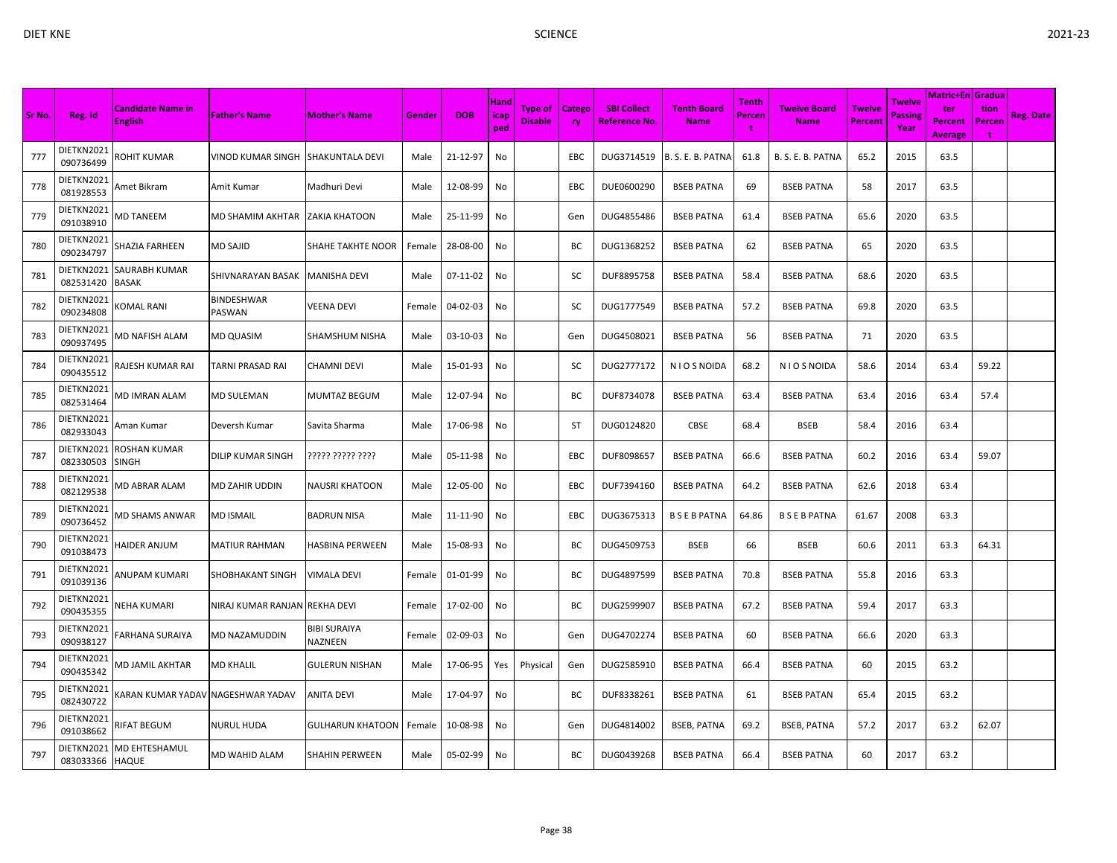| c. |  |
|----|--|
|    |  |

| Sr No. | Reg. Id                       | <b>Candidate Name in</b><br><b>English</b> | <b>Father's Name</b>          | <b>Mother's Name</b>           | Gender | <b>DOB</b> | Hand<br><b>icap</b><br>ped | Type of<br><b>Disable</b> | <b>Catego</b><br>ry | <b>SBI Collect</b><br><b>Reference No.</b> | <b>Tenth Board</b><br><b>Name</b> | Tenth<br>Percen | <b>Twelve Board</b><br><b>Name</b> | <b>Twelve</b><br><b>Percent</b> | <b>Twelve</b><br><b>Passing</b><br>Year | <b>Matric+En Gradua</b><br>ter<br><b>Percent</b><br><b>Average</b> | tion<br>Percen<br>÷ | <b>Reg. Date</b> |
|--------|-------------------------------|--------------------------------------------|-------------------------------|--------------------------------|--------|------------|----------------------------|---------------------------|---------------------|--------------------------------------------|-----------------------------------|-----------------|------------------------------------|---------------------------------|-----------------------------------------|--------------------------------------------------------------------|---------------------|------------------|
| 777    | DIETKN2021<br>090736499       | ROHIT KUMAR                                | VINOD KUMAR SINGH             | <b>SHAKUNTALA DEVI</b>         | Male   | 21-12-97   | No                         |                           | EBC                 | DUG3714519                                 | B. S. E. B. PATNA                 | 61.8            | B. S. E. B. PATNA                  | 65.2                            | 2015                                    | 63.5                                                               |                     |                  |
| 778    | DIETKN2021<br>081928553       | Amet Bikram                                | Amit Kumar                    | Madhuri Devi                   | Male   | 12-08-99   | No                         |                           | EBC                 | DUE0600290                                 | <b>BSEB PATNA</b>                 | 69              | <b>BSEB PATNA</b>                  | 58                              | 2017                                    | 63.5                                                               |                     |                  |
| 779    | DIETKN2021<br>091038910       | <b>MD TANEEM</b>                           | MD SHAMIM AKHTAR              | ZAKIA KHATOON                  | Male   | 25-11-99   | No                         |                           | Gen                 | DUG4855486                                 | <b>BSEB PATNA</b>                 | 61.4            | <b>BSEB PATNA</b>                  | 65.6                            | 2020                                    | 63.5                                                               |                     |                  |
| 780    | DIETKN2021<br>090234797       | SHAZIA FARHEEN                             | <b>MD SAJID</b>               | SHAHE TAKHTE NOOR              | Female | 28-08-00   | No                         |                           | ВC                  | DUG1368252                                 | <b>BSEB PATNA</b>                 | 62              | <b>BSEB PATNA</b>                  | 65                              | 2020                                    | 63.5                                                               |                     |                  |
| 781    | DIETKN2021<br>082531420       | SAURABH KUMAR<br><b>BASAK</b>              | SHIVNARAYAN BASAK             | <b>MANISHA DEVI</b>            | Male   | 07-11-02   | No                         |                           | SC                  | DUF8895758                                 | <b>BSEB PATNA</b>                 | 58.4            | <b>BSEB PATNA</b>                  | 68.6                            | 2020                                    | 63.5                                                               |                     |                  |
| 782    | DIETKN2021<br>090234808       | KOMAL RANI                                 | <b>BINDESHWAR</b><br>PASWAN   | VEENA DEVI                     | Female | 04-02-03   | No                         |                           | <b>SC</b>           | DUG1777549                                 | <b>BSEB PATNA</b>                 | 57.2            | <b>BSEB PATNA</b>                  | 69.8                            | 2020                                    | 63.5                                                               |                     |                  |
| 783    | DIETKN2021<br>090937495       | <b>MD NAFISH ALAM</b>                      | <b>MD QUASIM</b>              | <b>SHAMSHUM NISHA</b>          | Male   | 03-10-03   | No                         |                           | Gen                 | DUG4508021                                 | <b>BSEB PATNA</b>                 | 56              | <b>BSEB PATNA</b>                  | 71                              | 2020                                    | 63.5                                                               |                     |                  |
| 784    | DIETKN2021<br>090435512       | RAJESH KUMAR RAI                           | <b>TARNI PRASAD RAI</b>       | <b>CHAMNI DEVI</b>             | Male   | 15-01-93   | No                         |                           | SC                  | DUG2777172                                 | N I O S NOIDA                     | 68.2            | N I O S NOIDA                      | 58.6                            | 2014                                    | 63.4                                                               | 59.22               |                  |
| 785    | DIETKN2021<br>082531464       | MD IMRAN ALAM                              | <b>MD SULEMAN</b>             | MUMTAZ BEGUM                   | Male   | 12-07-94   | No                         |                           | BС                  | DUF8734078                                 | <b>BSEB PATNA</b>                 | 63.4            | <b>BSEB PATNA</b>                  | 63.4                            | 2016                                    | 63.4                                                               | 57.4                |                  |
| 786    | DIETKN2021<br>082933043       | Aman Kumar                                 | Deversh Kumar                 | Savita Sharma                  | Male   | 17-06-98   | No                         |                           | ST                  | DUG0124820                                 | <b>CBSE</b>                       | 68.4            | <b>BSEB</b>                        | 58.4                            | 2016                                    | 63.4                                                               |                     |                  |
| 787    | DIETKN2021<br>082330503       | <b>ROSHAN KUMAR</b><br><b>SINGH</b>        | <b>DILIP KUMAR SINGH</b>      | ????? ????? ????               | Male   | 05-11-98   | No                         |                           | EBC                 | DUF8098657                                 | <b>BSEB PATNA</b>                 | 66.6            | <b>BSEB PATNA</b>                  | 60.2                            | 2016                                    | 63.4                                                               | 59.07               |                  |
| 788    | DIETKN2021<br>082129538       | MD ABRAR ALAM                              | <b>MD ZAHIR UDDIN</b>         | <b>NAUSRI KHATOON</b>          | Male   | 12-05-00   | No                         |                           | EBC                 | DUF7394160                                 | <b>BSEB PATNA</b>                 | 64.2            | <b>BSEB PATNA</b>                  | 62.6                            | 2018                                    | 63.4                                                               |                     |                  |
| 789    | DIETKN2021<br>090736452       | MD SHAMS ANWAR                             | <b>MD ISMAIL</b>              | <b>BADRUN NISA</b>             | Male   | 11-11-90   | No                         |                           | <b>EBC</b>          | DUG3675313                                 | <b>BSEBPATNA</b>                  | 64.86           | <b>BSEBPATNA</b>                   | 61.67                           | 2008                                    | 63.3                                                               |                     |                  |
| 790    | DIETKN2021<br>091038473       | HAIDER ANJUM                               | <b>MATIUR RAHMAN</b>          | <b>HASBINA PERWEEN</b>         | Male   | 15-08-93   | No                         |                           | BC                  | DUG4509753                                 | <b>BSEB</b>                       | 66              | <b>BSEB</b>                        | 60.6                            | 2011                                    | 63.3                                                               | 64.31               |                  |
| 791    | DIETKN2021<br>091039136       | ANUPAM KUMARI                              | SHOBHAKANT SINGH              | VIMALA DEVI                    | Female | 01-01-99   | No                         |                           | BС                  | DUG4897599                                 | <b>BSEB PATNA</b>                 | 70.8            | <b>BSEB PATNA</b>                  | 55.8                            | 2016                                    | 63.3                                                               |                     |                  |
| 792    | DIETKN2021<br>090435355       | NEHA KUMARI                                | NIRAJ KUMAR RANJAN REKHA DEVI |                                | Female | 17-02-00   | No                         |                           | BС                  | DUG2599907                                 | <b>BSEB PATNA</b>                 | 67.2            | <b>BSEB PATNA</b>                  | 59.4                            | 2017                                    | 63.3                                                               |                     |                  |
| 793    | DIETKN2021<br>090938127       | FARHANA SURAIYA                            | <b>MD NAZAMUDDIN</b>          | <b>BIBI SURAIYA</b><br>NAZNEEN | Female | 02-09-03   | No                         |                           | Gen                 | DUG4702274                                 | <b>BSEB PATNA</b>                 | 60              | <b>BSEB PATNA</b>                  | 66.6                            | 2020                                    | 63.3                                                               |                     |                  |
| 794    | DIETKN2021<br>090435342       | MD JAMIL AKHTAR                            | <b>MD KHALIL</b>              | <b>GULERUN NISHAN</b>          | Male   | 17-06-95   | Yes                        | Physical                  | Gen                 | DUG2585910                                 | <b>BSEB PATNA</b>                 | 66.4            | <b>BSEB PATNA</b>                  | 60                              | 2015                                    | 63.2                                                               |                     |                  |
| 795    | DIETKN2021<br>082430722       | KARAN KUMAR YADAV NAGESHWAR YADAV          |                               | ANITA DEVI                     | Male   | 17-04-97   | No                         |                           | BС                  | DUF8338261                                 | <b>BSEB PATNA</b>                 | 61              | <b>BSEB PATAN</b>                  | 65.4                            | 2015                                    | 63.2                                                               |                     |                  |
| 796    | DIETKN2021<br>091038662       | <b>RIFAT BEGUM</b>                         | <b>NURUL HUDA</b>             | <b>GULHARUN KHATOON</b>        | Female | 10-08-98   | No                         |                           | Gen                 | DUG4814002                                 | <b>BSEB, PATNA</b>                | 69.2            | <b>BSEB, PATNA</b>                 | 57.2                            | 2017                                    | 63.2                                                               | 62.07               |                  |
| 797    | DIETKN2021<br>083033366 HAQUE | <b>MD EHTESHAMUL</b>                       | <b>MD WAHID ALAM</b>          | <b>SHAHIN PERWEEN</b>          | Male   | 05-02-99   | No                         |                           | BС                  | DUG0439268                                 | <b>BSEB PATNA</b>                 | 66.4            | <b>BSEB PATNA</b>                  | 60                              | 2017                                    | 63.2                                                               |                     |                  |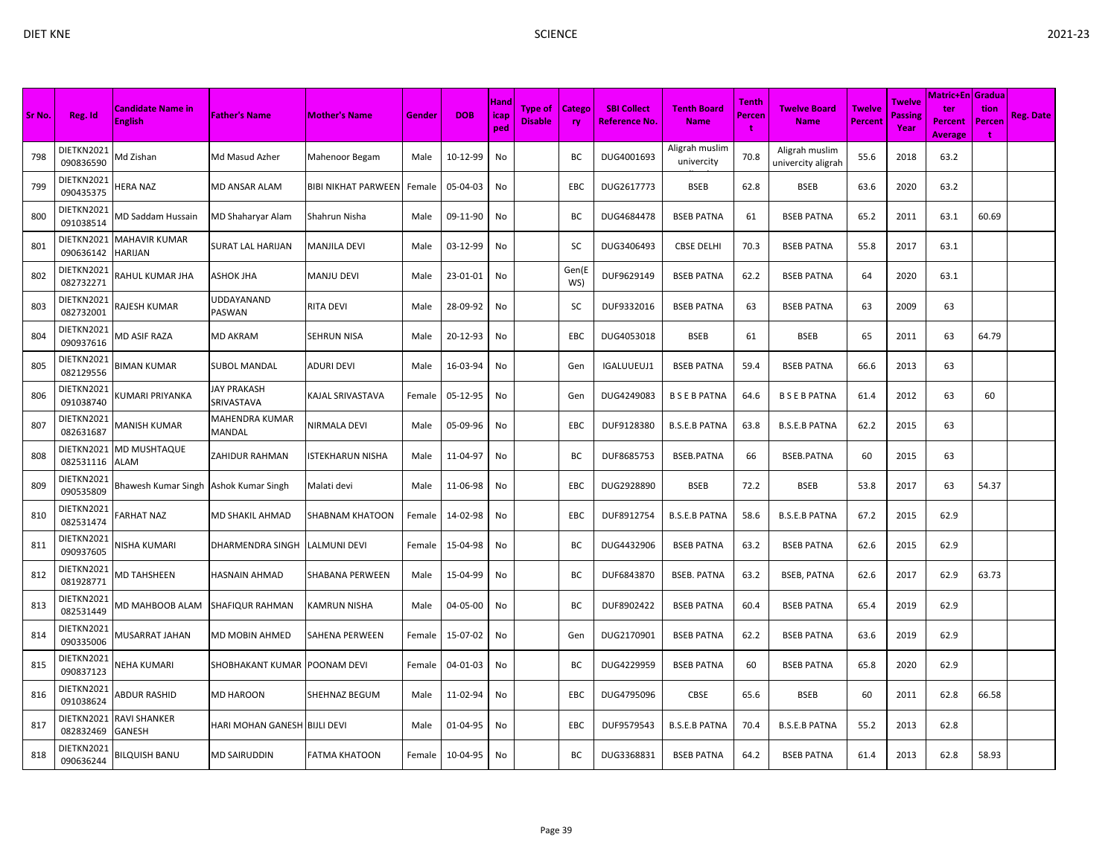|        |                         |                                         |                              |                            |        |            |                            |                                  |                     |                                     |                                   |                             |                                      |                          |                           | <b>Matric+En Gradua</b>                 |                            |                  |
|--------|-------------------------|-----------------------------------------|------------------------------|----------------------------|--------|------------|----------------------------|----------------------------------|---------------------|-------------------------------------|-----------------------------------|-----------------------------|--------------------------------------|--------------------------|---------------------------|-----------------------------------------|----------------------------|------------------|
| Sr No. | Reg. Id                 | Candidate Name in<br><b>English</b>     | <b>Father's Name</b>         | <b>Mother's Name</b>       | Gender | <b>DOB</b> | <b>Hand</b><br>icap<br>ped | <b>Type of</b><br><b>Disable</b> | Catego<br><b>ry</b> | <b>SBI Collect</b><br>Reference No. | <b>Tenth Board</b><br><b>Name</b> | <b>Tenth</b><br>Percen<br>t | Twelve Board<br><b>Name</b>          | <b>Twelve</b><br>Percent | Twelve<br>Passine<br>Year | ter<br><b>Percent</b><br><b>Average</b> | tion<br>Percen<br><b>t</b> | <b>Reg. Date</b> |
| 798    | DIETKN2021<br>090836590 | Md Zishan                               | Md Masud Azher               | Mahenoor Begam             | Male   | 10-12-99   | No                         |                                  | BC                  | DUG4001693                          | Aligrah muslim<br>univercity      | 70.8                        | Aligrah muslim<br>univercity aligrah | 55.6                     | 2018                      | 63.2                                    |                            |                  |
| 799    | DIETKN2021<br>090435375 | HERA NAZ                                | MD ANSAR ALAM                | <b>BIBI NIKHAT PARWEEN</b> | Female | 05-04-03   | No                         |                                  | EBC                 | DUG2617773                          | <b>BSEB</b>                       | 62.8                        | <b>BSEB</b>                          | 63.6                     | 2020                      | 63.2                                    |                            |                  |
| 800    | DIETKN2021<br>091038514 | <b>MD Saddam Hussain</b>                | MD Shaharyar Alam            | Shahrun Nisha              | Male   | 09-11-90   | No                         |                                  | BC                  | DUG4684478                          | <b>BSEB PATNA</b>                 | 61                          | <b>BSEB PATNA</b>                    | 65.2                     | 2011                      | 63.1                                    | 60.69                      |                  |
| 801    | DIETKN2021<br>090636142 | MAHAVIR KUMAR<br>HARIJAN                | SURAT LAL HARIJAN            | <b>MANJILA DEVI</b>        | Male   | 03-12-99   | No                         |                                  | sc                  | DUG3406493                          | <b>CBSE DELHI</b>                 | 70.3                        | <b>BSEB PATNA</b>                    | 55.8                     | 2017                      | 63.1                                    |                            |                  |
| 802    | DIETKN2021<br>082732271 | RAHUL KUMAR JHA                         | ASHOK JHA                    | <b>MANJU DEVI</b>          | Male   | 23-01-01   | No                         |                                  | Gen(E<br>WS)        | DUF9629149                          | <b>BSEB PATNA</b>                 | 62.2                        | <b>BSEB PATNA</b>                    | 64                       | 2020                      | 63.1                                    |                            |                  |
| 803    | DIETKN2021<br>082732001 | RAJESH KUMAR                            | UDDAYANAND<br>PASWAN         | <b>RITA DEVI</b>           | Male   | 28-09-92   | No                         |                                  | SC                  | DUF9332016                          | <b>BSEB PATNA</b>                 | 63                          | <b>BSEB PATNA</b>                    | 63                       | 2009                      | 63                                      |                            |                  |
| 804    | DIETKN2021<br>090937616 | <b>MD ASIF RAZA</b>                     | MD AKRAM                     | <b>SEHRUN NISA</b>         | Male   | 20-12-93   | No                         |                                  | EBC                 | DUG4053018                          | <b>BSEB</b>                       | 61                          | <b>BSEB</b>                          | 65                       | 2011                      | 63                                      | 64.79                      |                  |
| 805    | DIETKN2021<br>082129556 | BIMAN KUMAR                             | <b>SUBOL MANDAL</b>          | <b>ADURI DEVI</b>          | Male   | 16-03-94   | No                         |                                  | Gen                 | IGALUUEUJ1                          | <b>BSEB PATNA</b>                 | 59.4                        | <b>BSEB PATNA</b>                    | 66.6                     | 2013                      | 63                                      |                            |                  |
| 806    | DIETKN2021<br>091038740 | (UMARI PRIYANKA                         | JAY PRAKASH<br>SRIVASTAVA    | KAJAL SRIVASTAVA           | Female | 05-12-95   | No                         |                                  | Gen                 | DUG4249083                          | <b>BSEBPATNA</b>                  | 64.6                        | <b>B S E B PATNA</b>                 | 61.4                     | 2012                      | 63                                      | 60                         |                  |
| 807    | DIETKN2021<br>082631687 | MANISH KUMAR                            | MAHENDRA KUMAR<br>MANDAL     | NIRMALA DEVI               | Male   | 05-09-96   | No                         |                                  | EBC                 | DUF9128380                          | <b>B.S.E.B PATNA</b>              | 63.8                        | <b>B.S.E.B PATNA</b>                 | 62.2                     | 2015                      | 63                                      |                            |                  |
| 808    | DIETKN2021<br>082531116 | MD MUSHTAQUE<br>ALAM                    | ZAHIDUR RAHMAN               | <b>ISTEKHARUN NISHA</b>    | Male   | 11-04-97   | No                         |                                  | ВC                  | DUF8685753                          | <b>BSEB.PATNA</b>                 | 66                          | <b>BSEB.PATNA</b>                    | 60                       | 2015                      | 63                                      |                            |                  |
| 809    | DIETKN2021<br>090535809 | Bhawesh Kumar Singh   Ashok Kumar Singh |                              | Malati devi                | Male   | 11-06-98   | No                         |                                  | EBC                 | DUG2928890                          | <b>BSEB</b>                       | 72.2                        | <b>BSEB</b>                          | 53.8                     | 2017                      | 63                                      | 54.37                      |                  |
| 810    | DIETKN2021<br>082531474 | ARHAT NAZ                               | MD SHAKIL AHMAD              | <b>SHABNAM KHATOON</b>     | Female | 14-02-98   | No                         |                                  | EBC                 | DUF8912754                          | <b>B.S.E.B PATNA</b>              | 58.6                        | <b>B.S.E.B PATNA</b>                 | 67.2                     | 2015                      | 62.9                                    |                            |                  |
| 811    | DIETKN2021<br>090937605 | <b>VISHA KUMARI</b>                     | DHARMENDRA SINGH             | LALMUNI DEVI               | Female | 15-04-98   | No                         |                                  | BC                  | DUG4432906                          | <b>BSEB PATNA</b>                 | 63.2                        | <b>BSEB PATNA</b>                    | 62.6                     | 2015                      | 62.9                                    |                            |                  |
| 812    | DIETKN2021<br>081928771 | <b>MD TAHSHEEN</b>                      | HASNAIN AHMAD                | <b>SHABANA PERWEEN</b>     | Male   | 15-04-99   | No                         |                                  | BC                  | DUF6843870                          | <b>BSEB. PATNA</b>                | 63.2                        | <b>BSEB, PATNA</b>                   | 62.6                     | 2017                      | 62.9                                    | 63.73                      |                  |
| 813    | DIETKN2021<br>082531449 | MD MAHBOOB ALAM                         | SHAFIQUR RAHMAN              | <b>KAMRUN NISHA</b>        | Male   | 04-05-00   | No                         |                                  | ВC                  | DUF8902422                          | <b>BSEB PATNA</b>                 | 60.4                        | <b>BSEB PATNA</b>                    | 65.4                     | 2019                      | 62.9                                    |                            |                  |
| 814    | DIETKN2021<br>090335006 | MUSARRAT JAHAN                          | MD MOBIN AHMED               | <b>SAHENA PERWEEN</b>      | Female | 15-07-02   | No                         |                                  | Gen                 | DUG2170901                          | <b>BSEB PATNA</b>                 | 62.2                        | <b>BSEB PATNA</b>                    | 63.6                     | 2019                      | 62.9                                    |                            |                  |
| 815    | DIETKN2021<br>090837123 | VEHA KUMARI                             | SHOBHAKANT KUMAR POONAM DEVI |                            | Female | 04-01-03   | No                         |                                  | ВC                  | DUG4229959                          | <b>BSEB PATNA</b>                 | 60                          | <b>BSEB PATNA</b>                    | 65.8                     | 2020                      | 62.9                                    |                            |                  |
| 816    | DIETKN2021<br>091038624 | <b>ABDUR RASHID</b>                     | <b>MD HAROON</b>             | <b>SHEHNAZ BEGUM</b>       | Male   | 11-02-94   | No                         |                                  | <b>EBC</b>          | DUG4795096                          | CBSE                              | 65.6                        | <b>BSEB</b>                          | 60                       | 2011                      | 62.8                                    | 66.58                      |                  |
| 817    | DIETKN2021<br>082832469 | RAVI SHANKER<br>GANESH                  | HARI MOHAN GANESH BIJLI DEVI |                            | Male   | 01-04-95   | No                         |                                  | EBC                 | DUF9579543                          | <b>B.S.E.B PATNA</b>              | 70.4                        | <b>B.S.E.B PATNA</b>                 | 55.2                     | 2013                      | 62.8                                    |                            |                  |
| 818    | DIETKN2021<br>090636244 | BILQUISH BANU                           | MD SAIRUDDIN                 | <b>FATMA KHATOON</b>       | Female | 10-04-95   | No                         |                                  | BC                  | DUG3368831                          | <b>BSEB PATNA</b>                 | 64.2                        | <b>BSEB PATNA</b>                    | 61.4                     | 2013                      | 62.8                                    | 58.93                      |                  |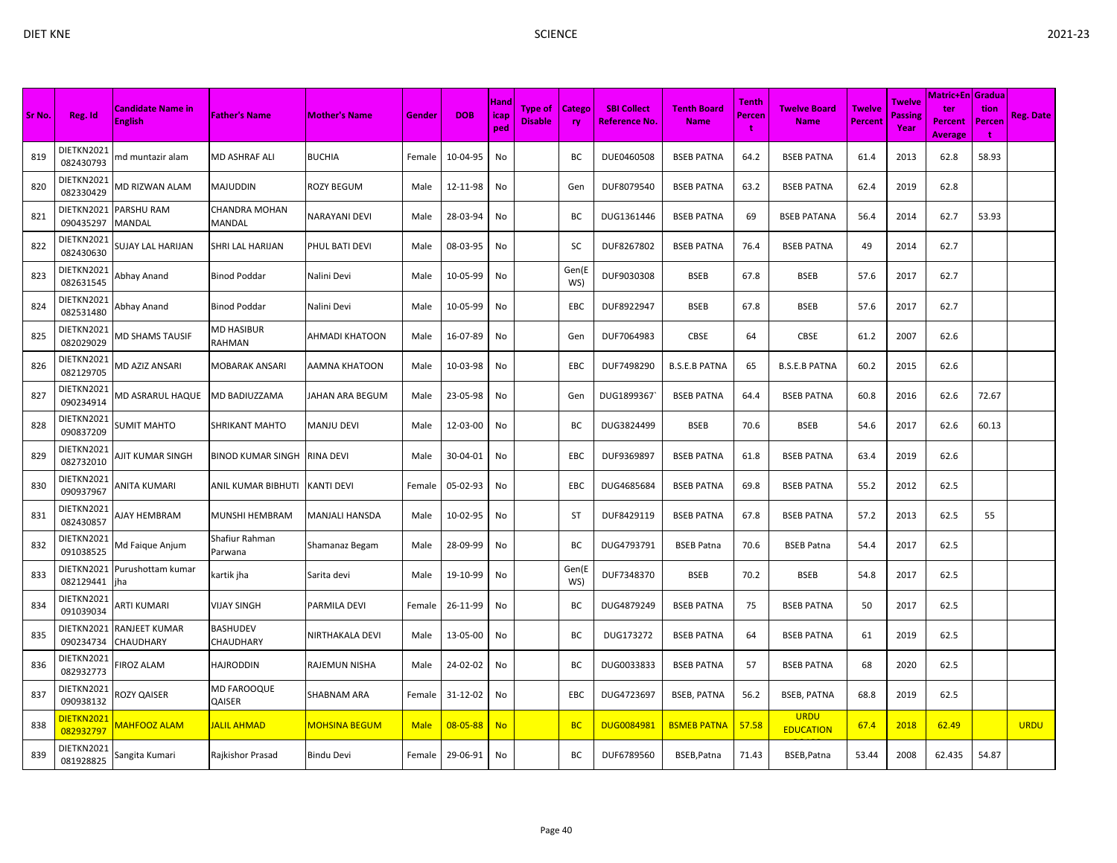| Sr No. | Reg. Id                 | <b>Candidate Name in</b><br><b>English</b> | <b>Father's Name</b>      | <b>Mother's Name</b>  | Gender      | <b>DOB</b>     | <b>Hand</b><br>icap<br>ped | <b>Type of</b><br><b>Disable</b> | Catego<br><b>ry</b> | <b>SBI Collect</b><br><b>Reference No.</b> | <b>Tenth Board</b><br><b>Name</b> | Tenth<br>Percen<br>t | <b>Twelve Board</b><br><b>Name</b> | <b>Twelve</b><br>Percent | <b>Twelve</b><br><b>Passing</b><br>Year | Matric+En   Gradua<br>ter<br><b>Percent</b><br><b>Average</b> | tion<br>Percer<br>÷ | <b>Reg. Date</b> |
|--------|-------------------------|--------------------------------------------|---------------------------|-----------------------|-------------|----------------|----------------------------|----------------------------------|---------------------|--------------------------------------------|-----------------------------------|----------------------|------------------------------------|--------------------------|-----------------------------------------|---------------------------------------------------------------|---------------------|------------------|
| 819    | DIETKN2021<br>082430793 | md muntazir alam                           | MD ASHRAF ALI             | <b>BUCHIA</b>         | Female      | 10-04-95       | No                         |                                  | ВC                  | DUE0460508                                 | <b>BSEB PATNA</b>                 | 64.2                 | <b>BSEB PATNA</b>                  | 61.4                     | 2013                                    | 62.8                                                          | 58.93               |                  |
| 820    | DIETKN2021<br>082330429 | <b>MD RIZWAN ALAM</b>                      | MAJUDDIN                  | <b>ROZY BEGUM</b>     | Male        | 12-11-98       | No                         |                                  | Gen                 | DUF8079540                                 | <b>BSEB PATNA</b>                 | 63.2                 | <b>BSEB PATNA</b>                  | 62.4                     | 2019                                    | 62.8                                                          |                     |                  |
| 821    | DIETKN2021<br>090435297 | PARSHU RAM<br>MANDAL                       | CHANDRA MOHAN<br>MANDAL   | <b>NARAYANI DEVI</b>  | Male        | 28-03-94       | No                         |                                  | ВC                  | DUG1361446                                 | <b>BSEB PATNA</b>                 | 69                   | <b>BSEB PATANA</b>                 | 56.4                     | 2014                                    | 62.7                                                          | 53.93               |                  |
| 822    | DIETKN2021<br>082430630 | SUJAY LAL HARIJAN                          | SHRI LAL HARIJAN          | PHUL BATI DEVI        | Male        | 08-03-95       | No                         |                                  | sc                  | DUF8267802                                 | <b>BSEB PATNA</b>                 | 76.4                 | <b>BSEB PATNA</b>                  | 49                       | 2014                                    | 62.7                                                          |                     |                  |
| 823    | DIETKN2021<br>082631545 | Abhay Anand                                | Binod Poddar              | Nalini Devi           | Male        | 10-05-99       | No                         |                                  | Gen(E<br>WS)        | DUF9030308                                 | <b>BSEB</b>                       | 67.8                 | <b>BSEB</b>                        | 57.6                     | 2017                                    | 62.7                                                          |                     |                  |
| 824    | DIETKN2021<br>082531480 | Abhay Anand                                | Binod Poddar              | Nalini Devi           | Male        | 10-05-99       | No                         |                                  | EBC                 | DUF8922947                                 | <b>BSEB</b>                       | 67.8                 | <b>BSEB</b>                        | 57.6                     | 2017                                    | 62.7                                                          |                     |                  |
| 825    | DIETKN2021<br>082029029 | <b>MD SHAMS TAUSIF</b>                     | MD HASIBUR<br>RAHMAN      | <b>AHMADI KHATOON</b> | Male        | 16-07-89       | No                         |                                  | Gen                 | DUF7064983                                 | CBSE                              | 64                   | CBSE                               | 61.2                     | 2007                                    | 62.6                                                          |                     |                  |
| 826    | DIETKN2021<br>082129705 | VID AZIZ ANSARI                            | MOBARAK ANSARI            | <b>AAMNA KHATOON</b>  | Male        | 10-03-98       | No                         |                                  | EBC                 | DUF7498290                                 | <b>B.S.E.B PATNA</b>              | 65                   | <b>B.S.E.B PATNA</b>               | 60.2                     | 2015                                    | 62.6                                                          |                     |                  |
| 827    | DIETKN2021<br>090234914 | MD ASRARUL HAQUE                           | MD BADIUZZAMA             | JAHAN ARA BEGUM       | Male        | 23-05-98       | No                         |                                  | Gen                 | DUG1899367                                 | <b>BSEB PATNA</b>                 | 64.4                 | <b>BSEB PATNA</b>                  | 60.8                     | 2016                                    | 62.6                                                          | 72.67               |                  |
| 828    | DIETKN2021<br>090837209 | <b>SUMIT MAHTO</b>                         | SHRIKANT MAHTO            | <b>MANJU DEVI</b>     | Male        | 12-03-00       | No                         |                                  | BC                  | DUG3824499                                 | <b>BSEB</b>                       | 70.6                 | <b>BSEB</b>                        | 54.6                     | 2017                                    | 62.6                                                          | 60.13               |                  |
| 829    | DIETKN2021<br>082732010 | AJIT KUMAR SINGH                           | BINOD KUMAR SINGH         | <b>RINA DEVI</b>      | Male        | 30-04-01       | No                         |                                  | EBC                 | DUF9369897                                 | <b>BSEB PATNA</b>                 | 61.8                 | <b>BSEB PATNA</b>                  | 63.4                     | 2019                                    | 62.6                                                          |                     |                  |
| 830    | DIETKN2021<br>090937967 | ANITA KUMARI                               | ANIL KUMAR BIBHUTI        | <b>KANTI DEVI</b>     | Female      | 05-02-93       | No                         |                                  | EBC                 | DUG4685684                                 | <b>BSEB PATNA</b>                 | 69.8                 | <b>BSEB PATNA</b>                  | 55.2                     | 2012                                    | 62.5                                                          |                     |                  |
| 831    | DIETKN2021<br>082430857 | AJAY HEMBRAM                               | MUNSHI HEMBRAM            | <b>MANJALI HANSDA</b> | Male        | 10-02-95       | No                         |                                  | <b>ST</b>           | DUF8429119                                 | <b>BSEB PATNA</b>                 | 67.8                 | <b>BSEB PATNA</b>                  | 57.2                     | 2013                                    | 62.5                                                          | 55                  |                  |
| 832    | DIETKN2021<br>091038525 | Md Faique Anjum                            | Shafiur Rahman<br>Parwana | Shamanaz Begam        | Male        | 28-09-99       | No                         |                                  | BC                  | DUG4793791                                 | <b>BSEB Patna</b>                 | 70.6                 | <b>BSEB Patna</b>                  | 54.4                     | 2017                                    | 62.5                                                          |                     |                  |
| 833    | DIETKN2021<br>082129441 | Purushottam kumar<br>iha                   | kartik jha                | Sarita devi           | Male        | 19-10-99       | No                         |                                  | Gen(E<br>WS)        | DUF7348370                                 | <b>BSEB</b>                       | 70.2                 | <b>BSEB</b>                        | 54.8                     | 2017                                    | 62.5                                                          |                     |                  |
| 834    | DIETKN2021<br>091039034 | ARTI KUMARI                                | VIJAY SINGH               | PARMILA DEVI          | Female      | 26-11-99       | No                         |                                  | ВC                  | DUG4879249                                 | <b>BSEB PATNA</b>                 | 75                   | <b>BSEB PATNA</b>                  | 50                       | 2017                                    | 62.5                                                          |                     |                  |
| 835    | DIETKN2021<br>090234734 | RANJEET KUMAR<br>CHAUDHARY                 | BASHUDEV<br>CHAUDHARY     | NIRTHAKALA DEVI       | Male        | 13-05-00       | No                         |                                  | ВC                  | DUG173272                                  | <b>BSEB PATNA</b>                 | 64                   | <b>BSEB PATNA</b>                  | 61                       | 2019                                    | 62.5                                                          |                     |                  |
| 836    | DIETKN2021<br>082932773 | <b>IROZ ALAM</b>                           | HAJRODDIN                 | <b>RAJEMUN NISHA</b>  | Male        | 24-02-02       | No                         |                                  | BC                  | DUG0033833                                 | <b>BSEB PATNA</b>                 | 57                   | <b>BSEB PATNA</b>                  | 68                       | 2020                                    | 62.5                                                          |                     |                  |
| 837    | DIETKN2021<br>090938132 | <b>ROZY QAISER</b>                         | MD FAROOQUE<br>QAISER     | <b>SHABNAM ARA</b>    | Female      | 31-12-02       | No                         |                                  | EBC                 | DUG4723697                                 | <b>BSEB, PATNA</b>                | 56.2                 | <b>BSEB, PATNA</b>                 | 68.8                     | 2019                                    | 62.5                                                          |                     |                  |
| 838    | DIETKN2021<br>082932797 | <b>MAHFOOZ ALAM</b>                        | <b>JALIL AHMAD</b>        | <b>MOHSINA BEGUM</b>  | <b>Male</b> | $08 - 05 - 88$ | <b>No</b>                  |                                  | <b>BC</b>           | <b>DUG0084981</b>                          | <b>BSMEB PATNA</b>                | 57.58                | <b>URDU</b><br><b>EDUCATION</b>    | 67.4                     | 2018                                    | 62.49                                                         |                     | <b>URDU</b>      |
| 839    | DIETKN2021<br>081928825 | Sangita Kumari                             | Rajkishor Prasad          | <b>Bindu Devi</b>     | Female      | 29-06-91       | No                         |                                  | BC                  | DUF6789560                                 | BSEB, Patna                       | 71.43                | BSEB, Patna                        | 53.44                    | 2008                                    | 62.435                                                        | 54.87               |                  |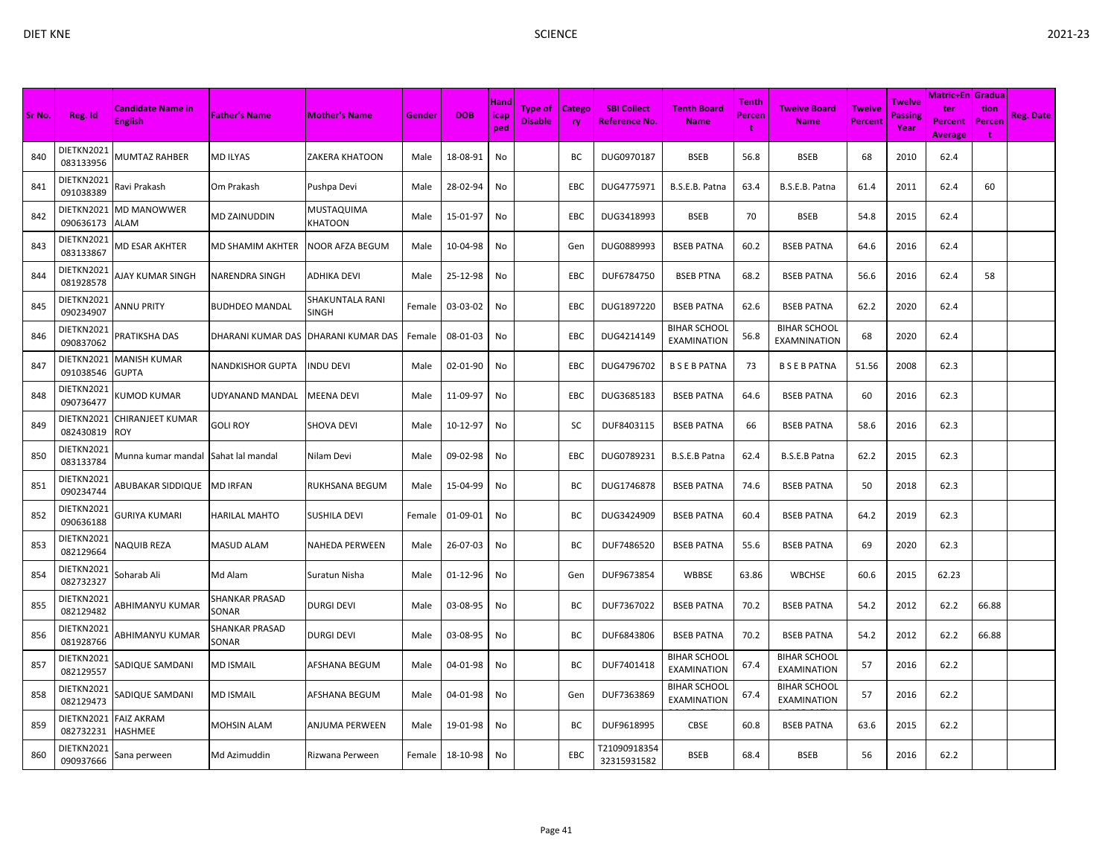|        |                         |                                     |                         |                                        |        |            |                            |                                  |                     |                                     |                                           |                             |                                           |                          |                           | <b>Matric+En Gradua</b>                 |                     |                  |
|--------|-------------------------|-------------------------------------|-------------------------|----------------------------------------|--------|------------|----------------------------|----------------------------------|---------------------|-------------------------------------|-------------------------------------------|-----------------------------|-------------------------------------------|--------------------------|---------------------------|-----------------------------------------|---------------------|------------------|
| Sr No. | Reg. Id                 | Candidate Name in<br><b>English</b> | <b>Father's Name</b>    | <b>Mother's Name</b>                   | Gender | <b>DOB</b> | <b>Hand</b><br>icap<br>ped | <b>Type of</b><br><b>Disable</b> | Catego<br><b>ry</b> | <b>SBI Collect</b><br>Reference No. | <b>Tenth Board</b><br><b>Name</b>         | <b>Tenth</b><br>Percen<br>t | Twelve Board<br><b>Name</b>               | <b>Twelve</b><br>Percent | Twelve<br>Passine<br>Year | ter<br><b>Percent</b><br><b>Average</b> | tion<br>Percen<br>t | <b>Reg. Date</b> |
| 840    | DIETKN2021<br>083133956 | <b>MUMTAZ RAHBER</b>                | MD ILYAS                | <b>ZAKERA KHATOON</b>                  | Male   | 18-08-91   | No                         |                                  | BC                  | DUG0970187                          | <b>BSEB</b>                               | 56.8                        | <b>BSEB</b>                               | 68                       | 2010                      | 62.4                                    |                     |                  |
| 841    | DIETKN2021<br>091038389 | Ravi Prakash                        | Om Prakash              | Pushpa Devi                            | Male   | 28-02-94   | No                         |                                  | EBC                 | DUG4775971                          | B.S.E.B. Patna                            | 63.4                        | B.S.E.B. Patna                            | 61.4                     | 2011                      | 62.4                                    | 60                  |                  |
| 842    | DIETKN2021<br>090636173 | MD MANOWWER<br>ALAM                 | MD ZAINUDDIN            | <b>MUSTAQUIMA</b><br><b>KHATOON</b>    | Male   | 15-01-97   | No                         |                                  | EBC                 | DUG3418993                          | <b>BSEB</b>                               | 70                          | <b>BSEB</b>                               | 54.8                     | 2015                      | 62.4                                    |                     |                  |
| 843    | DIETKN2021<br>083133867 | VID ESAR AKHTER                     | MD SHAMIM AKHTER        | <b>NOOR AFZA BEGUM</b>                 | Male   | 10-04-98   | No                         |                                  | Gen                 | DUG0889993                          | <b>BSEB PATNA</b>                         | 60.2                        | <b>BSEB PATNA</b>                         | 64.6                     | 2016                      | 62.4                                    |                     |                  |
| 844    | DIETKN2021<br>081928578 | AJAY KUMAR SINGH                    | NARENDRA SINGH          | <b>ADHIKA DEVI</b>                     | Male   | 25-12-98   | No                         |                                  | EBC                 | DUF6784750                          | <b>BSEB PTNA</b>                          | 68.2                        | <b>BSEB PATNA</b>                         | 56.6                     | 2016                      | 62.4                                    | 58                  |                  |
| 845    | DIETKN2021<br>090234907 | ANNU PRITY                          | BUDHDEO MANDAL          | <b>SHAKUNTALA RANI</b><br><b>SINGH</b> | Female | 03-03-02   | No                         |                                  | <b>EBC</b>          | DUG1897220                          | <b>BSEB PATNA</b>                         | 62.6                        | <b>BSEB PATNA</b>                         | 62.2                     | 2020                      | 62.4                                    |                     |                  |
| 846    | DIETKN2021<br>090837062 | PRATIKSHA DAS                       | DHARANI KUMAR DAS       | DHARANI KUMAR DAS                      | Female | 08-01-03   | No                         |                                  | EBC                 | DUG4214149                          | <b>BIHAR SCHOOL</b><br><b>EXAMINATION</b> | 56.8                        | <b>BIHAR SCHOOL</b><br>EXAMNINATION       | 68                       | 2020                      | 62.4                                    |                     |                  |
| 847    | DIETKN2021<br>091038546 | MANISH KUMAR<br>GUPTA               | NANDKISHOR GUPTA        | <b>INDU DEVI</b>                       | Male   | 02-01-90   | No                         |                                  | EBC                 | DUG4796702                          | <b>BSEBPATNA</b>                          | 73                          | <b>BSEBPATNA</b>                          | 51.56                    | 2008                      | 62.3                                    |                     |                  |
| 848    | DIETKN2021<br>090736477 | <b>(UMOD KUMAR</b>                  | UDYANAND MANDAL         | <b>MEENA DEVI</b>                      | Male   | 11-09-97   | No                         |                                  | EBC                 | DUG3685183                          | <b>BSEB PATNA</b>                         | 64.6                        | <b>BSEB PATNA</b>                         | 60                       | 2016                      | 62.3                                    |                     |                  |
| 849    | DIETKN2021<br>082430819 | CHIRANJEET KUMAR<br>ROY.            | <b>GOLI ROY</b>         | <b>SHOVA DEVI</b>                      | Male   | 10-12-97   | No                         |                                  | sc                  | DUF8403115                          | <b>BSEB PATNA</b>                         | 66                          | <b>BSEB PATNA</b>                         | 58.6                     | 2016                      | 62.3                                    |                     |                  |
| 850    | DIETKN2021<br>083133784 | Munna kumar mandal                  | Sahat lal mandal        | Nilam Devi                             | Male   | 09-02-98   | No                         |                                  | EBC                 | DUG0789231                          | B.S.E.B Patna                             | 62.4                        | B.S.E.B Patna                             | 62.2                     | 2015                      | 62.3                                    |                     |                  |
| 851    | DIETKN2021<br>090234744 | ABUBAKAR SIDDIQUE                   | <b>MD IRFAN</b>         | <b>RUKHSANA BEGUM</b>                  | Male   | 15-04-99   | No                         |                                  | BC                  | DUG1746878                          | <b>BSEB PATNA</b>                         | 74.6                        | <b>BSEB PATNA</b>                         | 50                       | 2018                      | 62.3                                    |                     |                  |
| 852    | DIETKN2021<br>090636188 | GURIYA KUMARI                       | HARILAL MAHTO           | <b>SUSHILA DEVI</b>                    | Female | 01-09-01   | No                         |                                  | ВC                  | DUG3424909                          | <b>BSEB PATNA</b>                         | 60.4                        | <b>BSEB PATNA</b>                         | 64.2                     | 2019                      | 62.3                                    |                     |                  |
| 853    | DIETKN2021<br>082129664 | NAQUIB REZA                         | MASUD ALAM              | <b>NAHEDA PERWEEN</b>                  | Male   | 26-07-03   | No                         |                                  | BC                  | DUF7486520                          | <b>BSEB PATNA</b>                         | 55.6                        | <b>BSEB PATNA</b>                         | 69                       | 2020                      | 62.3                                    |                     |                  |
| 854    | DIETKN2021<br>082732327 | Soharab Ali                         | Md Alam                 | Suratun Nisha                          | Male   | 01-12-96   | No                         |                                  | Gen                 | DUF9673854                          | WBBSE                                     | 63.86                       | <b>WBCHSE</b>                             | 60.6                     | 2015                      | 62.23                                   |                     |                  |
| 855    | DIETKN2021<br>082129482 | ABHIMANYU KUMAR                     | SHANKAR PRASAD<br>SONAR | <b>DURGI DEVI</b>                      | Male   | 03-08-95   | No                         |                                  | ВC                  | DUF7367022                          | <b>BSEB PATNA</b>                         | 70.2                        | <b>BSEB PATNA</b>                         | 54.2                     | 2012                      | 62.2                                    | 66.88               |                  |
| 856    | DIETKN2021<br>081928766 | ABHIMANYU KUMAR                     | SHANKAR PRASAD<br>SONAR | <b>DURGI DEVI</b>                      | Male   | 03-08-95   | No                         |                                  | BC                  | DUF6843806                          | <b>BSEB PATNA</b>                         | 70.2                        | <b>BSEB PATNA</b>                         | 54.2                     | 2012                      | 62.2                                    | 66.88               |                  |
| 857    | DIETKN2021<br>082129557 | SADIQUE SAMDANI                     | MD ISMAIL               | AFSHANA BEGUM                          | Male   | 04-01-98   | No                         |                                  | ВC                  | DUF7401418                          | <b>BIHAR SCHOOL</b><br>EXAMINATION        | 67.4                        | <b>BIHAR SCHOOL</b><br>EXAMINATION        | 57                       | 2016                      | 62.2                                    |                     |                  |
| 858    | DIETKN2021<br>082129473 | SADIQUE SAMDANI                     | MD ISMAIL               | <b>AFSHANA BEGUM</b>                   | Male   | 04-01-98   | No                         |                                  | Gen                 | DUF7363869                          | <b>BIHAR SCHOOL</b><br><b>EXAMINATION</b> | 67.4                        | <b>BIHAR SCHOOL</b><br><b>EXAMINATION</b> | 57                       | 2016                      | 62.2                                    |                     |                  |
| 859    | DIETKN2021<br>082732231 | FAIZ AKRAM<br>HASHMEE               | MOHSIN ALAM             | <b>ANJUMA PERWEEN</b>                  | Male   | 19-01-98   | No                         |                                  | BС                  | DUF9618995                          | <b>CBSE</b>                               | 60.8                        | <b>BSEB PATNA</b>                         | 63.6                     | 2015                      | 62.2                                    |                     |                  |
| 860    | DIETKN2021<br>090937666 | Sana perween                        | Md Azimuddin            | Rizwana Perween                        | Female | 18-10-98   | No                         |                                  | <b>EBC</b>          | T21090918354<br>32315931582         | <b>BSEB</b>                               | 68.4                        | <b>BSEB</b>                               | 56                       | 2016                      | 62.2                                    |                     |                  |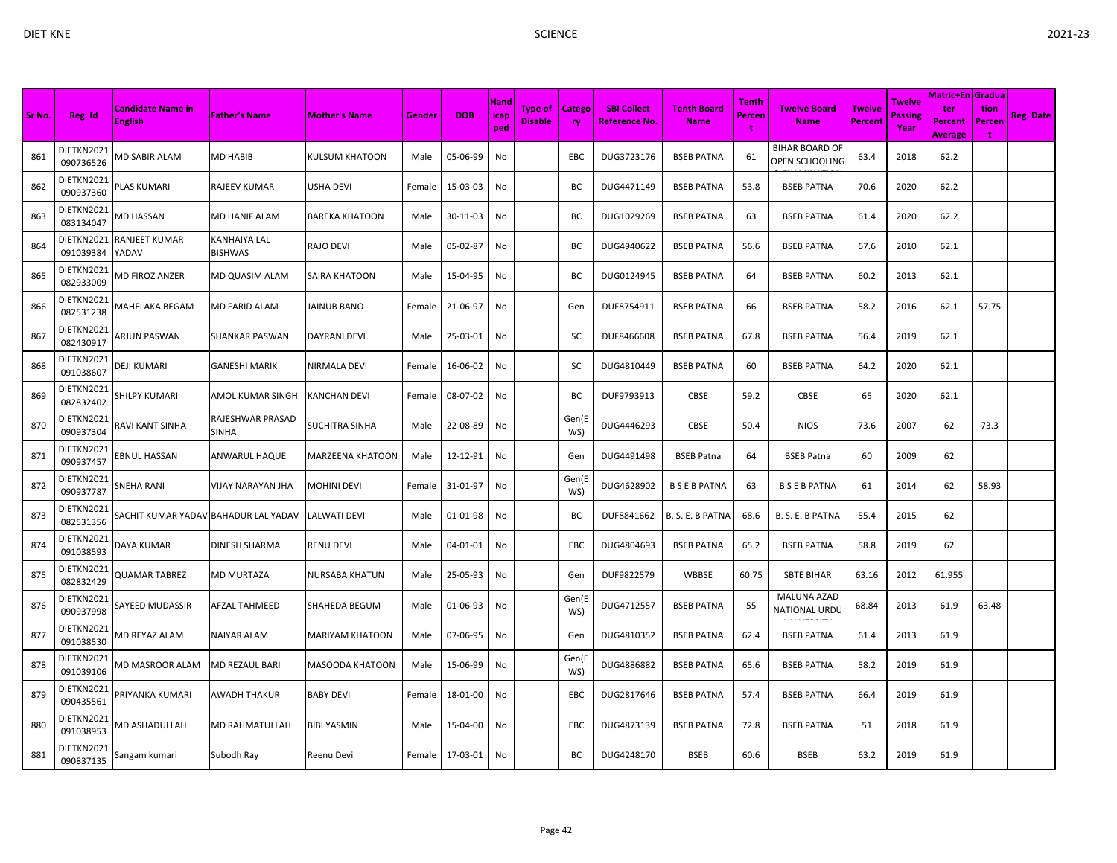| Sr No. | Reg. Id                 | <b>Candidate Name in</b><br><b>English</b> | <b>Father's Name</b>           | <b>Mother's Name</b>  | Gender | <b>DOB</b> | Hand<br>icap<br>ped | Type of<br><b>Disable</b> | <b>Catego</b><br>ry. | <b>SBI Collect</b><br>Reference No. | <b>Tenth Board</b><br><b>Name</b> | Tenth<br>Percen<br>-1 | <b>Twelve Board</b><br><b>Name</b>             | <b>Twelve</b><br>Percent | <b>Twelve</b><br>Passing<br>Year | <b>Matric+En Gradua</b><br>ter<br><b>Percent</b><br><b>Average</b> | tion<br>Percen<br>÷ | <b>Reg. Date</b> |
|--------|-------------------------|--------------------------------------------|--------------------------------|-----------------------|--------|------------|---------------------|---------------------------|----------------------|-------------------------------------|-----------------------------------|-----------------------|------------------------------------------------|--------------------------|----------------------------------|--------------------------------------------------------------------|---------------------|------------------|
| 861    | DIETKN2021<br>090736526 | <b>MD SABIR ALAM</b>                       | MD HABIB                       | KULSUM KHATOON        | Male   | 05-06-99   | No                  |                           | EBC                  | DUG3723176                          | <b>BSEB PATNA</b>                 | 61                    | <b>BIHAR BOARD OF</b><br><b>OPEN SCHOOLING</b> | 63.4                     | 2018                             | 62.2                                                               |                     |                  |
| 862    | DIETKN2021<br>090937360 | PLAS KUMARI                                | RAJEEV KUMAR                   | USHA DEVI             | Female | 15-03-03   | No                  |                           | ВC                   | DUG4471149                          | <b>BSEB PATNA</b>                 | 53.8                  | <b>BSEB PATNA</b>                              | 70.6                     | 2020                             | 62.2                                                               |                     |                  |
| 863    | DIETKN2021<br>083134047 | <b>MD HASSAN</b>                           | MD HANIF ALAM                  | <b>BAREKA KHATOON</b> | Male   | 30-11-03   | No                  |                           | BC                   | DUG1029269                          | <b>BSEB PATNA</b>                 | 63                    | <b>BSEB PATNA</b>                              | 61.4                     | 2020                             | 62.2                                                               |                     |                  |
| 864    | DIETKN2021<br>091039384 | RANJEET KUMAR<br>YADAV                     | KANHAIYA LAL<br><b>BISHWAS</b> | RAJO DEVI             | Male   | 05-02-87   | No                  |                           | BC                   | DUG4940622                          | <b>BSEB PATNA</b>                 | 56.6                  | <b>BSEB PATNA</b>                              | 67.6                     | 2010                             | 62.1                                                               |                     |                  |
| 865    | DIETKN2021<br>082933009 | <b>MD FIROZ ANZER</b>                      | MD QUASIM ALAM                 | SAIRA KHATOON         | Male   | 15-04-95   | No                  |                           | ВC                   | DUG0124945                          | <b>BSEB PATNA</b>                 | 64                    | <b>BSEB PATNA</b>                              | 60.2                     | 2013                             | 62.1                                                               |                     |                  |
| 866    | DIETKN2021<br>082531238 | <b>MAHELAKA BEGAM</b>                      | MD FARID ALAM                  | JAINUB BANO           | Female | 21-06-97   | No                  |                           | Gen                  | DUF8754911                          | <b>BSEB PATNA</b>                 | 66                    | <b>BSEB PATNA</b>                              | 58.2                     | 2016                             | 62.1                                                               | 57.75               |                  |
| 867    | DIETKN2021<br>082430917 | ARJUN PASWAN                               | SHANKAR PASWAN                 | DAYRANI DEVI          | Male   | 25-03-01   | No                  |                           | SC                   | DUF8466608                          | <b>BSEB PATNA</b>                 | 67.8                  | <b>BSEB PATNA</b>                              | 56.4                     | 2019                             | 62.1                                                               |                     |                  |
| 868    | DIETKN2021<br>091038607 | DEJI KUMARI                                | <b>GANESHI MARIK</b>           | NIRMALA DEVI          | Female | 16-06-02   | No                  |                           | sc                   | DUG4810449                          | <b>BSEB PATNA</b>                 | 60                    | <b>BSEB PATNA</b>                              | 64.2                     | 2020                             | 62.1                                                               |                     |                  |
| 869    | DIETKN2021<br>082832402 | <b>SHILPY KUMARI</b>                       | AMOL KUMAR SINGH               | KANCHAN DEVI          | Female | 08-07-02   | No                  |                           | ВC                   | DUF9793913                          | <b>CBSE</b>                       | 59.2                  | <b>CBSE</b>                                    | 65                       | 2020                             | 62.1                                                               |                     |                  |
| 870    | DIETKN2021<br>090937304 | RAVI KANT SINHA                            | RAJESHWAR PRASAD<br>SINHA      | SUCHITRA SINHA        | Male   | 22-08-89   | No                  |                           | Gen(E<br>WS)         | DUG4446293                          | <b>CBSE</b>                       | 50.4                  | <b>NIOS</b>                                    | 73.6                     | 2007                             | 62                                                                 | 73.3                |                  |
| 871    | DIETKN2021<br>090937457 | <b>BNUL HASSAN</b>                         | ANWARUL HAQUE                  | MARZEENA KHATOON      | Male   | 12-12-91   | No                  |                           | Gen                  | DUG4491498                          | <b>BSEB Patna</b>                 | 64                    | <b>BSEB Patna</b>                              | 60                       | 2009                             | 62                                                                 |                     |                  |
| 872    | DIETKN2021<br>090937787 | SNEHA RANI                                 | VIJAY NARAYAN JHA              | MOHINI DEVI           | Female | 31-01-97   | No                  |                           | Gen(E<br>WS)         | DUG4628902                          | <b>BSEBPATNA</b>                  | 63                    | <b>BSEBPATNA</b>                               | 61                       | 2014                             | 62                                                                 | 58.93               |                  |
| 873    | DIETKN2021<br>082531356 | SACHIT KUMAR YADAV BAHADUR LAL YADAV       |                                | LALWATI DEVI          | Male   | 01-01-98   | No                  |                           | BC                   | DUF8841662                          | B. S. E. B PATNA                  | 68.6                  | B. S. E. B PATNA                               | 55.4                     | 2015                             | 62                                                                 |                     |                  |
| 874    | DIETKN2021<br>091038593 | DAYA KUMAR                                 | DINESH SHARMA                  | RENU DEVI             | Male   | 04-01-01   | No                  |                           | EBC                  | DUG4804693                          | <b>BSEB PATNA</b>                 | 65.2                  | <b>BSEB PATNA</b>                              | 58.8                     | 2019                             | 62                                                                 |                     |                  |
| 875    | DIETKN2021<br>082832429 | QUAMAR TABREZ                              | MD MURTAZA                     | NURSABA KHATUN        | Male   | 25-05-93   | No                  |                           | Gen                  | DUF9822579                          | WBBSE                             | 60.75                 | <b>SBTE BIHAR</b>                              | 63.16                    | 2012                             | 61.955                                                             |                     |                  |
| 876    | DIETKN2021<br>090937998 | SAYEED MUDASSIR                            | <b>AFZAL TAHMEED</b>           | SHAHEDA BEGUM         | Male   | 01-06-93   | No                  |                           | Gen(E<br>WS)         | DUG4712557                          | <b>BSEB PATNA</b>                 | 55                    | <b>MALUNA AZAD</b><br>NATIONAL URDU            | 68.84                    | 2013                             | 61.9                                                               | 63.48               |                  |
| 877    | DIETKN2021<br>091038530 | <b>MD REYAZ ALAM</b>                       | NAIYAR ALAM                    | MARIYAM KHATOON       | Male   | 07-06-95   | No                  |                           | Gen                  | DUG4810352                          | <b>BSEB PATNA</b>                 | 62.4                  | <b>BSEB PATNA</b>                              | 61.4                     | 2013                             | 61.9                                                               |                     |                  |
| 878    | DIETKN2021<br>091039106 | VID MASROOR ALAM                           | MD REZAUL BARI                 | MASOODA KHATOON       | Male   | 15-06-99   | No                  |                           | Gen(E<br>WS)         | DUG4886882                          | <b>BSEB PATNA</b>                 | 65.6                  | <b>BSEB PATNA</b>                              | 58.2                     | 2019                             | 61.9                                                               |                     |                  |
| 879    | DIETKN2021<br>090435561 | PRIYANKA KUMARI                            | AWADH THAKUR                   | <b>BABY DEVI</b>      | Female | 18-01-00   | No                  |                           | EBC                  | DUG2817646                          | <b>BSEB PATNA</b>                 | 57.4                  | <b>BSEB PATNA</b>                              | 66.4                     | 2019                             | 61.9                                                               |                     |                  |
| 880    | DIETKN2021<br>091038953 | <b>MD ASHADULLAH</b>                       | <b>MD RAHMATULLAH</b>          | <b>BIBI YASMIN</b>    | Male   | 15-04-00   | No                  |                           | <b>EBC</b>           | DUG4873139                          | <b>BSEB PATNA</b>                 | 72.8                  | <b>BSEB PATNA</b>                              | 51                       | 2018                             | 61.9                                                               |                     |                  |
| 881    | DIETKN2021<br>090837135 | Sangam kumari                              | Subodh Ray                     | Reenu Devi            | Female | 17-03-01   | No                  |                           | BC                   | DUG4248170                          | <b>BSEB</b>                       | 60.6                  | <b>BSEB</b>                                    | 63.2                     | 2019                             | 61.9                                                               |                     |                  |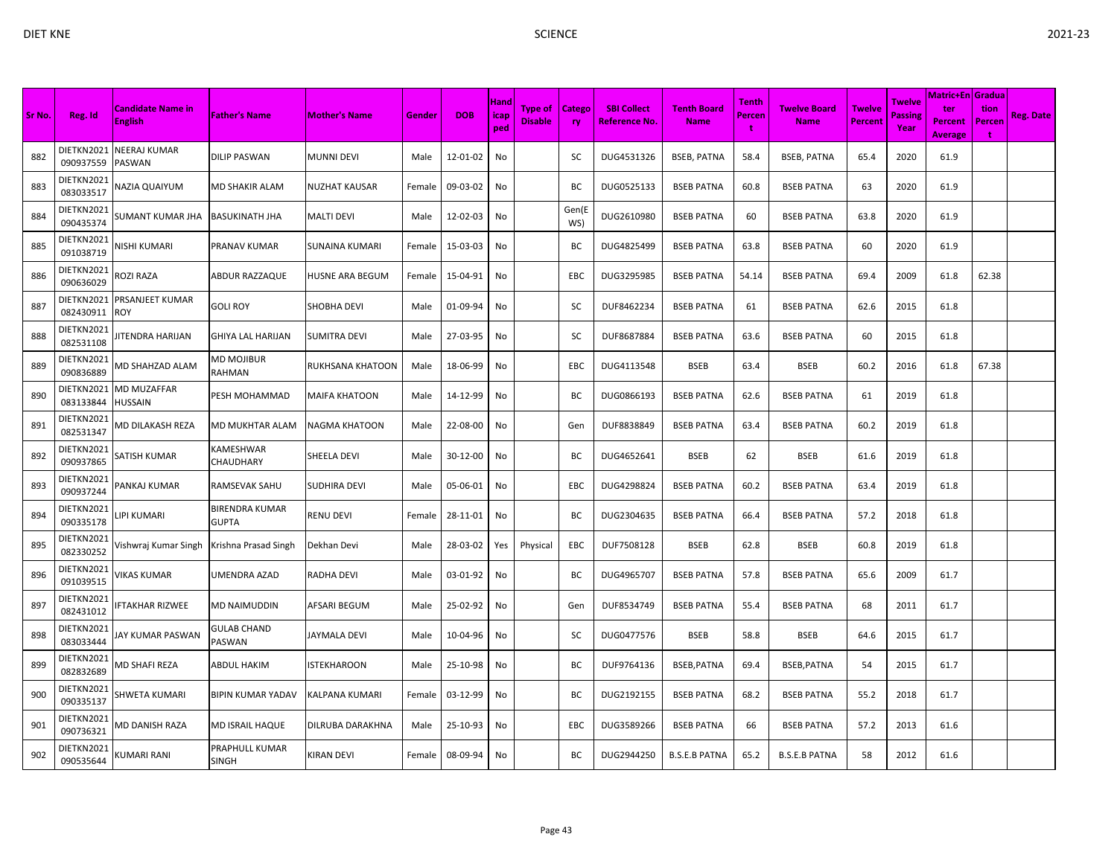| DIET KNE |                             |                                            |                                       |                         |        |             |                                     | <b>SCIENCE</b>            |                     |                                            |                                   |                      |                                    | 2021-23                         |                                         |                                               |                |                  |
|----------|-----------------------------|--------------------------------------------|---------------------------------------|-------------------------|--------|-------------|-------------------------------------|---------------------------|---------------------|--------------------------------------------|-----------------------------------|----------------------|------------------------------------|---------------------------------|-----------------------------------------|-----------------------------------------------|----------------|------------------|
| Sr No.   | Reg. Id                     | <b>Candidate Name in</b><br><b>English</b> | <b>Father's Name</b>                  | <b>Mother's Name</b>    | Gender | <b>DOB</b>  | <b>Hand</b><br><b>l</b> icap<br>ped | Type of<br><b>Disable</b> | <b>Catego</b><br>ry | <b>SBI Collect</b><br><u>Reference No.</u> | <b>Tenth Board</b><br><b>Name</b> | Tenth<br>Percen<br>t | <b>Twelve Board</b><br><b>Name</b> | <b>Twelve</b><br><b>Percent</b> | <b>Twelve</b><br><b>Passing</b><br>Year | Matric+En Gradua<br>ter<br>Percent<br>Average | tion<br>Percen | <b>Reg. Date</b> |
| 882      | DIETKN2021<br>090937559     | <b>NEERAJ KUMAR</b><br>PASWAN              | <b>DILIP PASWAN</b>                   | <b>MUNNI DEVI</b>       | Male   | 12-01-02    | No                                  |                           | SC                  | DUG4531326                                 | <b>BSEB, PATNA</b>                | 58.4                 | <b>BSEB, PATNA</b>                 | 65.4                            | 2020                                    | 61.9                                          |                |                  |
| 883      | DIETKN2021<br>083033517     | NAZIA QUAIYUM                              | <b>MD SHAKIR ALAM</b>                 | <b>NUZHAT KAUSAR</b>    | Female | 09-03-02    | No                                  |                           | BC                  | DUG0525133                                 | <b>BSEB PATNA</b>                 | 60.8                 | <b>BSEB PATNA</b>                  | 63                              | 2020                                    | 61.9                                          |                |                  |
| 884      | DIETKN2021<br>090435374     | SUMANT KUMAR JHA                           | <b>BASUKINATH JHA</b>                 | <b>MALTI DEVI</b>       | Male   | 12-02-03    | No                                  |                           | Gen(E<br>WS)        | DUG2610980                                 | <b>BSEB PATNA</b>                 | 60                   | <b>BSEB PATNA</b>                  | 63.8                            | 2020                                    | 61.9                                          |                |                  |
| 885      | DIETKN2021<br>091038719     | <b>NISHI KUMARI</b>                        | PRANAV KUMAR                          | <b>SUNAINA KUMARI</b>   | Female | 15-03-03    | No                                  |                           | BC                  | DUG4825499                                 | <b>BSEB PATNA</b>                 | 63.8                 | <b>BSEB PATNA</b>                  | 60                              | 2020                                    | 61.9                                          |                |                  |
| 886      | DIETKN2021<br>090636029     | ROZI RAZA                                  | ABDUR RAZZAQUE                        | <b>HUSNE ARA BEGUM</b>  | Female | 15-04-91 No |                                     |                           | EBC                 | DUG3295985                                 | <b>BSEB PATNA</b>                 | 54.14                | <b>BSEB PATNA</b>                  | 69.4                            | 2009                                    | 61.8                                          | 62.38          |                  |
| 887      | DIETKN2021<br>082430911 ROY | PRSANJEET KUMAR                            | <b>GOLI ROY</b>                       | <b>SHOBHA DEVI</b>      | Male   | 01-09-94 No |                                     |                           | SC                  | DUF8462234                                 | <b>BSEB PATNA</b>                 | 61                   | <b>BSEB PATNA</b>                  | 62.6                            | 2015                                    | 61.8                                          |                |                  |
| 888      | DIETKN2021<br>082531108     | JITENDRA HARIJAN                           | <b>GHIYA LAL HARIJAN</b>              | <b>SUMITRA DEVI</b>     | Male   | 27-03-95 No |                                     |                           | SC                  | DUF8687884                                 | <b>BSEB PATNA</b>                 | 63.6                 | <b>BSEB PATNA</b>                  | 60                              | 2015                                    | 61.8                                          |                |                  |
| 889      | DIETKN2021<br>090836889     | MD SHAHZAD ALAM                            | <b>MD MOJIBUR</b><br>RAHMAN           | <b>RUKHSANA KHATOON</b> | Male   | 18-06-99 No |                                     |                           | EBC                 | DUG4113548                                 | <b>BSEB</b>                       | 63.4                 | BSEB                               | 60.2                            | 2016                                    | 61.8                                          | 67.38          |                  |
| 890      | DIETKN2021<br>083133844     | <b>MD MUZAFFAR</b><br><b>HUSSAIN</b>       | PESH MOHAMMAD                         | <b>MAIFA KHATOON</b>    | Male   | 14-12-99 No |                                     |                           | BC                  | DUG0866193                                 | <b>BSEB PATNA</b>                 | 62.6                 | <b>BSEB PATNA</b>                  | 61                              | 2019                                    | 61.8                                          |                |                  |
| 891      | DIETKN2021<br>082531347     | MD DILAKASH REZA                           | MD MUKHTAR ALAM                       | <b>NAGMA KHATOON</b>    | Male   | 22-08-00 No |                                     |                           | Gen                 | DUF8838849                                 | <b>BSEB PATNA</b>                 | 63.4                 | <b>BSEB PATNA</b>                  | 60.2                            | 2019                                    | 61.8                                          |                |                  |
| 892      | DIETKN2021<br>090937865     | <b>SATISH KUMAR</b>                        | KAMESHWAR<br>CHAUDHARY                | SHEELA DEVI             | Male   | 30-12-00 No |                                     |                           | BC                  | DUG4652641                                 | <b>BSEB</b>                       | 62                   | <b>BSEB</b>                        | 61.6                            | 2019                                    | 61.8                                          |                |                  |
| 893      | DIETKN2021<br>090937244     | PANKAJ KUMAR                               | RAMSEVAK SAHU                         | <b>SUDHIRA DEVI</b>     | Male   | 05-06-01    | No                                  |                           | EBC                 | DUG4298824                                 | <b>BSEB PATNA</b>                 | 60.2                 | <b>BSEB PATNA</b>                  | 63.4                            | 2019                                    | 61.8                                          |                |                  |
| 894      | DIETKN2021<br>090335178     | <b>LIPI KUMARI</b>                         | <b>BIRENDRA KUMAR</b><br><b>GUPTA</b> | <b>RENU DEVI</b>        | Female | 28-11-01 No |                                     |                           | BC                  | DUG2304635                                 | <b>BSEB PATNA</b>                 | 66.4                 | <b>BSEB PATNA</b>                  | 57.2                            | 2018                                    | 61.8                                          |                |                  |
| 895      | DIETKN2021<br>082330252     | Vishwraj Kumar Singh Krishna Prasad Singh  |                                       | Dekhan Devi             | Male   | 28-03-02    | Yes                                 | Physical                  | EBC                 | DUF7508128                                 | <b>BSEB</b>                       | 62.8                 | <b>BSEB</b>                        | 60.8                            | 2019                                    | 61.8                                          |                |                  |
|          |                             |                                            |                                       |                         |        |             |                                     |                           |                     |                                            |                                   |                      |                                    |                                 |                                         |                                               |                |                  |

| DIETKN2021<br>888<br>JITENDRA HARIJAN<br>27-03-95<br><b>BSEB PATNA</b><br>2015<br>61.8<br><b>GHIYA LAL HARIJAN</b><br><b>SUMITRA DEVI</b><br>No<br>SC<br>DUF8687884<br><b>BSEB PATNA</b><br>63.6<br>60<br>Male<br>082531108<br>DIETKN2021<br>MD MOJIBUR<br>889<br>MD SHAHZAD ALAM<br><b>RUKHSANA KHATOON</b><br>18-06-99<br><b>BSEB</b><br><b>BSEB</b><br>2016<br>61.8<br>67.38<br>Male<br>No<br><b>EBC</b><br>DUG4113548<br>63.4<br>60.2<br>090836889<br>RAHMAN<br>DIETKN2021<br><b>MD MUZAFFAR</b><br>890<br>PESH MOHAMMAD<br>14-12-99<br>DUG0866193<br><b>BSEB PATNA</b><br>62.6<br><b>BSEB PATNA</b><br>61<br>2019<br>61.8<br><b>MAIFA KHATOON</b><br>No<br>ВC<br>Male<br>083133844<br><b>HUSSAIN</b><br>DIETKN2021<br>891<br>MD DILAKASH REZA<br>22-08-00<br>DUF8838849<br><b>BSEB PATNA</b><br>2019<br>61.8<br>MD MUKHTAR ALAM<br><b>NAGMA KHATOON</b><br>Male<br>No<br><b>BSEB PATNA</b><br>63.4<br>60.2<br>Gen<br>082531347<br>DIETKN2021<br>KAMESHWAR<br>892<br>SATISH KUMAR<br><b>BSEB</b><br>62<br><b>BSEB</b><br>2019<br>61.8<br>SHEELA DEVI<br>30-12-00<br>No<br>ВC<br>DUG4652641<br>61.6<br>Male<br>090937865<br>CHAUDHARY<br>DIETKN2021<br>893<br>PANKAJ KUMAR<br>RAMSEVAK SAHU<br>05-06-01<br>DUG4298824<br><b>BSEB PATNA</b><br>60.2<br><b>BSEB PATNA</b><br>2019<br>61.8<br>SUDHIRA DEVI<br>Male<br>No<br>EBC.<br>63.4<br>090937244<br>DIETKN2021<br><b>BIRENDRA KUMAR</b><br>894<br>LIPI KUMARI<br><b>RENU DEVI</b><br>DUG2304635<br><b>BSEB PATNA</b><br>66.4<br><b>BSEB PATNA</b><br>2018<br>61.8<br>28-11-01<br>No<br>ВC<br>57.2<br>Female<br>090335178<br><b>GUPTA</b><br>DIETKN2021<br>895<br>28-03-02 Yes Physical<br>Vishwraj Kumar Singh<br>Krishna Prasad Singh<br>Dekhan Devi<br>EBC<br>DUF7508128<br><b>BSEB</b><br>62.8<br><b>BSEB</b><br>60.8<br>2019<br>61.8<br>Male<br>082330252<br>DIETKN2021<br>896<br><b>VIKAS KUMAR</b><br>03-01-92<br>DUG4965707<br><b>BSEB PATNA</b><br>2009<br>61.7<br>UMENDRA AZAD<br><b>RADHA DEVI</b><br>Male<br>No<br>BC.<br><b>BSEB PATNA</b><br>57.8<br>65.6<br>091039515<br>DIETKN2021<br>897<br><b>IFTAKHAR RIZWEE</b><br>25-02-92<br><b>BSEB PATNA</b><br>2011<br>61.7<br><b>MD NAIMUDDIN</b><br><b>AFSARI BEGUM</b><br>Male<br>No<br>DUF8534749<br><b>BSEB PATNA</b><br>55.4<br>68<br>Gen<br>082431012<br>DIETKN2021<br><b>GULAB CHAND</b><br>898<br>10-04-96<br>JAY KUMAR PASWAN<br><b>JAYMALA DEVI</b><br>DUG0477576<br><b>BSEB</b><br>58.8<br><b>BSEB</b><br>64.6<br>2015<br>61.7<br>Male<br>No<br>SC<br>083033444<br>PASWAN<br>DIETKN2021<br>899<br>MD SHAFI REZA<br>25-10-98<br>BSEB, PATNA<br>BSEB, PATNA<br><b>ABDUL HAKIM</b><br><b>ISTEKHAROON</b><br>Male<br>No<br>ВC<br>DUF9764136<br>69.4<br>54<br>2015<br>61.7<br>082832689<br>DIETKN2021<br>900<br>SHWETA KUMARI<br><b>BIPIN KUMAR YADAV</b><br>Female 03-12-99<br>No<br>ВC<br>DUG2192155<br><b>BSEB PATNA</b><br>68.2<br><b>BSEB PATNA</b><br>55.2<br>2018<br>61.7<br>KALPANA KUMARI<br>090335137<br>DIETKN2021<br>901<br>MD DANISH RAZA<br>MD ISRAIL HAQUE<br>25-10-93<br>DUG3589266<br><b>BSEB PATNA</b><br>66<br><b>BSEB PATNA</b><br>57.2<br>2013<br>61.6<br><b>DILRUBA DARAKHNA</b><br>No<br>EBC.<br>Male<br>090736321 | 082430911 ROY | -----          | ,,,,,,,,,,,,,, | <b>UIVJJT</b> |  | ------- |  |  |  |  |
|---------------------------------------------------------------------------------------------------------------------------------------------------------------------------------------------------------------------------------------------------------------------------------------------------------------------------------------------------------------------------------------------------------------------------------------------------------------------------------------------------------------------------------------------------------------------------------------------------------------------------------------------------------------------------------------------------------------------------------------------------------------------------------------------------------------------------------------------------------------------------------------------------------------------------------------------------------------------------------------------------------------------------------------------------------------------------------------------------------------------------------------------------------------------------------------------------------------------------------------------------------------------------------------------------------------------------------------------------------------------------------------------------------------------------------------------------------------------------------------------------------------------------------------------------------------------------------------------------------------------------------------------------------------------------------------------------------------------------------------------------------------------------------------------------------------------------------------------------------------------------------------------------------------------------------------------------------------------------------------------------------------------------------------------------------------------------------------------------------------------------------------------------------------------------------------------------------------------------------------------------------------------------------------------------------------------------------------------------------------------------------------------------------------------------------------------------------------------------------------------------------------------------------------------------------------------------------------------------------------------------------------------------------------------------------------------------------------------------------------------------------------------------------------------------------------------------------------------------------------------------------------------------------------------------------------------------------------------------------------------------------------------------------------------------------------------------------------------------------------------------------------------------------------|---------------|----------------|----------------|---------------|--|---------|--|--|--|--|
|                                                                                                                                                                                                                                                                                                                                                                                                                                                                                                                                                                                                                                                                                                                                                                                                                                                                                                                                                                                                                                                                                                                                                                                                                                                                                                                                                                                                                                                                                                                                                                                                                                                                                                                                                                                                                                                                                                                                                                                                                                                                                                                                                                                                                                                                                                                                                                                                                                                                                                                                                                                                                                                                                                                                                                                                                                                                                                                                                                                                                                                                                                                                                               |               |                |                |               |  |         |  |  |  |  |
|                                                                                                                                                                                                                                                                                                                                                                                                                                                                                                                                                                                                                                                                                                                                                                                                                                                                                                                                                                                                                                                                                                                                                                                                                                                                                                                                                                                                                                                                                                                                                                                                                                                                                                                                                                                                                                                                                                                                                                                                                                                                                                                                                                                                                                                                                                                                                                                                                                                                                                                                                                                                                                                                                                                                                                                                                                                                                                                                                                                                                                                                                                                                                               |               |                |                |               |  |         |  |  |  |  |
|                                                                                                                                                                                                                                                                                                                                                                                                                                                                                                                                                                                                                                                                                                                                                                                                                                                                                                                                                                                                                                                                                                                                                                                                                                                                                                                                                                                                                                                                                                                                                                                                                                                                                                                                                                                                                                                                                                                                                                                                                                                                                                                                                                                                                                                                                                                                                                                                                                                                                                                                                                                                                                                                                                                                                                                                                                                                                                                                                                                                                                                                                                                                                               |               |                |                |               |  |         |  |  |  |  |
|                                                                                                                                                                                                                                                                                                                                                                                                                                                                                                                                                                                                                                                                                                                                                                                                                                                                                                                                                                                                                                                                                                                                                                                                                                                                                                                                                                                                                                                                                                                                                                                                                                                                                                                                                                                                                                                                                                                                                                                                                                                                                                                                                                                                                                                                                                                                                                                                                                                                                                                                                                                                                                                                                                                                                                                                                                                                                                                                                                                                                                                                                                                                                               |               |                |                |               |  |         |  |  |  |  |
|                                                                                                                                                                                                                                                                                                                                                                                                                                                                                                                                                                                                                                                                                                                                                                                                                                                                                                                                                                                                                                                                                                                                                                                                                                                                                                                                                                                                                                                                                                                                                                                                                                                                                                                                                                                                                                                                                                                                                                                                                                                                                                                                                                                                                                                                                                                                                                                                                                                                                                                                                                                                                                                                                                                                                                                                                                                                                                                                                                                                                                                                                                                                                               |               |                |                |               |  |         |  |  |  |  |
|                                                                                                                                                                                                                                                                                                                                                                                                                                                                                                                                                                                                                                                                                                                                                                                                                                                                                                                                                                                                                                                                                                                                                                                                                                                                                                                                                                                                                                                                                                                                                                                                                                                                                                                                                                                                                                                                                                                                                                                                                                                                                                                                                                                                                                                                                                                                                                                                                                                                                                                                                                                                                                                                                                                                                                                                                                                                                                                                                                                                                                                                                                                                                               |               |                |                |               |  |         |  |  |  |  |
|                                                                                                                                                                                                                                                                                                                                                                                                                                                                                                                                                                                                                                                                                                                                                                                                                                                                                                                                                                                                                                                                                                                                                                                                                                                                                                                                                                                                                                                                                                                                                                                                                                                                                                                                                                                                                                                                                                                                                                                                                                                                                                                                                                                                                                                                                                                                                                                                                                                                                                                                                                                                                                                                                                                                                                                                                                                                                                                                                                                                                                                                                                                                                               |               |                |                |               |  |         |  |  |  |  |
|                                                                                                                                                                                                                                                                                                                                                                                                                                                                                                                                                                                                                                                                                                                                                                                                                                                                                                                                                                                                                                                                                                                                                                                                                                                                                                                                                                                                                                                                                                                                                                                                                                                                                                                                                                                                                                                                                                                                                                                                                                                                                                                                                                                                                                                                                                                                                                                                                                                                                                                                                                                                                                                                                                                                                                                                                                                                                                                                                                                                                                                                                                                                                               |               |                |                |               |  |         |  |  |  |  |
|                                                                                                                                                                                                                                                                                                                                                                                                                                                                                                                                                                                                                                                                                                                                                                                                                                                                                                                                                                                                                                                                                                                                                                                                                                                                                                                                                                                                                                                                                                                                                                                                                                                                                                                                                                                                                                                                                                                                                                                                                                                                                                                                                                                                                                                                                                                                                                                                                                                                                                                                                                                                                                                                                                                                                                                                                                                                                                                                                                                                                                                                                                                                                               |               |                |                |               |  |         |  |  |  |  |
|                                                                                                                                                                                                                                                                                                                                                                                                                                                                                                                                                                                                                                                                                                                                                                                                                                                                                                                                                                                                                                                                                                                                                                                                                                                                                                                                                                                                                                                                                                                                                                                                                                                                                                                                                                                                                                                                                                                                                                                                                                                                                                                                                                                                                                                                                                                                                                                                                                                                                                                                                                                                                                                                                                                                                                                                                                                                                                                                                                                                                                                                                                                                                               |               |                |                |               |  |         |  |  |  |  |
|                                                                                                                                                                                                                                                                                                                                                                                                                                                                                                                                                                                                                                                                                                                                                                                                                                                                                                                                                                                                                                                                                                                                                                                                                                                                                                                                                                                                                                                                                                                                                                                                                                                                                                                                                                                                                                                                                                                                                                                                                                                                                                                                                                                                                                                                                                                                                                                                                                                                                                                                                                                                                                                                                                                                                                                                                                                                                                                                                                                                                                                                                                                                                               |               |                |                |               |  |         |  |  |  |  |
|                                                                                                                                                                                                                                                                                                                                                                                                                                                                                                                                                                                                                                                                                                                                                                                                                                                                                                                                                                                                                                                                                                                                                                                                                                                                                                                                                                                                                                                                                                                                                                                                                                                                                                                                                                                                                                                                                                                                                                                                                                                                                                                                                                                                                                                                                                                                                                                                                                                                                                                                                                                                                                                                                                                                                                                                                                                                                                                                                                                                                                                                                                                                                               |               |                |                |               |  |         |  |  |  |  |
|                                                                                                                                                                                                                                                                                                                                                                                                                                                                                                                                                                                                                                                                                                                                                                                                                                                                                                                                                                                                                                                                                                                                                                                                                                                                                                                                                                                                                                                                                                                                                                                                                                                                                                                                                                                                                                                                                                                                                                                                                                                                                                                                                                                                                                                                                                                                                                                                                                                                                                                                                                                                                                                                                                                                                                                                                                                                                                                                                                                                                                                                                                                                                               |               |                |                |               |  |         |  |  |  |  |
|                                                                                                                                                                                                                                                                                                                                                                                                                                                                                                                                                                                                                                                                                                                                                                                                                                                                                                                                                                                                                                                                                                                                                                                                                                                                                                                                                                                                                                                                                                                                                                                                                                                                                                                                                                                                                                                                                                                                                                                                                                                                                                                                                                                                                                                                                                                                                                                                                                                                                                                                                                                                                                                                                                                                                                                                                                                                                                                                                                                                                                                                                                                                                               |               |                |                |               |  |         |  |  |  |  |
| 902<br>KUMARI RANI<br><b>KIRAN DEVI</b><br>Female 08-09-94<br>No<br>ВC<br>DUG2944250<br><b>B.S.E.B PATNA</b><br>65.2<br><b>B.S.E.B PATNA</b><br>58<br>2012<br>61.6<br>090535644<br>SINGH                                                                                                                                                                                                                                                                                                                                                                                                                                                                                                                                                                                                                                                                                                                                                                                                                                                                                                                                                                                                                                                                                                                                                                                                                                                                                                                                                                                                                                                                                                                                                                                                                                                                                                                                                                                                                                                                                                                                                                                                                                                                                                                                                                                                                                                                                                                                                                                                                                                                                                                                                                                                                                                                                                                                                                                                                                                                                                                                                                      | DIETKN2021    | PRAPHULL KUMAR |                |               |  |         |  |  |  |  |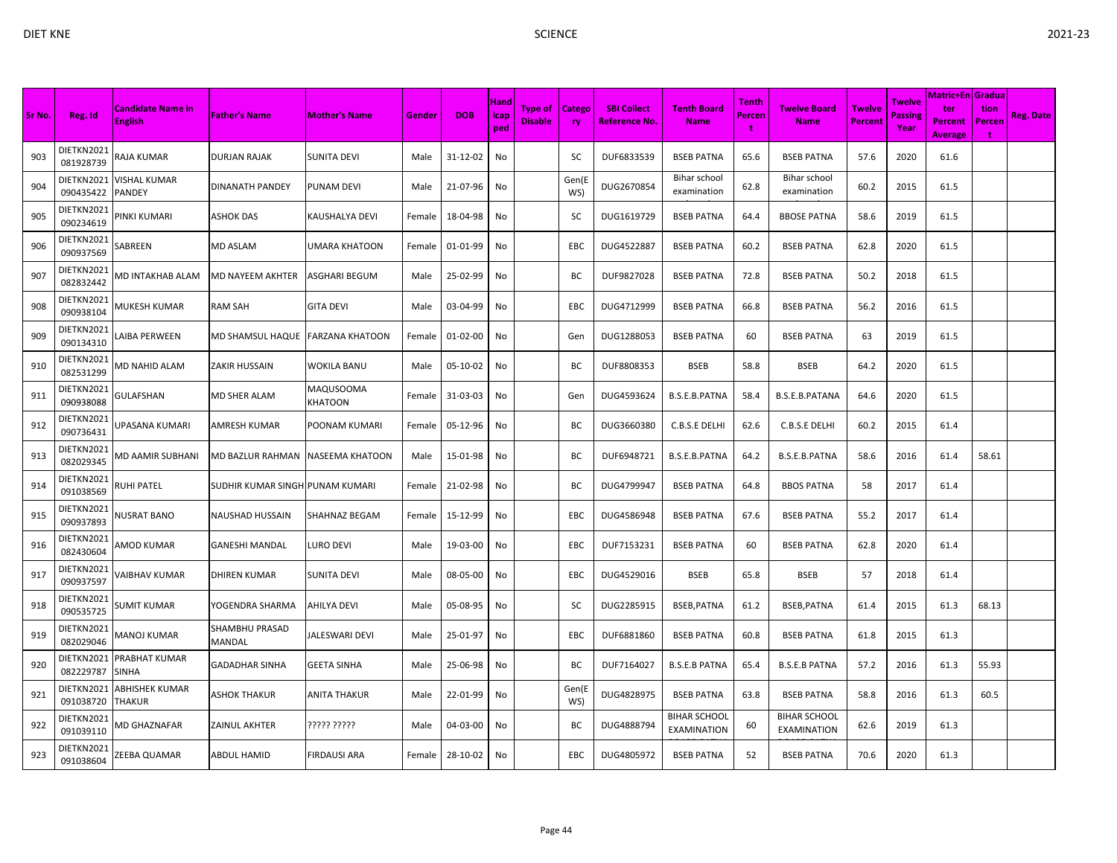|        |                         |                                            |                                  |                      |        |            |                     |                                  |                            |                                            |                                           |                             |                                    |                                 |                                  | Matric+En   Gradua               |                     |                  |
|--------|-------------------------|--------------------------------------------|----------------------------------|----------------------|--------|------------|---------------------|----------------------------------|----------------------------|--------------------------------------------|-------------------------------------------|-----------------------------|------------------------------------|---------------------------------|----------------------------------|----------------------------------|---------------------|------------------|
| Sr No. | Reg. Id                 | <b>Candidate Name in</b><br><b>English</b> | <b>Father's Name</b>             | <b>Mother's Name</b> | Gender | <b>DOB</b> | Hand<br>icap<br>ped | <b>Type of</b><br><b>Disable</b> | <b>Catego</b><br><b>ry</b> | <b>SBI Collect</b><br><b>Reference No.</b> | <b>Tenth Board</b><br><b>Name</b>         | <b>Tenth</b><br>Percen<br>÷ | <b>Twelve Board</b><br><b>Name</b> | <b>Twelve</b><br><b>Percent</b> | Twelve<br><b>Passing</b><br>Year | ter<br>Percent<br><b>Average</b> | tion<br>Percen<br>÷ | <b>Reg. Date</b> |
| 903    | DIETKN2021<br>081928739 | RAJA KUMAR                                 | <b>DURJAN RAJAK</b>              | SUNITA DEVI          | Male   | 31-12-02   | No                  |                                  | SC                         | DUF6833539                                 | <b>BSEB PATNA</b>                         | 65.6                        | <b>BSEB PATNA</b>                  | 57.6                            | 2020                             | 61.6                             |                     |                  |
| 904    | DIETKN2021<br>090435422 | VISHAL KUMAR<br><b>PANDEY</b>              | DINANATH PANDEY                  | PUNAM DEVI           | Male   | 21-07-96   | No                  |                                  | Gen(E<br>WS)               | DUG2670854                                 | Bihar school<br>examination               | 62.8                        | Bihar school<br>examination        | 60.2                            | 2015                             | 61.5                             |                     |                  |
| 905    | DIETKN2021<br>090234619 | PINKI KUMARI                               | ASHOK DAS                        | KAUSHALYA DEVI       | Female | 18-04-98   | No                  |                                  | SC                         | DUG1619729                                 | <b>BSEB PATNA</b>                         | 64.4                        | <b>BBOSE PATNA</b>                 | 58.6                            | 2019                             | 61.5                             |                     |                  |
| 906    | DIETKN2021<br>090937569 | SABREEN                                    | <b>MD ASLAM</b>                  | UMARA KHATOON        | Female | 01-01-99   | No                  |                                  | <b>EBC</b>                 | DUG4522887                                 | <b>BSEB PATNA</b>                         | 60.2                        | <b>BSEB PATNA</b>                  | 62.8                            | 2020                             | 61.5                             |                     |                  |
| 907    | DIETKN2021<br>082832442 | <b>MD INTAKHAB ALAM</b>                    | MD NAYEEM AKHTER                 | ASGHARI BEGUM        | Male   | 25-02-99   | No                  |                                  | BC                         | DUF9827028                                 | <b>BSEB PATNA</b>                         | 72.8                        | <b>BSEB PATNA</b>                  | 50.2                            | 2018                             | 61.5                             |                     |                  |
| 908    | DIETKN2021<br>090938104 | MUKESH KUMAR                               | RAM SAH                          | GITA DEVI            | Male   | 03-04-99   | No                  |                                  | EBC                        | DUG4712999                                 | <b>BSEB PATNA</b>                         | 66.8                        | <b>BSEB PATNA</b>                  | 56.2                            | 2016                             | 61.5                             |                     |                  |
| 909    | DIETKN2021<br>090134310 | <b>AIBA PERWEEN</b>                        | MD SHAMSUL HAQUE FARZANA KHATOON |                      | Female | 01-02-00   | No                  |                                  | Gen                        | DUG1288053                                 | <b>BSEB PATNA</b>                         | 60                          | <b>BSEB PATNA</b>                  | 63                              | 2019                             | 61.5                             |                     |                  |
| 910    | DIETKN2021<br>082531299 | <b>MD NAHID ALAM</b>                       | <b>ZAKIR HUSSAIN</b>             | <b>WOKILA BANU</b>   | Male   | 05-10-02   | No                  |                                  | BС                         | DUF8808353                                 | <b>BSEB</b>                               | 58.8                        | <b>BSEB</b>                        | 64.2                            | 2020                             | 61.5                             |                     |                  |
| 911    | DIETKN2021<br>090938088 | GULAFSHAN                                  | <b>MD SHER ALAM</b>              | MAQUSOOMA<br>KHATOON | Female | 31-03-03   | No                  |                                  | Gen                        | DUG4593624                                 | B.S.E.B.PATNA                             | 58.4                        | <b>B.S.E.B.PATANA</b>              | 64.6                            | 2020                             | 61.5                             |                     |                  |
| 912    | DIETKN2021<br>090736431 | JPASANA KUMARI                             | AMRESH KUMAR                     | POONAM KUMARI        | Female | 05-12-96   | No                  |                                  | BC                         | DUG3660380                                 | C.B.S.E DELHI                             | 62.6                        | C.B.S.E DELHI                      | 60.2                            | 2015                             | 61.4                             |                     |                  |
| 913    | DIETKN2021<br>082029345 | <b>MD AAMIR SUBHANI</b>                    | MD BAZLUR RAHMAN                 | NASEEMA KHATOON      | Male   | 15-01-98   | No                  |                                  | BC                         | DUF6948721                                 | B.S.E.B.PATNA                             | 64.2                        | B.S.E.B.PATNA                      | 58.6                            | 2016                             | 61.4                             | 58.61               |                  |
| 914    | DIETKN2021<br>091038569 | RUHI PATEL                                 | SUDHIR KUMAR SINGH PUNAM KUMARI  |                      | Female | 21-02-98   | No                  |                                  | BC                         | DUG4799947                                 | <b>BSEB PATNA</b>                         | 64.8                        | <b>BBOS PATNA</b>                  | 58                              | 2017                             | 61.4                             |                     |                  |
| 915    | DIETKN2021<br>090937893 | <b>NUSRAT BANO</b>                         | <b>NAUSHAD HUSSAIN</b>           | SHAHNAZ BEGAM        | Female | 15-12-99   | No                  |                                  | EBC                        | DUG4586948                                 | <b>BSEB PATNA</b>                         | 67.6                        | <b>BSEB PATNA</b>                  | 55.2                            | 2017                             | 61.4                             |                     |                  |
| 916    | DIETKN2021<br>082430604 | <b>IMOD KUMAR</b>                          | <b>GANESHI MANDAL</b>            | LURO DEVI            | Male   | 19-03-00   | No                  |                                  | EBC                        | DUF7153231                                 | <b>BSEB PATNA</b>                         | 60                          | <b>BSEB PATNA</b>                  | 62.8                            | 2020                             | 61.4                             |                     |                  |
| 917    | DIETKN2021<br>090937597 | VAIBHAV KUMAR                              | <b>DHIREN KUMAR</b>              | <b>SUNITA DEVI</b>   | Male   | 08-05-00   | No                  |                                  | EBC                        | DUG4529016                                 | <b>BSEB</b>                               | 65.8                        | <b>BSEB</b>                        | 57                              | 2018                             | 61.4                             |                     |                  |
| 918    | DIETKN2021<br>090535725 | SUMIT KUMAR                                | YOGENDRA SHARMA                  | AHILYA DEVI          | Male   | 05-08-95   | No                  |                                  | SC                         | DUG2285915                                 | BSEB, PATNA                               | 61.2                        | BSEB, PATNA                        | 61.4                            | 2015                             | 61.3                             | 68.13               |                  |
| 919    | DIETKN2021<br>082029046 | MANOJ KUMAR                                | SHAMBHU PRASAD<br>MANDAL         | JALESWARI DEVI       | Male   | 25-01-97   | No                  |                                  | <b>EBC</b>                 | DUF6881860                                 | <b>BSEB PATNA</b>                         | 60.8                        | <b>BSEB PATNA</b>                  | 61.8                            | 2015                             | 61.3                             |                     |                  |
| 920    | DIETKN2021<br>082229787 | PRABHAT KUMAR<br><b>SINHA</b>              | GADADHAR SINHA                   | <b>GEETA SINHA</b>   | Male   | 25-06-98   | No                  |                                  | BC                         | DUF7164027                                 | <b>B.S.E.B PATNA</b>                      | 65.4                        | <b>B.S.E.B PATNA</b>               | 57.2                            | 2016                             | 61.3                             | 55.93               |                  |
| 921    | DIETKN2021<br>091038720 | ABHISHEK KUMAR<br><b>THAKUR</b>            | ASHOK THAKUR                     | <b>ANITA THAKUR</b>  | Male   | 22-01-99   | No                  |                                  | Gen(E<br>WS)               | DUG4828975                                 | <b>BSEB PATNA</b>                         | 63.8                        | <b>BSEB PATNA</b>                  | 58.8                            | 2016                             | 61.3                             | 60.5                |                  |
| 922    | DIETKN2021<br>091039110 | <b>MD GHAZNAFAR</b>                        | <b>ZAINUL AKHTER</b>             | ????? ?????          | Male   | 04-03-00   | No                  |                                  | ВC                         | DUG4888794                                 | <b>BIHAR SCHOOL</b><br><b>EXAMINATION</b> | 60                          | <b>BIHAR SCHOOL</b><br>EXAMINATION | 62.6                            | 2019                             | 61.3                             |                     |                  |
| 923    | DIETKN2021<br>091038604 | ZEEBA QUAMAR                               | ABDUL HAMID                      | <b>FIRDAUSI ARA</b>  | Female | 28-10-02   | No                  |                                  | <b>EBC</b>                 | DUG4805972                                 | <b>BSEB PATNA</b>                         | 52                          | <b>BSEB PATNA</b>                  | 70.6                            | 2020                             | 61.3                             |                     |                  |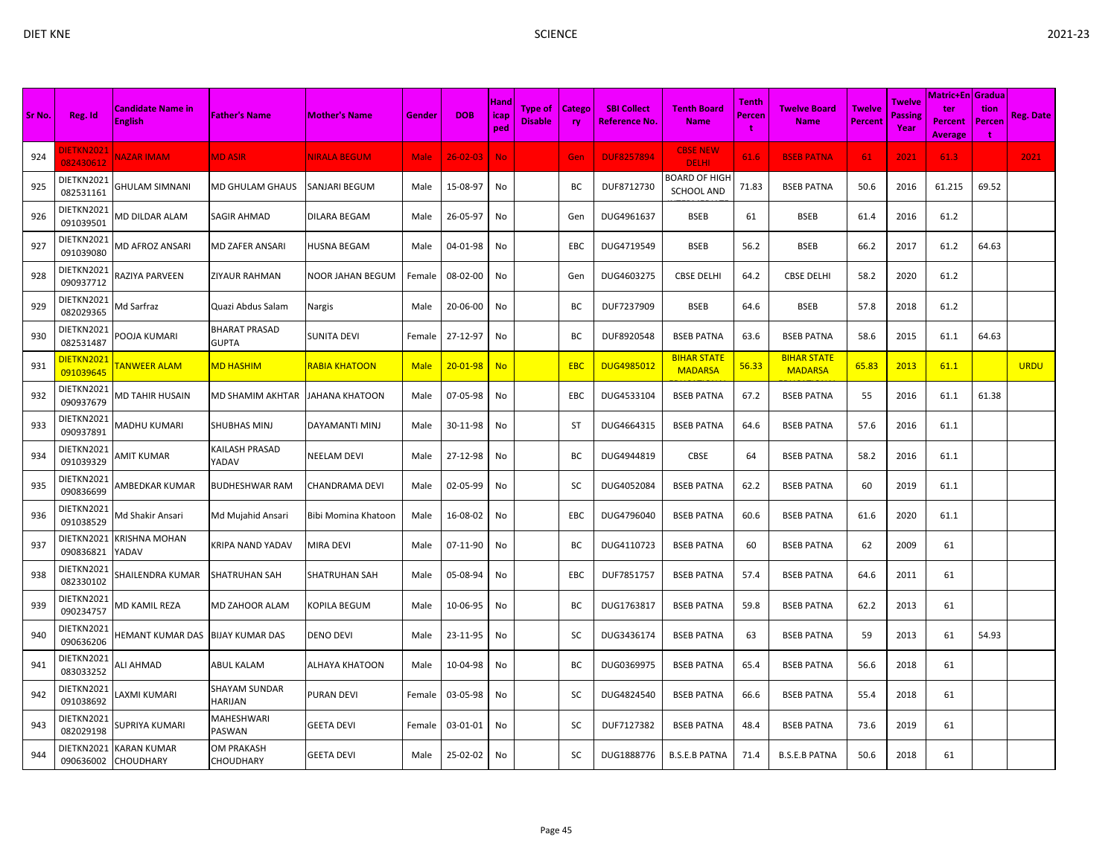| Sr No. | Reg. Id                 | <b>Candidate Name in</b><br><b>English</b> | <b>Father's Name</b>                 | <b>Mother's Name</b>    | Gender      | <b>DOB</b>     | <b>Hand</b><br>icap<br>ped | <b>Type of</b><br><b>Disable</b> | Catego<br>ry | <b>SBI Collect</b><br>Reference No. | <b>Tenth Board</b><br><b>Name</b>         | <b>Tenth</b><br>Percen<br>t | <b>Twelve Board</b><br><b>Name</b>   | <b>Twelve</b><br><b>Percent</b> | Twelve<br>Passing<br>Year | Matric+En Gradua<br>ter<br><b>Percent</b><br><b>Average</b> | tion<br>Percen<br>t | Reg. Date   |
|--------|-------------------------|--------------------------------------------|--------------------------------------|-------------------------|-------------|----------------|----------------------------|----------------------------------|--------------|-------------------------------------|-------------------------------------------|-----------------------------|--------------------------------------|---------------------------------|---------------------------|-------------------------------------------------------------|---------------------|-------------|
| 924    | DIETKN2021<br>082430612 | <b>NAZAR IMAM</b>                          | <b>MD ASIR</b>                       | <b>NIRALA BEGUM</b>     | <b>Male</b> | $26 - 02 - 03$ | <b>No</b>                  |                                  | Gen          | <b>DUF8257894</b>                   | <b>CBSE NEW</b><br><b>DELHI</b>           | 61.6                        | <b>BSEB PATNA</b>                    | 61                              | 2021                      | 61.3                                                        |                     | 2021        |
| 925    | DIETKN2021<br>082531161 | GHULAM SIMNANI                             | MD GHULAM GHAUS                      | SANJARI BEGUM           | Male        | 15-08-97       | No                         |                                  | ВC           | DUF8712730                          | <b>BOARD OF HIGH</b><br><b>SCHOOL AND</b> | 71.83                       | <b>BSEB PATNA</b>                    | 50.6                            | 2016                      | 61.215                                                      | 69.52               |             |
| 926    | DIETKN2021<br>091039501 | <b>MD DILDAR ALAM</b>                      | SAGIR AHMAD                          | <b>DILARA BEGAM</b>     | Male        | 26-05-97       | No                         |                                  | Gen          | DUG4961637                          | <b>BSEB</b>                               | 61                          | <b>BSEB</b>                          | 61.4                            | 2016                      | 61.2                                                        |                     |             |
| 927    | DIETKN2021<br>091039080 | MD AFROZ ANSARI                            | <b>MD ZAFER ANSARI</b>               | <b>HUSNA BEGAM</b>      | Male        | 04-01-98       | No                         |                                  | EBC          | DUG4719549                          | <b>BSEB</b>                               | 56.2                        | <b>BSEB</b>                          | 66.2                            | 2017                      | 61.2                                                        | 64.63               |             |
| 928    | DIETKN2021<br>090937712 | RAZIYA PARVEEN                             | ZIYAUR RAHMAN                        | <b>NOOR JAHAN BEGUM</b> | Female      | 08-02-00       | No                         |                                  | Gen          | DUG4603275                          | <b>CBSE DELHI</b>                         | 64.2                        | <b>CBSE DELHI</b>                    | 58.2                            | 2020                      | 61.2                                                        |                     |             |
| 929    | DIETKN2021<br>082029365 | Md Sarfraz                                 | Quazi Abdus Salam                    | <b>Nargis</b>           | Male        | 20-06-00       | No                         |                                  | ВC           | DUF7237909                          | <b>BSEB</b>                               | 64.6                        | <b>BSEB</b>                          | 57.8                            | 2018                      | 61.2                                                        |                     |             |
| 930    | DIETKN2021<br>082531487 | OOJA KUMARI                                | <b>BHARAT PRASAD</b><br><b>GUPTA</b> | <b>SUNITA DEVI</b>      | Female      | 27-12-97       | No                         |                                  | BC           | DUF8920548                          | <b>BSEB PATNA</b>                         | 63.6                        | <b>BSEB PATNA</b>                    | 58.6                            | 2015                      | 61.1                                                        | 64.63               |             |
| 931    | DIETKN2021<br>091039645 | <b><i>FANWEER ALAM</i></b>                 | <b>MD HASHIM</b>                     | <b>RABIA KHATOON</b>    | <b>Male</b> | $20 - 01 - 98$ | <b>No</b>                  |                                  | <b>EBC</b>   | <b>DUG4985012</b>                   | <b>BIHAR STATE</b><br><b>MADARSA</b>      | 56.33                       | <b>BIHAR STATE</b><br><b>MADARSA</b> | 65.83                           | 2013                      | 61.1                                                        |                     | <b>URDU</b> |
| 932    | DIETKN2021<br>090937679 | MD TAHIR HUSAIN                            | MD SHAMIM AKHTAR                     | <b>JAHANA KHATOON</b>   | Male        | 07-05-98       | No                         |                                  | <b>EBC</b>   | DUG4533104                          | <b>BSEB PATNA</b>                         | 67.2                        | <b>BSEB PATNA</b>                    | 55                              | 2016                      | 61.1                                                        | 61.38               |             |
| 933    | DIETKN2021<br>090937891 | MADHU KUMARI                               | SHUBHAS MINJ                         | DAYAMANTI MINJ          | Male        | 30-11-98       | No                         |                                  | ST           | DUG4664315                          | <b>BSEB PATNA</b>                         | 64.6                        | <b>BSEB PATNA</b>                    | 57.6                            | 2016                      | 61.1                                                        |                     |             |
| 934    | DIETKN2021<br>091039329 | AMIT KUMAR                                 | KAILASH PRASAD<br>YADAV              | <b>NEELAM DEVI</b>      | Male        | 27-12-98       | No                         |                                  | BC           | DUG4944819                          | CBSE                                      | 64                          | <b>BSEB PATNA</b>                    | 58.2                            | 2016                      | 61.1                                                        |                     |             |
| 935    | DIETKN2021<br>090836699 | AMBEDKAR KUMAR                             | <b>BUDHESHWAR RAM</b>                | <b>CHANDRAMA DEVI</b>   | Male        | 02-05-99       | No                         |                                  | sc           | DUG4052084                          | <b>BSEB PATNA</b>                         | 62.2                        | <b>BSEB PATNA</b>                    | 60                              | 2019                      | 61.1                                                        |                     |             |
| 936    | DIETKN2021<br>091038529 | Md Shakir Ansari                           | Md Mujahid Ansari                    | Bibi Momina Khatoon     | Male        | 16-08-02       | No                         |                                  | EBC          | DUG4796040                          | <b>BSEB PATNA</b>                         | 60.6                        | <b>BSEB PATNA</b>                    | 61.6                            | 2020                      | 61.1                                                        |                     |             |
| 937    | DIETKN2021<br>090836821 | KRISHNA MOHAN<br>YADAV                     | KRIPA NAND YADAV                     | <b>MIRA DEVI</b>        | Male        | 07-11-90       | No                         |                                  | ВC           | DUG4110723                          | <b>BSEB PATNA</b>                         | 60                          | <b>BSEB PATNA</b>                    | 62                              | 2009                      | 61                                                          |                     |             |
| 938    | DIETKN2021<br>082330102 | SHAILENDRA KUMAR                           | SHATRUHAN SAH                        | <b>SHATRUHAN SAH</b>    | Male        | 05-08-94       | No                         |                                  | EBC          | DUF7851757                          | <b>BSEB PATNA</b>                         | 57.4                        | <b>BSEB PATNA</b>                    | 64.6                            | 2011                      | 61                                                          |                     |             |
| 939    | DIETKN2021<br>090234757 | MD KAMIL REZA                              | MD ZAHOOR ALAM                       | <b>KOPILA BEGUM</b>     | Male        | 10-06-95       | No                         |                                  | ВC           | DUG1763817                          | <b>BSEB PATNA</b>                         | 59.8                        | <b>BSEB PATNA</b>                    | 62.2                            | 2013                      | 61                                                          |                     |             |
| 940    | DIETKN2021<br>090636206 | IEMANT KUMAR DAS                           | <b>BIJAY KUMAR DAS</b>               | <b>DENO DEVI</b>        | Male        | 23-11-95       | No                         |                                  | <b>SC</b>    | DUG3436174                          | <b>BSEB PATNA</b>                         | 63                          | <b>BSEB PATNA</b>                    | 59                              | 2013                      | 61                                                          | 54.93               |             |
| 941    | DIETKN2021<br>083033252 | <b>ILI AHMAD</b>                           | ABUL KALAM                           | <b>ALHAYA KHATOON</b>   | Male        | 10-04-98       | No                         |                                  | ВC           | DUG0369975                          | <b>BSEB PATNA</b>                         | 65.4                        | <b>BSEB PATNA</b>                    | 56.6                            | 2018                      | 61                                                          |                     |             |
| 942    | DIETKN2021<br>091038692 | AXMI KUMARI                                | SHAYAM SUNDAR<br>HARIJAN             | <b>PURAN DEVI</b>       | Female      | 03-05-98       | No                         |                                  | SC           | DUG4824540                          | <b>BSEB PATNA</b>                         | 66.6                        | <b>BSEB PATNA</b>                    | 55.4                            | 2018                      | 61                                                          |                     |             |
| 943    | DIETKN2021<br>082029198 | SUPRIYA KUMARI                             | MAHESHWARI<br>PASWAN                 | <b>GEETA DEVI</b>       | Female      | 03-01-01       | No                         |                                  | sc           | DUF7127382                          | <b>BSEB PATNA</b>                         | 48.4                        | <b>BSEB PATNA</b>                    | 73.6                            | 2019                      | 61                                                          |                     |             |
| 944    | DIETKN2021<br>090636002 | KARAN KUMAR<br>CHOUDHARY                   | OM PRAKASH<br>CHOUDHARY              | <b>GEETA DEVI</b>       | Male        | 25-02-02       | No                         |                                  | sc           | DUG1888776                          | <b>B.S.E.B PATNA</b>                      | 71.4                        | <b>B.S.E.B PATNA</b>                 | 50.6                            | 2018                      | 61                                                          |                     |             |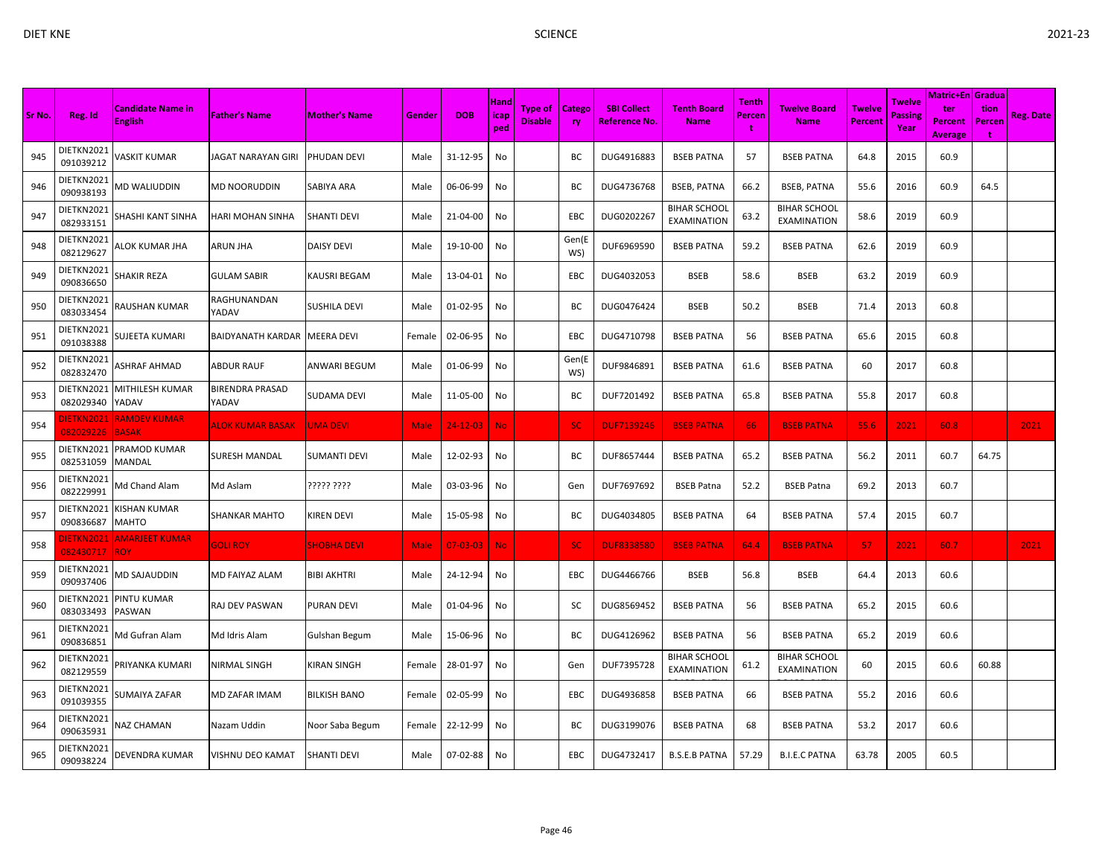|        |                         |                                     |                          |                      |        |                |                     |                           |                     |                                     |                                           |                             |                                    |                                 |                                  | Matric+En   Gradua                      |                     |                  |
|--------|-------------------------|-------------------------------------|--------------------------|----------------------|--------|----------------|---------------------|---------------------------|---------------------|-------------------------------------|-------------------------------------------|-----------------------------|------------------------------------|---------------------------------|----------------------------------|-----------------------------------------|---------------------|------------------|
| Sr No. | Reg. Id                 | Candidate Name in<br><b>English</b> | <b>Father's Name</b>     | <b>Mother's Name</b> | Gender | <b>DOB</b>     | Hand<br>icap<br>ped | Type of<br><b>Disable</b> | Catego<br><b>ry</b> | <b>SBI Collect</b><br>Reference No. | <b>Tenth Board</b><br><b>Name</b>         | <b>Tenth</b><br>Percen<br>t | <b>Twelve Board</b><br><b>Name</b> | <b>Twelve</b><br><b>Percent</b> | Twelve<br><b>Passing</b><br>Year | ter<br><b>Percent</b><br><b>Average</b> | tion<br>Percen<br>÷ | <b>Reg. Date</b> |
| 945    | DIETKN2021<br>091039212 | /ASKIT KUMAR                        | IAGAT NARAYAN GIRI       | PHUDAN DEVI          | Male   | 31-12-95       | No                  |                           | ВC                  | DUG4916883                          | <b>BSEB PATNA</b>                         | 57                          | <b>BSEB PATNA</b>                  | 64.8                            | 2015                             | 60.9                                    |                     |                  |
| 946    | DIETKN2021<br>090938193 | <b>MD WALIUDDIN</b>                 | MD NOORUDDIN             | <b>SABIYA ARA</b>    | Male   | 06-06-99       | No                  |                           | ВC                  | DUG4736768                          | <b>BSEB, PATNA</b>                        | 66.2                        | <b>BSEB, PATNA</b>                 | 55.6                            | 2016                             | 60.9                                    | 64.5                |                  |
| 947    | DIETKN2021<br>082933151 | SHASHI KANT SINHA                   | HARI MOHAN SINHA         | <b>SHANTI DEVI</b>   | Male   | 21-04-00       | No                  |                           | EBC                 | DUG0202267                          | <b>BIHAR SCHOOL</b><br><b>EXAMINATION</b> | 63.2                        | <b>BIHAR SCHOOL</b><br>EXAMINATION | 58.6                            | 2019                             | 60.9                                    |                     |                  |
| 948    | DIETKN2021<br>082129627 | ALOK KUMAR JHA                      | ARUN JHA                 | <b>DAISY DEVI</b>    | Male   | 19-10-00       | No                  |                           | Gen(E<br>WS)        | DUF6969590                          | <b>BSEB PATNA</b>                         | 59.2                        | <b>BSEB PATNA</b>                  | 62.6                            | 2019                             | 60.9                                    |                     |                  |
| 949    | DIETKN2021<br>090836650 | SHAKIR REZA                         | GULAM SABIR              | <b>KAUSRI BEGAM</b>  | Male   | 13-04-01       | No                  |                           | EBC                 | DUG4032053                          | <b>BSEB</b>                               | 58.6                        | <b>BSEB</b>                        | 63.2                            | 2019                             | 60.9                                    |                     |                  |
| 950    | DIETKN2021<br>083033454 | RAUSHAN KUMAR                       | RAGHUNANDAN<br>YADAV     | <b>SUSHILA DEVI</b>  | Male   | 01-02-95       | No                  |                           | BC                  | DUG0476424                          | <b>BSEB</b>                               | 50.2                        | <b>BSEB</b>                        | 71.4                            | 2013                             | 60.8                                    |                     |                  |
| 951    | DIETKN2021<br>091038388 | SUJEETA KUMARI                      | BAIDYANATH KARDAR        | <b>MEERA DEVI</b>    | Female | 02-06-95       | No                  |                           | EBC                 | DUG4710798                          | <b>BSEB PATNA</b>                         | 56                          | <b>BSEB PATNA</b>                  | 65.6                            | 2015                             | 60.8                                    |                     |                  |
| 952    | DIETKN2021<br>082832470 | ASHRAF AHMAD                        | <b>ABDUR RAUF</b>        | <b>ANWARI BEGUM</b>  | Male   | 01-06-99       | No                  |                           | Gen(E<br>WS)        | DUF9846891                          | <b>BSEB PATNA</b>                         | 61.6                        | <b>BSEB PATNA</b>                  | 60                              | 2017                             | 60.8                                    |                     |                  |
| 953    | DIETKN2021<br>082029340 | MITHILESH KUMAR<br>YADAV            | BIRENDRA PRASAD<br>YADAV | <b>SUDAMA DEVI</b>   | Male   | 11-05-00       | No                  |                           | BC                  | DUF7201492                          | <b>BSEB PATNA</b>                         | 65.8                        | <b>BSEB PATNA</b>                  | 55.8                            | 2017                             | 60.8                                    |                     |                  |
| 954    | DIETKN2021<br>082029226 | <b>RAMDEV KUMAR</b><br><b>BASAK</b> | <b>ALOK KUMAR BASAK</b>  | <b>UMA DEVI</b>      | Male   | $24 - 12 - 03$ | <b>No</b>           |                           | <b>SC</b>           | <b>DUF7139246</b>                   | <b>BSEB PATNA</b>                         | 66                          | <b>BSEB PATNA</b>                  | 55.6                            | 2021                             | 60.8                                    |                     | 2021             |
| 955    | DIETKN2021<br>082531059 | PRAMOD KUMAR<br>MANDAL              | SURESH MANDAL            | <b>SUMANTI DEVI</b>  | Male   | 12-02-93       | No                  |                           | BC                  | DUF8657444                          | <b>BSEB PATNA</b>                         | 65.2                        | <b>BSEB PATNA</b>                  | 56.2                            | 2011                             | 60.7                                    | 64.75               |                  |
| 956    | DIETKN2021<br>082229991 | Md Chand Alam                       | Md Aslam                 | ????? ????           | Male   | 03-03-96       | No                  |                           | Gen                 | DUF7697692                          | <b>BSEB Patna</b>                         | 52.2                        | <b>BSEB Patna</b>                  | 69.2                            | 2013                             | 60.7                                    |                     |                  |
| 957    | DIETKN2021<br>090836687 | (ISHAN KUMAR<br>MAHTO               | SHANKAR MAHTO            | <b>KIREN DEVI</b>    | Male   | 15-05-98       | No                  |                           | ВC                  | DUG4034805                          | <b>BSEB PATNA</b>                         | 64                          | <b>BSEB PATNA</b>                  | 57.4                            | 2015                             | 60.7                                    |                     |                  |
| 958    | DIETKN2021<br>082430717 | <b>AMARJEET KUMAR</b><br><b>ROY</b> | <b>GOLI ROY</b>          | <b>SHOBHA DEVI</b>   | Male   | $07 - 03 - 03$ | <b>No</b>           |                           | SC.                 | <b>DUF8338580</b>                   | <b>BSEB PATNA</b>                         | 64.4                        | <b>BSEB PATNA</b>                  | 57                              | 2021                             | 60.7                                    |                     | 2021             |
| 959    | DIETKN2021<br>090937406 | <b>MD SAJAUDDIN</b>                 | MD FAIYAZ ALAM           | <b>BIBI AKHTRI</b>   | Male   | 24-12-94       | No                  |                           | EBC                 | DUG4466766                          | <b>BSEB</b>                               | 56.8                        | <b>BSEB</b>                        | 64.4                            | 2013                             | 60.6                                    |                     |                  |
| 960    | DIETKN2021<br>083033493 | PINTU KUMAR<br>PASWAN               | RAJ DEV PASWAN           | <b>PURAN DEVI</b>    | Male   | 01-04-96       | No                  |                           | SC                  | DUG8569452                          | <b>BSEB PATNA</b>                         | 56                          | <b>BSEB PATNA</b>                  | 65.2                            | 2015                             | 60.6                                    |                     |                  |
| 961    | DIETKN2021<br>090836851 | Md Gufran Alam                      | Md Idris Alam            | Gulshan Begum        | Male   | 15-06-96       | No                  |                           | BC                  | DUG4126962                          | <b>BSEB PATNA</b>                         | 56                          | <b>BSEB PATNA</b>                  | 65.2                            | 2019                             | 60.6                                    |                     |                  |
| 962    | DIETKN2021<br>082129559 | PRIYANKA KUMARI                     | NIRMAL SINGH             | <b>KIRAN SINGH</b>   | Female | 28-01-97       | No                  |                           | Gen                 | DUF7395728                          | <b>BIHAR SCHOOL</b><br><b>EXAMINATION</b> | 61.2                        | <b>BIHAR SCHOOL</b><br>EXAMINATION | 60                              | 2015                             | 60.6                                    | 60.88               |                  |
| 963    | DIETKN2021<br>091039355 | SUMAIYA ZAFAR                       | MD ZAFAR IMAM            | <b>BILKISH BANO</b>  | Female | 02-05-99       | No                  |                           | <b>EBC</b>          | DUG4936858                          | <b>BSEB PATNA</b>                         | 66                          | <b>BSEB PATNA</b>                  | 55.2                            | 2016                             | 60.6                                    |                     |                  |
| 964    | DIETKN2021<br>090635931 | NAZ CHAMAN                          | Nazam Uddin              | Noor Saba Begum      | Female | 22-12-99       | No                  |                           | ВC                  | DUG3199076                          | <b>BSEB PATNA</b>                         | 68                          | <b>BSEB PATNA</b>                  | 53.2                            | 2017                             | 60.6                                    |                     |                  |
| 965    | DIETKN2021<br>090938224 | DEVENDRA KUMAR                      | VISHNU DEO KAMAT         | <b>SHANTI DEVI</b>   | Male   | 07-02-88       | No                  |                           | <b>EBC</b>          | DUG4732417                          | <b>B.S.E.B PATNA</b>                      | 57.29                       | <b>B.I.E.C PATNA</b>               | 63.78                           | 2005                             | 60.5                                    |                     |                  |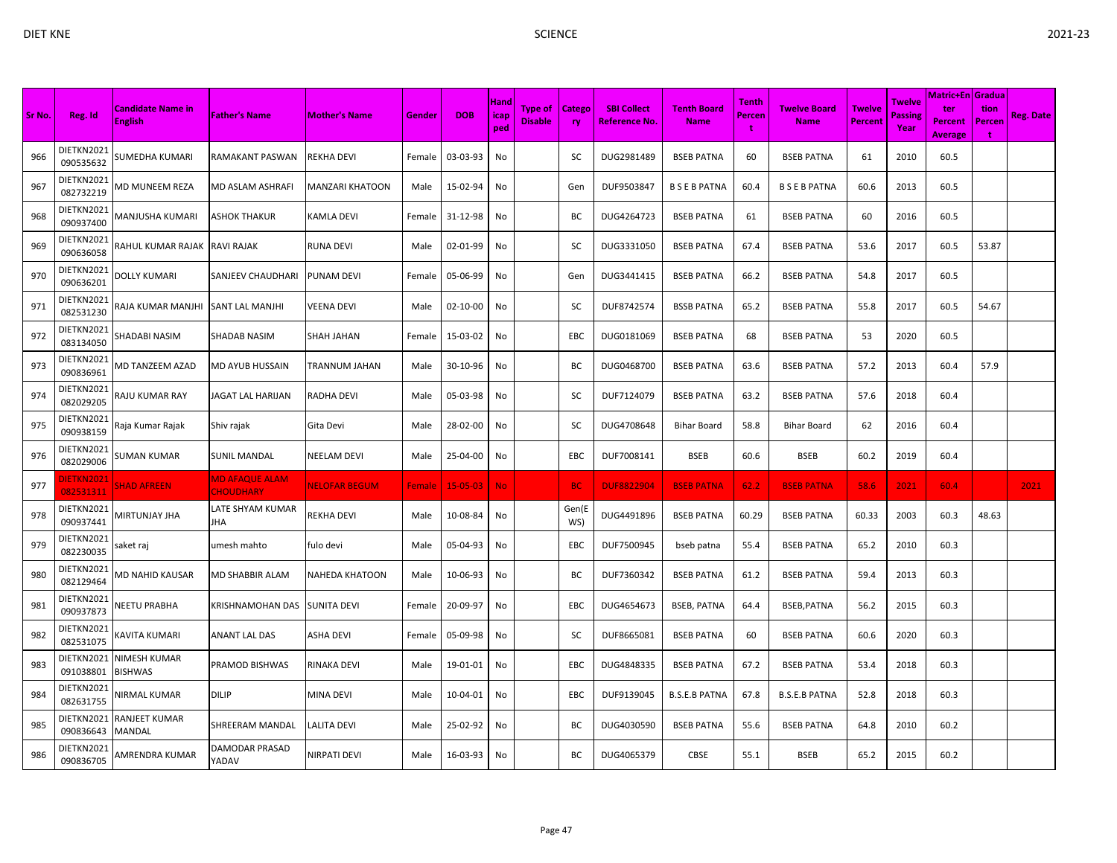|        |                                |                                     |                                           |                        |        |                | Hand        |                           |                     |                                     |                                   | <b>Tenth</b>       |                             |                                 | Twelve                 | Matric+En <i>Gradua</i>                 |                                       |                  |
|--------|--------------------------------|-------------------------------------|-------------------------------------------|------------------------|--------|----------------|-------------|---------------------------|---------------------|-------------------------------------|-----------------------------------|--------------------|-----------------------------|---------------------------------|------------------------|-----------------------------------------|---------------------------------------|------------------|
| Sr No. | Reg. Id                        | Candidate Name in<br><b>English</b> | <b>Father's Name</b>                      | <b>Mother's Name</b>   | Gender | <b>DOB</b>     | icap<br>ped | Type of<br><b>Disable</b> | Catego<br><b>ry</b> | <b>SBI Collect</b><br>Reference No. | <b>Tenth Board</b><br><b>Name</b> | <b>Percen</b><br>t | Twelve Board<br><b>Name</b> | <b>Twelve</b><br><b>Percent</b> | <b>Passing</b><br>Year | ter<br><b>Percent</b><br><b>Average</b> | tion<br>Percen<br>$\ddot{\mathbf{r}}$ | <b>Reg. Date</b> |
| 966    | DIETKN2021<br>090535632        | SUMEDHA KUMARI                      | RAMAKANT PASWAN                           | <b>REKHA DEVI</b>      | Female | 03-03-93       | No          |                           | sc                  | DUG2981489                          | <b>BSEB PATNA</b>                 | 60                 | <b>BSEB PATNA</b>           | 61                              | 2010                   | 60.5                                    |                                       |                  |
| 967    | DIETKN2021<br>082732219        | MD MUNEEM REZA                      | MD ASLAM ASHRAFI                          | <b>MANZARI KHATOON</b> | Male   | 15-02-94       | No          |                           | Gen                 | DUF9503847                          | <b>BSEBPATNA</b>                  | 60.4               | <b>BSEBPATNA</b>            | 60.6                            | 2013                   | 60.5                                    |                                       |                  |
| 968    | DIETKN2021<br>090937400        | VIANJUSHA KUMARI                    | ASHOK THAKUR                              | <b>KAMLA DEVI</b>      | Female | 31-12-98       | No          |                           | ВC                  | DUG4264723                          | <b>BSEB PATNA</b>                 | 61                 | <b>BSEB PATNA</b>           | 60                              | 2016                   | 60.5                                    |                                       |                  |
| 969    | DIETKN2021<br>090636058        | RAHUL KUMAR RAJAK                   | <b>RAVI RAJAK</b>                         | <b>RUNA DEVI</b>       | Male   | 02-01-99       | No          |                           | SC                  | DUG3331050                          | <b>BSEB PATNA</b>                 | 67.4               | <b>BSEB PATNA</b>           | 53.6                            | 2017                   | 60.5                                    | 53.87                                 |                  |
| 970    | DIETKN2021<br>090636201        | DOLLY KUMARI                        | SANJEEV CHAUDHARI                         | <b>PUNAM DEVI</b>      | Female | 05-06-99       | No          |                           | Gen                 | DUG3441415                          | <b>BSEB PATNA</b>                 | 66.2               | <b>BSEB PATNA</b>           | 54.8                            | 2017                   | 60.5                                    |                                       |                  |
| 971    | DIETKN2021<br>082531230        | RAJA KUMAR MANJHI                   | SANT LAL MANJHI                           | <b>VEENA DEVI</b>      | Male   | 02-10-00       | No          |                           | SC                  | DUF8742574                          | <b>BSSB PATNA</b>                 | 65.2               | <b>BSEB PATNA</b>           | 55.8                            | 2017                   | 60.5                                    | 54.67                                 |                  |
| 972    | DIETKN2021<br>083134050        | SHADABI NASIM                       | SHADAB NASIM                              | <b>SHAH JAHAN</b>      | Female | 15-03-02       | No          |                           | EBC                 | DUG0181069                          | <b>BSEB PATNA</b>                 | 68                 | <b>BSEB PATNA</b>           | 53                              | 2020                   | 60.5                                    |                                       |                  |
| 973    | DIETKN2021<br>090836961        | VID TANZEEM AZAD                    | MD AYUB HUSSAIN                           | <b>TRANNUM JAHAN</b>   | Male   | 30-10-96       | No          |                           | ВC                  | DUG0468700                          | <b>BSEB PATNA</b>                 | 63.6               | <b>BSEB PATNA</b>           | 57.2                            | 2013                   | 60.4                                    | 57.9                                  |                  |
| 974    | DIETKN2021<br>082029205        | RAJU KUMAR RAY                      | JAGAT LAL HARIJAN                         | <b>RADHA DEVI</b>      | Male   | 05-03-98       | No          |                           | <b>SC</b>           | DUF7124079                          | <b>BSEB PATNA</b>                 | 63.2               | <b>BSEB PATNA</b>           | 57.6                            | 2018                   | 60.4                                    |                                       |                  |
| 975    | DIETKN2021<br>090938159        | Raja Kumar Rajak                    | Shiv rajak                                | Gita Devi              | Male   | 28-02-00       | No          |                           | SC                  | DUG4708648                          | <b>Bihar Board</b>                | 58.8               | <b>Bihar Board</b>          | 62                              | 2016                   | 60.4                                    |                                       |                  |
| 976    | DIETKN2021<br>082029006        | SUMAN KUMAR                         | SUNIL MANDAL                              | <b>NEELAM DEVI</b>     | Male   | 25-04-00       | No          |                           | EBC                 | DUF7008141                          | <b>BSEB</b>                       | 60.6               | <b>BSEB</b>                 | 60.2                            | 2019                   | 60.4                                    |                                       |                  |
| 977    | <b>JIETKN2021</b><br>082531311 | <b>SHAD AFREEN</b>                  | <b>MD AFAQUE ALAM</b><br><b>CHOUDHARY</b> | <b>NELOFAR BEGUM</b>   | Female | $15 - 05 - 03$ | <b>No</b>   |                           | <b>BC</b>           | <b>DUF8822904</b>                   | <b>BSEB PATNA</b>                 | 62.2               | <b>BSEB PATNA</b>           | 58.6                            | 2021                   | 60.4                                    |                                       | 2021             |
| 978    | DIETKN2021<br>090937441        | MIRTUNJAY JHA                       | LATE SHYAM KUMAR<br>JHA                   | <b>REKHA DEVI</b>      | Male   | 10-08-84       | No          |                           | Gen(E<br>WS)        | DUG4491896                          | <b>BSEB PATNA</b>                 | 60.29              | <b>BSEB PATNA</b>           | 60.33                           | 2003                   | 60.3                                    | 48.63                                 |                  |
| 979    | DIETKN2021<br>082230035        | saket raj                           | umesh mahto                               | fulo devi              | Male   | 05-04-93       | No          |                           | EBC                 | DUF7500945                          | bseb patna                        | 55.4               | <b>BSEB PATNA</b>           | 65.2                            | 2010                   | 60.3                                    |                                       |                  |
| 980    | DIETKN2021<br>082129464        | VID NAHID KAUSAR                    | MD SHABBIR ALAM                           | <b>NAHEDA KHATOON</b>  | Male   | 10-06-93       | No          |                           | ВC                  | DUF7360342                          | <b>BSEB PATNA</b>                 | 61.2               | <b>BSEB PATNA</b>           | 59.4                            | 2013                   | 60.3                                    |                                       |                  |
| 981    | DIETKN2021<br>090937873        | <b>NEETU PRABHA</b>                 | KRISHNAMOHAN DAS                          | <b>SUNITA DEVI</b>     | Female | 20-09-97       | No          |                           | EBC                 | DUG4654673                          | <b>BSEB, PATNA</b>                | 64.4               | BSEB, PATNA                 | 56.2                            | 2015                   | 60.3                                    |                                       |                  |
| 982    | DIETKN2021<br>082531075        | KAVITA KUMARI                       | ANANT LAL DAS                             | <b>ASHA DEVI</b>       | Female | 05-09-98       | No          |                           | SC                  | DUF8665081                          | <b>BSEB PATNA</b>                 | 60                 | <b>BSEB PATNA</b>           | 60.6                            | 2020                   | 60.3                                    |                                       |                  |
| 983    | DIETKN2021<br>091038801        | NIMESH KUMAR<br>BISHWAS             | PRAMOD BISHWAS                            | RINAKA DEVI            | Male   | 19-01-01       | No          |                           | EBC                 | DUG4848335                          | <b>BSEB PATNA</b>                 | 67.2               | <b>BSEB PATNA</b>           | 53.4                            | 2018                   | 60.3                                    |                                       |                  |
| 984    | DIETKN2021<br>082631755        | <b>NIRMAL KUMAR</b>                 | DILIP                                     | <b>MINA DEVI</b>       | Male   | 10-04-01       | No          |                           | EBC                 | DUF9139045                          | <b>B.S.E.B PATNA</b>              | 67.8               | <b>B.S.E.B PATNA</b>        | 52.8                            | 2018                   | 60.3                                    |                                       |                  |
| 985    | DIETKN2021<br>090836643        | RANJEET KUMAR<br>MANDAL             | SHREERAM MANDAL                           | <b>LALITA DEVI</b>     | Male   | 25-02-92       | No          |                           | ВC                  | DUG4030590                          | <b>BSEB PATNA</b>                 | 55.6               | <b>BSEB PATNA</b>           | 64.8                            | 2010                   | 60.2                                    |                                       |                  |
| 986    | DIETKN2021<br>090836705        | AMRENDRA KUMAR                      | DAMODAR PRASAD<br>YADAV                   | <b>NIRPATI DEVI</b>    | Male   | 16-03-93       | No          |                           | BC                  | DUG4065379                          | <b>CBSE</b>                       | 55.1               | <b>BSEB</b>                 | 65.2                            | 2015                   | 60.2                                    |                                       |                  |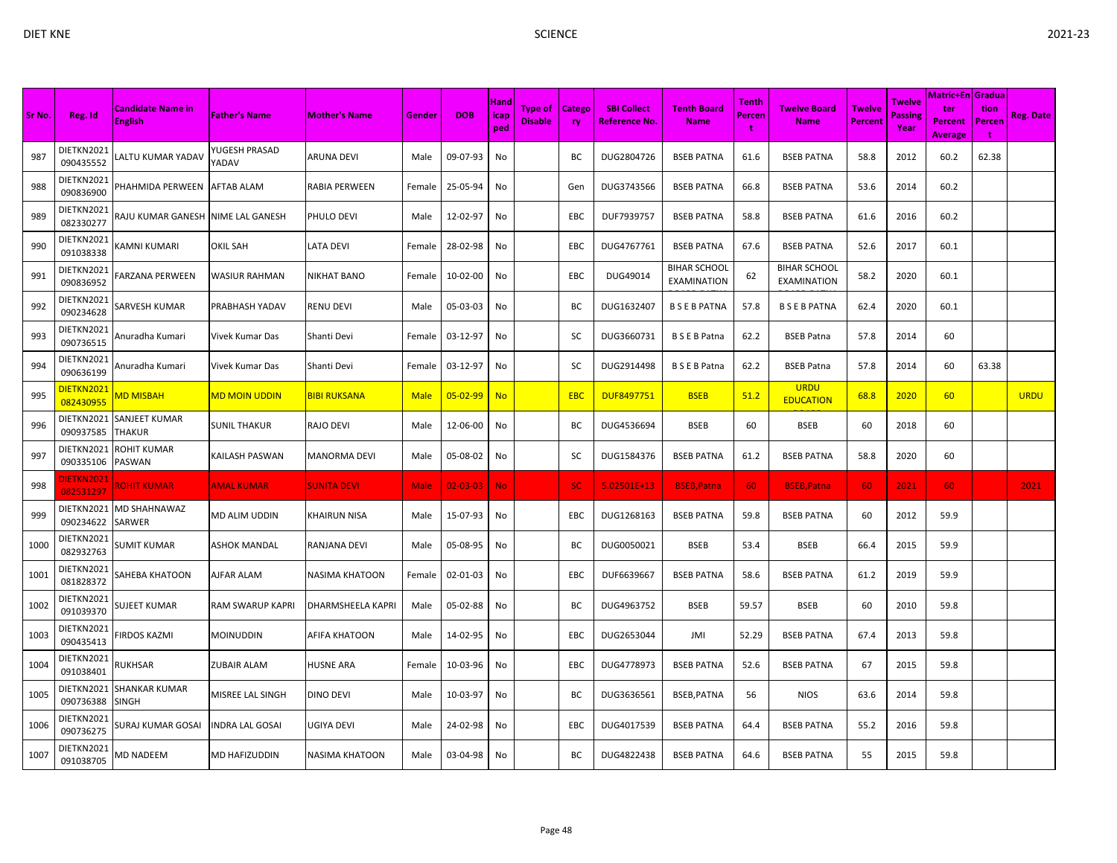|        |                         |                                     |                            |                       |             |                |                     |                                  |               |                                     |                                           |                             |                                           |                          |                           | <b>Matric+En Gradua</b>                 |                     |                  |
|--------|-------------------------|-------------------------------------|----------------------------|-----------------------|-------------|----------------|---------------------|----------------------------------|---------------|-------------------------------------|-------------------------------------------|-----------------------------|-------------------------------------------|--------------------------|---------------------------|-----------------------------------------|---------------------|------------------|
| Sr No. | Reg. Id                 | Candidate Name in<br><b>English</b> | <b>Father's Name</b>       | <b>Mother's Name</b>  | Gender      | <b>DOB</b>     | Hand<br>icap<br>ped | <b>Type of</b><br><b>Disable</b> | Catego<br>ry. | <b>SBI Collect</b><br>Reference No. | <b>Tenth Board</b><br><b>Name</b>         | <b>Tenth</b><br>Percen<br>t | Twelve Board<br><b>Name</b>               | <b>Twelve</b><br>Percent | Twelve<br>Passine<br>Year | ter<br><b>Percent</b><br><b>Average</b> | tion<br>Percen<br>t | <b>Reg. Date</b> |
| 987    | DIETKN2021<br>090435552 | ALTU KUMAR YADAV                    | YUGESH PRASAD<br>YADAV     | <b>ARUNA DEVI</b>     | Male        | 09-07-93       | No                  |                                  | BC            | DUG2804726                          | <b>BSEB PATNA</b>                         | 61.6                        | <b>BSEB PATNA</b>                         | 58.8                     | 2012                      | 60.2                                    | 62.38               |                  |
| 988    | DIETKN2021<br>090836900 | PHAHMIDA PERWEEN                    | <b>AFTAB ALAM</b>          | RABIA PERWEEN         | Female      | 25-05-94       | No                  |                                  | Gen           | DUG3743566                          | <b>BSEB PATNA</b>                         | 66.8                        | <b>BSEB PATNA</b>                         | 53.6                     | 2014                      | 60.2                                    |                     |                  |
| 989    | DIETKN2021<br>082330277 | RAJU KUMAR GANESH                   | NIME LAL GANESH            | PHULO DEVI            | Male        | 12-02-97       | No                  |                                  | EBC           | DUF7939757                          | <b>BSEB PATNA</b>                         | 58.8                        | <b>BSEB PATNA</b>                         | 61.6                     | 2016                      | 60.2                                    |                     |                  |
| 990    | DIETKN2021<br>091038338 | (AMNI KUMARI                        | OKIL SAH                   | <b>LATA DEVI</b>      | Female      | 28-02-98       | No                  |                                  | EBC           | DUG4767761                          | <b>BSEB PATNA</b>                         | 67.6                        | <b>BSEB PATNA</b>                         | 52.6                     | 2017                      | 60.1                                    |                     |                  |
| 991    | DIETKN2021<br>090836952 | FARZANA PERWEEN                     | WASIUR RAHMAN              | <b>NIKHAT BANO</b>    | Female      | 10-02-00       | No                  |                                  | EBC           | DUG49014                            | <b>BIHAR SCHOOL</b><br><b>EXAMINATION</b> | 62                          | <b>BIHAR SCHOOL</b><br><b>EXAMINATION</b> | 58.2                     | 2020                      | 60.1                                    |                     |                  |
| 992    | DIETKN2021<br>090234628 | SARVESH KUMAR                       | PRABHASH YADAV             | <b>RENU DEVI</b>      | Male        | 05-03-03       | No                  |                                  | ВC            | DUG1632407                          | <b>BSEBPATNA</b>                          | 57.8                        | <b>BSEBPATNA</b>                          | 62.4                     | 2020                      | 60.1                                    |                     |                  |
| 993    | DIETKN2021<br>090736515 | Anuradha Kumari                     | Vivek Kumar Das            | Shanti Devi           | Female      | 03-12-97       | No                  |                                  | SC            | DUG3660731                          | <b>BSEBPatna</b>                          | 62.2                        | <b>BSEB Patna</b>                         | 57.8                     | 2014                      | 60                                      |                     |                  |
| 994    | DIETKN2021<br>090636199 | Anuradha Kumari                     | Vivek Kumar Das            | Shanti Devi           | Female      | 03-12-97       | No                  |                                  | SC            | DUG2914498                          | <b>BSEBPatna</b>                          | 62.2                        | <b>BSEB Patna</b>                         | 57.8                     | 2014                      | 60                                      | 63.38               |                  |
| 995    | DIETKN2021<br>082430955 | MD MISBAH                           | <mark>MD MOIN UDDIN</mark> | <b>BIBI RUKSANA</b>   | <b>Male</b> | $05 - 02 - 99$ | <b>No</b>           |                                  | EBC           | <b>DUF8497751</b>                   | <b>BSEB</b>                               | 51.2                        | <b>URDU</b><br><b>EDUCATION</b>           | 68.8                     | 2020                      | 60                                      |                     | <b>URDU</b>      |
| 996    | DIETKN2021<br>090937585 | SANJEET KUMAR<br>THAKUR             | SUNIL THAKUR               | RAJO DEVI             | Male        | 12-06-00       | No                  |                                  | ВC            | DUG4536694                          | <b>BSEB</b>                               | 60                          | <b>BSEB</b>                               | 60                       | 2018                      | 60                                      |                     |                  |
| 997    | DIETKN2021<br>090335106 | ROHIT KUMAR<br>PASWAN               | KAILASH PASWAN             | <b>MANORMA DEVI</b>   | Male        | 05-08-02       | No                  |                                  | SC            | DUG1584376                          | <b>BSEB PATNA</b>                         | 61.2                        | <b>BSEB PATNA</b>                         | 58.8                     | 2020                      | 60                                      |                     |                  |
| 998    | 082531297               | <b>ROHIT KUMAR</b>                  | <b>AMAL KUMAR</b>          | <b>SUNITA DEVI</b>    | Male        | $02 - 03 - 03$ | <b>No</b>           |                                  | <b>SC</b>     | $5.02501E+13$                       | <b>BSEB, Patna</b>                        | 60                          | <b>BSEB, Patna</b>                        | 60                       | 2021                      | 60                                      |                     | 2021             |
| 999    | DIETKN2021<br>090234622 | MD SHAHNAWAZ<br>SARWER              | MD ALIM UDDIN              | <b>KHAIRUN NISA</b>   | Male        | 15-07-93       | No                  |                                  | EBC           | DUG1268163                          | <b>BSEB PATNA</b>                         | 59.8                        | <b>BSEB PATNA</b>                         | 60                       | 2012                      | 59.9                                    |                     |                  |
| 1000   | DIETKN2021<br>082932763 | SUMIT KUMAR                         | ASHOK MANDAL               | RANJANA DEVI          | Male        | 05-08-95       | No                  |                                  | BC            | DUG0050021                          | <b>BSEB</b>                               | 53.4                        | <b>BSEB</b>                               | 66.4                     | 2015                      | 59.9                                    |                     |                  |
| 1001   | DIETKN2021<br>081828372 | SAHEBA KHATOON                      | AJFAR ALAM                 | <b>NASIMA KHATOON</b> | Female      | 02-01-03       | No                  |                                  | EBC           | DUF6639667                          | <b>BSEB PATNA</b>                         | 58.6                        | <b>BSEB PATNA</b>                         | 61.2                     | 2019                      | 59.9                                    |                     |                  |
| 1002   | DIETKN2021<br>091039370 | SUJEET KUMAR                        | RAM SWARUP KAPRI           | DHARMSHEELA KAPRI     | Male        | 05-02-88       | No                  |                                  | ВC            | DUG4963752                          | <b>BSEB</b>                               | 59.57                       | <b>BSEB</b>                               | 60                       | 2010                      | 59.8                                    |                     |                  |
| 1003   | DIETKN2021<br>090435413 | <b>IRDOS KAZMI</b>                  | MOINUDDIN                  | AFIFA KHATOON         | Male        | 14-02-95       | No                  |                                  | EBC           | DUG2653044                          | JMI                                       | 52.29                       | <b>BSEB PATNA</b>                         | 67.4                     | 2013                      | 59.8                                    |                     |                  |
| 1004   | DIETKN2021<br>091038401 | <b>RUKHSAR</b>                      | ZUBAIR ALAM                | <b>HUSNE ARA</b>      | Female      | 10-03-96       | No                  |                                  | EBC           | DUG4778973                          | <b>BSEB PATNA</b>                         | 52.6                        | <b>BSEB PATNA</b>                         | 67                       | 2015                      | 59.8                                    |                     |                  |
| 1005   | DIETKN2021<br>090736388 | SHANKAR KUMAR<br>SINGH              | MISREE LAL SINGH           | <b>DINO DEVI</b>      | Male        | 10-03-97       | No                  |                                  | BC            | DUG3636561                          | BSEB, PATNA                               | 56                          | <b>NIOS</b>                               | 63.6                     | 2014                      | 59.8                                    |                     |                  |
| 1006   | DIETKN2021<br>090736275 | SURAJ KUMAR GOSAI                   | INDRA LAL GOSAI            | <b>UGIYA DEVI</b>     | Male        | 24-02-98       | No                  |                                  | EBC           | DUG4017539                          | <b>BSEB PATNA</b>                         | 64.4                        | <b>BSEB PATNA</b>                         | 55.2                     | 2016                      | 59.8                                    |                     |                  |
| 1007   | DIETKN2021<br>091038705 | <b>MD NADEEM</b>                    | MD HAFIZUDDIN              | NASIMA KHATOON        | Male        | 03-04-98       | No                  |                                  | BC            | DUG4822438                          | <b>BSEB PATNA</b>                         | 64.6                        | <b>BSEB PATNA</b>                         | 55                       | 2015                      | 59.8                                    |                     |                  |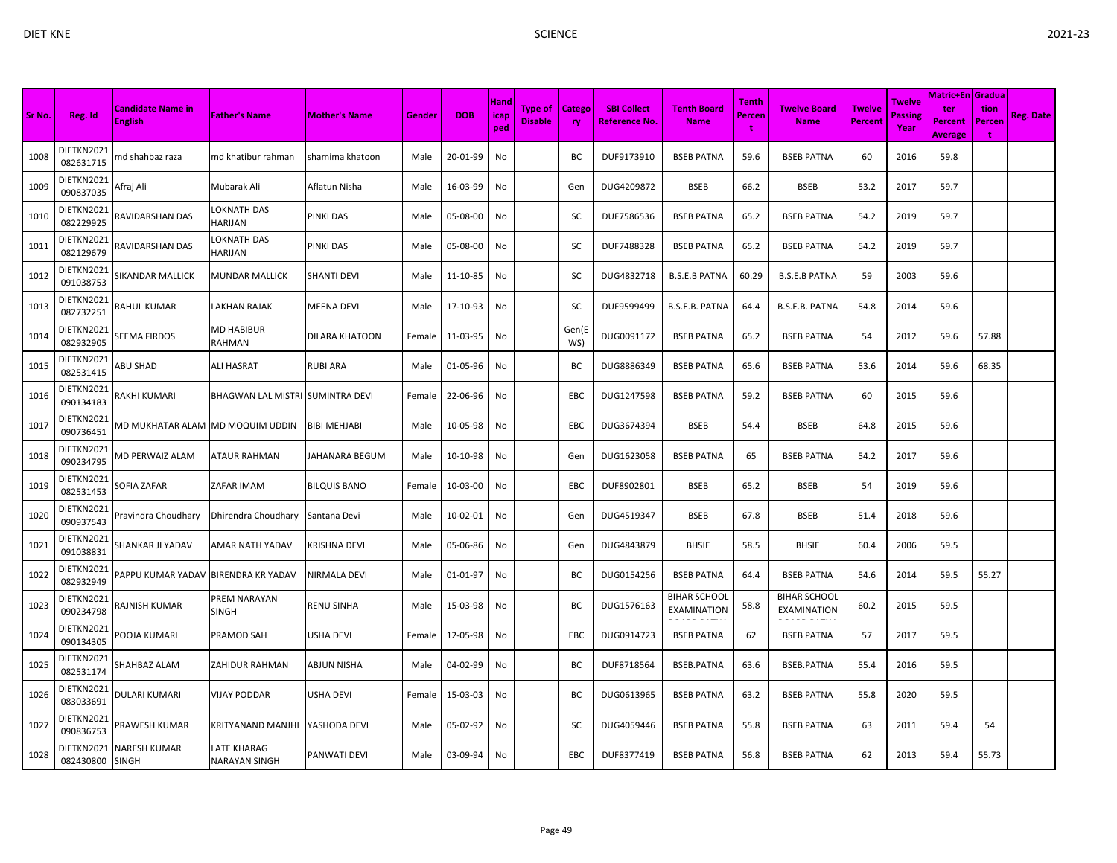| c. |  |
|----|--|
|    |  |

| Sr No. | Reg. Id                 | <b>Candidate Name in</b><br><b>English</b> | <b>Father's Name</b>                | <b>Mother's Name</b> | Gender | <b>DOB</b> | Hand<br>icap<br>ped | Type of<br><b>Disable</b> | <b>Catego</b><br><b>ry</b> | <b>SBI Collect</b><br>Reference No. | <b>Tenth Board</b><br><b>Name</b>         | Tenth<br>Percen | <b>Twelve Board</b><br><b>Name</b>        | <b>Twelve</b><br>Percent | <b>Twelve</b><br>Passing<br>Year | <b>Matric+En Gradua</b><br>ter<br><b>Percent</b><br><b>Average</b> | tion<br>Percen<br>÷ | <b>Reg. Date</b> |
|--------|-------------------------|--------------------------------------------|-------------------------------------|----------------------|--------|------------|---------------------|---------------------------|----------------------------|-------------------------------------|-------------------------------------------|-----------------|-------------------------------------------|--------------------------|----------------------------------|--------------------------------------------------------------------|---------------------|------------------|
| 1008   | DIETKN2021<br>082631715 | nd shahbaz raza                            | md khatibur rahman                  | shamima khatoon      | Male   | 20-01-99   | No                  |                           | BС                         | DUF9173910                          | <b>BSEB PATNA</b>                         | 59.6            | <b>BSEB PATNA</b>                         | 60                       | 2016                             | 59.8                                                               |                     |                  |
| 1009   | DIETKN2021<br>090837035 | Afraj Ali                                  | Mubarak Ali                         | Aflatun Nisha        | Male   | 16-03-99   | No                  |                           | Gen                        | DUG4209872                          | <b>BSEB</b>                               | 66.2            | <b>BSEB</b>                               | 53.2                     | 2017                             | 59.7                                                               |                     |                  |
| 1010   | DIETKN2021<br>082229925 | RAVIDARSHAN DAS                            | OKNATH DAS<br>HARIJAN               | PINKI DAS            | Male   | 05-08-00   | No                  |                           | SC                         | DUF7586536                          | <b>BSEB PATNA</b>                         | 65.2            | <b>BSEB PATNA</b>                         | 54.2                     | 2019                             | 59.7                                                               |                     |                  |
| 1011   | DIETKN2021<br>082129679 | RAVIDARSHAN DAS                            | OKNATH DAS.<br>HARIJAN              | PINKI DAS            | Male   | 05-08-00   | No                  |                           | SC                         | DUF7488328                          | <b>BSEB PATNA</b>                         | 65.2            | <b>BSEB PATNA</b>                         | 54.2                     | 2019                             | 59.7                                                               |                     |                  |
| 1012   | DIETKN2021<br>091038753 | SIKANDAR MALLICK                           | MUNDAR MALLICK                      | SHANTI DEVI          | Male   | 11-10-85   | No                  |                           | SC                         | DUG4832718                          | <b>B.S.E.B PATNA</b>                      | 60.29           | <b>B.S.E.B PATNA</b>                      | 59                       | 2003                             | 59.6                                                               |                     |                  |
| 1013   | DIETKN2021<br>082732251 | RAHUL KUMAR                                | LAKHAN RAJAK                        | MEENA DEVI           | Male   | 17-10-93   | No                  |                           | <b>SC</b>                  | DUF9599499                          | B.S.E.B. PATNA                            | 64.4            | B.S.E.B. PATNA                            | 54.8                     | 2014                             | 59.6                                                               |                     |                  |
| 1014   | DIETKN2021<br>082932905 | SEEMA FIRDOS                               | MD HABIBUR<br>RAHMAN                | DILARA KHATOON       | Female | 11-03-95   | No                  |                           | Gen(E<br>WS)               | DUG0091172                          | <b>BSEB PATNA</b>                         | 65.2            | <b>BSEB PATNA</b>                         | 54                       | 2012                             | 59.6                                                               | 57.88               |                  |
| 1015   | DIETKN2021<br>082531415 | <b>ABU SHAD</b>                            | ALI HASRAT                          | RUBI ARA             | Male   | 01-05-96   | No                  |                           | ВC                         | DUG8886349                          | <b>BSEB PATNA</b>                         | 65.6            | <b>BSEB PATNA</b>                         | 53.6                     | 2014                             | 59.6                                                               | 68.35               |                  |
| 1016   | DIETKN2021<br>090134183 | RAKHI KUMARI                               | BHAGWAN LAL MISTRI SUMINTRA DEVI    |                      | Female | 22-06-96   | No                  |                           | EBC                        | DUG1247598                          | <b>BSEB PATNA</b>                         | 59.2            | <b>BSEB PATNA</b>                         | 60                       | 2015                             | 59.6                                                               |                     |                  |
| 1017   | DIETKN2021<br>090736451 | MD MUKHATAR ALAM  MD MOQUIM UDDIN          |                                     | <b>BIBI MEHJABI</b>  | Male   | 10-05-98   | No                  |                           | <b>EBC</b>                 | DUG3674394                          | <b>BSEB</b>                               | 54.4            | <b>BSEB</b>                               | 64.8                     | 2015                             | 59.6                                                               |                     |                  |
| 1018   | DIETKN2021<br>090234795 | <b>MD PERWAIZ ALAM</b>                     | ATAUR RAHMAN                        | JAHANARA BEGUM       | Male   | 10-10-98   | No                  |                           | Gen                        | DUG1623058                          | <b>BSEB PATNA</b>                         | 65              | <b>BSEB PATNA</b>                         | 54.2                     | 2017                             | 59.6                                                               |                     |                  |
| 1019   | DIETKN2021<br>082531453 | SOFIA ZAFAR                                | ZAFAR IMAM                          | BILQUIS BANO         | Female | 10-03-00   | No                  |                           | EBC                        | DUF8902801                          | <b>BSEB</b>                               | 65.2            | <b>BSEB</b>                               | 54                       | 2019                             | 59.6                                                               |                     |                  |
| 1020   | DIETKN2021<br>090937543 | Pravindra Choudhary                        | Dhirendra Choudhary                 | Santana Devi         | Male   | 10-02-01   | No                  |                           | Gen                        | DUG4519347                          | <b>BSEB</b>                               | 67.8            | <b>BSEB</b>                               | 51.4                     | 2018                             | 59.6                                                               |                     |                  |
| 1021   | DIETKN2021<br>091038831 | SHANKAR JI YADAV                           | AMAR NATH YADAV                     | KRISHNA DEVI         | Male   | 05-06-86   | No                  |                           | Gen                        | DUG4843879                          | <b>BHSIE</b>                              | 58.5            | <b>BHSIE</b>                              | 60.4                     | 2006                             | 59.5                                                               |                     |                  |
| 1022   | DIETKN2021<br>082932949 | PAPPU KUMAR YADAV                          | <b>BIRENDRA KR YADAV</b>            | NIRMALA DEVI         | Male   | 01-01-97   | No                  |                           | BС                         | DUG0154256                          | <b>BSEB PATNA</b>                         | 64.4            | <b>BSEB PATNA</b>                         | 54.6                     | 2014                             | 59.5                                                               | 55.27               |                  |
| 1023   | DIETKN2021<br>090234798 | RAJNISH KUMAR                              | PREM NARAYAN<br>SINGH               | RENU SINHA           | Male   | 15-03-98   | No                  |                           | BС                         | DUG1576163                          | <b>BIHAR SCHOOL</b><br><b>EXAMINATION</b> | 58.8            | <b>BIHAR SCHOOL</b><br><b>EXAMINATION</b> | 60.2                     | 2015                             | 59.5                                                               |                     |                  |
| 1024   | DIETKN2021<br>090134305 | POOJA KUMARI                               | PRAMOD SAH                          | USHA DEVI            | Female | 12-05-98   | No                  |                           | <b>EBC</b>                 | DUG0914723                          | <b>BSEB PATNA</b>                         | 62              | <b>BSEB PATNA</b>                         | 57                       | 2017                             | 59.5                                                               |                     |                  |
| 1025   | DIETKN2021<br>082531174 | SHAHBAZ ALAM                               | ZAHIDUR RAHMAN                      | ABJUN NISHA          | Male   | 04-02-99   | No                  |                           | BC                         | DUF8718564                          | BSEB.PATNA                                | 63.6            | <b>BSEB.PATNA</b>                         | 55.4                     | 2016                             | 59.5                                                               |                     |                  |
| 1026   | DIETKN2021<br>083033691 | DULARI KUMARI                              | VIJAY PODDAR                        | USHA DEVI            | Female | 15-03-03   | No                  |                           | ВC                         | DUG0613965                          | <b>BSEB PATNA</b>                         | 63.2            | <b>BSEB PATNA</b>                         | 55.8                     | 2020                             | 59.5                                                               |                     |                  |
| 1027   | DIETKN2021<br>090836753 | <b>PRAWESH KUMAR</b>                       | <b>KRITYANAND MANJHI</b>            | YASHODA DEVI         | Male   | 05-02-92   | No                  |                           | SC                         | DUG4059446                          | <b>BSEB PATNA</b>                         | 55.8            | <b>BSEB PATNA</b>                         | 63                       | 2011                             | 59.4                                                               | 54                  |                  |
| 1028   | DIETKN2021<br>082430800 | <b>NARESH KUMAR</b><br><b>SINGH</b>        | <b>LATE KHARAG</b><br>NARAYAN SINGH | PANWATI DEVI         | Male   | 03-09-94   | No                  |                           | <b>EBC</b>                 | DUF8377419                          | <b>BSEB PATNA</b>                         | 56.8            | <b>BSEB PATNA</b>                         | 62                       | 2013                             | 59.4                                                               | 55.73               |                  |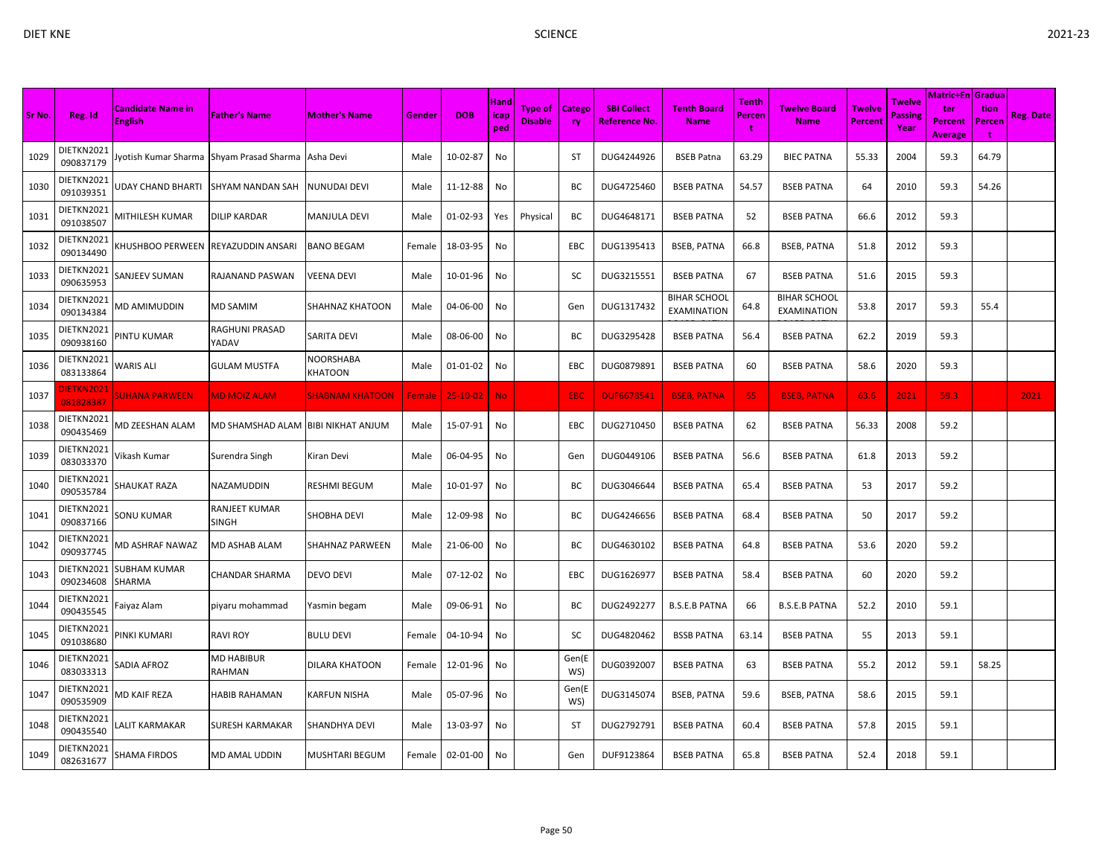| Sr No. | Reg. Id                       | <b>Candidate Name in</b><br><b>English</b> | <b>Father's Name</b>          | <b>Mother's Name</b>     | Gender | <b>DOB</b>     | Hand<br><b>icap</b><br>ped | Type of<br><b>Disable</b> | <b>Catego</b><br><b>ry</b> | <b>SBI Collect</b><br>Reference No. | <b>Tenth Board</b><br><b>Name</b>         | Tenth<br><b>Percen</b><br>÷ | <b>Twelve Board</b><br><b>Name</b>        | <b>Twelve</b><br>Percent | <b>Twelve</b><br><b>Passing</b><br>Year | <b>Matric+En Gradua</b><br>ter<br><b>Percent</b><br><b>Average</b> | tion<br>Percen<br>÷ | <b>Reg. Date</b> |
|--------|-------------------------------|--------------------------------------------|-------------------------------|--------------------------|--------|----------------|----------------------------|---------------------------|----------------------------|-------------------------------------|-------------------------------------------|-----------------------------|-------------------------------------------|--------------------------|-----------------------------------------|--------------------------------------------------------------------|---------------------|------------------|
| 1029   | DIETKN2021<br>090837179       | Iyotish Kumar Sharma                       | Shyam Prasad Sharma           | Asha Devi                | Male   | 10-02-87       | No                         |                           | ST                         | DUG4244926                          | <b>BSEB Patna</b>                         | 63.29                       | <b>BIEC PATNA</b>                         | 55.33                    | 2004                                    | 59.3                                                               | 64.79               |                  |
| 1030   | DIETKN2021<br>091039351       | JDAY CHAND BHARTI                          | <b>SHYAM NANDAN SAH</b>       | NUNUDAI DEVI             | Male   | 11-12-88       | No                         |                           | BC                         | DUG4725460                          | <b>BSEB PATNA</b>                         | 54.57                       | <b>BSEB PATNA</b>                         | 64                       | 2010                                    | 59.3                                                               | 54.26               |                  |
| 1031   | DIETKN2021<br>091038507       | MITHILESH KUMAR                            | <b>DILIP KARDAR</b>           | MANJULA DEVI             | Male   | 01-02-93       | Yes                        | Physical                  | ВC                         | DUG4648171                          | <b>BSEB PATNA</b>                         | 52                          | <b>BSEB PATNA</b>                         | 66.6                     | 2012                                    | 59.3                                                               |                     |                  |
| 1032   | DIETKN2021<br>090134490       | HUSHBOO PERWEEN                            | REYAZUDDIN ANSARI             | <b>BANO BEGAM</b>        | Female | 18-03-95       | No                         |                           | EBC                        | DUG1395413                          | <b>BSEB, PATNA</b>                        | 66.8                        | <b>BSEB, PATNA</b>                        | 51.8                     | 2012                                    | 59.3                                                               |                     |                  |
| 1033   | DIETKN2021<br>090635953       | SANJEEV SUMAN                              | RAJANAND PASWAN               | VEENA DEVI               | Male   | 10-01-96       | No                         |                           | SC                         | DUG3215551                          | <b>BSEB PATNA</b>                         | 67                          | <b>BSEB PATNA</b>                         | 51.6                     | 2015                                    | 59.3                                                               |                     |                  |
| 1034   | DIETKN2021<br>090134384       | VID AMIMUDDIN                              | MD SAMIM                      | SHAHNAZ KHATOON          | Male   | 04-06-00       | No                         |                           | Gen                        | DUG1317432                          | <b>BIHAR SCHOOL</b><br><b>EXAMINATION</b> | 64.8                        | <b>BIHAR SCHOOL</b><br><b>EXAMINATION</b> | 53.8                     | 2017                                    | 59.3                                                               | 55.4                |                  |
| 1035   | DIETKN2021<br>090938160       | PINTU KUMAR                                | RAGHUNI PRASAD<br>YADAV       | SARITA DEVI              | Male   | 08-06-00       | No                         |                           | BC                         | DUG3295428                          | <b>BSEB PATNA</b>                         | 56.4                        | <b>BSEB PATNA</b>                         | 62.2                     | 2019                                    | 59.3                                                               |                     |                  |
| 1036   | DIETKN2021<br>083133864       | WARIS ALI                                  | <b>GULAM MUSTFA</b>           | NOORSHABA<br>KHATOON     | Male   | 01-01-02       | No                         |                           | EBC                        | DUG0879891                          | <b>BSEB PATNA</b>                         | 60                          | <b>BSEB PATNA</b>                         | 58.6                     | 2020                                    | 59.3                                                               |                     |                  |
| 1037   | <b>IETKN2021</b><br>081828387 | <b>SUHANA PARWEEN</b>                      | <b>MD MOIZ ALAM</b>           | <b>SHABNAM KHATOON</b>   | Female | $25 - 10 - 02$ | <b>No</b>                  |                           | <b>EBC</b>                 | <b>DUF6678541</b>                   | <b>BSEB, PATNA</b>                        | 55                          | <b>BSEB, PATNA</b>                        | 63.6                     | 2021                                    | 59.3                                                               |                     | 2021             |
| 1038   | DIETKN2021<br>090435469       | VID ZEESHAN ALAM                           | MD SHAMSHAD ALAM              | <b>BIBI NIKHAT ANJUM</b> | Male   | 15-07-91       | No                         |                           | EBC                        | DUG2710450                          | <b>BSEB PATNA</b>                         | 62                          | <b>BSEB PATNA</b>                         | 56.33                    | 2008                                    | 59.2                                                               |                     |                  |
| 1039   | DIETKN2021<br>083033370       | ∕ikash Kumar                               | Surendra Singh                | Kiran Devi               | Male   | 06-04-95       | No                         |                           | Gen                        | DUG0449106                          | <b>BSEB PATNA</b>                         | 56.6                        | <b>BSEB PATNA</b>                         | 61.8                     | 2013                                    | 59.2                                                               |                     |                  |
| 1040   | DIETKN2021<br>090535784       | SHAUKAT RAZA                               | NAZAMUDDIN                    | RESHMI BEGUM             | Male   | 10-01-97       | No                         |                           | ВC                         | DUG3046644                          | <b>BSEB PATNA</b>                         | 65.4                        | <b>BSEB PATNA</b>                         | 53                       | 2017                                    | 59.2                                                               |                     |                  |
| 1041   | DIETKN2021<br>090837166       | SONU KUMAR                                 | RANJEET KUMAR<br><b>SINGH</b> | SHOBHA DEVI              | Male   | 12-09-98       | No                         |                           | BС                         | DUG4246656                          | <b>BSEB PATNA</b>                         | 68.4                        | <b>BSEB PATNA</b>                         | 50                       | 2017                                    | 59.2                                                               |                     |                  |
| 1042   | DIETKN2021<br>090937745       | <b>MD ASHRAF NAWAZ</b>                     | MD ASHAB ALAM                 | SHAHNAZ PARWEEN          | Male   | 21-06-00       | No                         |                           | BC                         | DUG4630102                          | <b>BSEB PATNA</b>                         | 64.8                        | <b>BSEB PATNA</b>                         | 53.6                     | 2020                                    | 59.2                                                               |                     |                  |
| 1043   | DIETKN2021<br>090234608       | SUBHAM KUMAR<br>SHARMA                     | CHANDAR SHARMA                | DEVO DEVI                | Male   | 07-12-02       | No                         |                           | EBC                        | DUG1626977                          | <b>BSEB PATNA</b>                         | 58.4                        | <b>BSEB PATNA</b>                         | 60                       | 2020                                    | 59.2                                                               |                     |                  |
| 1044   | DIETKN2021<br>090435545       | aiyaz Alam                                 | piyaru mohammad               | Yasmin begam             | Male   | 09-06-91       | No                         |                           | ВC                         | DUG2492277                          | <b>B.S.E.B PATNA</b>                      | 66                          | <b>B.S.E.B PATNA</b>                      | 52.2                     | 2010                                    | 59.1                                                               |                     |                  |
| 1045   | DIETKN2021<br>091038680       | PINKI KUMARI                               | <b>RAVI ROY</b>               | <b>BULU DEVI</b>         | Female | 04-10-94       | No                         |                           | SC                         | DUG4820462                          | <b>BSSB PATNA</b>                         | 63.14                       | <b>BSEB PATNA</b>                         | 55                       | 2013                                    | 59.1                                                               |                     |                  |
| 1046   | DIETKN2021<br>083033313       | SADIA AFROZ                                | MD HABIBUR<br>RAHMAN          | DILARA KHATOON           | Female | 12-01-96       | No                         |                           | Gen(E<br>WS)               | DUG0392007                          | <b>BSEB PATNA</b>                         | 63                          | <b>BSEB PATNA</b>                         | 55.2                     | 2012                                    | 59.1                                                               | 58.25               |                  |
| 1047   | DIETKN2021<br>090535909       | MD KAIF REZA                               | <b>HABIB RAHAMAN</b>          | KARFUN NISHA             | Male   | 05-07-96       | No                         |                           | Gen(E<br>WS)               | DUG3145074                          | <b>BSEB, PATNA</b>                        | 59.6                        | <b>BSEB, PATNA</b>                        | 58.6                     | 2015                                    | 59.1                                                               |                     |                  |
| 1048   | DIETKN2021<br>090435540       | .ALIT KARMAKAR                             | <b>SURESH KARMAKAR</b>        | SHANDHYA DEVI            | Male   | 13-03-97       | No                         |                           | ST                         | DUG2792791                          | <b>BSEB PATNA</b>                         | 60.4                        | <b>BSEB PATNA</b>                         | 57.8                     | 2015                                    | 59.1                                                               |                     |                  |
| 1049   | DIETKN2021<br>082631677       | SHAMA FIRDOS                               | MD AMAL UDDIN                 | MUSHTARI BEGUM           | Female | 02-01-00       | No                         |                           | Gen                        | DUF9123864                          | <b>BSEB PATNA</b>                         | 65.8                        | <b>BSEB PATNA</b>                         | 52.4                     | 2018                                    | 59.1                                                               |                     |                  |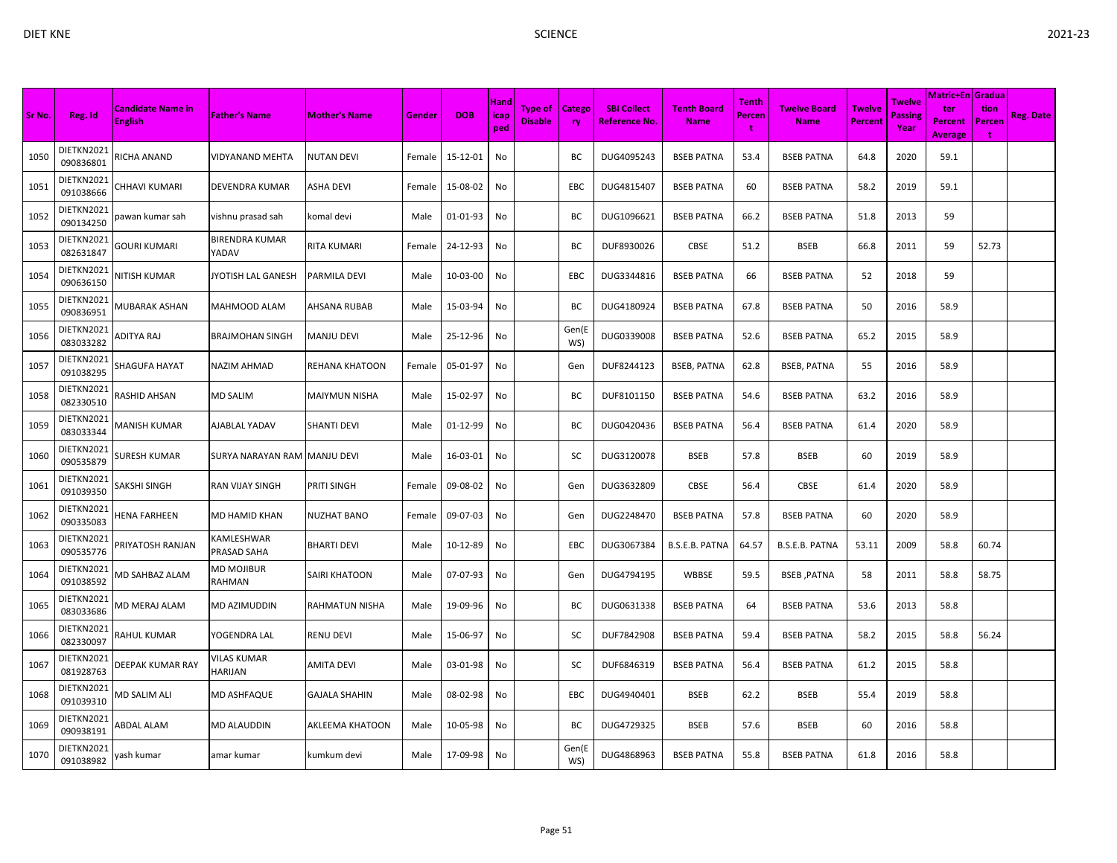| Sr No. | Reg. Id                 | <b>Candidate Name in</b> | <b>Father's Name</b>           | <b>Mother's Name</b>  | Gender | <b>DOB</b> | Hand<br><b>icap</b> | Type of        | <b>Catego</b> | <b>SBI Collect</b> | <b>Tenth Board</b> | Tenth<br><b>Percen</b> | <b>Twelve Board</b> | <b>Twelve</b>  | Twelve<br><b>Passing</b> | Matric+En   Gradua  <br>ter | tion        | <b>Reg. Date</b> |
|--------|-------------------------|--------------------------|--------------------------------|-----------------------|--------|------------|---------------------|----------------|---------------|--------------------|--------------------|------------------------|---------------------|----------------|--------------------------|-----------------------------|-------------|------------------|
|        |                         | <b>English</b>           |                                |                       |        |            | ped                 | <b>Disable</b> | <b>ry</b>     | Reference No.      | <b>Name</b>        | đ                      | <b>Name</b>         | <b>Percent</b> | Year                     | Percent<br><b>Average</b>   | Percen<br>÷ |                  |
| 1050   | DIETKN2021<br>090836801 | RICHA ANAND              | VIDYANAND MEHTA                | NUTAN DEVI            | Female | 15-12-01   | No                  |                | BС            | DUG4095243         | <b>BSEB PATNA</b>  | 53.4                   | <b>BSEB PATNA</b>   | 64.8           | 2020                     | 59.1                        |             |                  |
| 1051   | DIETKN2021<br>091038666 | CHHAVI KUMARI            | DEVENDRA KUMAR                 | ASHA DEVI             | Female | 15-08-02   | No                  |                | <b>EBC</b>    | DUG4815407         | <b>BSEB PATNA</b>  | 60                     | <b>BSEB PATNA</b>   | 58.2           | 2019                     | 59.1                        |             |                  |
| 1052   | DIETKN2021<br>090134250 | pawan kumar sah          | vishnu prasad sah              | komal devi            | Male   | 01-01-93   | No                  |                | ВC            | DUG1096621         | <b>BSEB PATNA</b>  | 66.2                   | <b>BSEB PATNA</b>   | 51.8           | 2013                     | 59                          |             |                  |
| 1053   | DIETKN2021<br>082631847 | <b>GOURI KUMARI</b>      | <b>BIRENDRA KUMAR</b><br>YADAV | RITA KUMARI           | Female | 24-12-93   | No                  |                | BC            | DUF8930026         | <b>CBSE</b>        | 51.2                   | <b>BSEB</b>         | 66.8           | 2011                     | 59                          | 52.73       |                  |
| 1054   | DIETKN2021<br>090636150 | NITISH KUMAR             | JYOTISH LAL GANESH             | PARMILA DEVI          | Male   | 10-03-00   | No                  |                | EBC           | DUG3344816         | <b>BSEB PATNA</b>  | 66                     | <b>BSEB PATNA</b>   | 52             | 2018                     | 59                          |             |                  |
| 1055   | DIETKN2021<br>090836951 | MUBARAK ASHAN            | MAHMOOD ALAM                   | AHSANA RUBAB          | Male   | 15-03-94   | No                  |                | BC            | DUG4180924         | <b>BSEB PATNA</b>  | 67.8                   | <b>BSEB PATNA</b>   | 50             | 2016                     | 58.9                        |             |                  |
| 1056   | DIETKN2021<br>083033282 | ADITYA RAJ               | <b>BRAJMOHAN SINGH</b>         | <b>MANJU DEVI</b>     | Male   | 25-12-96   | No                  |                | Gen(E<br>WS)  | DUG0339008         | <b>BSEB PATNA</b>  | 52.6                   | <b>BSEB PATNA</b>   | 65.2           | 2015                     | 58.9                        |             |                  |
| 1057   | DIETKN2021<br>091038295 | SHAGUFA HAYAT            | NAZIM AHMAD                    | <b>REHANA KHATOON</b> | Female | 05-01-97   | No                  |                | Gen           | DUF8244123         | <b>BSEB, PATNA</b> | 62.8                   | <b>BSEB, PATNA</b>  | 55             | 2016                     | 58.9                        |             |                  |
| 1058   | DIETKN2021<br>082330510 | RASHID AHSAN             | <b>MD SALIM</b>                | MAIYMUN NISHA         | Male   | 15-02-97   | No                  |                | BC            | DUF8101150         | <b>BSEB PATNA</b>  | 54.6                   | <b>BSEB PATNA</b>   | 63.2           | 2016                     | 58.9                        |             |                  |
| 1059   | DIETKN2021<br>083033344 | MANISH KUMAR             | AJABLAL YADAV                  | SHANTI DEVI           | Male   | 01-12-99   | No                  |                | BC            | DUG0420436         | <b>BSEB PATNA</b>  | 56.4                   | <b>BSEB PATNA</b>   | 61.4           | 2020                     | 58.9                        |             |                  |
| 1060   | DIETKN2021<br>090535879 | SURESH KUMAR             | SURYA NARAYAN RAM MANJU DEVI   |                       | Male   | 16-03-01   | No                  |                | SC            | DUG3120078         | <b>BSEB</b>        | 57.8                   | <b>BSEB</b>         | 60             | 2019                     | 58.9                        |             |                  |
| 1061   | DIETKN2021<br>091039350 | SAKSHI SINGH             | <b>RAN VIJAY SINGH</b>         | PRITI SINGH           | Female | 09-08-02   | No                  |                | Gen           | DUG3632809         | <b>CBSE</b>        | 56.4                   | <b>CBSE</b>         | 61.4           | 2020                     | 58.9                        |             |                  |
| 1062   | DIETKN2021<br>090335083 | HENA FARHEEN             | MD HAMID KHAN                  | NUZHAT BANO           | Female | 09-07-03   | No                  |                | Gen           | DUG2248470         | <b>BSEB PATNA</b>  | 57.8                   | <b>BSEB PATNA</b>   | 60             | 2020                     | 58.9                        |             |                  |
| 1063   | DIETKN2021<br>090535776 | <b>PRIYATOSH RANJAN</b>  | KAMLESHWAR<br>PRASAD SAHA      | <b>BHARTI DEVI</b>    | Male   | 10-12-89   | No                  |                | EBC           | DUG3067384         | B.S.E.B. PATNA     | 64.57                  | B.S.E.B. PATNA      | 53.11          | 2009                     | 58.8                        | 60.74       |                  |
| 1064   | DIETKN2021<br>091038592 | <b>MD SAHBAZ ALAM</b>    | MD MOJIBUR<br>RAHMAN           | SAIRI KHATOON         | Male   | 07-07-93   | No                  |                | Gen           | DUG4794195         | WBBSE              | 59.5                   | <b>BSEB, PATNA</b>  | 58             | 2011                     | 58.8                        | 58.75       |                  |
| 1065   | DIETKN2021<br>083033686 | VID MERAJ ALAM           | MD AZIMUDDIN                   | RAHMATUN NISHA        | Male   | 19-09-96   | No                  |                | BC            | DUG0631338         | <b>BSEB PATNA</b>  | 64                     | <b>BSEB PATNA</b>   | 53.6           | 2013                     | 58.8                        |             |                  |
| 1066   | DIETKN2021<br>082330097 | RAHUL KUMAR              | YOGENDRA LAL                   | RENU DEVI             | Male   | 15-06-97   | No                  |                | SC            | DUF7842908         | <b>BSEB PATNA</b>  | 59.4                   | <b>BSEB PATNA</b>   | 58.2           | 2015                     | 58.8                        | 56.24       |                  |
| 1067   | DIETKN2021<br>081928763 | DEEPAK KUMAR RAY         | /ILAS KUMAR<br>HARIJAN         | AMITA DEVI            | Male   | 03-01-98   | No                  |                | SC            | DUF6846319         | <b>BSEB PATNA</b>  | 56.4                   | <b>BSEB PATNA</b>   | 61.2           | 2015                     | 58.8                        |             |                  |
| 1068   | DIETKN2021<br>091039310 | MD SALIM ALI             | MD ASHFAQUE                    | <b>GAJALA SHAHIN</b>  | Male   | 08-02-98   | No                  |                | <b>EBC</b>    | DUG4940401         | <b>BSEB</b>        | 62.2                   | <b>BSEB</b>         | 55.4           | 2019                     | 58.8                        |             |                  |
| 1069   | DIETKN2021<br>090938191 | ABDAL ALAM               | MD ALAUDDIN                    | AKLEEMA KHATOON       | Male   | 10-05-98   | No                  |                | BC            | DUG4729325         | <b>BSEB</b>        | 57.6                   | <b>BSEB</b>         | 60             | 2016                     | 58.8                        |             |                  |
| 1070   | DIETKN2021<br>091038982 | yash kumar               | amar kumar                     | kumkum devi           | Male   | 17-09-98   | No                  |                | Gen(E<br>WS)  | DUG4868963         | <b>BSEB PATNA</b>  | 55.8                   | <b>BSEB PATNA</b>   | 61.8           | 2016                     | 58.8                        |             |                  |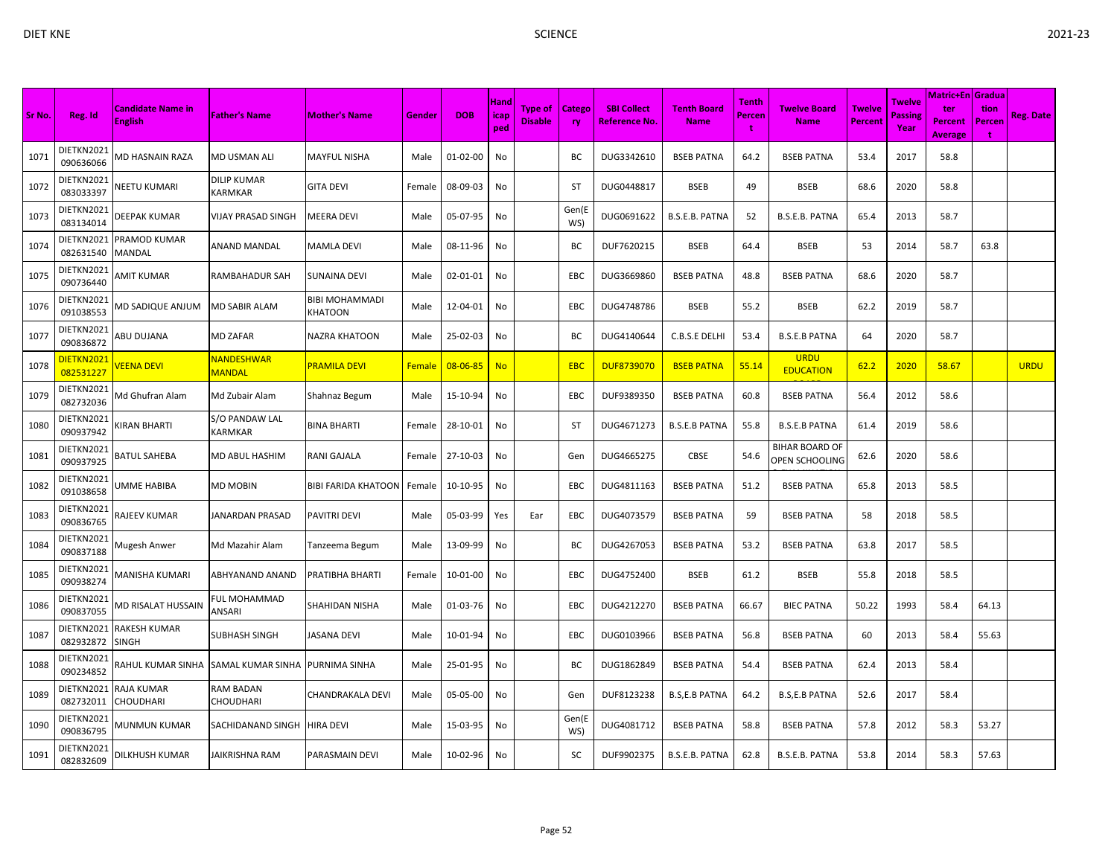| Sr No. | Reg. Id                 | <b>Candidate Name in</b><br><b>English</b> | <b>Father's Name</b>          | <b>Mother's Name</b>             | Gender | <b>DOB</b>     | Hand<br>icap <sub></sub><br>ped | <b>Type of</b><br><b>Disable</b> | Catego<br>ry | <b>SBI Collect</b><br><b>Reference No.</b> | <b>Tenth Board</b><br><b>Name</b> | Tenth<br>Percen | <b>Twelve Board</b><br><b>Name</b>             | <b>Twelve</b><br>Percent | Twelve<br>Passing<br>Year | <b>Matric+En Gradua</b><br>ter<br><b>Percent</b><br><b>Average</b> | tion<br><b>Percen</b><br>÷ | <b>Reg. Date</b> |
|--------|-------------------------|--------------------------------------------|-------------------------------|----------------------------------|--------|----------------|---------------------------------|----------------------------------|--------------|--------------------------------------------|-----------------------------------|-----------------|------------------------------------------------|--------------------------|---------------------------|--------------------------------------------------------------------|----------------------------|------------------|
| 1071   | DIETKN2021<br>090636066 | MD HASNAIN RAZA                            | <b>MD USMAN ALI</b>           | <b>MAYFUL NISHA</b>              | Male   | $01 - 02 - 00$ | No                              |                                  | BС           | DUG3342610                                 | <b>BSEB PATNA</b>                 | 64.2            | <b>BSEB PATNA</b>                              | 53.4                     | 2017                      | 58.8                                                               |                            |                  |
| 1072   | DIETKN2021<br>083033397 | NEETU KUMARI                               | DILIP KUMAR<br>KARMKAR        | <b>GITA DEVI</b>                 | Female | 08-09-03       | No                              |                                  | <b>ST</b>    | DUG0448817                                 | <b>BSEB</b>                       | 49              | <b>BSEB</b>                                    | 68.6                     | 2020                      | 58.8                                                               |                            |                  |
| 1073   | DIETKN2021<br>083134014 | <b>DEEPAK KUMAR</b>                        | <b>VIJAY PRASAD SINGH</b>     | MEERA DEVI                       | Male   | 05-07-95       | No                              |                                  | Gen(E<br>WS) | DUG0691622                                 | B.S.E.B. PATNA                    | 52              | B.S.E.B. PATNA                                 | 65.4                     | 2013                      | 58.7                                                               |                            |                  |
| 1074   | DIETKN2021<br>082631540 | <b>PRAMOD KUMAR</b><br><b>MANDAL</b>       | <b>ANAND MANDAL</b>           | <b>MAMLA DEVI</b>                | Male   | 08-11-96       | No                              |                                  | BC           | DUF7620215                                 | <b>BSEB</b>                       | 64.4            | <b>BSEB</b>                                    | 53                       | 2014                      | 58.7                                                               | 63.8                       |                  |
| 1075   | DIETKN2021<br>090736440 | AMIT KUMAR                                 | RAMBAHADUR SAH                | SUNAINA DEVI                     | Male   | 02-01-01       | No                              |                                  | EBC          | DUG3669860                                 | <b>BSEB PATNA</b>                 | 48.8            | <b>BSEB PATNA</b>                              | 68.6                     | 2020                      | 58.7                                                               |                            |                  |
| 1076   | DIETKN2021<br>091038553 | MD SADIQUE ANJUM                           | MD SABIR ALAM                 | <b>BIBI MOHAMMADI</b><br>KHATOON | Male   | 12-04-01       | No                              |                                  | EBC          | DUG4748786                                 | <b>BSEB</b>                       | 55.2            | <b>BSEB</b>                                    | 62.2                     | 2019                      | 58.7                                                               |                            |                  |
| 1077   | DIETKN2021<br>090836872 | ABU DUJANA                                 | <b>MD ZAFAR</b>               | <b>NAZRA KHATOON</b>             | Male   | 25-02-03       | No                              |                                  | BC           | DUG4140644                                 | C.B.S.E DELHI                     | 53.4            | <b>B.S.E.B PATNA</b>                           | 64                       | 2020                      | 58.7                                                               |                            |                  |
| 1078   | DIETKN2021<br>082531227 | <b>/EENA DEVI</b>                          | NANDESHWAR<br><b>MANDAL</b>   | <b>PRAMILA DEVI</b>              | Female | 08-06-85       | <b>No</b>                       |                                  | <b>EBC</b>   | <b>DUF8739070</b>                          | <b>BSEB PATNA</b>                 | 55.14           | <b>URDU</b><br><b>EDUCATION</b>                | 62.2                     | 2020                      | 58.67                                                              |                            | <b>URDU</b>      |
| 1079   | DIETKN2021<br>082732036 | Md Ghufran Alam                            | Md Zubair Alam                | Shahnaz Begum                    | Male   | 15-10-94       | No                              |                                  | EBC          | DUF9389350                                 | <b>BSEB PATNA</b>                 | 60.8            | <b>BSEB PATNA</b>                              | 56.4                     | 2012                      | 58.6                                                               |                            |                  |
| 1080   | DIETKN2021<br>090937942 | <b>(IRAN BHARTI</b>                        | S/O PANDAW LAL<br>KARMKAR     | <b>BINA BHARTI</b>               | Female | 28-10-01       | No                              |                                  | <b>ST</b>    | DUG4671273                                 | <b>B.S.E.B PATNA</b>              | 55.8            | <b>B.S.E.B PATNA</b>                           | 61.4                     | 2019                      | 58.6                                                               |                            |                  |
| 1081   | DIETKN2021<br>090937925 | <b>BATUL SAHEBA</b>                        | MD ABUL HASHIM                | RANI GAJALA                      | Female | 27-10-03       | No                              |                                  | Gen          | DUG4665275                                 | CBSE                              | 54.6            | <b>BIHAR BOARD OF</b><br><b>OPEN SCHOOLING</b> | 62.6                     | 2020                      | 58.6                                                               |                            |                  |
| 1082   | DIETKN2021<br>091038658 | UMME HABIBA                                | <b>MD MOBIN</b>               | <b>BIBI FARIDA KHATOON</b>       | Female | 10-10-95       | No                              |                                  | EBC          | DUG4811163                                 | <b>BSEB PATNA</b>                 | 51.2            | <b>BSEB PATNA</b>                              | 65.8                     | 2013                      | 58.5                                                               |                            |                  |
| 1083   | DIETKN2021<br>090836765 | RAJEEV KUMAR                               | <b>JANARDAN PRASAD</b>        | PAVITRI DEVI                     | Male   | 05-03-99       | Yes                             | Ear                              | EBC          | DUG4073579                                 | <b>BSEB PATNA</b>                 | 59              | <b>BSEB PATNA</b>                              | 58                       | 2018                      | 58.5                                                               |                            |                  |
| 1084   | DIETKN2021<br>090837188 | Mugesh Anwer                               | Md Mazahir Alam               | Tanzeema Begum                   | Male   | 13-09-99       | No                              |                                  | BC           | DUG4267053                                 | <b>BSEB PATNA</b>                 | 53.2            | <b>BSEB PATNA</b>                              | 63.8                     | 2017                      | 58.5                                                               |                            |                  |
| 1085   | DIETKN2021<br>090938274 | MANISHA KUMARI                             | ABHYANAND ANAND               | PRATIBHA BHARTI                  | Female | 10-01-00       | No                              |                                  | EBC          | DUG4752400                                 | <b>BSEB</b>                       | 61.2            | <b>BSEB</b>                                    | 55.8                     | 2018                      | 58.5                                                               |                            |                  |
| 1086   | DIETKN2021<br>090837055 | MD RISALAT HUSSAIN                         | FUL MOHAMMAD<br>ANSARI        | SHAHIDAN NISHA                   | Male   | 01-03-76       | No                              |                                  | EBC          | DUG4212270                                 | <b>BSEB PATNA</b>                 | 66.67           | <b>BIEC PATNA</b>                              | 50.22                    | 1993                      | 58.4                                                               | 64.13                      |                  |
| 1087   | DIETKN2021<br>082932872 | <b>RAKESH KUMAR</b><br><b>SINGH</b>        | <b>SUBHASH SINGH</b>          | <b>JASANA DEVI</b>               | Male   | 10-01-94       | No                              |                                  | <b>EBC</b>   | DUG0103966                                 | <b>BSEB PATNA</b>                 | 56.8            | <b>BSEB PATNA</b>                              | 60                       | 2013                      | 58.4                                                               | 55.63                      |                  |
| 1088   | DIETKN2021<br>090234852 | RAHUL KUMAR SINHA SAMAL KUMAR SINHA        |                               | PURNIMA SINHA                    | Male   | 25-01-95       | No                              |                                  | BC           | DUG1862849                                 | <b>BSEB PATNA</b>                 | 54.4            | <b>BSEB PATNA</b>                              | 62.4                     | 2013                      | 58.4                                                               |                            |                  |
| 1089   | DIETKN2021<br>082732011 | <b>RAJA KUMAR</b><br><b>CHOUDHARI</b>      | RAM BADAN<br><b>CHOUDHARI</b> | CHANDRAKALA DEVI                 | Male   | 05-05-00       | No                              |                                  | Gen          | DUF8123238                                 | <b>B.S,E.B PATNA</b>              | 64.2            | <b>B.S,E.B PATNA</b>                           | 52.6                     | 2017                      | 58.4                                                               |                            |                  |
| 1090   | DIETKN2021<br>090836795 | MUNMUN KUMAR                               | SACHIDANAND SINGH             | <b>HIRA DEVI</b>                 | Male   | 15-03-95       | No                              |                                  | Gen(E<br>WS) | DUG4081712                                 | <b>BSEB PATNA</b>                 | 58.8            | <b>BSEB PATNA</b>                              | 57.8                     | 2012                      | 58.3                                                               | 53.27                      |                  |
| 1091   | DIETKN2021<br>082832609 | DILKHUSH KUMAR                             | <b>JAIKRISHNA RAM</b>         | PARASMAIN DEVI                   | Male   | 10-02-96       | No                              |                                  | <b>SC</b>    | DUF9902375                                 | B.S.E.B. PATNA                    | 62.8            | B.S.E.B. PATNA                                 | 53.8                     | 2014                      | 58.3                                                               | 57.63                      |                  |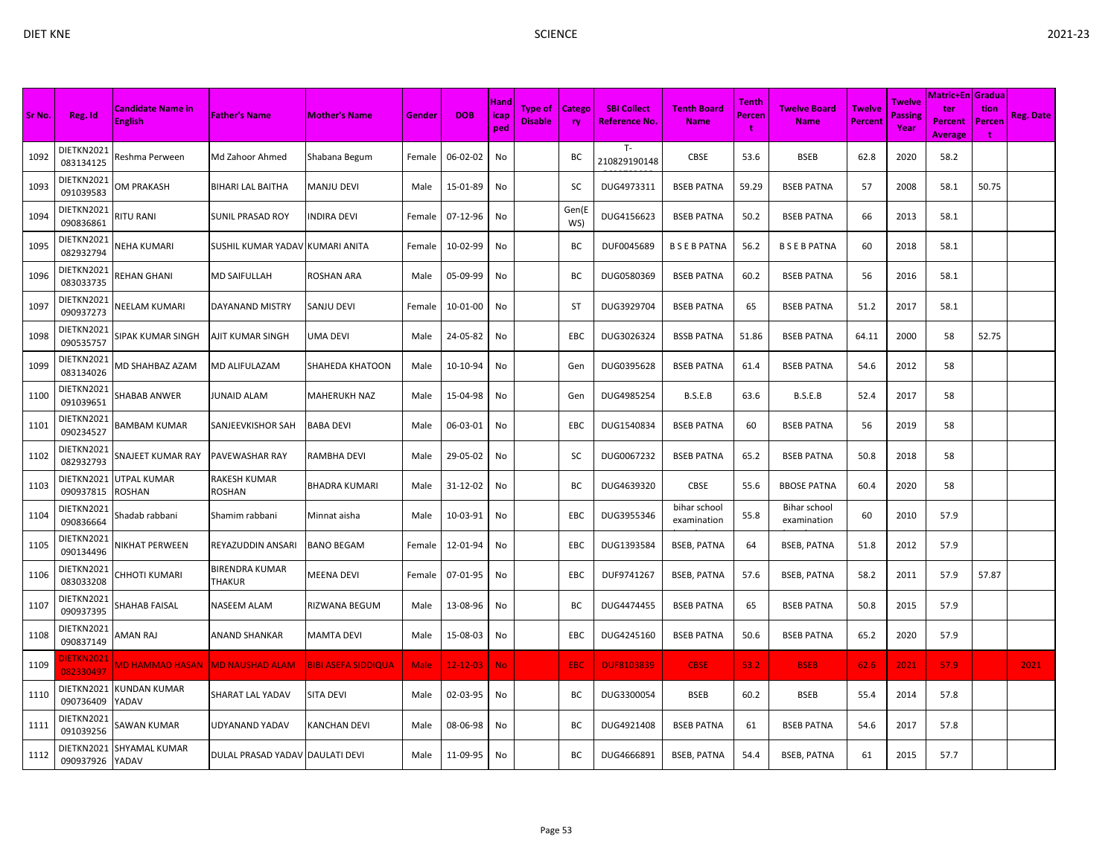|        |                                 |                                            |                                 |                            |             |                |                                  |                                  |                            |                                            |                                   | Tenth  | <b>Twelve Board</b>         |                                 |                                         | <b>Matric+En Gradua</b>          |                     |                  |
|--------|---------------------------------|--------------------------------------------|---------------------------------|----------------------------|-------------|----------------|----------------------------------|----------------------------------|----------------------------|--------------------------------------------|-----------------------------------|--------|-----------------------------|---------------------------------|-----------------------------------------|----------------------------------|---------------------|------------------|
| Sr No. | Reg. Id                         | <b>Candidate Name in</b><br><b>English</b> | <b>Father's Name</b>            | <b>Mother's Name</b>       | Gender      | <b>DOB</b>     | Hand<br>icap <sub>i</sub><br>ped | <b>Type of</b><br><b>Disable</b> | <b>Catego</b><br><b>ry</b> | <b>SBI Collect</b><br><b>Reference No.</b> | <b>Tenth Board</b><br><b>Name</b> | Percen | <b>Name</b>                 | <b>Twelve</b><br><b>Percent</b> | <b>Twelve</b><br><b>Passing</b><br>Year | ter<br>Percent<br><b>Average</b> | tion<br>Percen<br>÷ | <b>Reg. Date</b> |
| 1092   | DIETKN2021<br>083134125         | Reshma Perween                             | Md Zahoor Ahmed                 | Shabana Begum              | Female      | 06-02-02       | No                               |                                  | ВC                         | $T -$<br>210829190148                      | CBSE                              | 53.6   | <b>BSEB</b>                 | 62.8                            | 2020                                    | 58.2                             |                     |                  |
| 1093   | DIETKN2021<br>091039583         | OM PRAKASH                                 | BIHARI LAL BAITHA               | MANJU DEVI                 | Male        | 15-01-89       | No                               |                                  | SC                         | DUG4973311                                 | <b>BSEB PATNA</b>                 | 59.29  | <b>BSEB PATNA</b>           | 57                              | 2008                                    | 58.1                             | 50.75               |                  |
| 1094   | DIETKN2021<br>090836861         | <b>RITU RANI</b>                           | SUNIL PRASAD ROY                | INDIRA DEVI                | Female      | 07-12-96       | No                               |                                  | Gen(E<br>WS)               | DUG4156623                                 | <b>BSEB PATNA</b>                 | 50.2   | <b>BSEB PATNA</b>           | 66                              | 2013                                    | 58.1                             |                     |                  |
| 1095   | DIETKN2021<br>082932794         | <b>NEHA KUMARI</b>                         | SUSHIL KUMAR YADAV KUMARI ANITA |                            | Female      | 10-02-99       | No                               |                                  | BC                         | DUF0045689                                 | <b>BSEBPATNA</b>                  | 56.2   | <b>BSEBPATNA</b>            | 60                              | 2018                                    | 58.1                             |                     |                  |
| 1096   | DIETKN2021<br>083033735         | REHAN GHANI                                | <b>MD SAIFULLAH</b>             | ROSHAN ARA                 | Male        | 05-09-99       | No                               |                                  | BC                         | DUG0580369                                 | <b>BSEB PATNA</b>                 | 60.2   | <b>BSEB PATNA</b>           | 56                              | 2016                                    | 58.1                             |                     |                  |
| 1097   | DIETKN2021<br>090937273         | NEELAM KUMARI                              | DAYANAND MISTRY                 | SANJU DEVI                 | Female      | 10-01-00       | No                               |                                  | ST                         | DUG3929704                                 | <b>BSEB PATNA</b>                 | 65     | <b>BSEB PATNA</b>           | 51.2                            | 2017                                    | 58.1                             |                     |                  |
| 1098   | DIETKN2021<br>090535757         | SIPAK KUMAR SINGH                          | AJIT KUMAR SINGH                | UMA DEVI                   | Male        | 24-05-82       | No                               |                                  | EBC                        | DUG3026324                                 | <b>BSSB PATNA</b>                 | 51.86  | <b>BSEB PATNA</b>           | 64.11                           | 2000                                    | 58                               | 52.75               |                  |
| 1099   | DIETKN2021<br>083134026         | AD SHAHBAZ AZAM                            | MD ALIFULAZAM                   | SHAHEDA KHATOON            | Male        | 10-10-94       | No                               |                                  | Gen                        | DUG0395628                                 | <b>BSEB PATNA</b>                 | 61.4   | <b>BSEB PATNA</b>           | 54.6                            | 2012                                    | 58                               |                     |                  |
| 1100   | DIETKN2021<br>091039651         | SHABAB ANWER                               | JUNAID ALAM                     | MAHERUKH NAZ               | Male        | 15-04-98       | No                               |                                  | Gen                        | DUG4985254                                 | B.S.E.B                           | 63.6   | B.S.E.B                     | 52.4                            | 2017                                    | 58                               |                     |                  |
| 1101   | DIETKN2021<br>090234527         | BAMBAM KUMAR                               | SANJEEVKISHOR SAH               | BABA DEVI                  | Male        | 06-03-01       | No                               |                                  | <b>EBC</b>                 | DUG1540834                                 | <b>BSEB PATNA</b>                 | 60     | <b>BSEB PATNA</b>           | 56                              | 2019                                    | 58                               |                     |                  |
| 1102   | DIETKN2021<br>082932793         | SNAJEET KUMAR RAY                          | PAVEWASHAR RAY                  | RAMBHA DEVI                | Male        | 29-05-02       | No                               |                                  | SC                         | DUG0067232                                 | <b>BSEB PATNA</b>                 | 65.2   | <b>BSEB PATNA</b>           | 50.8                            | 2018                                    | 58                               |                     |                  |
| 1103   | DIETKN2021<br>090937815         | UTPAL KUMAR<br>ROSHAN                      | RAKESH KUMAR<br>ROSHAN          | BHADRA KUMARI              | Male        | 31-12-02       | No                               |                                  | BC                         | DUG4639320                                 | CBSE                              | 55.6   | <b>BBOSE PATNA</b>          | 60.4                            | 2020                                    | 58                               |                     |                  |
| 1104   | DIETKN2021<br>090836664         | Shadab rabbani                             | Shamim rabbani                  | Minnat aisha               | Male        | 10-03-91       | No                               |                                  | EBC                        | DUG3955346                                 | bihar school<br>examination       | 55.8   | Bihar school<br>examination | 60                              | 2010                                    | 57.9                             |                     |                  |
| 1105   | DIETKN2021<br>090134496         | <b>NIKHAT PERWEEN</b>                      | REYAZUDDIN ANSARI               | <b>BANO BEGAM</b>          | Female      | 12-01-94       | No                               |                                  | <b>EBC</b>                 | DUG1393584                                 | <b>BSEB, PATNA</b>                | 64     | <b>BSEB, PATNA</b>          | 51.8                            | 2012                                    | 57.9                             |                     |                  |
| 1106   | DIETKN2021<br>083033208         | CHHOTI KUMARI                              | <b>BIRENDRA KUMAR</b><br>THAKUR | <b>MEENA DEVI</b>          | Female      | 07-01-95       | No                               |                                  | <b>EBC</b>                 | DUF9741267                                 | <b>BSEB, PATNA</b>                | 57.6   | <b>BSEB, PATNA</b>          | 58.2                            | 2011                                    | 57.9                             | 57.87               |                  |
| 1107   | DIETKN2021<br>090937395         | <b>SHAHAB FAISAL</b>                       | NASEEM ALAM                     | RIZWANA BEGUM              | Male        | 13-08-96       | No                               |                                  | BС                         | DUG4474455                                 | <b>BSEB PATNA</b>                 | 65     | <b>BSEB PATNA</b>           | 50.8                            | 2015                                    | 57.9                             |                     |                  |
| 1108   | DIETKN2021<br>090837149         | AMAN RAJ                                   | ANAND SHANKAR                   | MAMTA DEVI                 | Male        | 15-08-03       | No                               |                                  | <b>EBC</b>                 | DUG4245160                                 | <b>BSEB PATNA</b>                 | 50.6   | <b>BSEB PATNA</b>           | 65.2                            | 2020                                    | 57.9                             |                     |                  |
| 1109   | <u> DIETKN2021</u><br>082330497 | MD HAMMAD HASAN                            | <b>MD NAUSHAD ALAM</b>          | <b>BIBI ASEFA SIDDIQUA</b> | <b>Male</b> | $12 - 12 - 03$ | No.                              |                                  | <b>EBC</b>                 | <b>DUF8103839</b>                          | <b>CBSE</b>                       | 53.2   | <b>BSEB</b>                 | 62.6                            | 2021                                    | 57.9                             |                     | 2021             |
| 1110   | DIETKN2021<br>090736409         | KUNDAN KUMAR<br>YADAV                      | <b>SHARAT LAL YADAV</b>         | SITA DEVI                  | Male        | 02-03-95       | No                               |                                  | ВC                         | DUG3300054                                 | <b>BSEB</b>                       | 60.2   | <b>BSEB</b>                 | 55.4                            | 2014                                    | 57.8                             |                     |                  |
| 1111   | DIETKN2021<br>091039256         | SAWAN KUMAR                                | UDYANAND YADAV                  | KANCHAN DEVI               | Male        | 08-06-98       | No                               |                                  | BC                         | DUG4921408                                 | <b>BSEB PATNA</b>                 | 61     | <b>BSEB PATNA</b>           | 54.6                            | 2017                                    | 57.8                             |                     |                  |
| 1112   | DIETKN2021<br>090937926 YADAV   | SHYAMAL KUMAR                              | DULAL PRASAD YADAV DAULATI DEVI |                            | Male        | 11-09-95       | No                               |                                  | BC                         | DUG4666891                                 | <b>BSEB, PATNA</b>                | 54.4   | <b>BSEB, PATNA</b>          | 61                              | 2015                                    | 57.7                             |                     |                  |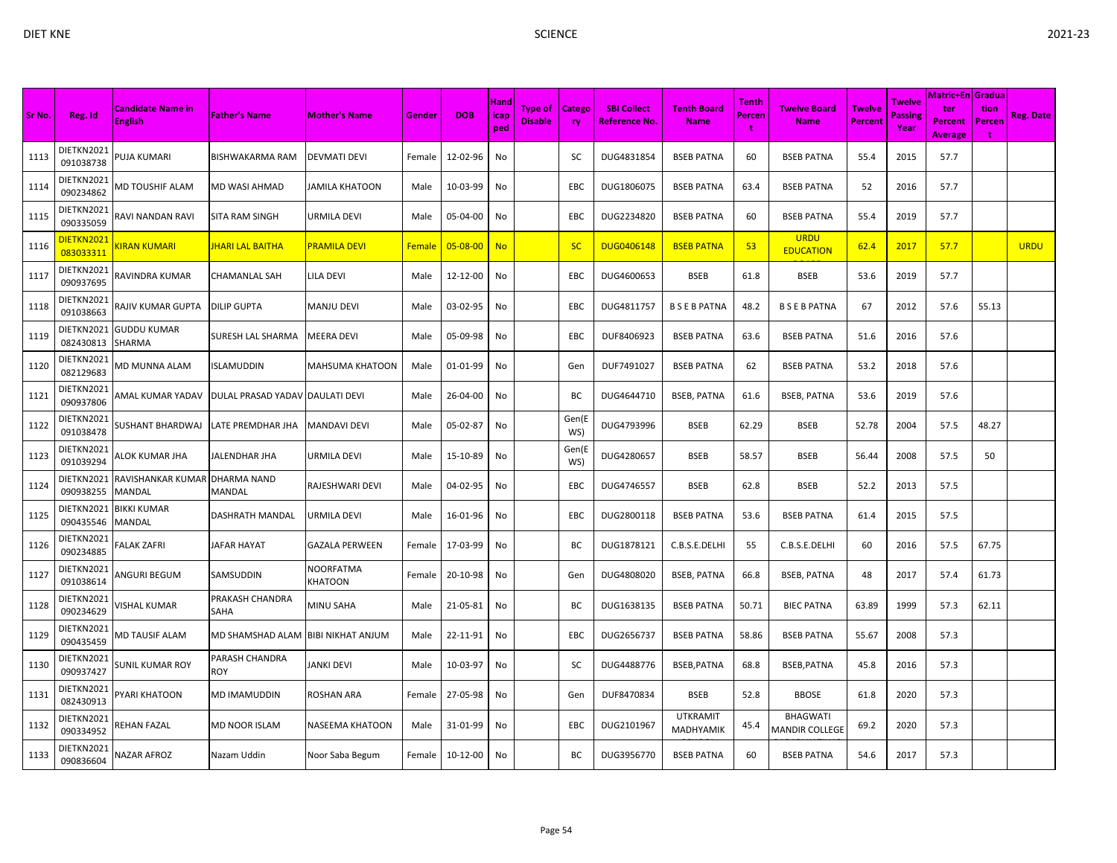| Sr No. | Reg. Id                         | <b>Candidate Name in</b><br><b>English</b> | <b>Father's Name</b>            | <b>Mother's Name</b>        | Gender        | <b>DOB</b>     | Hand<br>icap<br>ped | <b>Type of</b><br><b>Disable</b> | Catego<br>ry | <b>SBI Collect</b><br><b>Reference No</b> | <b>Tenth Board</b><br><b>Name</b>   | Tenth<br><b>Percen</b><br>t | <b>Twelve Board</b><br><b>Name</b>       | <b>Twelve</b><br><b>Percent</b> | <b>Twelve</b><br>Passing<br>Year | Matric+En Gradua<br>ter<br><b>Percent</b><br><b>Average</b> | tion<br>Percen<br>4 | Reg. Date   |
|--------|---------------------------------|--------------------------------------------|---------------------------------|-----------------------------|---------------|----------------|---------------------|----------------------------------|--------------|-------------------------------------------|-------------------------------------|-----------------------------|------------------------------------------|---------------------------------|----------------------------------|-------------------------------------------------------------|---------------------|-------------|
| 1113   | DIETKN2021<br>091038738         | PUJA KUMARI                                | <b>BISHWAKARMA RAM</b>          | <b>DEVMATI DEVI</b>         | Female        | 12-02-96       | No                  |                                  | SC           | DUG4831854                                | <b>BSEB PATNA</b>                   | 60                          | <b>BSEB PATNA</b>                        | 55.4                            | 2015                             | 57.7                                                        |                     |             |
| 1114   | DIETKN2021<br>090234862         | MD TOUSHIF ALAM                            | <b>MD WASI AHMAD</b>            | JAMILA KHATOON              | Male          | 10-03-99       | No                  |                                  | <b>EBC</b>   | DUG1806075                                | <b>BSEB PATNA</b>                   | 63.4                        | <b>BSEB PATNA</b>                        | 52                              | 2016                             | 57.7                                                        |                     |             |
| 1115   | DIETKN2021<br>090335059         | RAVI NANDAN RAVI                           | <b>SITA RAM SINGH</b>           | URMILA DEVI                 | Male          | 05-04-00       | No                  |                                  | EBC          | DUG2234820                                | <b>BSEB PATNA</b>                   | 60                          | <b>BSEB PATNA</b>                        | 55.4                            | 2019                             | 57.7                                                        |                     |             |
| 1116   | <u> DIETKN2021</u><br>083033311 | <b>KIRAN KUMARI</b>                        | <u>IHARI LAL BAITHA</u>         | PRAMILA DEVI                | <b>Female</b> | $05 - 08 - 00$ | <b>No</b>           |                                  | <b>SC</b>    | <b>DUG0406148</b>                         | <b>BSEB PATNA</b>                   | 53                          | <b>URDU</b><br><b>EDUCATION</b>          | 62.4                            | 2017                             | 57.7                                                        |                     | <b>URDU</b> |
| 1117   | DIETKN2021<br>090937695         | RAVINDRA KUMAR                             | CHAMANLAL SAH                   | LILA DEVI                   | Male          | 12-12-00       | No                  |                                  | EBC          | DUG4600653                                | <b>BSEB</b>                         | 61.8                        | <b>BSEB</b>                              | 53.6                            | 2019                             | 57.7                                                        |                     |             |
| 1118   | DIETKN2021<br>091038663         | RAJIV KUMAR GUPTA                          | <b>DILIP GUPTA</b>              | MANJU DEVI                  | Male          | 03-02-95       | No                  |                                  | EBC          | DUG4811757                                | <b>B S E B PATNA</b>                | 48.2                        | <b>BSEBPATNA</b>                         | 67                              | 2012                             | 57.6                                                        | 55.13               |             |
| 1119   | DIETKN2021<br>082430813         | <b>GUDDU KUMAR</b><br>SHARMA               | <b>SURESH LAL SHARMA</b>        | <b>MEERA DEVI</b>           | Male          | 05-09-98       | No                  |                                  | <b>EBC</b>   | DUF8406923                                | <b>BSEB PATNA</b>                   | 63.6                        | <b>BSEB PATNA</b>                        | 51.6                            | 2016                             | 57.6                                                        |                     |             |
| 1120   | DIETKN2021<br>082129683         | MD MUNNA ALAM                              | <b>ISLAMUDDIN</b>               | <b>MAHSUMA KHATOON</b>      | Male          | 01-01-99       | No                  |                                  | Gen          | DUF7491027                                | <b>BSEB PATNA</b>                   | 62                          | <b>BSEB PATNA</b>                        | 53.2                            | 2018                             | 57.6                                                        |                     |             |
| 1121   | DIETKN2021<br>090937806         | AMAL KUMAR YADAV                           | DULAL PRASAD YADAV DAULATI DEVI |                             | Male          | 26-04-00       | No                  |                                  | BC           | DUG4644710                                | <b>BSEB, PATNA</b>                  | 61.6                        | <b>BSEB, PATNA</b>                       | 53.6                            | 2019                             | 57.6                                                        |                     |             |
| 1122   | DIETKN2021<br>091038478         | SUSHANT BHARDWAJ                           | LATE PREMDHAR JHA               | <b>MANDAVI DEVI</b>         | Male          | 05-02-87       | No                  |                                  | Gen(E<br>WS) | DUG4793996                                | <b>BSEB</b>                         | 62.29                       | <b>BSEB</b>                              | 52.78                           | 2004                             | 57.5                                                        | 48.27               |             |
| 1123   | DIETKN2021<br>091039294         | ALOK KUMAR JHA                             | JALENDHAR JHA                   | URMILA DEVI                 | Male          | 15-10-89       | No                  |                                  | Gen(E<br>WS) | DUG4280657                                | <b>BSEB</b>                         | 58.57                       | <b>BSEB</b>                              | 56.44                           | 2008                             | 57.5                                                        | 50                  |             |
| 1124   | DIETKN2021<br>090938255         | RAVISHANKAR KUMAR<br>MANDAL                | DHARMA NAND<br><b>MANDAL</b>    | RAJESHWARI DEVI             | Male          | 04-02-95       | No                  |                                  | <b>EBC</b>   | DUG4746557                                | <b>BSEB</b>                         | 62.8                        | <b>BSEB</b>                              | 52.2                            | 2013                             | 57.5                                                        |                     |             |
| 1125   | DIETKN2021<br>090435546         | <b>BIKKI KUMAR</b><br><b>MANDAL</b>        | <b>DASHRATH MANDAL</b>          | URMILA DEVI                 | Male          | 16-01-96       | No                  |                                  | <b>EBC</b>   | DUG2800118                                | <b>BSEB PATNA</b>                   | 53.6                        | <b>BSEB PATNA</b>                        | 61.4                            | 2015                             | 57.5                                                        |                     |             |
| 1126   | DIETKN2021<br>090234885         | FALAK ZAFRI                                | JAFAR HAYAT                     | <b>GAZALA PERWEEN</b>       | Female        | 17-03-99       | No                  |                                  | BC           | DUG1878121                                | C.B.S.E.DELHI                       | 55                          | C.B.S.E.DELHI                            | 60                              | 2016                             | 57.5                                                        | 67.75               |             |
| 1127   | DIETKN2021<br>091038614         | ANGURI BEGUM                               | SAMSUDDIN                       | NOORFATMA<br><b>KHATOON</b> | Female        | 20-10-98       | No                  |                                  | Gen          | DUG4808020                                | <b>BSEB, PATNA</b>                  | 66.8                        | <b>BSEB, PATNA</b>                       | 48                              | 2017                             | 57.4                                                        | 61.73               |             |
| 1128   | DIETKN2021<br>090234629         | VISHAL KUMAR                               | PRAKASH CHANDRA<br>SAHA         | <b>MINU SAHA</b>            | Male          | 21-05-81       | No                  |                                  | ВC           | DUG1638135                                | <b>BSEB PATNA</b>                   | 50.71                       | <b>BIEC PATNA</b>                        | 63.89                           | 1999                             | 57.3                                                        | 62.11               |             |
| 1129   | DIETKN2021<br>090435459         | <b>MD TAUSIF ALAM</b>                      | MD SHAMSHAD ALAM                | <b>BIBI NIKHAT ANJUM</b>    | Male          | 22-11-91       | No                  |                                  | EBC          | DUG2656737                                | <b>BSEB PATNA</b>                   | 58.86                       | <b>BSEB PATNA</b>                        | 55.67                           | 2008                             | 57.3                                                        |                     |             |
| 1130   | DIETKN2021<br>090937427         | SUNIL KUMAR ROY                            | PARASH CHANDRA<br>ROY           | JANKI DEVI                  | Male          | 10-03-97       | No                  |                                  | SC           | DUG4488776                                | BSEB, PATNA                         | 68.8                        | BSEB, PATNA                              | 45.8                            | 2016                             | 57.3                                                        |                     |             |
| 1131   | DIETKN2021<br>082430913         | <b>PYARI KHATOON</b>                       | <b>MD IMAMUDDIN</b>             | ROSHAN ARA                  | Female        | 27-05-98       | No                  |                                  | Gen          | DUF8470834                                | <b>BSEB</b>                         | 52.8                        | <b>BBOSE</b>                             | 61.8                            | 2020                             | 57.3                                                        |                     |             |
| 1132   | DIETKN2021<br>090334952         | REHAN FAZAL                                | <b>MD NOOR ISLAM</b>            | <b>NASEEMA KHATOON</b>      | Male          | 31-01-99       | No                  |                                  | <b>EBC</b>   | DUG2101967                                | <b>UTKRAMIT</b><br><b>MADHYAMIK</b> | 45.4                        | <b>BHAGWATI</b><br><b>MANDIR COLLEGE</b> | 69.2                            | 2020                             | 57.3                                                        |                     |             |
| 1133   | DIETKN2021<br>090836604         | NAZAR AFROZ                                | Nazam Uddin                     | Noor Saba Begum             | Female        | 10-12-00       | No                  |                                  | BC           | DUG3956770                                | <b>BSEB PATNA</b>                   | 60                          | <b>BSEB PATNA</b>                        | 54.6                            | 2017                             | 57.3                                                        |                     |             |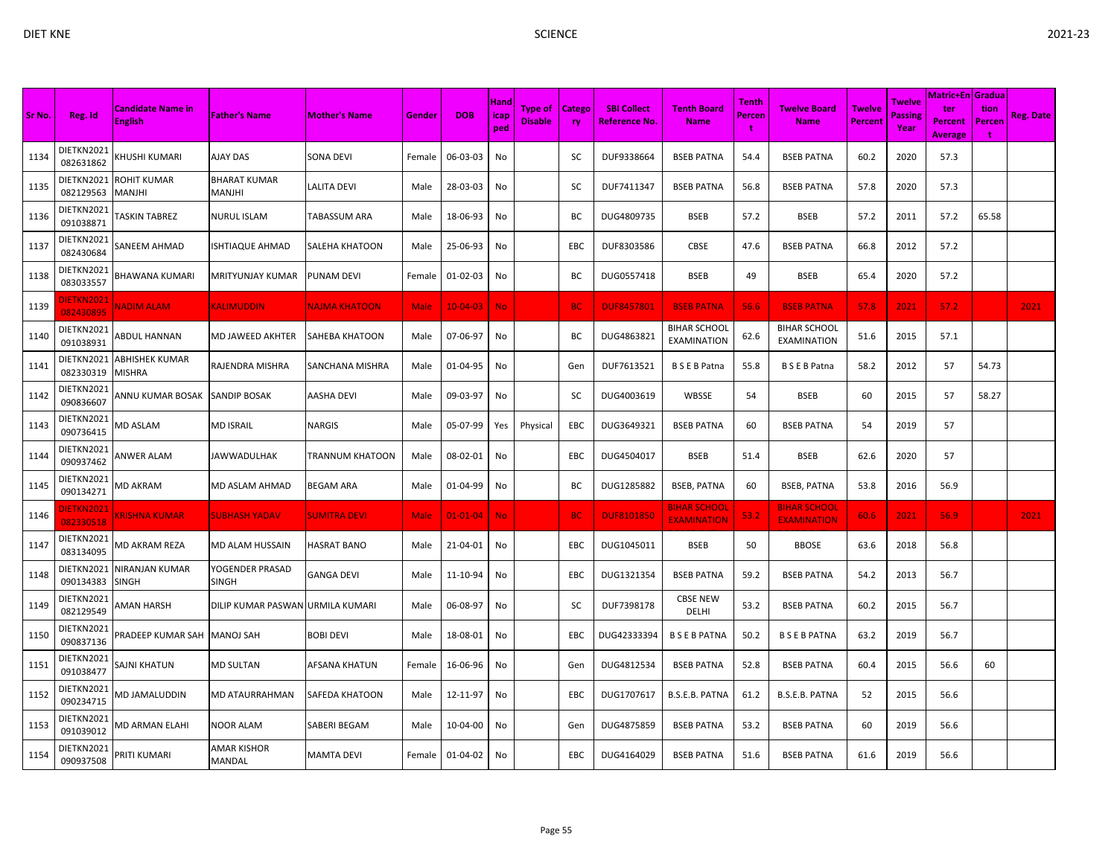| × |  |
|---|--|
|   |  |
| I |  |

| Sr No. | Reg. Id                       | <b>Candidate Name in</b><br><b>English</b> | <b>Father's Name</b>             | <b>Mother's Name</b> | Gender      | <b>DOB</b>     | Hand<br>icap<br>ped | <b>Type of</b><br><b>Disable</b> | <b>Catego</b><br><b>ry</b> | <b>SBI Collect</b><br><b>Reference No.</b> | <b>Tenth Board</b><br><b>Name</b>         | <b>Tenth</b><br>Percen<br>÷ | <b>Twelve Board</b><br><b>Name</b>        | <b>Twelve</b><br><b>Percent</b> | Twelve<br><b>Passing</b><br>Year | Matric+En   Gradua  <br>ter<br>Percent | tion<br>Percen | <b>Reg. Date</b> |
|--------|-------------------------------|--------------------------------------------|----------------------------------|----------------------|-------------|----------------|---------------------|----------------------------------|----------------------------|--------------------------------------------|-------------------------------------------|-----------------------------|-------------------------------------------|---------------------------------|----------------------------------|----------------------------------------|----------------|------------------|
| 1134   | DIETKN2021<br>082631862       | <b>CHUSHI KUMARI</b>                       | AJAY DAS                         | SONA DEVI            | Female      | 06-03-03       | No                  |                                  | sc                         | DUF9338664                                 | <b>BSEB PATNA</b>                         | 54.4                        | <b>BSEB PATNA</b>                         | 60.2                            | 2020                             | <b>Average</b><br>57.3                 | ÷              |                  |
| 1135   | DIETKN2021<br>082129563       | ROHIT KUMAR<br>MANJHI                      | BHARAT KUMAR<br>MANJHI           | LALITA DEVI          | Male        | 28-03-03       | No                  |                                  | SC                         | DUF7411347                                 | <b>BSEB PATNA</b>                         | 56.8                        | <b>BSEB PATNA</b>                         | 57.8                            | 2020                             | 57.3                                   |                |                  |
| 1136   | DIETKN2021<br>091038871       | <b>TASKIN TABREZ</b>                       | <b>NURUL ISLAM</b>               | TABASSUM ARA         | Male        | 18-06-93       | No                  |                                  | BC                         | DUG4809735                                 | <b>BSEB</b>                               | 57.2                        | <b>BSEB</b>                               | 57.2                            | 2011                             | 57.2                                   | 65.58          |                  |
| 1137   | DIETKN2021<br>082430684       | SANEEM AHMAD                               | <b>ISHTIAQUE AHMAD</b>           | SALEHA KHATOON       | Male        | 25-06-93       | No                  |                                  | EBC                        | DUF8303586                                 | <b>CBSE</b>                               | 47.6                        | <b>BSEB PATNA</b>                         | 66.8                            | 2012                             | 57.2                                   |                |                  |
| 1138   | DIETKN2021<br>083033557       | BHAWANA KUMARI                             | MRITYUNJAY KUMAR                 | PUNAM DEVI           | Female      | 01-02-03       | No                  |                                  | ВC                         | DUG0557418                                 | <b>BSEB</b>                               | 49                          | <b>BSEB</b>                               | 65.4                            | 2020                             | 57.2                                   |                |                  |
| 1139   | <b>IETKN2021</b><br>082430895 | <b>NADIM ALAM</b>                          | KALIMUDDIN                       | <b>NAJMA KHATOON</b> | <b>Male</b> | $10 - 04 - 03$ | <b>No</b>           |                                  | <b>BC</b>                  | <b>DUF8457801</b>                          | <b>BSEB PATNA</b>                         | 56.6                        | <b>BSEB PATNA</b>                         | 57.8                            | 2021                             | 57.2                                   |                | 2021             |
| 1140   | DIETKN2021<br>091038931       | ABDUL HANNAN                               | MD JAWEED AKHTER                 | SAHEBA KHATOON       | Male        | 07-06-97       | No                  |                                  | ВC                         | DUG4863821                                 | <b>BIHAR SCHOOL</b><br><b>EXAMINATION</b> | 62.6                        | <b>BIHAR SCHOOL</b><br><b>EXAMINATION</b> | 51.6                            | 2015                             | 57.1                                   |                |                  |
| 1141   | DIETKN2021<br>082330319       | <b>ABHISHEK KUMAR</b><br><b>MISHRA</b>     | RAJENDRA MISHRA                  | SANCHANA MISHRA      | Male        | 01-04-95       | No                  |                                  | Gen                        | DUF7613521                                 | <b>BSEBPatna</b>                          | 55.8                        | <b>BSEBPatna</b>                          | 58.2                            | 2012                             | 57                                     | 54.73          |                  |
| 1142   | DIETKN2021<br>090836607       | ANNU KUMAR BOSAK                           | <b>SANDIP BOSAK</b>              | <b>AASHA DEVI</b>    | Male        | 09-03-97       | No                  |                                  | SC                         | DUG4003619                                 | WBSSE                                     | 54                          | <b>BSEB</b>                               | 60                              | 2015                             | 57                                     | 58.27          |                  |
| 1143   | DIETKN2021<br>090736415       | VID ASLAM                                  | <b>MD ISRAIL</b>                 | <b>NARGIS</b>        | Male        | 05-07-99       | Yes                 | Physical                         | EBC                        | DUG3649321                                 | <b>BSEB PATNA</b>                         | 60                          | <b>BSEB PATNA</b>                         | 54                              | 2019                             | 57                                     |                |                  |
| 1144   | DIETKN2021<br>090937462       | ANWER ALAM                                 | <b>JAWWADULHAK</b>               | TRANNUM KHATOON      | Male        | 08-02-01       | No                  |                                  | EBC                        | DUG4504017                                 | <b>BSEB</b>                               | 51.4                        | <b>BSEB</b>                               | 62.6                            | 2020                             | 57                                     |                |                  |
| 1145   | DIETKN2021<br>090134271       | VID AKRAM                                  | <b>MD ASLAM AHMAD</b>            | BEGAM ARA            | Male        | 01-04-99       | No                  |                                  | BC                         | DUG1285882                                 | <b>BSEB, PATNA</b>                        | 60                          | <b>BSEB, PATNA</b>                        | 53.8                            | 2016                             | 56.9                                   |                |                  |
| 1146   | <b>IETKN2021</b><br>082330518 | <b>KRISHNA KUMAR</b>                       | <b>SUBHASH YADAV</b>             | <b>SUMITRA DEVI</b>  | Male        | $01 - 01 - 04$ | <b>No</b>           |                                  | <b>BC</b>                  | <b>DUF8101850</b>                          | <b>BIHAR SCHOOL</b><br><b>EXAMINATION</b> | 53.2                        | <b>BIHAR SCHOOL</b><br><b>EXAMINATION</b> | 60.6                            | 2021                             | 56.9                                   |                | 2021             |
| 1147   | DIETKN2021<br>083134095       | <b>MD AKRAM REZA</b>                       | MD ALAM HUSSAIN                  | HASRAT BANO          | Male        | 21-04-01       | No                  |                                  | EBC                        | DUG1045011                                 | <b>BSEB</b>                               | 50                          | <b>BBOSE</b>                              | 63.6                            | 2018                             | 56.8                                   |                |                  |
| 1148   | DIETKN2021<br>090134383       | NIRANJAN KUMAR<br><b>SINGH</b>             | YOGENDER PRASAD<br><b>SINGH</b>  | <b>GANGA DEVI</b>    | Male        | 11-10-94       | No                  |                                  | EBC                        | DUG1321354                                 | <b>BSEB PATNA</b>                         | 59.2                        | <b>BSEB PATNA</b>                         | 54.2                            | 2013                             | 56.7                                   |                |                  |
| 1149   | DIETKN2021<br>082129549       | AMAN HARSH                                 | DILIP KUMAR PASWAN URMILA KUMARI |                      | Male        | 06-08-97       | No                  |                                  | SC                         | DUF7398178                                 | <b>CBSE NEW</b><br><b>DELHI</b>           | 53.2                        | <b>BSEB PATNA</b>                         | 60.2                            | 2015                             | 56.7                                   |                |                  |
| 1150   | DIETKN2021<br>090837136       | <b>PRADEEP KUMAR SAH</b>                   | <b>MANOJ SAH</b>                 | <b>BOBI DEVI</b>     | Male        | 18-08-01       | No                  |                                  | EBC                        | DUG42333394                                | <b>BSEBPATNA</b>                          | 50.2                        | <b>B S E B PATNA</b>                      | 63.2                            | 2019                             | 56.7                                   |                |                  |
| 1151   | DIETKN2021<br>091038477       | SAJNI KHATUN                               | <b>MD SULTAN</b>                 | AFSANA KHATUN        | Female      | 16-06-96       | No                  |                                  | Gen                        | DUG4812534                                 | <b>BSEB PATNA</b>                         | 52.8                        | <b>BSEB PATNA</b>                         | 60.4                            | 2015                             | 56.6                                   | 60             |                  |
| 1152   | DIETKN2021<br>090234715       | <b>MD JAMALUDDIN</b>                       | MD ATAURRAHMAN                   | SAFEDA KHATOON       | Male        | 12-11-97       | No                  |                                  | EBC                        | DUG1707617                                 | B.S.E.B. PATNA                            | 61.2                        | B.S.E.B. PATNA                            | 52                              | 2015                             | 56.6                                   |                |                  |
| 1153   | DIETKN2021<br>091039012       | <b>MD ARMAN ELAHI</b>                      | NOOR ALAM                        | SABERI BEGAM         | Male        | 10-04-00       | No                  |                                  | Gen                        | DUG4875859                                 | <b>BSEB PATNA</b>                         | 53.2                        | <b>BSEB PATNA</b>                         | 60                              | 2019                             | 56.6                                   |                |                  |
| 1154   | DIETKN2021<br>090937508       | PRITI KUMARI                               | AMAR KISHOR<br>MANDAL            | MAMTA DEVI           | Female      | 01-04-02       | No                  |                                  | <b>EBC</b>                 | DUG4164029                                 | <b>BSEB PATNA</b>                         | 51.6                        | <b>BSEB PATNA</b>                         | 61.6                            | 2019                             | 56.6                                   |                |                  |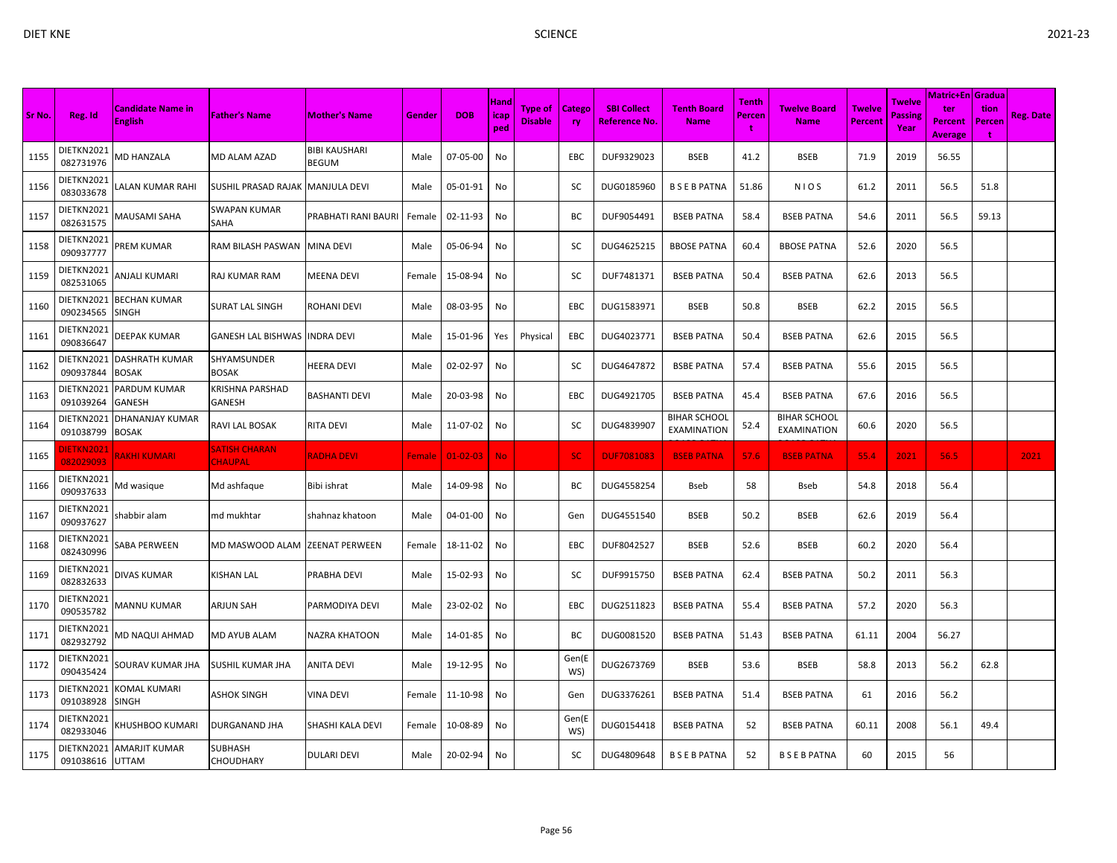|        |                         |                                            |                                        |                                      |               |                |                     |                                  |                     |                                           |                                           |                      |                                           |                                 |                                  | Matric+En   Gradua               |                     |                  |
|--------|-------------------------|--------------------------------------------|----------------------------------------|--------------------------------------|---------------|----------------|---------------------|----------------------------------|---------------------|-------------------------------------------|-------------------------------------------|----------------------|-------------------------------------------|---------------------------------|----------------------------------|----------------------------------|---------------------|------------------|
| Sr No. | Reg. Id                 | <b>Candidate Name in</b><br><b>English</b> | <b>Father's Name</b>                   | <b>Mother's Name</b>                 | Gender        | <b>DOB</b>     | Hand<br>icap<br>ped | <b>Type of</b><br><b>Disable</b> | <b>Catego</b><br>ry | <b>SBI Collect</b><br><b>Reference No</b> | <b>Tenth Board</b><br><b>Name</b>         | Tenth<br>Percen<br>t | <b>Twelve Board</b><br><b>Name</b>        | <b>Twelve</b><br><b>Percent</b> | Twelve<br><b>Passing</b><br>Year | ter<br>Percent<br><b>Average</b> | tion<br>Percen<br>÷ | <b>Reg. Date</b> |
| 1155   | DIETKN2021<br>082731976 | <b>MD HANZALA</b>                          | MD ALAM AZAD                           | <b>BIBI KAUSHARI</b><br><b>BEGUM</b> | Male          | 07-05-00       | No                  |                                  | EBC                 | DUF9329023                                | <b>BSEB</b>                               | 41.2                 | <b>BSEB</b>                               | 71.9                            | 2019                             | 56.55                            |                     |                  |
| 1156   | DIETKN2021<br>083033678 | ALAN KUMAR RAHI                            | SUSHIL PRASAD RAJAK  MANJULA DEVI      |                                      | Male          | 05-01-91       | No                  |                                  | SC                  | DUG0185960                                | <b>BSEBPATNA</b>                          | 51.86                | <b>NIOS</b>                               | 61.2                            | 2011                             | 56.5                             | 51.8                |                  |
| 1157   | DIETKN2021<br>082631575 | MAUSAMI SAHA                               | SWAPAN KUMAR<br>SAHA                   | PRABHATI RANI BAURI                  | Female        | 02-11-93       | No                  |                                  | ВC                  | DUF9054491                                | <b>BSEB PATNA</b>                         | 58.4                 | <b>BSEB PATNA</b>                         | 54.6                            | 2011                             | 56.5                             | 59.13               |                  |
| 1158   | DIETKN2021<br>090937777 | PREM KUMAR                                 | RAM BILASH PASWAN                      | <b>MINA DEVI</b>                     | Male          | 05-06-94       | No                  |                                  | sc                  | DUG4625215                                | <b>BBOSE PATNA</b>                        | 60.4                 | <b>BBOSE PATNA</b>                        | 52.6                            | 2020                             | 56.5                             |                     |                  |
| 1159   | DIETKN2021<br>082531065 | <b><i>NJALI KUMARI</i></b>                 | <b>RAJ KUMAR RAM</b>                   | <b>MEENA DEVI</b>                    | Female        | 15-08-94       | No                  |                                  | SC                  | DUF7481371                                | <b>BSEB PATNA</b>                         | 50.4                 | <b>BSEB PATNA</b>                         | 62.6                            | 2013                             | 56.5                             |                     |                  |
| 1160   | DIETKN2021<br>090234565 | <b>BECHAN KUMAR</b><br><b>SINGH</b>        | <b>SURAT LAL SINGH</b>                 | ROHANI DEVI                          | Male          | 08-03-95       | No                  |                                  | EBC                 | DUG1583971                                | <b>BSEB</b>                               | 50.8                 | <b>BSEB</b>                               | 62.2                            | 2015                             | 56.5                             |                     |                  |
| 1161   | DIETKN2021<br>090836647 | DEEPAK KUMAR                               | GANESH LAL BISHWAS INDRA DEVI          |                                      | Male          | 15-01-96       | Yes                 | Physical                         | EBC                 | DUG4023771                                | <b>BSEB PATNA</b>                         | 50.4                 | <b>BSEB PATNA</b>                         | 62.6                            | 2015                             | 56.5                             |                     |                  |
| 1162   | DIETKN2021<br>090937844 | <b>DASHRATH KUMAR</b><br><b>BOSAK</b>      | SHYAMSUNDER<br><b>BOSAK</b>            | <b>HEERA DEVI</b>                    | Male          | 02-02-97       | No                  |                                  | SC                  | DUG4647872                                | <b>BSBE PATNA</b>                         | 57.4                 | <b>BSEB PATNA</b>                         | 55.6                            | 2015                             | 56.5                             |                     |                  |
| 1163   | DIETKN2021<br>091039264 | PARDUM KUMAR<br>GANESH                     | KRISHNA PARSHAD<br>GANESH              | <b>BASHANTI DEVI</b>                 | Male          | 20-03-98       | No                  |                                  | EBC                 | DUG4921705                                | <b>BSEB PATNA</b>                         | 45.4                 | <b>BSEB PATNA</b>                         | 67.6                            | 2016                             | 56.5                             |                     |                  |
| 1164   | DIETKN2021<br>091038799 | DHANANJAY KUMAR<br><b>BOSAK</b>            | RAVI LAL BOSAK                         | <b>RITA DEVI</b>                     | Male          | 11-07-02       | No                  |                                  | SC                  | DUG4839907                                | <b>BIHAR SCHOOL</b><br><b>EXAMINATION</b> | 52.4                 | <b>BIHAR SCHOOL</b><br><b>EXAMINATION</b> | 60.6                            | 2020                             | 56.5                             |                     |                  |
| 1165   | DIETKN2021<br>082029093 | <b>RAKHI KUMARI</b>                        | <b>SATISH CHARAN</b><br><b>CHAUPAL</b> | <b>RADHA DEVI</b>                    | <b>Female</b> | $01 - 02 - 03$ | No.                 |                                  | SC.                 | <b>DUF7081083</b>                         | <b>BSEB PATNA</b>                         | 57.6                 | <b>BSEB PATNA</b>                         | 55.4                            | 2021                             | 56.5                             |                     | 2021             |
| 1166   | DIETKN2021<br>090937633 | Md wasique                                 | Md ashfaque                            | Bibi ishrat                          | Male          | 14-09-98       | No                  |                                  | ВC                  | DUG4558254                                | Bseb                                      | 58                   | Bseb                                      | 54.8                            | 2018                             | 56.4                             |                     |                  |
| 1167   | DIETKN2021<br>090937627 | shabbir alam                               | md mukhtar                             | shahnaz khatoon                      | Male          | 04-01-00       | No                  |                                  | Gen                 | DUG4551540                                | <b>BSEB</b>                               | 50.2                 | <b>BSEB</b>                               | 62.6                            | 2019                             | 56.4                             |                     |                  |
| 1168   | DIETKN2021<br>082430996 | SABA PERWEEN                               | MD MASWOOD ALAM                        | <b>ZEENAT PERWEEN</b>                | Female        | 18-11-02       | No                  |                                  | <b>EBC</b>          | DUF8042527                                | <b>BSEB</b>                               | 52.6                 | <b>BSEB</b>                               | 60.2                            | 2020                             | 56.4                             |                     |                  |
| 1169   | DIETKN2021<br>082832633 | DIVAS KUMAR                                | KISHAN LAL                             | PRABHA DEVI                          | Male          | 15-02-93       | No                  |                                  | SC                  | DUF9915750                                | <b>BSEB PATNA</b>                         | 62.4                 | <b>BSEB PATNA</b>                         | 50.2                            | 2011                             | 56.3                             |                     |                  |
| 1170   | DIETKN2021<br>090535782 | <b>MANNU KUMAR</b>                         | <b>ARJUN SAH</b>                       | PARMODIYA DEVI                       | Male          | 23-02-02       | No                  |                                  | EBC                 | DUG2511823                                | <b>BSEB PATNA</b>                         | 55.4                 | <b>BSEB PATNA</b>                         | 57.2                            | 2020                             | 56.3                             |                     |                  |
| 1171   | DIETKN2021<br>082932792 | MD NAQUI AHMAD                             | MD AYUB ALAM                           | <b>NAZRA KHATOON</b>                 | Male          | 14-01-85       | No                  |                                  | ВC                  | DUG0081520                                | <b>BSEB PATNA</b>                         | 51.43                | <b>BSEB PATNA</b>                         | 61.11                           | 2004                             | 56.27                            |                     |                  |
| 1172   | DIETKN2021<br>090435424 | SOURAV KUMAR JHA                           | SUSHIL KUMAR JHA                       | <b>ANITA DEVI</b>                    | Male          | 19-12-95       | No                  |                                  | Gen(E<br>WS)        | DUG2673769                                | <b>BSEB</b>                               | 53.6                 | <b>BSEB</b>                               | 58.8                            | 2013                             | 56.2                             | 62.8                |                  |
| 1173   | DIETKN2021<br>091038928 | KOMAL KUMARI<br><b>SINGH</b>               | <b>ASHOK SINGH</b>                     | <b>VINA DEVI</b>                     | Female        | 11-10-98       | No                  |                                  | Gen                 | DUG3376261                                | <b>BSEB PATNA</b>                         | 51.4                 | <b>BSEB PATNA</b>                         | 61                              | 2016                             | 56.2                             |                     |                  |
| 1174   | DIETKN2021<br>082933046 | (HUSHBOO KUMARI                            | <b>DURGANAND JHA</b>                   | SHASHI KALA DEVI                     | Female        | 10-08-89       | No                  |                                  | Gen(E<br>WS)        | DUG0154418                                | <b>BSEB PATNA</b>                         | 52                   | <b>BSEB PATNA</b>                         | 60.11                           | 2008                             | 56.1                             | 49.4                |                  |
| 1175   | DIETKN2021<br>091038616 | AMARJIT KUMAR<br><b>UTTAM</b>              | SUBHASH<br><b>CHOUDHARY</b>            | <b>DULARI DEVI</b>                   | Male          | 20-02-94       | No                  |                                  | SC                  | DUG4809648                                | <b>BSEBPATNA</b>                          | 52                   | <b>BSEBPATNA</b>                          | 60                              | 2015                             | 56                               |                     |                  |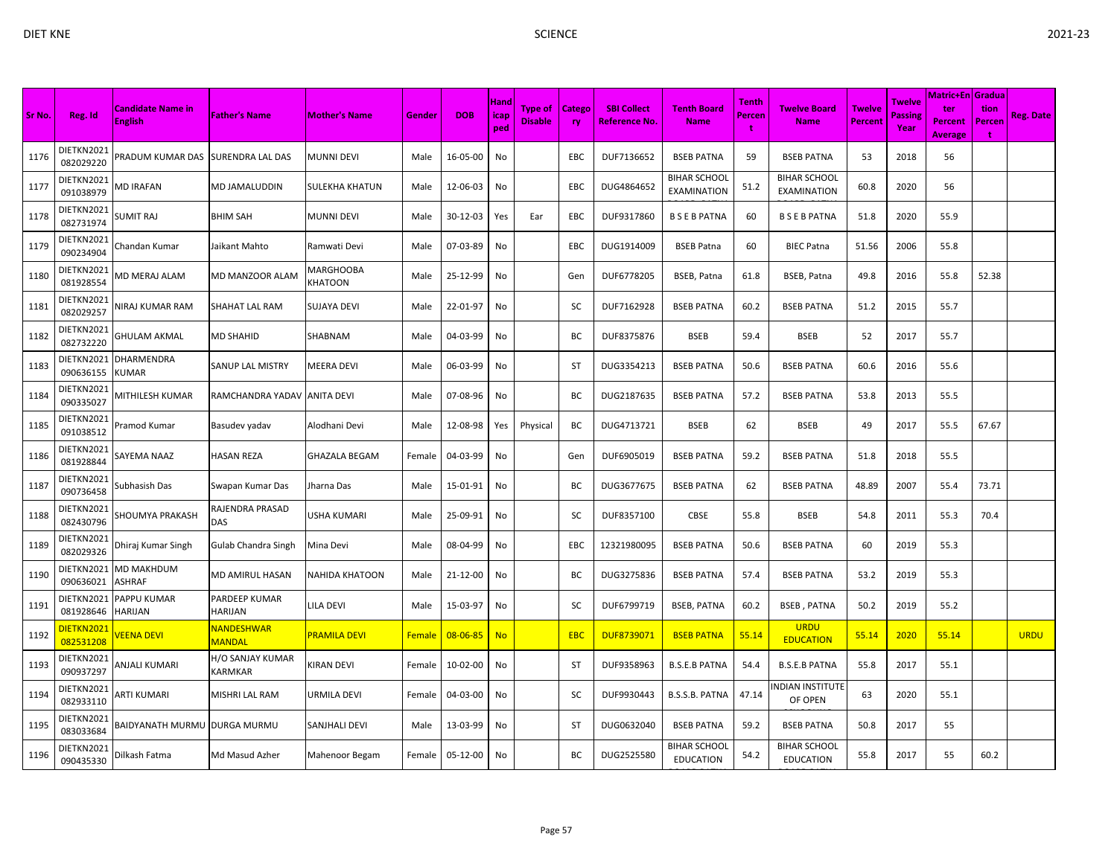|        |                         |                                            |                                 |                      |               |                | Hand        |                                  |                            |                                            |                                           | <b>Tenth</b> |                                         |                                 | Twelve                 | <b>Matric+En Gradua</b>                 |                      |                  |
|--------|-------------------------|--------------------------------------------|---------------------------------|----------------------|---------------|----------------|-------------|----------------------------------|----------------------------|--------------------------------------------|-------------------------------------------|--------------|-----------------------------------------|---------------------------------|------------------------|-----------------------------------------|----------------------|------------------|
| Sr No. | Reg. Id                 | <b>Candidate Name in</b><br><b>English</b> | <b>Father's Name</b>            | <b>Mother's Name</b> | Gender        | <b>DOB</b>     | icap<br>ped | <b>Type of</b><br><b>Disable</b> | <b>Catego</b><br><b>ry</b> | <b>SBI Collect</b><br><b>Reference No.</b> | <b>Tenth Board</b><br><b>Name</b>         | Percen<br>t  | <b>Twelve Board</b><br><b>Name</b>      | <b>Twelve</b><br><b>Percent</b> | <b>Passing</b><br>Year | ter<br><b>Percent</b><br><b>Average</b> | tion<br>Percen<br>t. | <b>Reg. Date</b> |
| 1176   | DIETKN2021<br>082029220 | PRADUM KUMAR DAS SURENDRA LAL DAS          |                                 | MUNNI DEVI           | Male          | 16-05-00       | No          |                                  | EBC                        | DUF7136652                                 | <b>BSEB PATNA</b>                         | 59           | <b>BSEB PATNA</b>                       | 53                              | 2018                   | 56                                      |                      |                  |
| 1177   | DIETKN2021<br>091038979 | MD IRAFAN                                  | MD JAMALUDDIN                   | SULEKHA KHATUN       | Male          | 12-06-03       | No          |                                  | <b>EBC</b>                 | DUG4864652                                 | <b>BIHAR SCHOOL</b><br><b>EXAMINATION</b> | 51.2         | <b>BIHAR SCHOOL</b><br>EXAMINATION      | 60.8                            | 2020                   | 56                                      |                      |                  |
| 1178   | DIETKN2021<br>082731974 | SUMIT RAJ                                  | <b>BHIM SAH</b>                 | MUNNI DEVI           | Male          | 30-12-03       | Yes         | Ear                              | EBC                        | DUF9317860                                 | <b>BSEBPATNA</b>                          | 60           | <b>BSEBPATNA</b>                        | 51.8                            | 2020                   | 55.9                                    |                      |                  |
| 1179   | DIETKN2021<br>090234904 | Chandan Kumar                              | Jaikant Mahto                   | Ramwati Devi         | Male          | 07-03-89       | No          |                                  | EBC                        | DUG1914009                                 | <b>BSEB Patna</b>                         | 60           | <b>BIEC Patna</b>                       | 51.56                           | 2006                   | 55.8                                    |                      |                  |
| 1180   | DIETKN2021<br>081928554 | VID MERAJ ALAM                             | MD MANZOOR ALAM                 | MARGHOOBA<br>KHATOON | Male          | 25-12-99       | No          |                                  | Gen                        | DUF6778205                                 | BSEB, Patna                               | 61.8         | BSEB, Patna                             | 49.8                            | 2016                   | 55.8                                    | 52.38                |                  |
| 1181   | DIETKN2021<br>082029257 | VIRAJ KUMAR RAM                            | SHAHAT LAL RAM                  | SUJAYA DEVI          | Male          | 22-01-97       | No          |                                  | SC                         | DUF7162928                                 | <b>BSEB PATNA</b>                         | 60.2         | <b>BSEB PATNA</b>                       | 51.2                            | 2015                   | 55.7                                    |                      |                  |
| 1182   | DIETKN2021<br>082732220 | <b>GHULAM AKMAL</b>                        | <b>MD SHAHID</b>                | SHABNAM              | Male          | 04-03-99       | No          |                                  | BC                         | DUF8375876                                 | <b>BSEB</b>                               | 59.4         | <b>BSEB</b>                             | 52                              | 2017                   | 55.7                                    |                      |                  |
| 1183   | DIETKN2021<br>090636155 | DHARMENDRA<br><b>KUMAR</b>                 | SANUP LAL MISTRY                | <b>MEERA DEVI</b>    | Male          | 06-03-99       | No          |                                  | <b>ST</b>                  | DUG3354213                                 | <b>BSEB PATNA</b>                         | 50.6         | <b>BSEB PATNA</b>                       | 60.6                            | 2016                   | 55.6                                    |                      |                  |
| 1184   | DIETKN2021<br>090335027 | <b>MITHILESH KUMAR</b>                     | RAMCHANDRA YADAV                | <b>ANITA DEVI</b>    | Male          | 07-08-96       | No          |                                  | BC                         | DUG2187635                                 | <b>BSEB PATNA</b>                         | 57.2         | <b>BSEB PATNA</b>                       | 53.8                            | 2013                   | 55.5                                    |                      |                  |
| 1185   | DIETKN2021<br>091038512 | Pramod Kumar                               | Basudev yadav                   | Alodhani Devi        | Male          | 12-08-98       | Yes         | Physical                         | ВC                         | DUG4713721                                 | <b>BSEB</b>                               | 62           | <b>BSEB</b>                             | 49                              | 2017                   | 55.5                                    | 67.67                |                  |
| 1186   | DIETKN2021<br>081928844 | SAYEMA NAAZ                                | HASAN REZA                      | GHAZALA BEGAM        | Female        | 04-03-99       | No          |                                  | Gen                        | DUF6905019                                 | <b>BSEB PATNA</b>                         | 59.2         | <b>BSEB PATNA</b>                       | 51.8                            | 2018                   | 55.5                                    |                      |                  |
| 1187   | DIETKN2021<br>090736458 | Subhasish Das                              | Swapan Kumar Das                | Jharna Das           | Male          | 15-01-91       | No          |                                  | ВC                         | DUG3677675                                 | <b>BSEB PATNA</b>                         | 62           | <b>BSEB PATNA</b>                       | 48.89                           | 2007                   | 55.4                                    | 73.71                |                  |
| 1188   | DIETKN2021<br>082430796 | SHOUMYA PRAKASH                            | RAJENDRA PRASAD<br>DAS          | USHA KUMARI          | Male          | 25-09-91       | No          |                                  | SC                         | DUF8357100                                 | <b>CBSE</b>                               | 55.8         | <b>BSEB</b>                             | 54.8                            | 2011                   | 55.3                                    | 70.4                 |                  |
| 1189   | DIETKN2021<br>082029326 | Dhiraj Kumar Singh                         | Gulab Chandra Singh             | Mina Devi            | Male          | 08-04-99       | No          |                                  | <b>EBC</b>                 | 12321980095                                | <b>BSEB PATNA</b>                         | 50.6         | <b>BSEB PATNA</b>                       | 60                              | 2019                   | 55.3                                    |                      |                  |
| 1190   | DIETKN2021<br>090636021 | MD MAKHDUM<br>ASHRAF                       | MD AMIRUL HASAN                 | NAHIDA KHATOON       | Male          | 21-12-00       | No          |                                  | BC                         | DUG3275836                                 | <b>BSEB PATNA</b>                         | 57.4         | <b>BSEB PATNA</b>                       | 53.2                            | 2019                   | 55.3                                    |                      |                  |
| 1191   | DIETKN2021<br>081928646 | <b>PAPPU KUMAR</b><br><b>HARIJAN</b>       | PARDEEP KUMAR<br><b>HARIJAN</b> | <b>ILA DEVI</b>      | Male          | 15-03-97       | No          |                                  | SC                         | DUF6799719                                 | <b>BSEB, PATNA</b>                        | 60.2         | <b>BSEB, PATNA</b>                      | 50.2                            | 2019                   | 55.2                                    |                      |                  |
| 1192   | DIETKN202:<br>082531208 | <b>VEENA DEVI</b>                          | NANDESHWAR<br><b>MANDAL</b>     | PRAMILA DEVI         | <b>Female</b> | $08 - 06 - 85$ | <b>No</b>   |                                  | <b>EBC</b>                 | DUF8739071                                 | <b>BSEB PATNA</b>                         | 55.14        | <b>URDU</b><br><b>EDUCATION</b>         | 55.14                           | 2020                   | 55.14                                   |                      | <b>URDU</b>      |
| 1193   | DIETKN2021<br>090937297 | <b>NJALI KUMARI</b>                        | H/O SANJAY KUMAR<br>KARMKAR     | KIRAN DEVI           | Female        | 10-02-00       | No          |                                  | <b>ST</b>                  | DUF9358963                                 | <b>B.S.E.B PATNA</b>                      | 54.4         | <b>B.S.E.B PATNA</b>                    | 55.8                            | 2017                   | 55.1                                    |                      |                  |
| 1194   | DIETKN2021<br>082933110 | ARTI KUMARI                                | MISHRI LAL RAM                  | URMILA DEVI          | Female        | 04-03-00       | No          |                                  | SC                         | DUF9930443                                 | B.S.S.B. PATNA                            | 47.14        | INDIAN INSTITUTE<br>OF OPEN             | 63                              | 2020                   | 55.1                                    |                      |                  |
| 1195   | DIETKN2021<br>083033684 | BAIDYANATH MURMU  DURGA MURMU              |                                 | SANJHALI DEVI        | Male          | 13-03-99       | No          |                                  | ST                         | DUG0632040                                 | <b>BSEB PATNA</b>                         | 59.2         | <b>BSEB PATNA</b>                       | 50.8                            | 2017                   | 55                                      |                      |                  |
| 1196   | DIETKN2021<br>090435330 | Dilkash Fatma                              | Md Masud Azher                  | Mahenoor Begam       | Female        | 05-12-00       | No          |                                  | ВC                         | DUG2525580                                 | BIHAR SCHOOL<br><b>EDUCATION</b>          | 54.2         | <b>BIHAR SCHOOL</b><br><b>EDUCATION</b> | 55.8                            | 2017                   | 55                                      | 60.2                 |                  |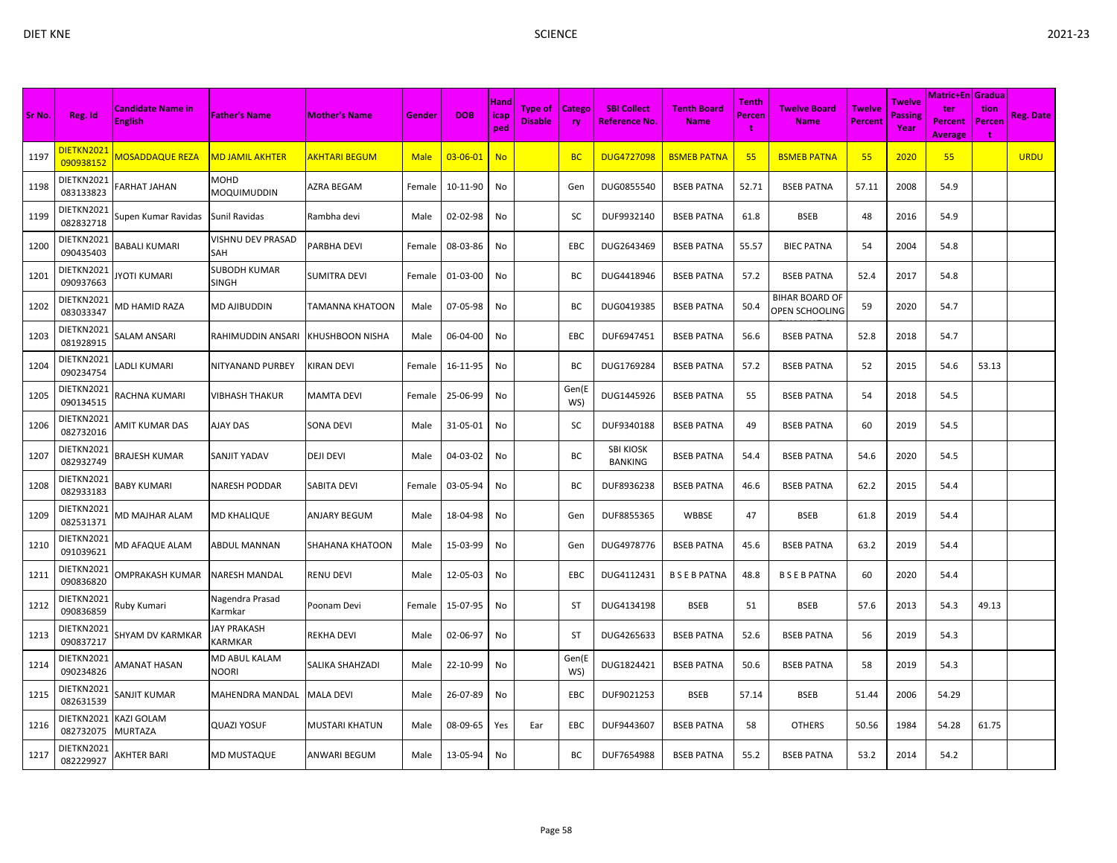| Sr No. | Reg. Id                 | <b>Candidate Name in</b><br><b>English</b> | <b>Father's Name</b>                        | <b>Mother's Name</b>   | Gender      | <b>DOB</b>     | Hand<br>icap<br>ped | <b>Type of</b><br><b>Disable</b> | <b>Catego</b><br>ry | <b>SBI Collect</b><br><b>Reference No.</b> | <b>Tenth Board</b><br><b>Name</b> | Tenth<br>Percen<br>÷ | <b>Twelve Board</b><br><b>Name</b>      | <b>Twelve</b><br><b>Percent</b> | <b>Twelve</b><br>Passing<br>Year | <b>Matric+En Gradua</b><br>ter<br><b>Percent</b><br><b>Average</b> | tion<br>Percen<br>÷ | <b>Reg. Date</b> |
|--------|-------------------------|--------------------------------------------|---------------------------------------------|------------------------|-------------|----------------|---------------------|----------------------------------|---------------------|--------------------------------------------|-----------------------------------|----------------------|-----------------------------------------|---------------------------------|----------------------------------|--------------------------------------------------------------------|---------------------|------------------|
| 1197   | DIETKN2021<br>090938152 | <b>MOSADDAQUE REZA</b>                     | <u>MD JAMIL AKHTER</u>                      | <u>AKHTARI BEGUMI</u>  | <b>Male</b> | $03 - 06 - 01$ | <b>No</b>           |                                  | <b>BC</b>           | <b>DUG4727098</b>                          | <b>BSMEB PATNA</b>                | 55                   | <b>BSMEB PATNA</b>                      | 55                              | 2020                             | 55                                                                 |                     | <b>URDU</b>      |
| 1198   | DIETKN2021<br>083133823 | ARHAT JAHAN                                | MOHD<br>MOQUIMUDDIN                         | AZRA BEGAM             | Female      | 10-11-90       | No                  |                                  | Gen                 | DUG0855540                                 | <b>BSEB PATNA</b>                 | 52.71                | <b>BSEB PATNA</b>                       | 57.11                           | 2008                             | 54.9                                                               |                     |                  |
| 1199   | DIETKN2021<br>082832718 | Supen Kumar Ravidas                        | Sunil Ravidas                               | Rambha devi            | Male        | 02-02-98       | No                  |                                  | SC                  | DUF9932140                                 | <b>BSEB PATNA</b>                 | 61.8                 | <b>BSEB</b>                             | 48                              | 2016                             | 54.9                                                               |                     |                  |
| 1200   | DIETKN2021<br>090435403 | BABALI KUMARI                              | VISHNU DEV PRASAD<br>SAH                    | PARBHA DEVI            | Female      | 08-03-86       | No                  |                                  | EBC                 | DUG2643469                                 | <b>BSEB PATNA</b>                 | 55.57                | <b>BIEC PATNA</b>                       | 54                              | 2004                             | 54.8                                                               |                     |                  |
| 1201   | DIETKN2021<br>090937663 | YOTI KUMARI                                | SUBODH KUMAR<br>SINGH                       | <b>SUMITRA DEVI</b>    | Female      | 01-03-00       | No                  |                                  | BС                  | DUG4418946                                 | <b>BSEB PATNA</b>                 | 57.2                 | <b>BSEB PATNA</b>                       | 52.4                            | 2017                             | 54.8                                                               |                     |                  |
| 1202   | DIETKN2021<br>083033347 | VID HAMID RAZA                             | MD AJIBUDDIN                                | TAMANNA KHATOON        | Male        | 07-05-98       | No                  |                                  | BC                  | DUG0419385                                 | <b>BSEB PATNA</b>                 | 50.4                 | <b>BIHAR BOARD OF</b><br>OPEN SCHOOLING | 59                              | 2020                             | 54.7                                                               |                     |                  |
| 1203   | DIETKN2021<br>081928915 | SALAM ANSARI                               | RAHIMUDDIN ANSARI                           | <b>KHUSHBOON NISHA</b> | Male        | 06-04-00       | No                  |                                  | <b>EBC</b>          | DUF6947451                                 | <b>BSEB PATNA</b>                 | 56.6                 | <b>BSEB PATNA</b>                       | 52.8                            | 2018                             | 54.7                                                               |                     |                  |
| 1204   | DIETKN2021<br>090234754 | ADLI KUMARI                                | NITYANAND PURBEY                            | <b>KIRAN DEVI</b>      | Female      | 16-11-95       | No                  |                                  | BC                  | DUG1769284                                 | <b>BSEB PATNA</b>                 | 57.2                 | <b>BSEB PATNA</b>                       | 52                              | 2015                             | 54.6                                                               | 53.13               |                  |
| 1205   | DIETKN2021<br>090134515 | RACHNA KUMARI                              | VIBHASH THAKUR                              | <b>MAMTA DEVI</b>      | Female      | 25-06-99       | No                  |                                  | Gen(E<br>WS)        | DUG1445926                                 | <b>BSEB PATNA</b>                 | 55                   | <b>BSEB PATNA</b>                       | 54                              | 2018                             | 54.5                                                               |                     |                  |
| 1206   | DIETKN2021<br>082732016 | AMIT KUMAR DAS                             | AJAY DAS                                    | <b>SONA DEVI</b>       | Male        | 31-05-01       | No                  |                                  | SC                  | DUF9340188                                 | <b>BSEB PATNA</b>                 | 49                   | <b>BSEB PATNA</b>                       | 60                              | 2019                             | 54.5                                                               |                     |                  |
| 1207   | DIETKN2021<br>082932749 | BRAJESH KUMAR                              | SANJIT YADAV                                | <b>DEJI DEVI</b>       | Male        | 04-03-02       | No                  |                                  | ВC                  | <b>SBI KIOSK</b><br><b>BANKING</b>         | <b>BSEB PATNA</b>                 | 54.4                 | <b>BSEB PATNA</b>                       | 54.6                            | 2020                             | 54.5                                                               |                     |                  |
| 1208   | DIETKN2021<br>082933183 | BABY KUMARI                                | NARESH PODDAR                               | <b>SABITA DEVI</b>     | Female      | 03-05-94       | No                  |                                  | BC                  | DUF8936238                                 | <b>BSEB PATNA</b>                 | 46.6                 | <b>BSEB PATNA</b>                       | 62.2                            | 2015                             | 54.4                                                               |                     |                  |
| 1209   | DIETKN2021<br>082531371 | VID MAJHAR ALAM                            | MD KHALIQUE                                 | <b>ANJARY BEGUM</b>    | Male        | 18-04-98       | No                  |                                  | Gen                 | DUF8855365                                 | WBBSE                             | 47                   | <b>BSEB</b>                             | 61.8                            | 2019                             | 54.4                                                               |                     |                  |
| 1210   | DIETKN2021<br>091039621 | <b>MD AFAQUE ALAM</b>                      | ABDUL MANNAN                                | <b>SHAHANA KHATOON</b> | Male        | 15-03-99       | No                  |                                  | Gen                 | DUG4978776                                 | <b>BSEB PATNA</b>                 | 45.6                 | <b>BSEB PATNA</b>                       | 63.2                            | 2019                             | 54.4                                                               |                     |                  |
| 1211   | DIETKN2021<br>090836820 | OMPRAKASH KUMAR                            | <b>NARESH MANDAL</b>                        | <b>RENU DEVI</b>       | Male        | 12-05-03       | No                  |                                  | <b>EBC</b>          | DUG4112431                                 | <b>BSEBPATNA</b>                  | 48.8                 | <b>BSEBPATNA</b>                        | 60                              | 2020                             | 54.4                                                               |                     |                  |
| 1212   | DIETKN2021<br>090836859 | Ruby Kumari                                | Nagendra Prasad<br>Karmkar                  | Poonam Devi            | Female      | 15-07-95       | No                  |                                  | ST                  | DUG4134198                                 | <b>BSEB</b>                       | 51                   | <b>BSEB</b>                             | 57.6                            | 2013                             | 54.3                                                               | 49.13               |                  |
| 1213   | DIETKN2021<br>090837217 | SHYAM DV KARMKAR                           | <b>JAY PRAKASH</b><br><b><i>KARMKAR</i></b> | <b>REKHA DEVI</b>      | Male        | 02-06-97       | No                  |                                  | <b>ST</b>           | DUG4265633                                 | <b>BSEB PATNA</b>                 | 52.6                 | <b>BSEB PATNA</b>                       | 56                              | 2019                             | 54.3                                                               |                     |                  |
| 1214   | DIETKN2021<br>090234826 | AMANAT HASAN                               | MD ABUL KALAM<br>NOORI                      | <b>SALIKA SHAHZADI</b> | Male        | 22-10-99       | No                  |                                  | Gen(E<br>WS)        | DUG1824421                                 | <b>BSEB PATNA</b>                 | 50.6                 | <b>BSEB PATNA</b>                       | 58                              | 2019                             | 54.3                                                               |                     |                  |
| 1215   | DIETKN2021<br>082631539 | SANJIT KUMAR                               | MAHENDRA MANDAL                             | <b>MALA DEVI</b>       | Male        | 26-07-89       | No                  |                                  | EBC                 | DUF9021253                                 | <b>BSEB</b>                       | 57.14                | <b>BSEB</b>                             | 51.44                           | 2006                             | 54.29                                                              |                     |                  |
| 1216   | DIETKN2021<br>082732075 | KAZI GOLAM<br>MURTAZA                      | QUAZI YOSUF                                 | <b>MUSTARI KHATUN</b>  | Male        | 08-09-65       | Yes                 | Ear                              | EBC                 | DUF9443607                                 | <b>BSEB PATNA</b>                 | 58                   | <b>OTHERS</b>                           | 50.56                           | 1984                             | 54.28                                                              | 61.75               |                  |
| 1217   | DIETKN2021<br>082229927 | AKHTER BARI                                | <b>MD MUSTAQUE</b>                          | <b>ANWARI BEGUM</b>    | Male        | 13-05-94       | No                  |                                  | ВC                  | DUF7654988                                 | <b>BSEB PATNA</b>                 | 55.2                 | <b>BSEB PATNA</b>                       | 53.2                            | 2014                             | 54.2                                                               |                     |                  |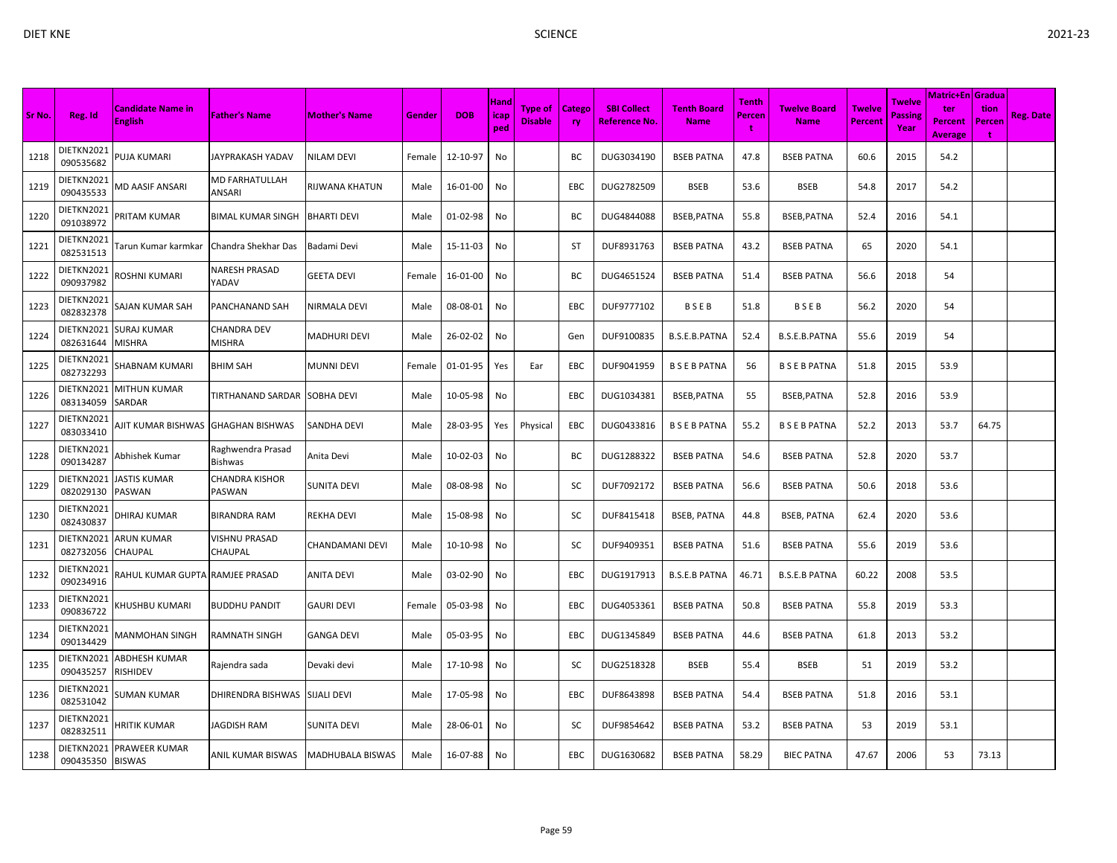|        |                         |                                     |                              |                        |        |            |                            |                                  |                     |                                     |                                   |                             |                             |                          |                           | <b>Matric+En Gradua</b>                 |                     |                  |
|--------|-------------------------|-------------------------------------|------------------------------|------------------------|--------|------------|----------------------------|----------------------------------|---------------------|-------------------------------------|-----------------------------------|-----------------------------|-----------------------------|--------------------------|---------------------------|-----------------------------------------|---------------------|------------------|
| Sr No. | Reg. Id                 | Candidate Name in<br><b>English</b> | <b>Father's Name</b>         | <b>Mother's Name</b>   | Gender | <b>DOB</b> | <b>Hand</b><br>icap<br>ped | <b>Type of</b><br><b>Disable</b> | Catego<br><b>ry</b> | <b>SBI Collect</b><br>Reference No. | <b>Tenth Board</b><br><b>Name</b> | <b>Tenth</b><br>Percen<br>t | Twelve Board<br><b>Name</b> | <b>Twelve</b><br>Percent | Twelve<br>Passine<br>Year | ter<br><b>Percent</b><br><b>Average</b> | tion<br>Percen<br>t | <b>Reg. Date</b> |
| 1218   | DIETKN2021<br>090535682 | <b>PUJA KUMARI</b>                  | JAYPRAKASH YADAV             | <b>NILAM DEVI</b>      | Female | 12-10-97   | No                         |                                  | BC                  | DUG3034190                          | <b>BSEB PATNA</b>                 | 47.8                        | <b>BSEB PATNA</b>           | 60.6                     | 2015                      | 54.2                                    |                     |                  |
| 1219   | DIETKN2021<br>090435533 | MD AASIF ANSARI                     | MD FARHATULLAH<br>ANSARI     | <b>RIJWANA KHATUN</b>  | Male   | 16-01-00   | No                         |                                  | EBC                 | DUG2782509                          | <b>BSEB</b>                       | 53.6                        | <b>BSEB</b>                 | 54.8                     | 2017                      | 54.2                                    |                     |                  |
| 1220   | DIETKN2021<br>091038972 | PRITAM KUMAR                        | BIMAL KUMAR SINGH            | <b>BHARTI DEVI</b>     | Male   | 01-02-98   | No                         |                                  | BC                  | DUG4844088                          | BSEB, PATNA                       | 55.8                        | BSEB, PATNA                 | 52.4                     | 2016                      | 54.1                                    |                     |                  |
| 1221   | DIETKN2021<br>082531513 | Farun Kumar karmkar                 | Chandra Shekhar Das          | Badami Devi            | Male   | 15-11-03   | No                         |                                  | ST                  | DUF8931763                          | <b>BSEB PATNA</b>                 | 43.2                        | <b>BSEB PATNA</b>           | 65                       | 2020                      | 54.1                                    |                     |                  |
| 1222   | DIETKN2021<br>090937982 | ROSHNI KUMARI                       | NARESH PRASAD<br>YADAV       | <b>GEETA DEVI</b>      | Female | 16-01-00   | No                         |                                  | ВC                  | DUG4651524                          | <b>BSEB PATNA</b>                 | 51.4                        | <b>BSEB PATNA</b>           | 56.6                     | 2018                      | 54                                      |                     |                  |
| 1223   | DIETKN2021<br>082832378 | SAJAN KUMAR SAH                     | PANCHANAND SAH               | NIRMALA DEVI           | Male   | 08-08-01   | No                         |                                  | EBC                 | DUF9777102                          | BSEB                              | 51.8                        | BSEB                        | 56.2                     | 2020                      | 54                                      |                     |                  |
| 1224   | DIETKN2021<br>082631644 | SURAJ KUMAR<br>MISHRA               | CHANDRA DEV<br>MISHRA        | <b>MADHURI DEVI</b>    | Male   | 26-02-02   | No                         |                                  | Gen                 | DUF9100835                          | B.S.E.B.PATNA                     | 52.4                        | B.S.E.B.PATNA               | 55.6                     | 2019                      | 54                                      |                     |                  |
| 1225   | DIETKN2021<br>082732293 | SHABNAM KUMARI                      | BHIM SAH                     | <b>MUNNI DEVI</b>      | Female | 01-01-95   | Yes                        | Ear                              | EBC                 | DUF9041959                          | <b>BSEBPATNA</b>                  | 56                          | <b>BSEBPATNA</b>            | 51.8                     | 2015                      | 53.9                                    |                     |                  |
| 1226   | DIETKN2021<br>083134059 | MITHUN KUMAR<br>SARDAR              | TIRTHANAND SARDAR SOBHA DEVI |                        | Male   | 10-05-98   | No                         |                                  | EBC                 | DUG1034381                          | BSEB, PATNA                       | 55                          | BSEB, PATNA                 | 52.8                     | 2016                      | 53.9                                    |                     |                  |
| 1227   | DIETKN2021<br>083033410 | AJIT KUMAR BISHWAS                  | <b>GHAGHAN BISHWAS</b>       | <b>SANDHA DEVI</b>     | Male   | 28-03-95   | Yes                        | Physical                         | EBC                 | DUG0433816                          | <b>BSEBPATNA</b>                  | 55.2                        | <b>BSEBPATNA</b>            | 52.2                     | 2013                      | 53.7                                    | 64.75               |                  |
| 1228   | DIETKN2021<br>090134287 | Abhishek Kumar                      | Raghwendra Prasad<br>Bishwas | Anita Devi             | Male   | 10-02-03   | No                         |                                  | ВC                  | DUG1288322                          | <b>BSEB PATNA</b>                 | 54.6                        | <b>BSEB PATNA</b>           | 52.8                     | 2020                      | 53.7                                    |                     |                  |
| 1229   | DIETKN2021<br>082029130 | JASTIS KUMAR<br>PASWAN              | CHANDRA KISHOR<br>PASWAN     | <b>SUNITA DEVI</b>     | Male   | 08-08-98   | No                         |                                  | SC                  | DUF7092172                          | <b>BSEB PATNA</b>                 | 56.6                        | <b>BSEB PATNA</b>           | 50.6                     | 2018                      | 53.6                                    |                     |                  |
| 1230   | DIETKN2021<br>082430837 | DHIRAJ KUMAR                        | BIRANDRA RAM                 | <b>REKHA DEVI</b>      | Male   | 15-08-98   | No                         |                                  | SC                  | DUF8415418                          | <b>BSEB, PATNA</b>                | 44.8                        | <b>BSEB, PATNA</b>          | 62.4                     | 2020                      | 53.6                                    |                     |                  |
| 1231   | DIETKN2021<br>082732056 | ARUN KUMAR<br>CHAUPAL               | VISHNU PRASAD<br>CHAUPAL     | <b>CHANDAMANI DEVI</b> | Male   | 10-10-98   | No                         |                                  | SC                  | DUF9409351                          | <b>BSEB PATNA</b>                 | 51.6                        | <b>BSEB PATNA</b>           | 55.6                     | 2019                      | 53.6                                    |                     |                  |
| 1232   | DIETKN2021<br>090234916 | RAHUL KUMAR GUPTA RAMJEE PRASAD     |                              | <b>ANITA DEVI</b>      | Male   | 03-02-90   | No                         |                                  | EBC                 | DUG1917913                          | <b>B.S.E.B PATNA</b>              | 46.71                       | <b>B.S.E.B PATNA</b>        | 60.22                    | 2008                      | 53.5                                    |                     |                  |
| 1233   | DIETKN2021<br>090836722 | (HUSHBU KUMARI                      | <b>BUDDHU PANDIT</b>         | <b>GAURI DEVI</b>      | Female | 05-03-98   | No                         |                                  | EBC                 | DUG4053361                          | <b>BSEB PATNA</b>                 | 50.8                        | <b>BSEB PATNA</b>           | 55.8                     | 2019                      | 53.3                                    |                     |                  |
| 1234   | DIETKN2021<br>090134429 | MANMOHAN SINGH                      | RAMNATH SINGH                | <b>GANGA DEVI</b>      | Male   | 05-03-95   | No                         |                                  | <b>EBC</b>          | DUG1345849                          | <b>BSEB PATNA</b>                 | 44.6                        | <b>BSEB PATNA</b>           | 61.8                     | 2013                      | 53.2                                    |                     |                  |
| 1235   | DIETKN2021<br>090435257 | ABDHESH KUMAR<br>RISHIDEV           | Rajendra sada                | Devaki devi            | Male   | 17-10-98   | No                         |                                  | SC                  | DUG2518328                          | <b>BSEB</b>                       | 55.4                        | <b>BSEB</b>                 | 51                       | 2019                      | 53.2                                    |                     |                  |
| 1236   | DIETKN2021<br>082531042 | SUMAN KUMAR                         | DHIRENDRA BISHWAS            | <b>SIJALI DEVI</b>     | Male   | 17-05-98   | No                         |                                  | <b>EBC</b>          | DUF8643898                          | <b>BSEB PATNA</b>                 | 54.4                        | <b>BSEB PATNA</b>           | 51.8                     | 2016                      | 53.1                                    |                     |                  |
| 1237   | DIETKN2021<br>082832511 | IRITIK KUMAR                        | JAGDISH RAM                  | <b>SUNITA DEVI</b>     | Male   | 28-06-01   | No                         |                                  | sc                  | DUF9854642                          | <b>BSEB PATNA</b>                 | 53.2                        | <b>BSEB PATNA</b>           | 53                       | 2019                      | 53.1                                    |                     |                  |
| 1238   | DIETKN2021<br>090435350 | PRAWEER KUMAR<br><b>BISWAS</b>      | ANIL KUMAR BISWAS            | MADHUBALA BISWAS       | Male   | 16-07-88   | No                         |                                  | <b>EBC</b>          | DUG1630682                          | <b>BSEB PATNA</b>                 | 58.29                       | <b>BIEC PATNA</b>           | 47.67                    | 2006                      | 53                                      | 73.13               |                  |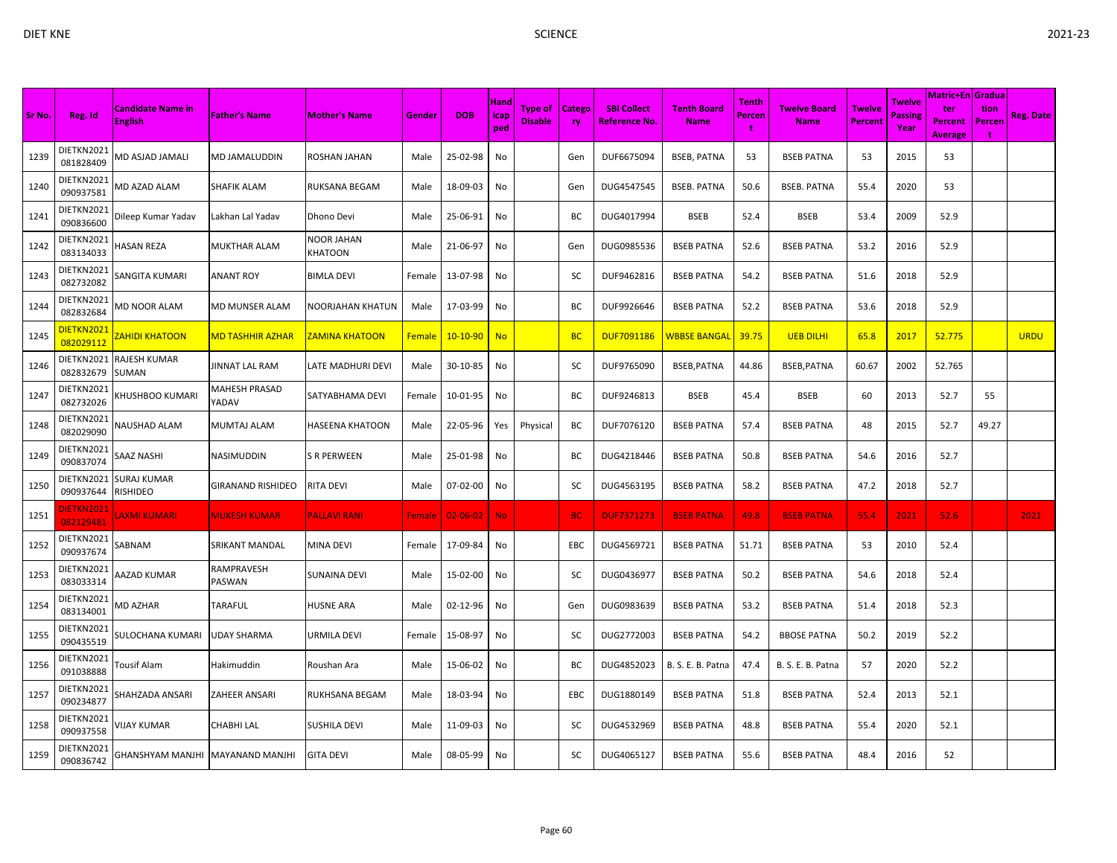|        |                         | <b>Candidate Name in</b>                |                               |                        |               |            | Hand               | Type of        | <b>Catego</b> | <b>SBI Collect</b> | <b>Tenth Board</b>  | Tenth        | <b>Twelve Board</b> | <b>Twelve</b>  | Twelve                 | Matric+En   Gradua  <br>ter | tion        |                  |
|--------|-------------------------|-----------------------------------------|-------------------------------|------------------------|---------------|------------|--------------------|----------------|---------------|--------------------|---------------------|--------------|---------------------|----------------|------------------------|-----------------------------|-------------|------------------|
| Sr No. | Reg. Id                 | <b>English</b>                          | <b>Father's Name</b>          | <b>Mother's Name</b>   | Gender        | <b>DOB</b> | <b>icap</b><br>ped | <b>Disable</b> | <b>ry</b>     | Reference No.      | <b>Name</b>         | Percen<br>-1 | <b>Name</b>         | <b>Percent</b> | <b>Passing</b><br>Year | Percent<br><b>Average</b>   | Percen<br>÷ | <b>Reg. Date</b> |
| 1239   | DIETKN2021<br>081828409 | MD ASJAD JAMALI                         | <b>MD JAMALUDDIN</b>          | ROSHAN JAHAN           | Male          | 25-02-98   | No                 |                | Gen           | DUF6675094         | <b>BSEB, PATNA</b>  | 53           | <b>BSEB PATNA</b>   | 53             | 2015                   | 53                          |             |                  |
| 1240   | DIETKN2021<br>090937581 | <b>MD AZAD ALAM</b>                     | SHAFIK ALAM                   | RUKSANA BEGAM          | Male          | 18-09-03   | No                 |                | Gen           | DUG4547545         | <b>BSEB. PATNA</b>  | 50.6         | <b>BSEB. PATNA</b>  | 55.4           | 2020                   | 53                          |             |                  |
| 1241   | DIETKN2021<br>090836600 | Dileep Kumar Yadav                      | Lakhan Lal Yadav              | Dhono Devi             | Male          | 25-06-91   | No                 |                | ВC            | DUG4017994         | <b>BSEB</b>         | 52.4         | <b>BSEB</b>         | 53.4           | 2009                   | 52.9                        |             |                  |
| 1242   | DIETKN2021<br>083134033 | HASAN REZA                              | <b>MUKTHAR ALAM</b>           | NOOR JAHAN<br>KHATOON  | Male          | 21-06-97   | No                 |                | Gen           | DUG0985536         | <b>BSEB PATNA</b>   | 52.6         | <b>BSEB PATNA</b>   | 53.2           | 2016                   | 52.9                        |             |                  |
| 1243   | DIETKN2021<br>082732082 | SANGITA KUMARI                          | <b>ANANT ROY</b>              | <b>BIMLA DEVI</b>      | Female        | 13-07-98   | No                 |                | SC            | DUF9462816         | <b>BSEB PATNA</b>   | 54.2         | <b>BSEB PATNA</b>   | 51.6           | 2018                   | 52.9                        |             |                  |
| 1244   | DIETKN2021<br>082832684 | <b>MD NOOR ALAM</b>                     | MD MUNSER ALAM                | NOORJAHAN KHATUN       | Male          | 17-03-99   | No                 |                | BC            | DUF9926646         | <b>BSEB PATNA</b>   | 52.2         | <b>BSEB PATNA</b>   | 53.6           | 2018                   | 52.9                        |             |                  |
| 1245   | DIETKN2021<br>082029112 | <b>ZAHIDI KHATOON</b>                   | <mark>MD TASHHIR AZHAR</mark> | <b>ZAMINA KHATOON</b>  | <b>Female</b> | $10-10-90$ | <b>No</b>          |                | <b>BC</b>     | <b>DUF7091186</b>  | <b>WBBSE BANGAL</b> | 39.75        | <b>UEB DILHI</b>    | 65.8           | 2017                   | 52.775                      |             | <b>URDU</b>      |
| 1246   | 082832679               | DIETKN2021 RAJESH KUMAR<br><b>SUMAN</b> | <b>JINNAT LAL RAM</b>         | LATE MADHURI DEVI      | Male          | 30-10-85   | No                 |                | SC            | DUF9765090         | BSEB, PATNA         | 44.86        | BSEB, PATNA         | 60.67          | 2002                   | 52.765                      |             |                  |
| 1247   | DIETKN2021<br>082732026 | KHUSHBOO KUMARI                         | MAHESH PRASAD<br>YADAV        | SATYABHAMA DEVI        | Female        | 10-01-95   | No                 |                | BC            | DUF9246813         | <b>BSEB</b>         | 45.4         | <b>BSEB</b>         | 60             | 2013                   | 52.7                        | 55          |                  |
| 1248   | DIETKN2021<br>082029090 | NAUSHAD ALAM                            | MUMTAJ ALAM                   | <b>HASEENA KHATOON</b> | Male          | 22-05-96   | Yes                | Physical       | ВC            | DUF7076120         | <b>BSEB PATNA</b>   | 57.4         | <b>BSEB PATNA</b>   | 48             | 2015                   | 52.7                        | 49.27       |                  |
| 1249   | DIETKN2021<br>090837074 | SAAZ NASHI                              | NASIMUDDIN                    | S R PERWEEN            | Male          | 25-01-98   | No                 |                | BC            | DUG4218446         | <b>BSEB PATNA</b>   | 50.8         | <b>BSEB PATNA</b>   | 54.6           | 2016                   | 52.7                        |             |                  |
| 1250   | 090937644               | DIETKN2021 SURAJ KUMAR<br>RISHIDEO      | <b>GIRANAND RISHIDEO</b>      | RITA DEVI              | Male          | 07-02-00   | No                 |                | SC            | DUG4563195         | <b>BSEB PATNA</b>   | 58.2         | <b>BSEB PATNA</b>   | 47.2           | 2018                   | 52.7                        |             |                  |
| 1251   | DIETKN2021<br>082129481 | <b>AXMI KUMARI</b>                      | <b>MUKESH KUMAR</b>           | <b>PALLAVI RANI</b>    | Female        | 02-06-02   | <b>No</b>          |                | BС            | <b>DUF7371273</b>  | <b>BSEB PATNA</b>   | 49.8         | <b>BSEB PATNA</b>   | 55.4           | 2021                   | 52.6                        |             | 2021             |
| 1252   | DIETKN2021<br>090937674 | SABNAM                                  | SRIKANT MANDAL                | MINA DEVI              | Female        | 17-09-84   | No                 |                | EBC           | DUG4569721         | <b>BSEB PATNA</b>   | 51.71        | <b>BSEB PATNA</b>   | 53             | 2010                   | 52.4                        |             |                  |
| 1253   | DIETKN2021<br>083033314 | AAZAD KUMAR                             | RAMPRAVESH<br>PASWAN          | SUNAINA DEVI           | Male          | 15-02-00   | No                 |                | SC            | DUG0436977         | <b>BSEB PATNA</b>   | 50.2         | <b>BSEB PATNA</b>   | 54.6           | 2018                   | 52.4                        |             |                  |
| 1254   | DIETKN2021<br>083134001 | <b>MD AZHAR</b>                         | TARAFUL                       | <b>HUSNE ARA</b>       | Male          | 02-12-96   | No                 |                | Gen           | DUG0983639         | <b>BSEB PATNA</b>   | 53.2         | <b>BSEB PATNA</b>   | 51.4           | 2018                   | 52.3                        |             |                  |
| 1255   | DIETKN2021<br>090435519 | SULOCHANA KUMARI                        | <b>UDAY SHARMA</b>            | URMILA DEVI            | Female        | 15-08-97   | No                 |                | SC            | DUG2772003         | <b>BSEB PATNA</b>   | 54.2         | <b>BBOSE PATNA</b>  | 50.2           | 2019                   | 52.2                        |             |                  |
| 1256   | DIETKN2021<br>091038888 | Tousif Alam                             | Hakimuddin                    | Roushan Ara            | Male          | 15-06-02   | No                 |                | BC            | DUG4852023         | B. S. E. B. Patna   | 47.4         | B. S. E. B. Patna   | 57             | 2020                   | 52.2                        |             |                  |
| 1257   | DIETKN2021<br>090234877 | SHAHZADA ANSARI                         | ZAHEER ANSARI                 | RUKHSANA BEGAM         | Male          | 18-03-94   | No                 |                | EBC           | DUG1880149         | <b>BSEB PATNA</b>   | 51.8         | <b>BSEB PATNA</b>   | 52.4           | 2013                   | 52.1                        |             |                  |
| 1258   | DIETKN2021<br>090937558 | <b>JIJAY KUMAR</b>                      | <b>CHABHI LAL</b>             | <b>SUSHILA DEVI</b>    | Male          | 11-09-03   | No                 |                | SC            | DUG4532969         | <b>BSEB PATNA</b>   | 48.8         | <b>BSEB PATNA</b>   | 55.4           | 2020                   | 52.1                        |             |                  |
| 1259   | DIETKN2021<br>090836742 | GHANSHYAM MANJHI MAYANAND MANJHI        |                               | <b>GITA DEVI</b>       | Male          | 08-05-99   | No                 |                | SC            | DUG4065127         | <b>BSEB PATNA</b>   | 55.6         | <b>BSEB PATNA</b>   | 48.4           | 2016                   | 52                          |             |                  |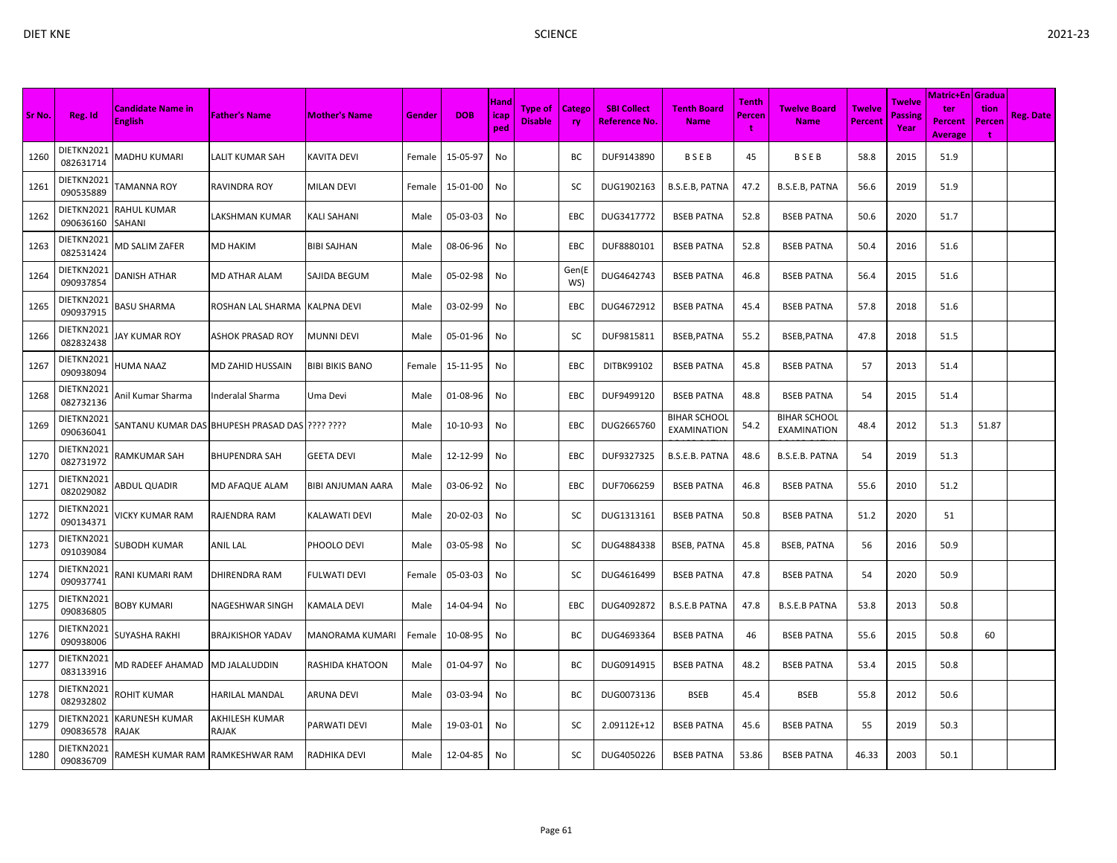| Sr No. | Reg. Id                 | <b>Candidate Name in</b><br><b>English</b> | <b>Father's Name</b>                           | <b>Mother's Name</b>     | <b>Gender</b> | <b>DOB</b> | Hand<br>icap<br>ped | <b>Type of</b><br><b>Disable</b> | <b>Catego</b><br><b>ry</b> | <b>SBI Collect</b><br><b>Reference No.</b> | <b>Tenth Board</b><br><b>Name</b>         | Tenth<br>Percen<br>t | <b>Twelve Board</b><br><b>Name</b>        | <b>Twelve</b><br>Percent | Twelve<br>Passing<br>Year | Matric+En Gradua<br>ter<br>Percent<br><b>Average</b> | tion<br>Percen | <b>Reg. Date</b> |
|--------|-------------------------|--------------------------------------------|------------------------------------------------|--------------------------|---------------|------------|---------------------|----------------------------------|----------------------------|--------------------------------------------|-------------------------------------------|----------------------|-------------------------------------------|--------------------------|---------------------------|------------------------------------------------------|----------------|------------------|
| 1260   | DIETKN2021<br>082631714 | MADHU KUMARI                               | <b>LALIT KUMAR SAH</b>                         | KAVITA DEVI              | Female        | 15-05-97   | No                  |                                  | ВC                         | DUF9143890                                 | BSEB                                      | 45                   | BSEB                                      | 58.8                     | 2015                      | 51.9                                                 |                |                  |
| 1261   | DIETKN2021<br>090535889 | TAMANNA ROY                                | RAVINDRA ROY                                   | <b>MILAN DEVI</b>        | Female        | 15-01-00   | No                  |                                  | SC                         | DUG1902163                                 | B.S.E.B, PATNA                            | 47.2                 | B.S.E.B, PATNA                            | 56.6                     | 2019                      | 51.9                                                 |                |                  |
| 1262   | DIETKN2021<br>090636160 | <b>RAHUL KUMAR</b><br>SAHANI               | LAKSHMAN KUMAR                                 | KALI SAHANI              | Male          | 05-03-03   | No                  |                                  | EBC                        | DUG3417772                                 | <b>BSEB PATNA</b>                         | 52.8                 | <b>BSEB PATNA</b>                         | 50.6                     | 2020                      | 51.7                                                 |                |                  |
| 1263   | DIETKN2021<br>082531424 | MD SALIM ZAFER                             | <b>MD HAKIM</b>                                | <b>BIBI SAJHAN</b>       | Male          | 08-06-96   | No                  |                                  | EBC                        | DUF8880101                                 | <b>BSEB PATNA</b>                         | 52.8                 | <b>BSEB PATNA</b>                         | 50.4                     | 2016                      | 51.6                                                 |                |                  |
| 1264   | DIETKN2021<br>090937854 | <b>DANISH ATHAR</b>                        | MD ATHAR ALAM                                  | SAJIDA BEGUM             | Male          | 05-02-98   | No                  |                                  | Gen(E<br>WS)               | DUG4642743                                 | <b>BSEB PATNA</b>                         | 46.8                 | <b>BSEB PATNA</b>                         | 56.4                     | 2015                      | 51.6                                                 |                |                  |
| 1265   | DIETKN2021<br>090937915 | BASU SHARMA                                | ROSHAN LAL SHARMA                              | <b>KALPNA DEVI</b>       | Male          | 03-02-99   | No                  |                                  | EBC                        | DUG4672912                                 | <b>BSEB PATNA</b>                         | 45.4                 | <b>BSEB PATNA</b>                         | 57.8                     | 2018                      | 51.6                                                 |                |                  |
| 1266   | DIETKN2021<br>082832438 | JAY KUMAR ROY                              | ASHOK PRASAD ROY                               | MUNNI DEVI               | Male          | 05-01-96   | No                  |                                  | SC                         | DUF9815811                                 | BSEB, PATNA                               | 55.2                 | BSEB, PATNA                               | 47.8                     | 2018                      | 51.5                                                 |                |                  |
| 1267   | DIETKN2021<br>090938094 | HUMA NAAZ                                  | MD ZAHID HUSSAIN                               | <b>BIBI BIKIS BANO</b>   | Female        | 15-11-95   | No                  |                                  | EBC                        | DITBK99102                                 | <b>BSEB PATNA</b>                         | 45.8                 | <b>BSEB PATNA</b>                         | 57                       | 2013                      | 51.4                                                 |                |                  |
| 1268   | DIETKN2021<br>082732136 | Anil Kumar Sharma                          | nderalal Sharma                                | Uma Devi                 | Male          | 01-08-96   | No                  |                                  | EBC                        | DUF9499120                                 | <b>BSEB PATNA</b>                         | 48.8                 | <b>BSEB PATNA</b>                         | 54                       | 2015                      | 51.4                                                 |                |                  |
| 1269   | DIETKN2021<br>090636041 |                                            | SANTANU KUMAR DAS BHUPESH PRASAD DAS ???? ???? |                          | Male          | 10-10-93   | No                  |                                  | EBC                        | DUG2665760                                 | <b>BIHAR SCHOOL</b><br><b>EXAMINATION</b> | 54.2                 | <b>BIHAR SCHOOL</b><br><b>EXAMINATION</b> | 48.4                     | 2012                      | 51.3                                                 | 51.87          |                  |
| 1270   | DIETKN2021<br>082731972 | RAMKUMAR SAH                               | <b>BHUPENDRA SAH</b>                           | GEETA DEVI               | Male          | 12-12-99   | No                  |                                  | EBC                        | DUF9327325                                 | B.S.E.B. PATNA                            | 48.6                 | B.S.E.B. PATNA                            | 54                       | 2019                      | 51.3                                                 |                |                  |
| 1271   | DIETKN2021<br>082029082 | ABDUL QUADIR                               | <b>MD AFAQUE ALAM</b>                          | <b>BIBI ANJUMAN AARA</b> | Male          | 03-06-92   | No                  |                                  | EBC                        | DUF7066259                                 | <b>BSEB PATNA</b>                         | 46.8                 | <b>BSEB PATNA</b>                         | 55.6                     | 2010                      | 51.2                                                 |                |                  |
| 1272   | DIETKN2021<br>090134371 | VICKY KUMAR RAM                            | RAJENDRA RAM                                   | KALAWATI DEVI            | Male          | 20-02-03   | No                  |                                  | SC                         | DUG1313161                                 | <b>BSEB PATNA</b>                         | 50.8                 | <b>BSEB PATNA</b>                         | 51.2                     | 2020                      | 51                                                   |                |                  |
| 1273   | DIETKN2021<br>091039084 | SUBODH KUMAR                               | ANIL LAL                                       | PHOOLO DEVI              | Male          | 03-05-98   | No                  |                                  | SC                         | DUG4884338                                 | <b>BSEB, PATNA</b>                        | 45.8                 | <b>BSEB, PATNA</b>                        | 56                       | 2016                      | 50.9                                                 |                |                  |
| 1274   | DIETKN2021<br>090937741 | RANI KUMARI RAM                            | <b>DHIRENDRA RAM</b>                           | FULWATI DEVI             | Female        | 05-03-03   | No                  |                                  | SC                         | DUG4616499                                 | <b>BSEB PATNA</b>                         | 47.8                 | <b>BSEB PATNA</b>                         | 54                       | 2020                      | 50.9                                                 |                |                  |
| 1275   | DIETKN2021<br>090836805 | BOBY KUMARI                                | NAGESHWAR SINGH                                | KAMALA DEVI              | Male          | 14-04-94   | No                  |                                  | EBC                        | DUG4092872                                 | <b>B.S.E.B PATNA</b>                      | 47.8                 | <b>B.S.E.B PATNA</b>                      | 53.8                     | 2013                      | 50.8                                                 |                |                  |
| 1276   | DIETKN2021<br>090938006 | SUYASHA RAKHI                              | <b>BRAJKISHOR YADAV</b>                        | MANORAMA KUMARI          | Female        | 10-08-95   | No                  |                                  | ВC                         | DUG4693364                                 | <b>BSEB PATNA</b>                         | 46                   | <b>BSEB PATNA</b>                         | 55.6                     | 2015                      | 50.8                                                 | 60             |                  |
| 1277   | DIETKN2021<br>083133916 | MD RADEEF AHAMAD                           | <b>MD JALALUDDIN</b>                           | RASHIDA KHATOON          | Male          | 01-04-97   | No                  |                                  | BC                         | DUG0914915                                 | <b>BSEB PATNA</b>                         | 48.2                 | <b>BSEB PATNA</b>                         | 53.4                     | 2015                      | 50.8                                                 |                |                  |
| 1278   | DIETKN2021<br>082932802 | ROHIT KUMAR                                | <b>HARILAL MANDAL</b>                          | ARUNA DEVI               | Male          | 03-03-94   | No                  |                                  | ВC                         | DUG0073136                                 | BSEB                                      | 45.4                 | <b>BSEB</b>                               | 55.8                     | 2012                      | 50.6                                                 |                |                  |
| 1279   | DIETKN2021<br>090836578 | KARUNESH KUMAR<br><b>RAJAK</b>             | AKHILESH KUMAR<br>RAJAK                        | PARWATI DEVI             | Male          | 19-03-01   | No                  |                                  | SC                         | 2.09112E+12                                | <b>BSEB PATNA</b>                         | 45.6                 | <b>BSEB PATNA</b>                         | 55                       | 2019                      | 50.3                                                 |                |                  |
| 1280   | DIETKN2021<br>090836709 | RAMESH KUMAR RAM RAMKESHWAR RAM            |                                                | RADHIKA DEVI             | Male          | 12-04-85   | No                  |                                  | SC                         | DUG4050226                                 | <b>BSEB PATNA</b>                         | 53.86                | <b>BSEB PATNA</b>                         | 46.33                    | 2003                      | 50.1                                                 |                |                  |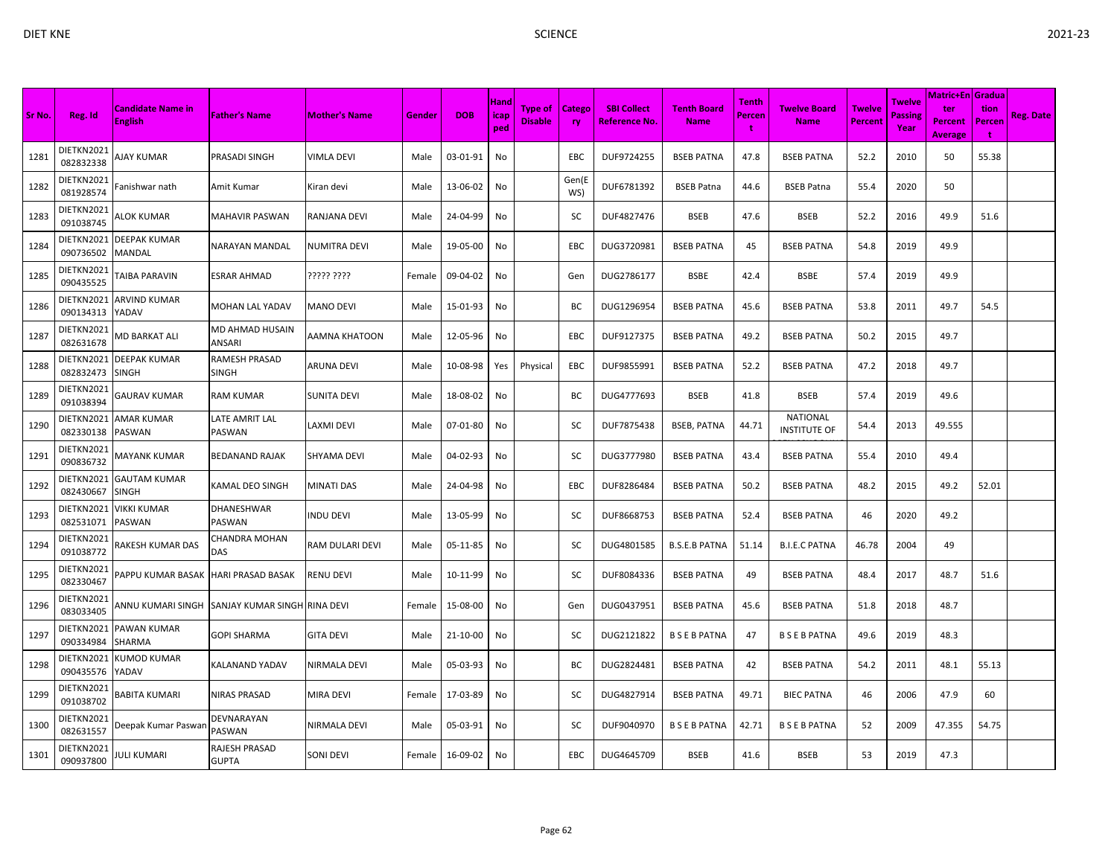|        |                         |                                            |                               |                      |        |            | <b>Hand</b> |                                  |                            |                                            |                                   | Tenth       |                                        |                                 | Twelve          | Matric+En   Gradua               |                            |           |
|--------|-------------------------|--------------------------------------------|-------------------------------|----------------------|--------|------------|-------------|----------------------------------|----------------------------|--------------------------------------------|-----------------------------------|-------------|----------------------------------------|---------------------------------|-----------------|----------------------------------|----------------------------|-----------|
| Sr No. | Reg. Id                 | <b>Candidate Name in</b><br><b>English</b> | <b>Father's Name</b>          | <b>Mother's Name</b> | Gender | <b>DOB</b> | icap<br>ped | <b>Type of</b><br><b>Disable</b> | <b>Catego</b><br><b>rv</b> | <b>SBI Collect</b><br><b>Reference No.</b> | <b>Tenth Board</b><br><b>Name</b> | Percen<br>÷ | <b>Twelve Board</b><br><b>Name</b>     | <b>Twelve</b><br><b>Percent</b> | Passing<br>Year | ter<br>Percent<br><b>Average</b> | tion<br><b>Percen</b><br>Ť | Reg. Date |
| 1281   | DIETKN2021<br>082832338 | NAY KUMAR                                  | PRASADI SINGH                 | VIMLA DEVI           | Male   | 03-01-91   | No          |                                  | EBC                        | DUF9724255                                 | <b>BSEB PATNA</b>                 | 47.8        | <b>BSEB PATNA</b>                      | 52.2                            | 2010            | 50                               | 55.38                      |           |
| 1282   | DIETKN2021<br>081928574 | <sup>=</sup> anishwar nath                 | Amit Kumar                    | Kiran devi           | Male   | 13-06-02   | No          |                                  | Gen(E<br>WS)               | DUF6781392                                 | <b>BSEB Patna</b>                 | 44.6        | <b>BSEB Patna</b>                      | 55.4                            | 2020            | 50                               |                            |           |
| 1283   | DIETKN2021<br>091038745 | ALOK KUMAR                                 | <b>MAHAVIR PASWAN</b>         | RANJANA DEVI         | Male   | 24-04-99   | No          |                                  | SC                         | DUF4827476                                 | <b>BSEB</b>                       | 47.6        | <b>BSEB</b>                            | 52.2                            | 2016            | 49.9                             | 51.6                       |           |
| 1284   | DIETKN2021<br>090736502 | <b>DEEPAK KUMAR</b><br>MANDAL              | NARAYAN MANDAL                | <b>NUMITRA DEVI</b>  | Male   | 19-05-00   | No          |                                  | EBC                        | DUG3720981                                 | <b>BSEB PATNA</b>                 | 45          | <b>BSEB PATNA</b>                      | 54.8                            | 2019            | 49.9                             |                            |           |
| 1285   | DIETKN2021<br>090435525 | TAIBA PARAVIN                              | <b>ESRAR AHMAD</b>            | ????? ????           | Female | 09-04-02   | No          |                                  | Gen                        | DUG2786177                                 | <b>BSBE</b>                       | 42.4        | <b>BSBE</b>                            | 57.4                            | 2019            | 49.9                             |                            |           |
| 1286   | DIETKN2021<br>090134313 | <b>ARVIND KUMAR</b><br>YADAV               | MOHAN LAL YADAV               | <b>MANO DEVI</b>     | Male   | 15-01-93   | No          |                                  | ВC                         | DUG1296954                                 | <b>BSEB PATNA</b>                 | 45.6        | <b>BSEB PATNA</b>                      | 53.8                            | 2011            | 49.7                             | 54.5                       |           |
| 1287   | DIETKN2021<br>082631678 | MD BARKAT ALI                              | MD AHMAD HUSAIN<br>ANSARI     | AAMNA KHATOON        | Male   | 12-05-96   | No          |                                  | EBC                        | DUF9127375                                 | <b>BSEB PATNA</b>                 | 49.2        | <b>BSEB PATNA</b>                      | 50.2                            | 2015            | 49.7                             |                            |           |
| 1288   | DIETKN2021<br>082832473 | <b>DEEPAK KUMAR</b><br><b>SINGH</b>        | RAMESH PRASAD<br><b>SINGH</b> | <b>ARUNA DEVI</b>    | Male   | 10-08-98   | Yes         | Physical                         | EBC                        | DUF9855991                                 | <b>BSEB PATNA</b>                 | 52.2        | <b>BSEB PATNA</b>                      | 47.2                            | 2018            | 49.7                             |                            |           |
| 1289   | DIETKN2021<br>091038394 | GAURAV KUMAR                               | <b>RAM KUMAR</b>              | SUNITA DEVI          | Male   | 18-08-02   | No          |                                  | BС                         | DUG4777693                                 | BSEB                              | 41.8        | <b>BSEB</b>                            | 57.4                            | 2019            | 49.6                             |                            |           |
| 1290   | DIETKN2021<br>082330138 | <b>AMAR KUMAR</b><br>PASWAN                | LATE AMRIT LAL<br>PASWAN      | LAXMI DEVI           | Male   | 07-01-80   | No          |                                  | SC                         | DUF7875438                                 | <b>BSEB, PATNA</b>                | 44.71       | <b>NATIONAL</b><br><b>INSTITUTE OF</b> | 54.4                            | 2013            | 49.555                           |                            |           |
| 1291   | DIETKN2021<br>090836732 | MAYANK KUMAR                               | <b>BEDANAND RAJAK</b>         | SHYAMA DEVI          | Male   | 04-02-93   | No          |                                  | SC                         | DUG3777980                                 | <b>BSEB PATNA</b>                 | 43.4        | <b>BSEB PATNA</b>                      | 55.4                            | 2010            | 49.4                             |                            |           |
| 1292   | DIETKN2021<br>082430667 | <b>GAUTAM KUMAR</b><br><b>SINGH</b>        | KAMAL DEO SINGH               | MINATI DAS           | Male   | 24-04-98   | No          |                                  | EBC                        | DUF8286484                                 | <b>BSEB PATNA</b>                 | 50.2        | <b>BSEB PATNA</b>                      | 48.2                            | 2015            | 49.2                             | 52.01                      |           |
| 1293   | DIETKN2021<br>082531071 | VIKKI KUMAR<br>PASWAN                      | <b>DHANESHWAR</b><br>PASWAN   | <b>INDU DEVI</b>     | Male   | 13-05-99   | No          |                                  | SC                         | DUF8668753                                 | <b>BSEB PATNA</b>                 | 52.4        | <b>BSEB PATNA</b>                      | 46                              | 2020            | 49.2                             |                            |           |
| 1294   | DIETKN2021<br>091038772 | RAKESH KUMAR DAS                           | CHANDRA MOHAN<br>DAS          | RAM DULARI DEVI      | Male   | 05-11-85   | No          |                                  | SC                         | DUG4801585                                 | <b>B.S.E.B PATNA</b>              | 51.14       | <b>B.I.E.C PATNA</b>                   | 46.78                           | 2004            | 49                               |                            |           |
| 1295   | DIETKN2021<br>082330467 | PAPPU KUMAR BASAK                          | <b>HARI PRASAD BASAK</b>      | RENU DEVI            | Male   | 10-11-99   | No          |                                  | sc                         | DUF8084336                                 | <b>BSEB PATNA</b>                 | 49          | <b>BSEB PATNA</b>                      | 48.4                            | 2017            | 48.7                             | 51.6                       |           |
| 1296   | DIETKN2021<br>083033405 | INNU KUMARI SINGH                          | SANJAY KUMAR SINGH RINA DEVI  |                      | Female | 15-08-00   | No          |                                  | Gen                        | DUG0437951                                 | <b>BSEB PATNA</b>                 | 45.6        | <b>BSEB PATNA</b>                      | 51.8                            | 2018            | 48.7                             |                            |           |
| 1297   | DIETKN2021<br>090334984 | PAWAN KUMAR<br>SHARMA                      | <b>GOPI SHARMA</b>            | <b>GITA DEVI</b>     | Male   | 21-10-00   | No          |                                  | SC                         | DUG2121822                                 | <b>B S E B PATNA</b>              | 47          | <b>BSEBPATNA</b>                       | 49.6                            | 2019            | 48.3                             |                            |           |
| 1298   | DIETKN2021<br>090435576 | <b>KUMOD KUMAR</b><br>YADAV                | KALANAND YADAV                | NIRMALA DEVI         | Male   | 05-03-93   | No          |                                  | BC                         | DUG2824481                                 | <b>BSEB PATNA</b>                 | 42          | <b>BSEB PATNA</b>                      | 54.2                            | 2011            | 48.1                             | 55.13                      |           |
| 1299   | DIETKN2021<br>091038702 | BABITA KUMARI                              | <b>NIRAS PRASAD</b>           | <b>MIRA DEVI</b>     | Female | 17-03-89   | No          |                                  | SC                         | DUG4827914                                 | <b>BSEB PATNA</b>                 | 49.71       | <b>BIEC PATNA</b>                      | 46                              | 2006            | 47.9                             | 60                         |           |
| 1300   | DIETKN2021<br>082631557 | Deepak Kumar Paswan                        | DEVNARAYAN<br>PASWAN          | NIRMALA DEVI         | Male   | 05-03-91   | No          |                                  | SC                         | DUF9040970                                 | <b>B S E B PATNA</b>              | 42.71       | <b>BSEBPATNA</b>                       | 52                              | 2009            | 47.355                           | 54.75                      |           |
| 1301   | DIETKN2021<br>090937800 | <b>JULI KUMARI</b>                         | RAJESH PRASAD<br><b>GUPTA</b> | <b>SONI DEVI</b>     | Female | 16-09-02   | No          |                                  | <b>EBC</b>                 | DUG4645709                                 | <b>BSEB</b>                       | 41.6        | <b>BSEB</b>                            | 53                              | 2019            | 47.3                             |                            |           |